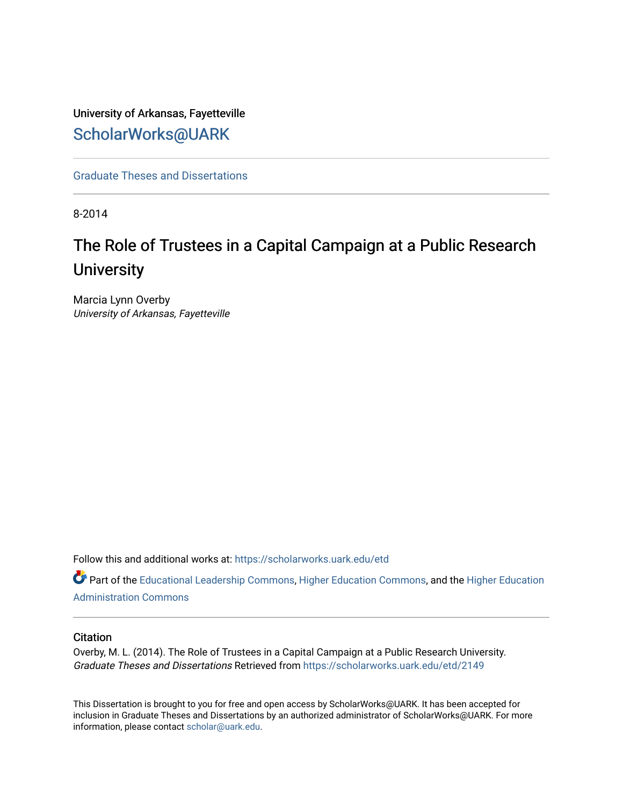# University of Arkansas, Fayetteville [ScholarWorks@UARK](https://scholarworks.uark.edu/)

[Graduate Theses and Dissertations](https://scholarworks.uark.edu/etd) 

8-2014

# The Role of Trustees in a Capital Campaign at a Public Research **University**

Marcia Lynn Overby University of Arkansas, Fayetteville

Follow this and additional works at: [https://scholarworks.uark.edu/etd](https://scholarworks.uark.edu/etd?utm_source=scholarworks.uark.edu%2Fetd%2F2149&utm_medium=PDF&utm_campaign=PDFCoverPages)

Part of the [Educational Leadership Commons,](http://network.bepress.com/hgg/discipline/1230?utm_source=scholarworks.uark.edu%2Fetd%2F2149&utm_medium=PDF&utm_campaign=PDFCoverPages) [Higher Education Commons,](http://network.bepress.com/hgg/discipline/1245?utm_source=scholarworks.uark.edu%2Fetd%2F2149&utm_medium=PDF&utm_campaign=PDFCoverPages) and the [Higher Education](http://network.bepress.com/hgg/discipline/791?utm_source=scholarworks.uark.edu%2Fetd%2F2149&utm_medium=PDF&utm_campaign=PDFCoverPages) [Administration Commons](http://network.bepress.com/hgg/discipline/791?utm_source=scholarworks.uark.edu%2Fetd%2F2149&utm_medium=PDF&utm_campaign=PDFCoverPages) 

# **Citation**

Overby, M. L. (2014). The Role of Trustees in a Capital Campaign at a Public Research University. Graduate Theses and Dissertations Retrieved from [https://scholarworks.uark.edu/etd/2149](https://scholarworks.uark.edu/etd/2149?utm_source=scholarworks.uark.edu%2Fetd%2F2149&utm_medium=PDF&utm_campaign=PDFCoverPages)

This Dissertation is brought to you for free and open access by ScholarWorks@UARK. It has been accepted for inclusion in Graduate Theses and Dissertations by an authorized administrator of ScholarWorks@UARK. For more information, please contact [scholar@uark.edu.](mailto:scholar@uark.edu)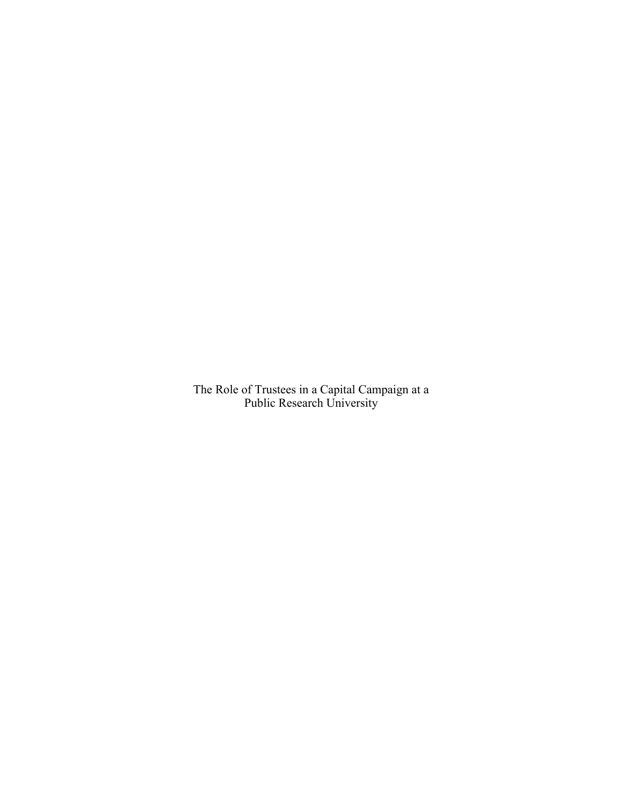The Role of Trustees in a Capital Campaign at a Public Research University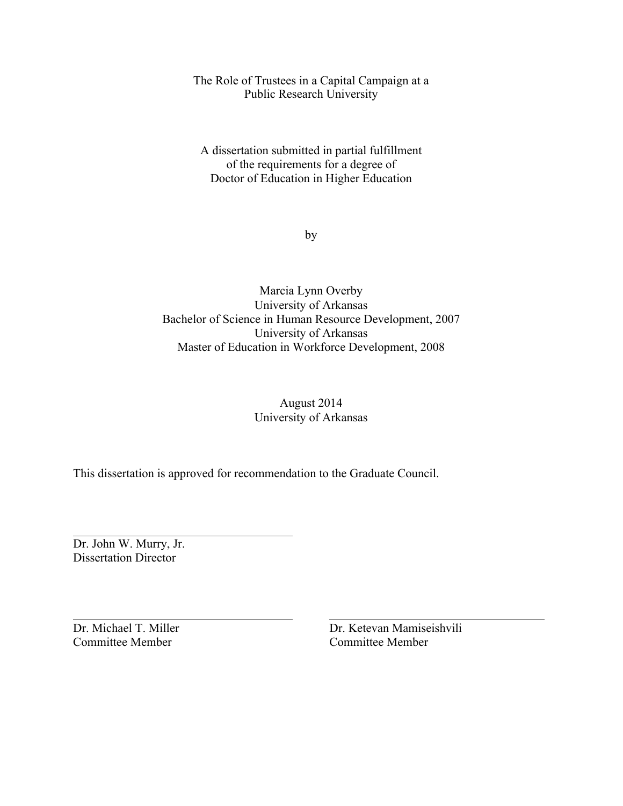The Role of Trustees in a Capital Campaign at a Public Research University

A dissertation submitted in partial fulfillment of the requirements for a degree of Doctor of Education in Higher Education

by

Marcia Lynn Overby University of Arkansas Bachelor of Science in Human Resource Development, 2007 University of Arkansas Master of Education in Workforce Development, 2008

# August 2014 University of Arkansas

This dissertation is approved for recommendation to the Graduate Council.

Dr. John W. Murry, Jr. Dissertation Director

Committee Member Committee Member

Dr. Michael T. Miller Dr. Ketevan Mamiseishvili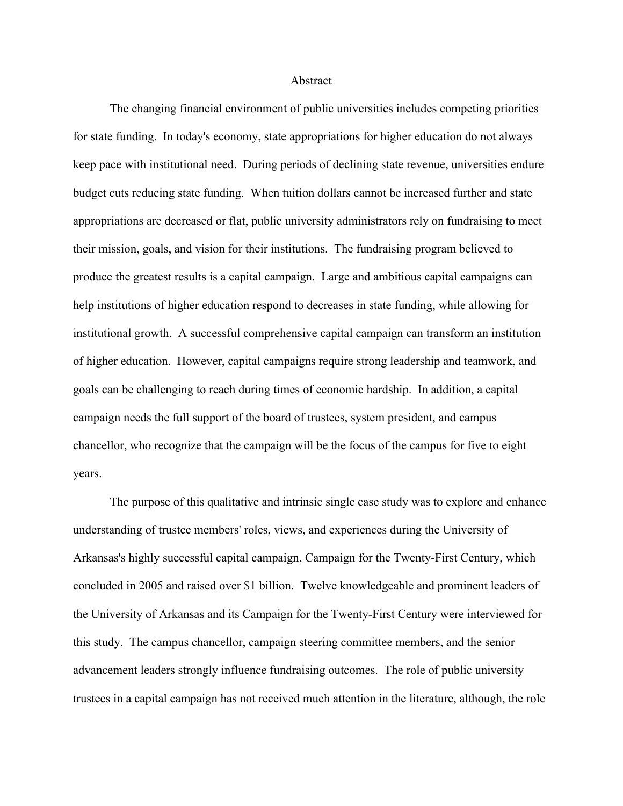#### Abstract

The changing financial environment of public universities includes competing priorities for state funding. In today's economy, state appropriations for higher education do not always keep pace with institutional need. During periods of declining state revenue, universities endure budget cuts reducing state funding. When tuition dollars cannot be increased further and state appropriations are decreased or flat, public university administrators rely on fundraising to meet their mission, goals, and vision for their institutions. The fundraising program believed to produce the greatest results is a capital campaign. Large and ambitious capital campaigns can help institutions of higher education respond to decreases in state funding, while allowing for institutional growth. A successful comprehensive capital campaign can transform an institution of higher education. However, capital campaigns require strong leadership and teamwork, and goals can be challenging to reach during times of economic hardship. In addition, a capital campaign needs the full support of the board of trustees, system president, and campus chancellor, who recognize that the campaign will be the focus of the campus for five to eight years.

The purpose of this qualitative and intrinsic single case study was to explore and enhance understanding of trustee members' roles, views, and experiences during the University of Arkansas's highly successful capital campaign, Campaign for the Twenty-First Century, which concluded in 2005 and raised over \$1 billion. Twelve knowledgeable and prominent leaders of the University of Arkansas and its Campaign for the Twenty-First Century were interviewed for this study. The campus chancellor, campaign steering committee members, and the senior advancement leaders strongly influence fundraising outcomes. The role of public university trustees in a capital campaign has not received much attention in the literature, although, the role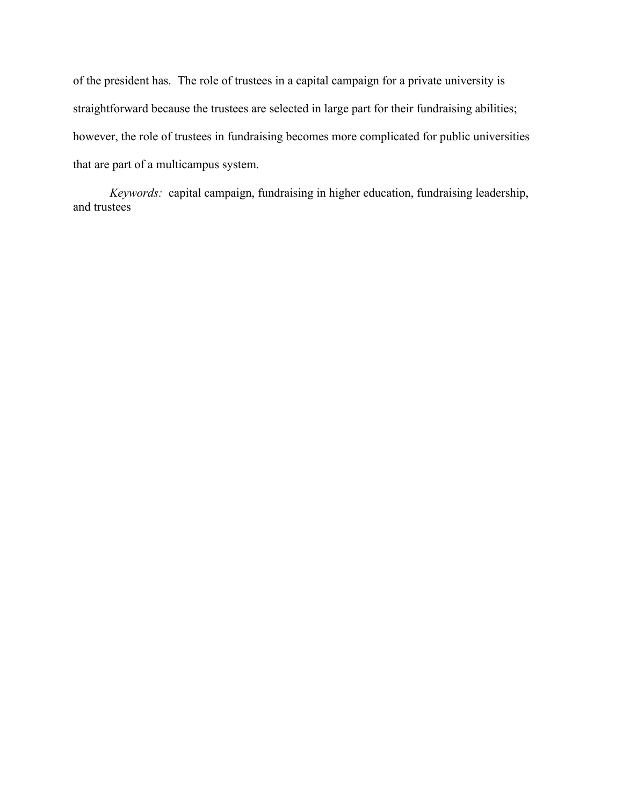of the president has. The role of trustees in a capital campaign for a private university is straightforward because the trustees are selected in large part for their fundraising abilities; however, the role of trustees in fundraising becomes more complicated for public universities that are part of a multicampus system.

*Keywords:* capital campaign, fundraising in higher education, fundraising leadership, and trustees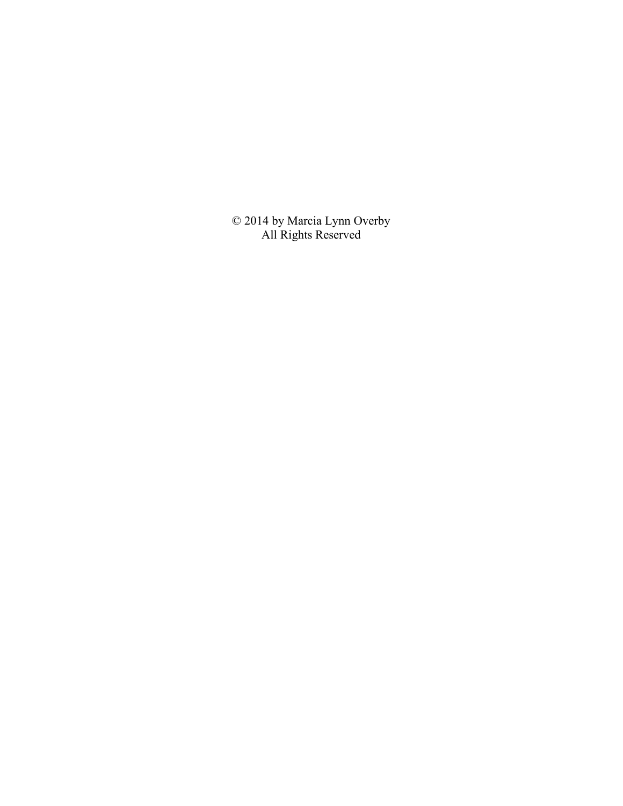© 2014 by Marcia Lynn Overby All Rights Reserved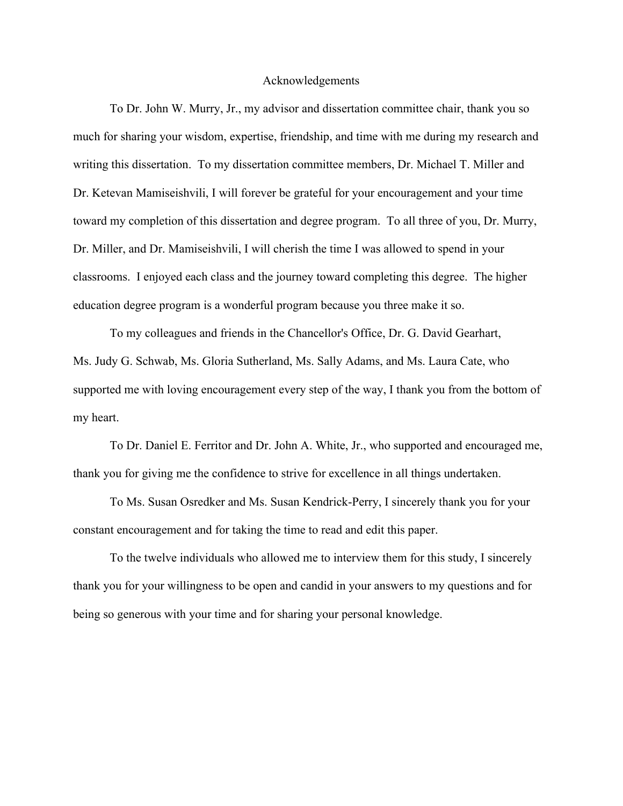### Acknowledgements

To Dr. John W. Murry, Jr., my advisor and dissertation committee chair, thank you so much for sharing your wisdom, expertise, friendship, and time with me during my research and writing this dissertation. To my dissertation committee members, Dr. Michael T. Miller and Dr. Ketevan Mamiseishvili, I will forever be grateful for your encouragement and your time toward my completion of this dissertation and degree program. To all three of you, Dr. Murry, Dr. Miller, and Dr. Mamiseishvili, I will cherish the time I was allowed to spend in your classrooms. I enjoyed each class and the journey toward completing this degree. The higher education degree program is a wonderful program because you three make it so.

To my colleagues and friends in the Chancellor's Office, Dr. G. David Gearhart, Ms. Judy G. Schwab, Ms. Gloria Sutherland, Ms. Sally Adams, and Ms. Laura Cate, who supported me with loving encouragement every step of the way, I thank you from the bottom of my heart.

To Dr. Daniel E. Ferritor and Dr. John A. White, Jr., who supported and encouraged me, thank you for giving me the confidence to strive for excellence in all things undertaken.

To Ms. Susan Osredker and Ms. Susan Kendrick-Perry, I sincerely thank you for your constant encouragement and for taking the time to read and edit this paper.

To the twelve individuals who allowed me to interview them for this study, I sincerely thank you for your willingness to be open and candid in your answers to my questions and for being so generous with your time and for sharing your personal knowledge.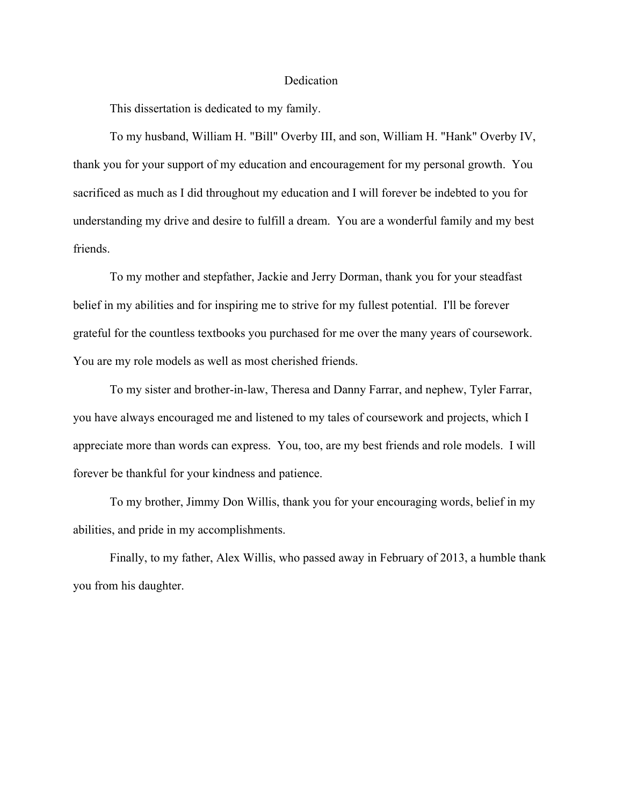#### Dedication

This dissertation is dedicated to my family.

To my husband, William H. "Bill" Overby III, and son, William H. "Hank" Overby IV, thank you for your support of my education and encouragement for my personal growth. You sacrificed as much as I did throughout my education and I will forever be indebted to you for understanding my drive and desire to fulfill a dream. You are a wonderful family and my best friends.

To my mother and stepfather, Jackie and Jerry Dorman, thank you for your steadfast belief in my abilities and for inspiring me to strive for my fullest potential. I'll be forever grateful for the countless textbooks you purchased for me over the many years of coursework. You are my role models as well as most cherished friends.

To my sister and brother-in-law, Theresa and Danny Farrar, and nephew, Tyler Farrar, you have always encouraged me and listened to my tales of coursework and projects, which I appreciate more than words can express. You, too, are my best friends and role models. I will forever be thankful for your kindness and patience.

To my brother, Jimmy Don Willis, thank you for your encouraging words, belief in my abilities, and pride in my accomplishments.

Finally, to my father, Alex Willis, who passed away in February of 2013, a humble thank you from his daughter.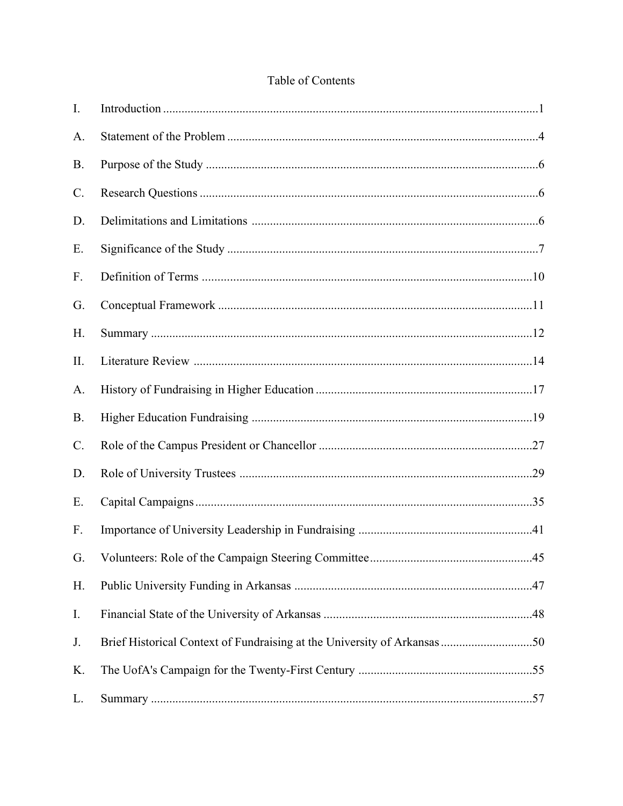# Table of Contents

| $I_{\cdot}$     |  |
|-----------------|--|
| A.              |  |
| <b>B.</b>       |  |
| $C$ .           |  |
| D.              |  |
| Ε.              |  |
| F.              |  |
| G.              |  |
| H.              |  |
| II.             |  |
| A.              |  |
| <b>B.</b>       |  |
| $\mathcal{C}$ . |  |
| D.              |  |
| Ε.              |  |
| F.              |  |
| G.              |  |
| H.              |  |
| I.              |  |
| J.              |  |
| K.              |  |
| L.              |  |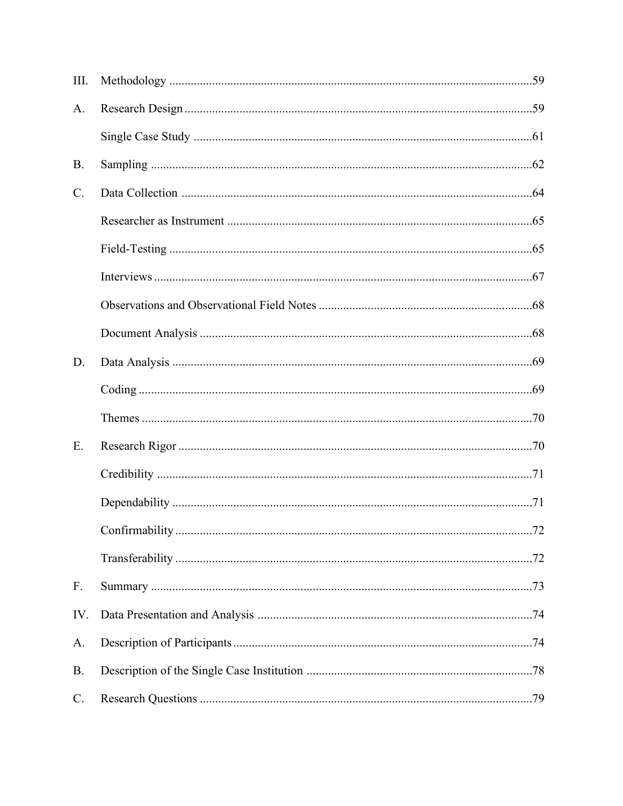| III.            |  |
|-----------------|--|
| A.              |  |
|                 |  |
| <b>B.</b>       |  |
| $C$ .           |  |
|                 |  |
|                 |  |
|                 |  |
|                 |  |
|                 |  |
| D.              |  |
|                 |  |
|                 |  |
| E.              |  |
|                 |  |
|                 |  |
|                 |  |
|                 |  |
| F.              |  |
| IV.             |  |
| A.              |  |
| <b>B.</b>       |  |
| $\mathcal{C}$ . |  |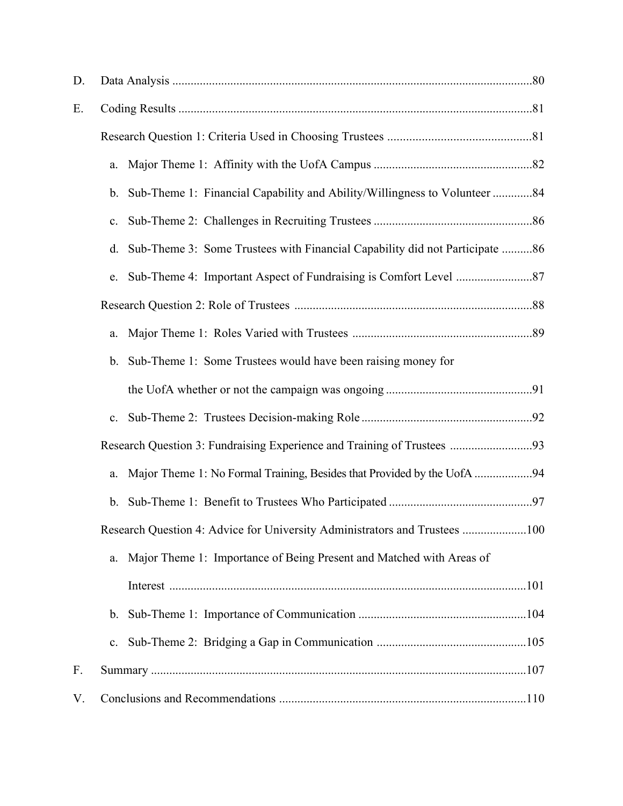| D. |                                                                                   |  |
|----|-----------------------------------------------------------------------------------|--|
| Ε. |                                                                                   |  |
|    |                                                                                   |  |
|    | a.                                                                                |  |
|    | Sub-Theme 1: Financial Capability and Ability/Willingness to Volunteer 84<br>b.   |  |
|    | $\mathbf{c}$ .                                                                    |  |
|    | Sub-Theme 3: Some Trustees with Financial Capability did not Participate 86<br>d. |  |
|    | e.                                                                                |  |
|    |                                                                                   |  |
|    | a.                                                                                |  |
|    | Sub-Theme 1: Some Trustees would have been raising money for<br>b.                |  |
|    |                                                                                   |  |
|    | $\mathbf{c}$ .                                                                    |  |
|    | Research Question 3: Fundraising Experience and Training of Trustees 93           |  |
|    | Major Theme 1: No Formal Training, Besides that Provided by the UofA 94<br>a.     |  |
|    | b.                                                                                |  |
|    | Research Question 4: Advice for University Administrators and Trustees 100        |  |
|    | Major Theme 1: Importance of Being Present and Matched with Areas of<br>a.        |  |
|    |                                                                                   |  |
|    | b.                                                                                |  |
|    | $\mathbf{c}$ .                                                                    |  |
| F. |                                                                                   |  |
| V. |                                                                                   |  |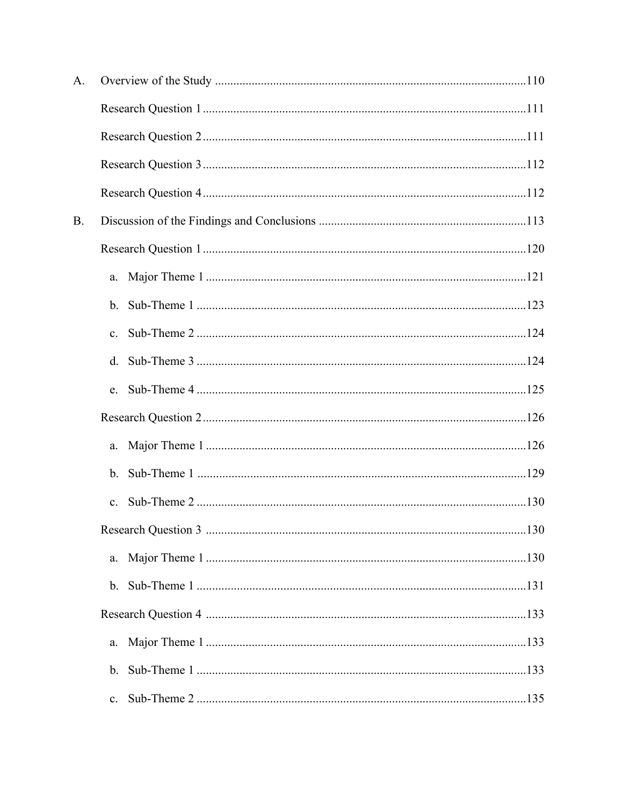| A.        |                |  |
|-----------|----------------|--|
|           |                |  |
|           |                |  |
|           |                |  |
|           |                |  |
| <b>B.</b> |                |  |
|           |                |  |
|           | a.             |  |
|           | $b_{-}$        |  |
|           | $\mathbf{c}$ . |  |
|           | d.             |  |
|           | e.             |  |
|           |                |  |
|           | a.             |  |
|           | $b_{\cdot}$    |  |
|           | $\mathbf{c}$ . |  |
|           |                |  |
|           | a.             |  |
|           |                |  |
|           |                |  |
|           | a.             |  |
|           | b.             |  |
|           | $\mathbf{c}$ . |  |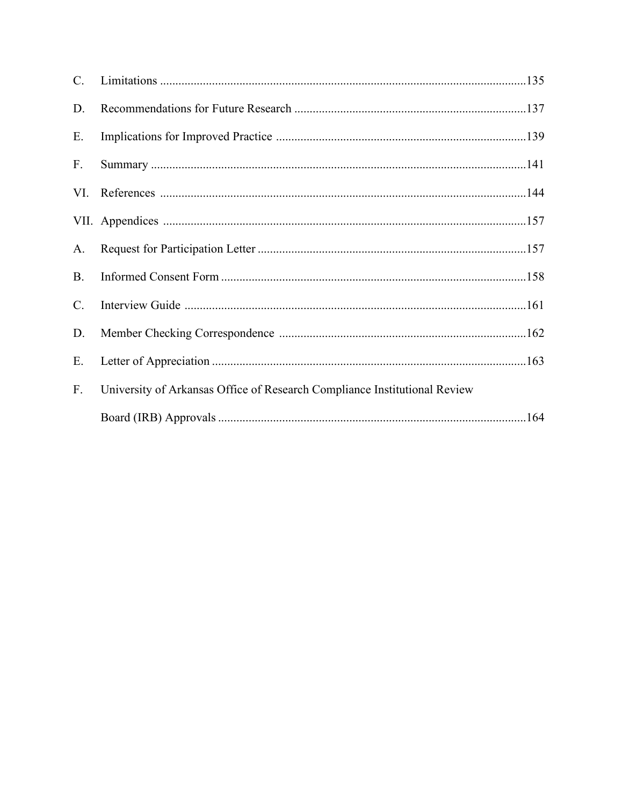| $C_{\cdot}$     |                                                                           |  |
|-----------------|---------------------------------------------------------------------------|--|
| D.              |                                                                           |  |
| Ε.              |                                                                           |  |
| $F_{\cdot}$     |                                                                           |  |
|                 |                                                                           |  |
|                 |                                                                           |  |
| A.              |                                                                           |  |
| <b>B.</b>       |                                                                           |  |
| $\mathcal{C}$ . |                                                                           |  |
| D.              |                                                                           |  |
| Е.              |                                                                           |  |
| F.              | University of Arkansas Office of Research Compliance Institutional Review |  |
|                 |                                                                           |  |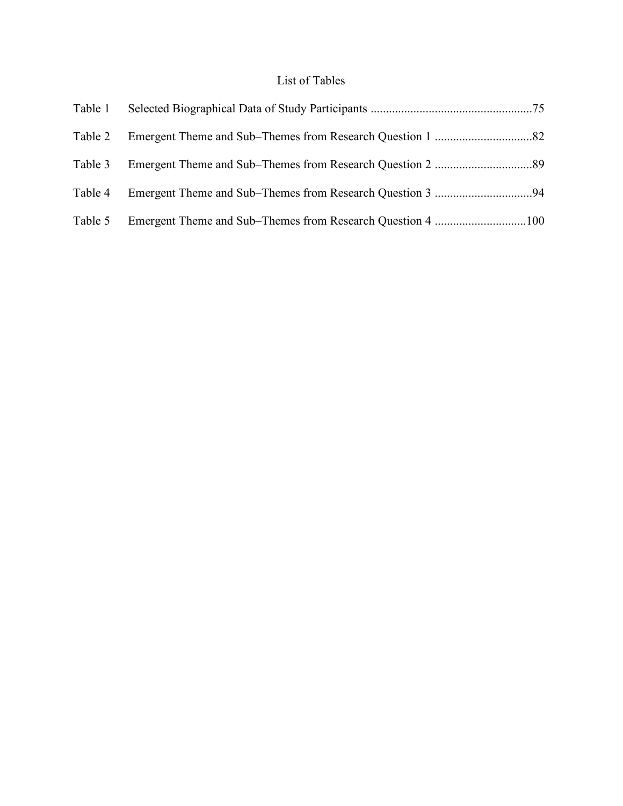# List of Tables

|  | Table 1 |
|--|---------|
|  | Table 2 |
|  | Table 3 |
|  | Table 4 |
|  | Table 5 |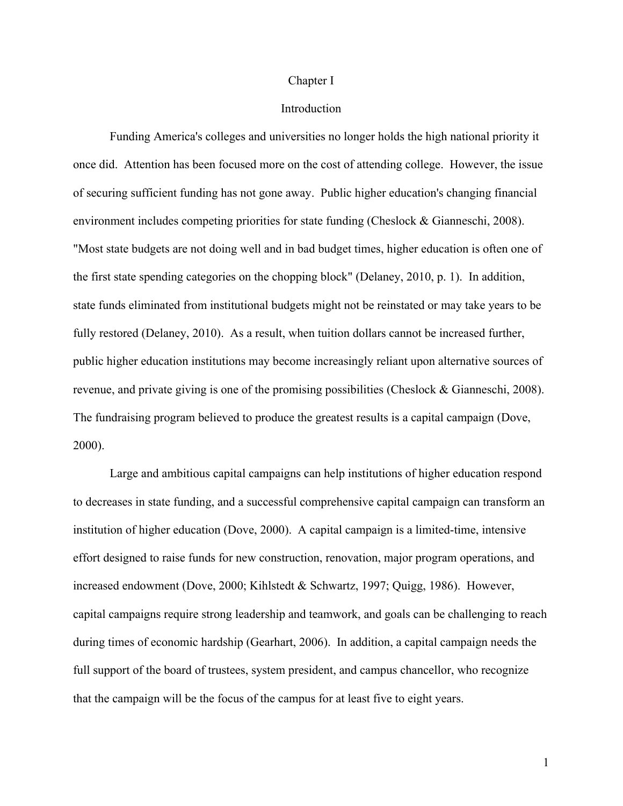#### Chapter I

# **Introduction**

Funding America's colleges and universities no longer holds the high national priority it once did. Attention has been focused more on the cost of attending college. However, the issue of securing sufficient funding has not gone away. Public higher education's changing financial environment includes competing priorities for state funding (Cheslock & Gianneschi, 2008). "Most state budgets are not doing well and in bad budget times, higher education is often one of the first state spending categories on the chopping block" (Delaney, 2010, p. 1). In addition, state funds eliminated from institutional budgets might not be reinstated or may take years to be fully restored (Delaney, 2010). As a result, when tuition dollars cannot be increased further, public higher education institutions may become increasingly reliant upon alternative sources of revenue, and private giving is one of the promising possibilities (Cheslock & Gianneschi, 2008). The fundraising program believed to produce the greatest results is a capital campaign (Dove, 2000).

Large and ambitious capital campaigns can help institutions of higher education respond to decreases in state funding, and a successful comprehensive capital campaign can transform an institution of higher education (Dove, 2000). A capital campaign is a limited-time, intensive effort designed to raise funds for new construction, renovation, major program operations, and increased endowment (Dove, 2000; Kihlstedt & Schwartz, 1997; Quigg, 1986). However, capital campaigns require strong leadership and teamwork, and goals can be challenging to reach during times of economic hardship (Gearhart, 2006). In addition, a capital campaign needs the full support of the board of trustees, system president, and campus chancellor, who recognize that the campaign will be the focus of the campus for at least five to eight years.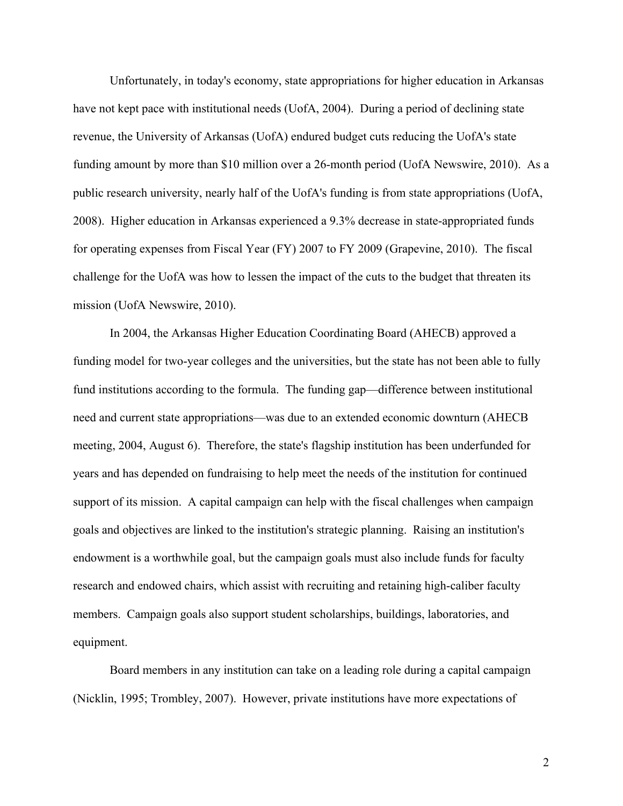Unfortunately, in today's economy, state appropriations for higher education in Arkansas have not kept pace with institutional needs (UofA, 2004). During a period of declining state revenue, the University of Arkansas (UofA) endured budget cuts reducing the UofA's state funding amount by more than \$10 million over a 26-month period (UofA Newswire, 2010). As a public research university, nearly half of the UofA's funding is from state appropriations (UofA, 2008). Higher education in Arkansas experienced a 9.3% decrease in state-appropriated funds for operating expenses from Fiscal Year (FY) 2007 to FY 2009 (Grapevine, 2010). The fiscal challenge for the UofA was how to lessen the impact of the cuts to the budget that threaten its mission (UofA Newswire, 2010).

In 2004, the Arkansas Higher Education Coordinating Board (AHECB) approved a funding model for two-year colleges and the universities, but the state has not been able to fully fund institutions according to the formula. The funding gap—difference between institutional need and current state appropriations—was due to an extended economic downturn (AHECB meeting, 2004, August 6). Therefore, the state's flagship institution has been underfunded for years and has depended on fundraising to help meet the needs of the institution for continued support of its mission. A capital campaign can help with the fiscal challenges when campaign goals and objectives are linked to the institution's strategic planning. Raising an institution's endowment is a worthwhile goal, but the campaign goals must also include funds for faculty research and endowed chairs, which assist with recruiting and retaining high-caliber faculty members. Campaign goals also support student scholarships, buildings, laboratories, and equipment.

Board members in any institution can take on a leading role during a capital campaign (Nicklin, 1995; Trombley, 2007). However, private institutions have more expectations of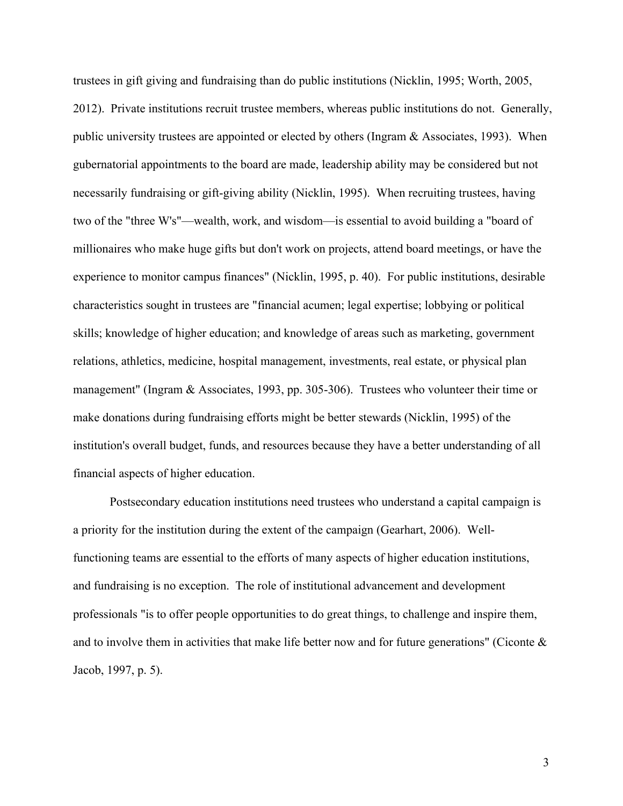trustees in gift giving and fundraising than do public institutions (Nicklin, 1995; Worth, 2005, 2012). Private institutions recruit trustee members, whereas public institutions do not. Generally, public university trustees are appointed or elected by others (Ingram & Associates, 1993). When gubernatorial appointments to the board are made, leadership ability may be considered but not necessarily fundraising or gift-giving ability (Nicklin, 1995). When recruiting trustees, having two of the "three W's"—wealth, work, and wisdom—is essential to avoid building a "board of millionaires who make huge gifts but don't work on projects, attend board meetings, or have the experience to monitor campus finances" (Nicklin, 1995, p. 40). For public institutions, desirable characteristics sought in trustees are "financial acumen; legal expertise; lobbying or political skills; knowledge of higher education; and knowledge of areas such as marketing, government relations, athletics, medicine, hospital management, investments, real estate, or physical plan management" (Ingram & Associates, 1993, pp. 305-306). Trustees who volunteer their time or make donations during fundraising efforts might be better stewards (Nicklin, 1995) of the institution's overall budget, funds, and resources because they have a better understanding of all financial aspects of higher education.

Postsecondary education institutions need trustees who understand a capital campaign is a priority for the institution during the extent of the campaign (Gearhart, 2006). Wellfunctioning teams are essential to the efforts of many aspects of higher education institutions, and fundraising is no exception. The role of institutional advancement and development professionals "is to offer people opportunities to do great things, to challenge and inspire them, and to involve them in activities that make life better now and for future generations" (Ciconte  $\&$ Jacob, 1997, p. 5).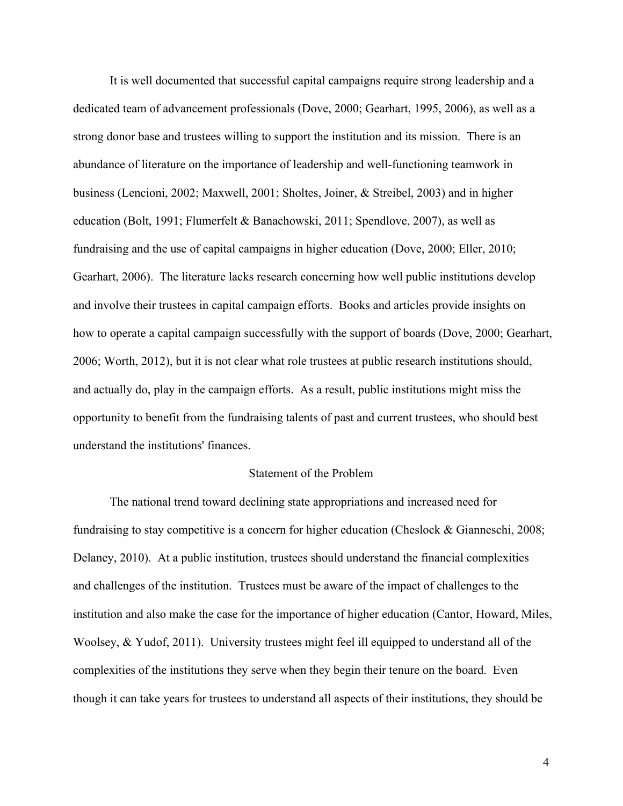It is well documented that successful capital campaigns require strong leadership and a dedicated team of advancement professionals (Dove, 2000; Gearhart, 1995, 2006), as well as a strong donor base and trustees willing to support the institution and its mission. There is an abundance of literature on the importance of leadership and well-functioning teamwork in business (Lencioni, 2002; Maxwell, 2001; Sholtes, Joiner, & Streibel, 2003) and in higher education (Bolt, 1991; Flumerfelt & Banachowski, 2011; Spendlove, 2007), as well as fundraising and the use of capital campaigns in higher education (Dove, 2000; Eller, 2010; Gearhart, 2006). The literature lacks research concerning how well public institutions develop and involve their trustees in capital campaign efforts. Books and articles provide insights on how to operate a capital campaign successfully with the support of boards (Dove, 2000; Gearhart, 2006; Worth, 2012), but it is not clear what role trustees at public research institutions should, and actually do, play in the campaign efforts. As a result, public institutions might miss the opportunity to benefit from the fundraising talents of past and current trustees, who should best understand the institutions' finances.

## Statement of the Problem

The national trend toward declining state appropriations and increased need for fundraising to stay competitive is a concern for higher education (Cheslock & Gianneschi, 2008; Delaney, 2010). At a public institution, trustees should understand the financial complexities and challenges of the institution. Trustees must be aware of the impact of challenges to the institution and also make the case for the importance of higher education (Cantor, Howard, Miles, Woolsey, & Yudof, 2011). University trustees might feel ill equipped to understand all of the complexities of the institutions they serve when they begin their tenure on the board. Even though it can take years for trustees to understand all aspects of their institutions, they should be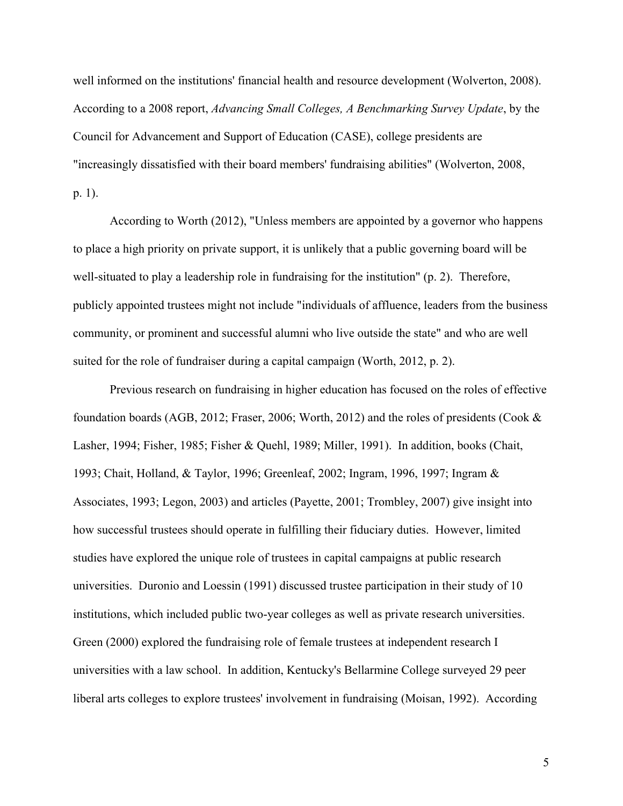well informed on the institutions' financial health and resource development (Wolverton, 2008). According to a 2008 report, *Advancing Small Colleges, A Benchmarking Survey Update*, by the Council for Advancement and Support of Education (CASE), college presidents are "increasingly dissatisfied with their board members' fundraising abilities" (Wolverton, 2008, p. 1).

According to Worth (2012), "Unless members are appointed by a governor who happens to place a high priority on private support, it is unlikely that a public governing board will be well-situated to play a leadership role in fundraising for the institution" (p. 2). Therefore, publicly appointed trustees might not include "individuals of affluence, leaders from the business community, or prominent and successful alumni who live outside the state" and who are well suited for the role of fundraiser during a capital campaign (Worth, 2012, p. 2).

Previous research on fundraising in higher education has focused on the roles of effective foundation boards (AGB, 2012; Fraser, 2006; Worth, 2012) and the roles of presidents (Cook & Lasher, 1994; Fisher, 1985; Fisher & Quehl, 1989; Miller, 1991). In addition, books (Chait, 1993; Chait, Holland, & Taylor, 1996; Greenleaf, 2002; Ingram, 1996, 1997; Ingram & Associates, 1993; Legon, 2003) and articles (Payette, 2001; Trombley, 2007) give insight into how successful trustees should operate in fulfilling their fiduciary duties. However, limited studies have explored the unique role of trustees in capital campaigns at public research universities. Duronio and Loessin (1991) discussed trustee participation in their study of 10 institutions, which included public two-year colleges as well as private research universities. Green (2000) explored the fundraising role of female trustees at independent research I universities with a law school. In addition, Kentucky's Bellarmine College surveyed 29 peer liberal arts colleges to explore trustees' involvement in fundraising (Moisan, 1992). According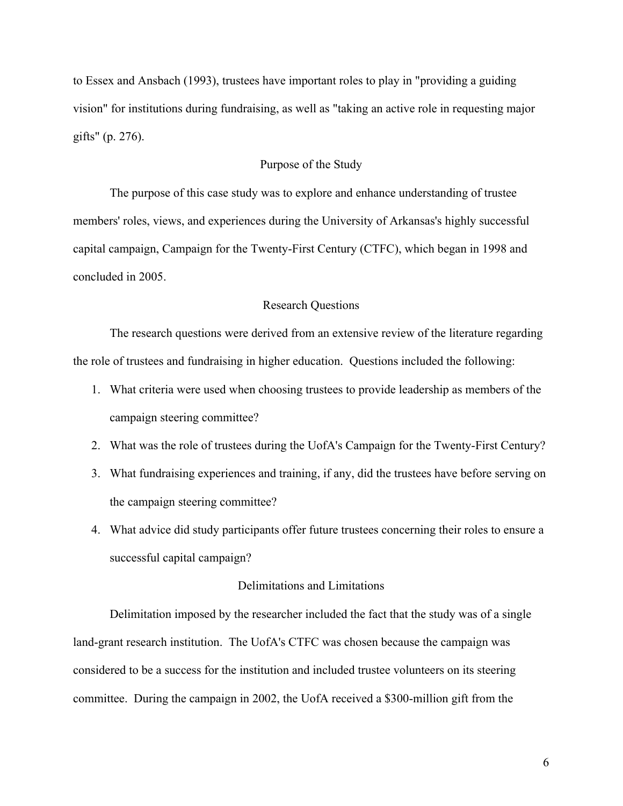to Essex and Ansbach (1993), trustees have important roles to play in "providing a guiding vision" for institutions during fundraising, as well as "taking an active role in requesting major gifts" (p. 276).

# Purpose of the Study

The purpose of this case study was to explore and enhance understanding of trustee members' roles, views, and experiences during the University of Arkansas's highly successful capital campaign, Campaign for the Twenty-First Century (CTFC), which began in 1998 and concluded in 2005.

# Research Questions

The research questions were derived from an extensive review of the literature regarding the role of trustees and fundraising in higher education. Questions included the following:

- 1. What criteria were used when choosing trustees to provide leadership as members of the campaign steering committee?
- 2. What was the role of trustees during the UofA's Campaign for the Twenty-First Century?
- 3. What fundraising experiences and training, if any, did the trustees have before serving on the campaign steering committee?
- 4. What advice did study participants offer future trustees concerning their roles to ensure a successful capital campaign?

# Delimitations and Limitations

Delimitation imposed by the researcher included the fact that the study was of a single land-grant research institution. The UofA's CTFC was chosen because the campaign was considered to be a success for the institution and included trustee volunteers on its steering committee. During the campaign in 2002, the UofA received a \$300-million gift from the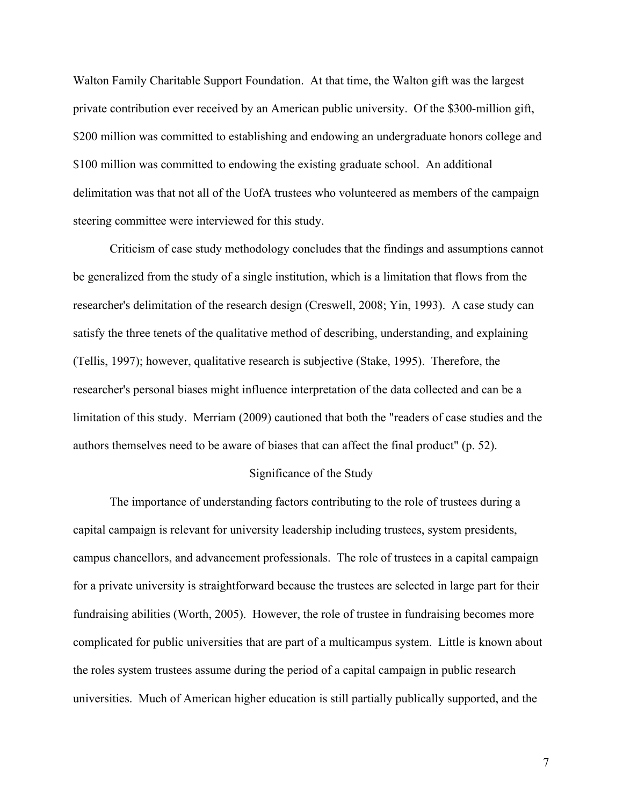Walton Family Charitable Support Foundation. At that time, the Walton gift was the largest private contribution ever received by an American public university. Of the \$300-million gift, \$200 million was committed to establishing and endowing an undergraduate honors college and \$100 million was committed to endowing the existing graduate school. An additional delimitation was that not all of the UofA trustees who volunteered as members of the campaign steering committee were interviewed for this study.

Criticism of case study methodology concludes that the findings and assumptions cannot be generalized from the study of a single institution, which is a limitation that flows from the researcher's delimitation of the research design (Creswell, 2008; Yin, 1993). A case study can satisfy the three tenets of the qualitative method of describing, understanding, and explaining (Tellis, 1997); however, qualitative research is subjective (Stake, 1995). Therefore, the researcher's personal biases might influence interpretation of the data collected and can be a limitation of this study. Merriam (2009) cautioned that both the "readers of case studies and the authors themselves need to be aware of biases that can affect the final product" (p. 52).

#### Significance of the Study

The importance of understanding factors contributing to the role of trustees during a capital campaign is relevant for university leadership including trustees, system presidents, campus chancellors, and advancement professionals. The role of trustees in a capital campaign for a private university is straightforward because the trustees are selected in large part for their fundraising abilities (Worth, 2005). However, the role of trustee in fundraising becomes more complicated for public universities that are part of a multicampus system. Little is known about the roles system trustees assume during the period of a capital campaign in public research universities. Much of American higher education is still partially publically supported, and the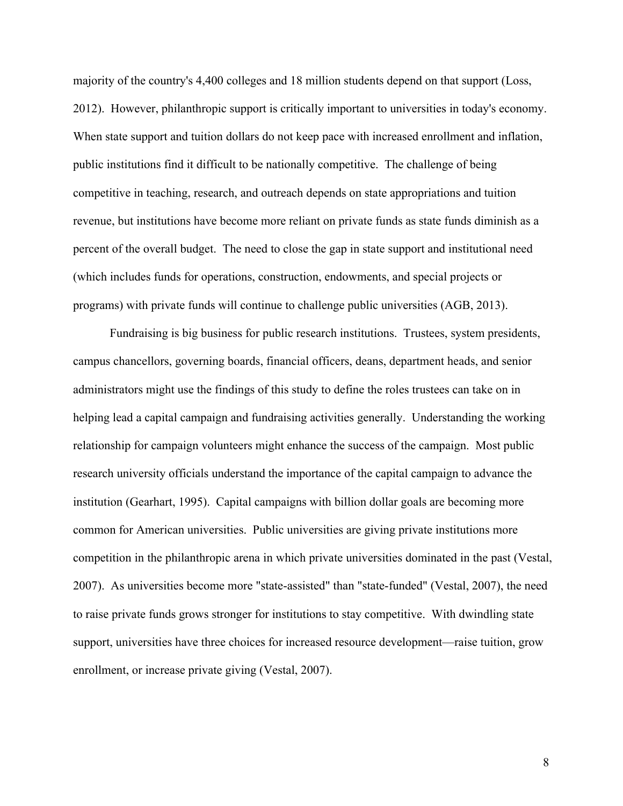majority of the country's 4,400 colleges and 18 million students depend on that support (Loss, 2012). However, philanthropic support is critically important to universities in today's economy. When state support and tuition dollars do not keep pace with increased enrollment and inflation, public institutions find it difficult to be nationally competitive. The challenge of being competitive in teaching, research, and outreach depends on state appropriations and tuition revenue, but institutions have become more reliant on private funds as state funds diminish as a percent of the overall budget. The need to close the gap in state support and institutional need (which includes funds for operations, construction, endowments, and special projects or programs) with private funds will continue to challenge public universities (AGB, 2013).

Fundraising is big business for public research institutions. Trustees, system presidents, campus chancellors, governing boards, financial officers, deans, department heads, and senior administrators might use the findings of this study to define the roles trustees can take on in helping lead a capital campaign and fundraising activities generally. Understanding the working relationship for campaign volunteers might enhance the success of the campaign. Most public research university officials understand the importance of the capital campaign to advance the institution (Gearhart, 1995). Capital campaigns with billion dollar goals are becoming more common for American universities. Public universities are giving private institutions more competition in the philanthropic arena in which private universities dominated in the past (Vestal, 2007). As universities become more "state-assisted" than "state-funded" (Vestal, 2007), the need to raise private funds grows stronger for institutions to stay competitive. With dwindling state support, universities have three choices for increased resource development—raise tuition, grow enrollment, or increase private giving (Vestal, 2007).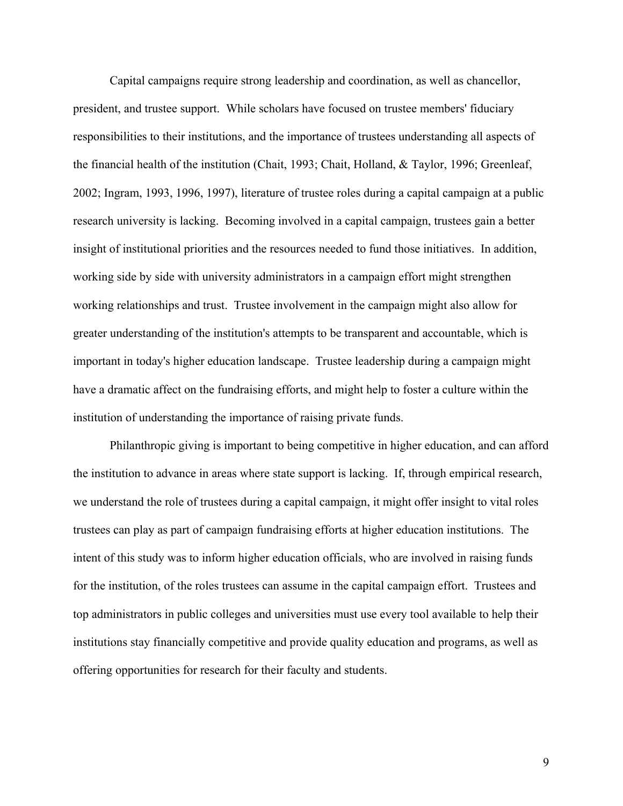Capital campaigns require strong leadership and coordination, as well as chancellor, president, and trustee support. While scholars have focused on trustee members' fiduciary responsibilities to their institutions, and the importance of trustees understanding all aspects of the financial health of the institution (Chait, 1993; Chait, Holland, & Taylor, 1996; Greenleaf, 2002; Ingram, 1993, 1996, 1997), literature of trustee roles during a capital campaign at a public research university is lacking. Becoming involved in a capital campaign, trustees gain a better insight of institutional priorities and the resources needed to fund those initiatives. In addition, working side by side with university administrators in a campaign effort might strengthen working relationships and trust. Trustee involvement in the campaign might also allow for greater understanding of the institution's attempts to be transparent and accountable, which is important in today's higher education landscape. Trustee leadership during a campaign might have a dramatic affect on the fundraising efforts, and might help to foster a culture within the institution of understanding the importance of raising private funds.

Philanthropic giving is important to being competitive in higher education, and can afford the institution to advance in areas where state support is lacking. If, through empirical research, we understand the role of trustees during a capital campaign, it might offer insight to vital roles trustees can play as part of campaign fundraising efforts at higher education institutions. The intent of this study was to inform higher education officials, who are involved in raising funds for the institution, of the roles trustees can assume in the capital campaign effort. Trustees and top administrators in public colleges and universities must use every tool available to help their institutions stay financially competitive and provide quality education and programs, as well as offering opportunities for research for their faculty and students.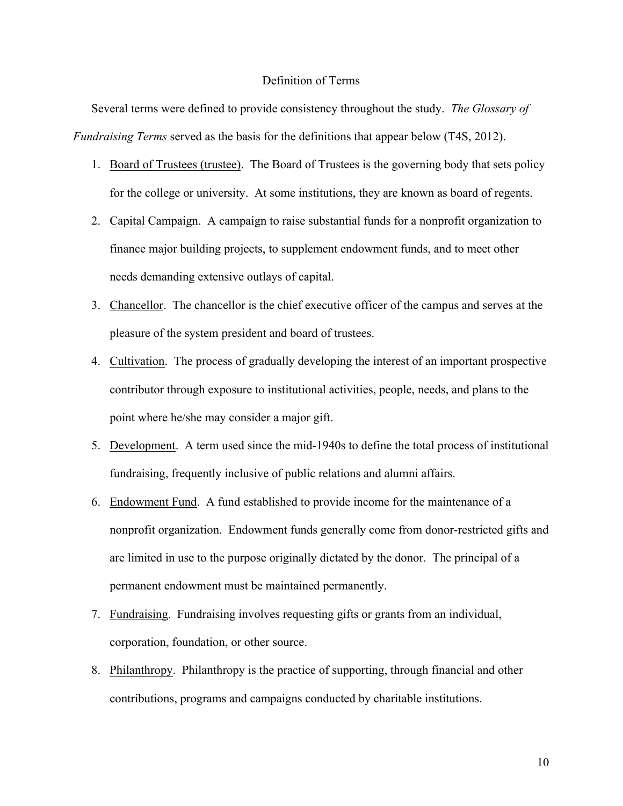# Definition of Terms

Several terms were defined to provide consistency throughout the study. *The Glossary of Fundraising Terms* served as the basis for the definitions that appear below (T4S, 2012).

- 1. Board of Trustees (trustee). The Board of Trustees is the governing body that sets policy for the college or university. At some institutions, they are known as board of regents.
- 2. Capital Campaign. A campaign to raise substantial funds for a nonprofit organization to finance major building projects, to supplement endowment funds, and to meet other needs demanding extensive outlays of capital.
- 3. Chancellor. The chancellor is the chief executive officer of the campus and serves at the pleasure of the system president and board of trustees.
- 4. Cultivation. The process of gradually developing the interest of an important prospective contributor through exposure to institutional activities, people, needs, and plans to the point where he/she may consider a major gift.
- 5. Development. A term used since the mid-1940s to define the total process of institutional fundraising, frequently inclusive of public relations and alumni affairs.
- 6. Endowment Fund. A fund established to provide income for the maintenance of a nonprofit organization. Endowment funds generally come from donor-restricted gifts and are limited in use to the purpose originally dictated by the donor. The principal of a permanent endowment must be maintained permanently.
- 7. Fundraising. Fundraising involves requesting gifts or grants from an individual, corporation, foundation, or other source.
- 8. Philanthropy. Philanthropy is the practice of supporting, through financial and other contributions, programs and campaigns conducted by charitable institutions.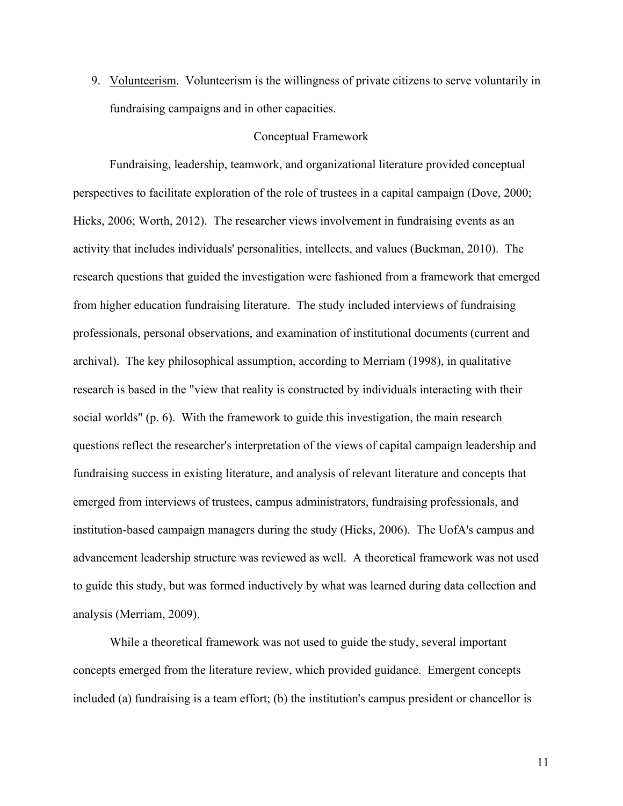9. Volunteerism. Volunteerism is the willingness of private citizens to serve voluntarily in fundraising campaigns and in other capacities.

# Conceptual Framework

Fundraising, leadership, teamwork, and organizational literature provided conceptual perspectives to facilitate exploration of the role of trustees in a capital campaign (Dove, 2000; Hicks, 2006; Worth, 2012). The researcher views involvement in fundraising events as an activity that includes individuals' personalities, intellects, and values (Buckman, 2010). The research questions that guided the investigation were fashioned from a framework that emerged from higher education fundraising literature. The study included interviews of fundraising professionals, personal observations, and examination of institutional documents (current and archival). The key philosophical assumption, according to Merriam (1998), in qualitative research is based in the "view that reality is constructed by individuals interacting with their social worlds" (p. 6). With the framework to guide this investigation, the main research questions reflect the researcher's interpretation of the views of capital campaign leadership and fundraising success in existing literature, and analysis of relevant literature and concepts that emerged from interviews of trustees, campus administrators, fundraising professionals, and institution-based campaign managers during the study (Hicks, 2006). The UofA's campus and advancement leadership structure was reviewed as well. A theoretical framework was not used to guide this study, but was formed inductively by what was learned during data collection and analysis (Merriam, 2009).

While a theoretical framework was not used to guide the study, several important concepts emerged from the literature review, which provided guidance. Emergent concepts included (a) fundraising is a team effort; (b) the institution's campus president or chancellor is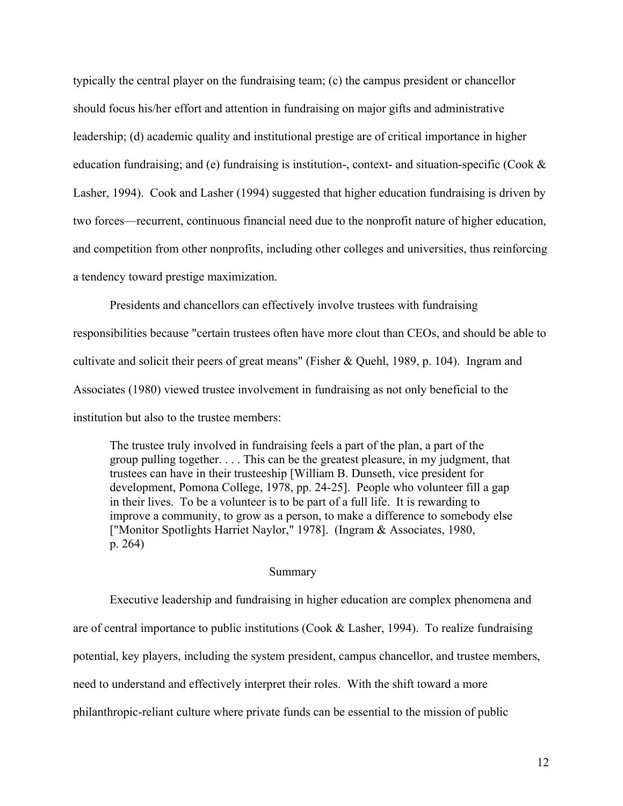typically the central player on the fundraising team; (c) the campus president or chancellor should focus his/her effort and attention in fundraising on major gifts and administrative leadership; (d) academic quality and institutional prestige are of critical importance in higher education fundraising; and (e) fundraising is institution-, context- and situation-specific (Cook  $\&$ Lasher, 1994). Cook and Lasher (1994) suggested that higher education fundraising is driven by two forces—recurrent, continuous financial need due to the nonprofit nature of higher education, and competition from other nonprofits, including other colleges and universities, thus reinforcing a tendency toward prestige maximization.

Presidents and chancellors can effectively involve trustees with fundraising responsibilities because "certain trustees often have more clout than CEOs, and should be able to cultivate and solicit their peers of great means" (Fisher & Quehl, 1989, p. 104). Ingram and Associates (1980) viewed trustee involvement in fundraising as not only beneficial to the institution but also to the trustee members:

The trustee truly involved in fundraising feels a part of the plan, a part of the group pulling together. . . . This can be the greatest pleasure, in my judgment, that trustees can have in their trusteeship [William B. Dunseth, vice president for development, Pomona College, 1978, pp. 24-25]. People who volunteer fill a gap in their lives. To be a volunteer is to be part of a full life. It is rewarding to improve a community, to grow as a person, to make a difference to somebody else ["Monitor Spotlights Harriet Naylor," 1978]. (Ingram & Associates, 1980, p. 264)

## Summary

Executive leadership and fundraising in higher education are complex phenomena and are of central importance to public institutions (Cook & Lasher, 1994). To realize fundraising potential, key players, including the system president, campus chancellor, and trustee members, need to understand and effectively interpret their roles. With the shift toward a more philanthropic-reliant culture where private funds can be essential to the mission of public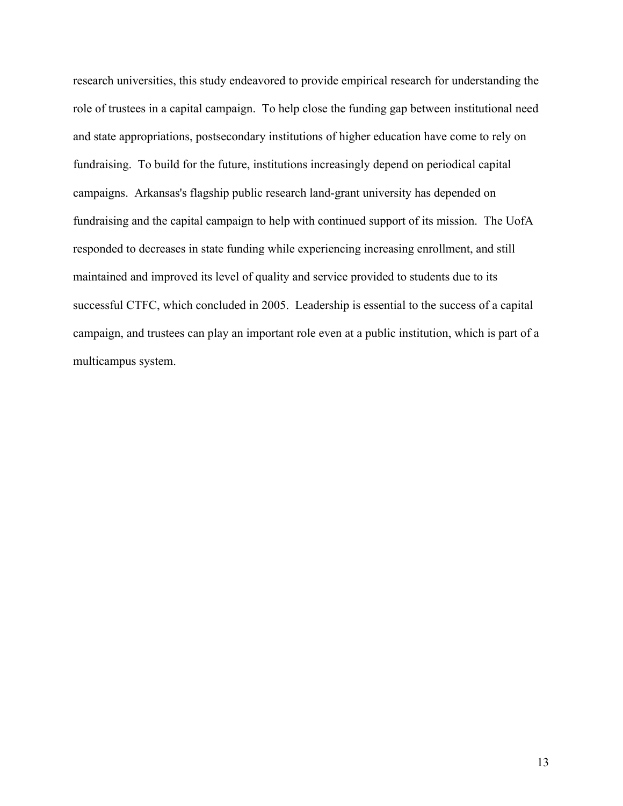research universities, this study endeavored to provide empirical research for understanding the role of trustees in a capital campaign. To help close the funding gap between institutional need and state appropriations, postsecondary institutions of higher education have come to rely on fundraising. To build for the future, institutions increasingly depend on periodical capital campaigns. Arkansas's flagship public research land-grant university has depended on fundraising and the capital campaign to help with continued support of its mission. The UofA responded to decreases in state funding while experiencing increasing enrollment, and still maintained and improved its level of quality and service provided to students due to its successful CTFC, which concluded in 2005. Leadership is essential to the success of a capital campaign, and trustees can play an important role even at a public institution, which is part of a multicampus system.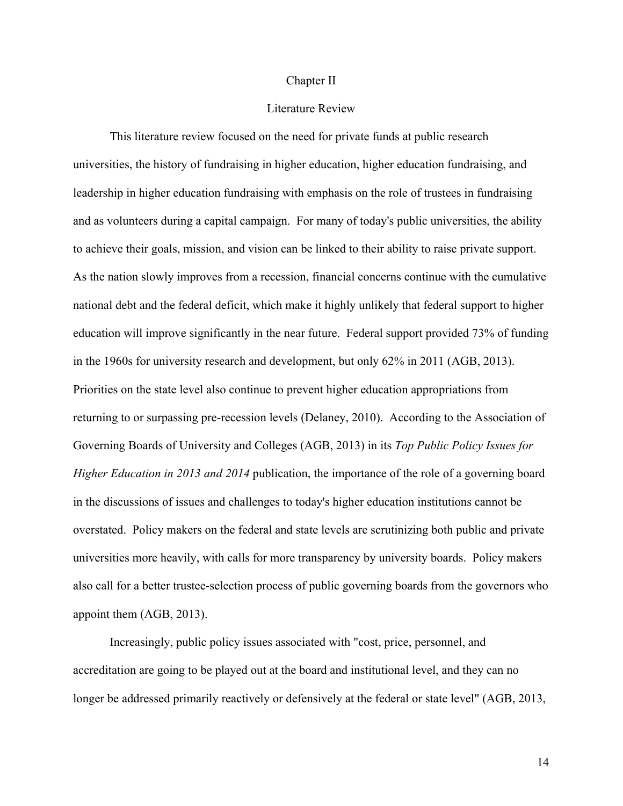### Chapter II

# Literature Review

This literature review focused on the need for private funds at public research universities, the history of fundraising in higher education, higher education fundraising, and leadership in higher education fundraising with emphasis on the role of trustees in fundraising and as volunteers during a capital campaign. For many of today's public universities, the ability to achieve their goals, mission, and vision can be linked to their ability to raise private support. As the nation slowly improves from a recession, financial concerns continue with the cumulative national debt and the federal deficit, which make it highly unlikely that federal support to higher education will improve significantly in the near future. Federal support provided 73% of funding in the 1960s for university research and development, but only 62% in 2011 (AGB, 2013). Priorities on the state level also continue to prevent higher education appropriations from returning to or surpassing pre-recession levels (Delaney, 2010). According to the Association of Governing Boards of University and Colleges (AGB, 2013) in its *Top Public Policy Issues for Higher Education in 2013 and 2014* publication, the importance of the role of a governing board in the discussions of issues and challenges to today's higher education institutions cannot be overstated. Policy makers on the federal and state levels are scrutinizing both public and private universities more heavily, with calls for more transparency by university boards. Policy makers also call for a better trustee-selection process of public governing boards from the governors who appoint them (AGB, 2013).

Increasingly, public policy issues associated with "cost, price, personnel, and accreditation are going to be played out at the board and institutional level, and they can no longer be addressed primarily reactively or defensively at the federal or state level" (AGB, 2013,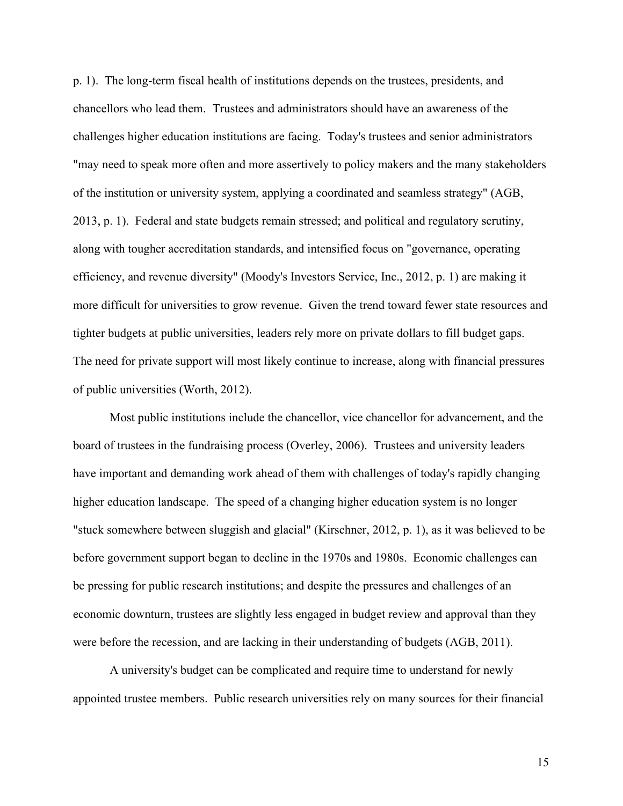p. 1). The long-term fiscal health of institutions depends on the trustees, presidents, and chancellors who lead them. Trustees and administrators should have an awareness of the challenges higher education institutions are facing. Today's trustees and senior administrators "may need to speak more often and more assertively to policy makers and the many stakeholders of the institution or university system, applying a coordinated and seamless strategy" (AGB, 2013, p. 1). Federal and state budgets remain stressed; and political and regulatory scrutiny, along with tougher accreditation standards, and intensified focus on "governance, operating efficiency, and revenue diversity" (Moody's Investors Service, Inc., 2012, p. 1) are making it more difficult for universities to grow revenue. Given the trend toward fewer state resources and tighter budgets at public universities, leaders rely more on private dollars to fill budget gaps. The need for private support will most likely continue to increase, along with financial pressures of public universities (Worth, 2012).

Most public institutions include the chancellor, vice chancellor for advancement, and the board of trustees in the fundraising process (Overley, 2006). Trustees and university leaders have important and demanding work ahead of them with challenges of today's rapidly changing higher education landscape. The speed of a changing higher education system is no longer "stuck somewhere between sluggish and glacial" (Kirschner, 2012, p. 1), as it was believed to be before government support began to decline in the 1970s and 1980s. Economic challenges can be pressing for public research institutions; and despite the pressures and challenges of an economic downturn, trustees are slightly less engaged in budget review and approval than they were before the recession, and are lacking in their understanding of budgets (AGB, 2011).

A university's budget can be complicated and require time to understand for newly appointed trustee members. Public research universities rely on many sources for their financial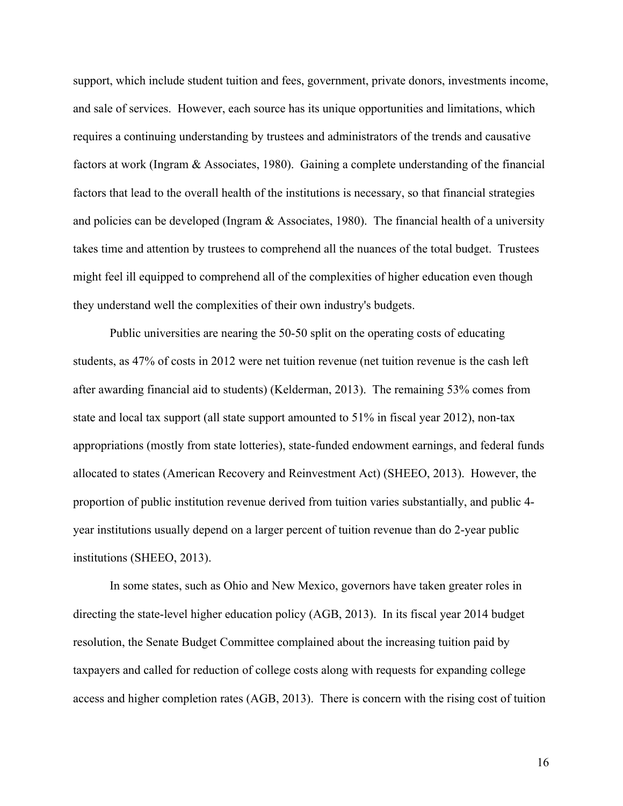support, which include student tuition and fees, government, private donors, investments income, and sale of services. However, each source has its unique opportunities and limitations, which requires a continuing understanding by trustees and administrators of the trends and causative factors at work (Ingram & Associates, 1980). Gaining a complete understanding of the financial factors that lead to the overall health of the institutions is necessary, so that financial strategies and policies can be developed (Ingram  $\&$  Associates, 1980). The financial health of a university takes time and attention by trustees to comprehend all the nuances of the total budget. Trustees might feel ill equipped to comprehend all of the complexities of higher education even though they understand well the complexities of their own industry's budgets.

Public universities are nearing the 50-50 split on the operating costs of educating students, as 47% of costs in 2012 were net tuition revenue (net tuition revenue is the cash left after awarding financial aid to students) (Kelderman, 2013). The remaining 53% comes from state and local tax support (all state support amounted to 51% in fiscal year 2012), non-tax appropriations (mostly from state lotteries), state-funded endowment earnings, and federal funds allocated to states (American Recovery and Reinvestment Act) (SHEEO, 2013). However, the proportion of public institution revenue derived from tuition varies substantially, and public 4 year institutions usually depend on a larger percent of tuition revenue than do 2-year public institutions (SHEEO, 2013).

In some states, such as Ohio and New Mexico, governors have taken greater roles in directing the state-level higher education policy (AGB, 2013). In its fiscal year 2014 budget resolution, the Senate Budget Committee complained about the increasing tuition paid by taxpayers and called for reduction of college costs along with requests for expanding college access and higher completion rates (AGB, 2013). There is concern with the rising cost of tuition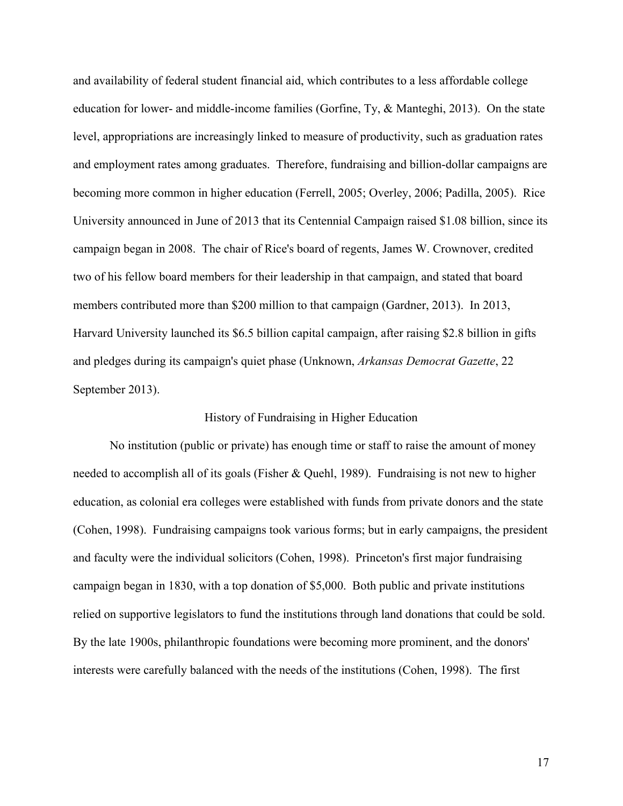and availability of federal student financial aid, which contributes to a less affordable college education for lower- and middle-income families (Gorfine, Ty, & Manteghi, 2013). On the state level, appropriations are increasingly linked to measure of productivity, such as graduation rates and employment rates among graduates. Therefore, fundraising and billion-dollar campaigns are becoming more common in higher education (Ferrell, 2005; Overley, 2006; Padilla, 2005). Rice University announced in June of 2013 that its Centennial Campaign raised \$1.08 billion, since its campaign began in 2008. The chair of Rice's board of regents, James W. Crownover, credited two of his fellow board members for their leadership in that campaign, and stated that board members contributed more than \$200 million to that campaign (Gardner, 2013). In 2013, Harvard University launched its \$6.5 billion capital campaign, after raising \$2.8 billion in gifts and pledges during its campaign's quiet phase (Unknown, *Arkansas Democrat Gazette*, 22 September 2013).

# History of Fundraising in Higher Education

No institution (public or private) has enough time or staff to raise the amount of money needed to accomplish all of its goals (Fisher & Quehl, 1989). Fundraising is not new to higher education, as colonial era colleges were established with funds from private donors and the state (Cohen, 1998). Fundraising campaigns took various forms; but in early campaigns, the president and faculty were the individual solicitors (Cohen, 1998). Princeton's first major fundraising campaign began in 1830, with a top donation of \$5,000. Both public and private institutions relied on supportive legislators to fund the institutions through land donations that could be sold. By the late 1900s, philanthropic foundations were becoming more prominent, and the donors' interests were carefully balanced with the needs of the institutions (Cohen, 1998). The first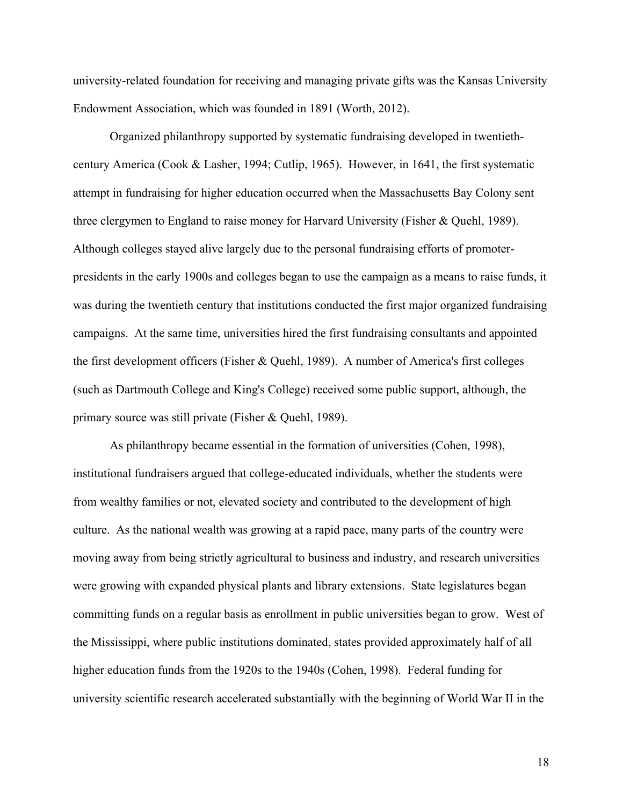university-related foundation for receiving and managing private gifts was the Kansas University Endowment Association, which was founded in 1891 (Worth, 2012).

Organized philanthropy supported by systematic fundraising developed in twentiethcentury America (Cook & Lasher, 1994; Cutlip, 1965). However, in 1641, the first systematic attempt in fundraising for higher education occurred when the Massachusetts Bay Colony sent three clergymen to England to raise money for Harvard University (Fisher & Quehl, 1989). Although colleges stayed alive largely due to the personal fundraising efforts of promoterpresidents in the early 1900s and colleges began to use the campaign as a means to raise funds, it was during the twentieth century that institutions conducted the first major organized fundraising campaigns. At the same time, universities hired the first fundraising consultants and appointed the first development officers (Fisher & Quehl, 1989). A number of America's first colleges (such as Dartmouth College and King's College) received some public support, although, the primary source was still private (Fisher & Quehl, 1989).

As philanthropy became essential in the formation of universities (Cohen, 1998), institutional fundraisers argued that college-educated individuals, whether the students were from wealthy families or not, elevated society and contributed to the development of high culture. As the national wealth was growing at a rapid pace, many parts of the country were moving away from being strictly agricultural to business and industry, and research universities were growing with expanded physical plants and library extensions. State legislatures began committing funds on a regular basis as enrollment in public universities began to grow. West of the Mississippi, where public institutions dominated, states provided approximately half of all higher education funds from the 1920s to the 1940s (Cohen, 1998). Federal funding for university scientific research accelerated substantially with the beginning of World War II in the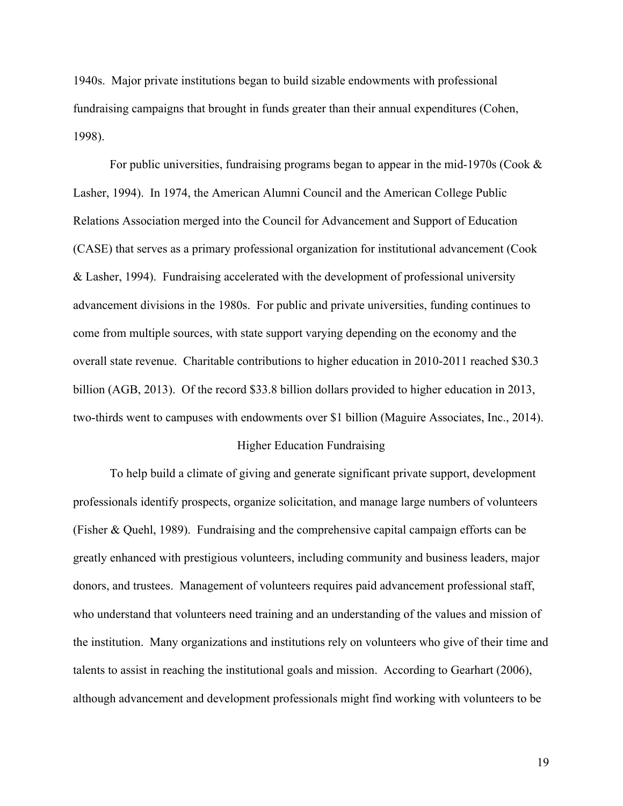1940s. Major private institutions began to build sizable endowments with professional fundraising campaigns that brought in funds greater than their annual expenditures (Cohen, 1998).

For public universities, fundraising programs began to appear in the mid-1970s (Cook & Lasher, 1994). In 1974, the American Alumni Council and the American College Public Relations Association merged into the Council for Advancement and Support of Education (CASE) that serves as a primary professional organization for institutional advancement (Cook & Lasher, 1994). Fundraising accelerated with the development of professional university advancement divisions in the 1980s. For public and private universities, funding continues to come from multiple sources, with state support varying depending on the economy and the overall state revenue. Charitable contributions to higher education in 2010-2011 reached \$30.3 billion (AGB, 2013). Of the record \$33.8 billion dollars provided to higher education in 2013, two-thirds went to campuses with endowments over \$1 billion (Maguire Associates, Inc., 2014).

# Higher Education Fundraising

To help build a climate of giving and generate significant private support, development professionals identify prospects, organize solicitation, and manage large numbers of volunteers (Fisher & Quehl, 1989). Fundraising and the comprehensive capital campaign efforts can be greatly enhanced with prestigious volunteers, including community and business leaders, major donors, and trustees. Management of volunteers requires paid advancement professional staff, who understand that volunteers need training and an understanding of the values and mission of the institution. Many organizations and institutions rely on volunteers who give of their time and talents to assist in reaching the institutional goals and mission. According to Gearhart (2006), although advancement and development professionals might find working with volunteers to be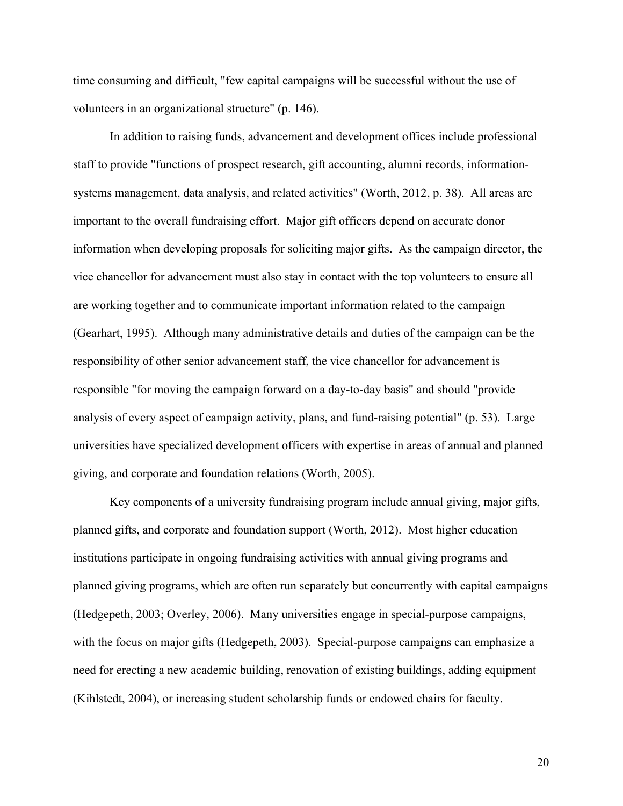time consuming and difficult, "few capital campaigns will be successful without the use of volunteers in an organizational structure" (p. 146).

In addition to raising funds, advancement and development offices include professional staff to provide "functions of prospect research, gift accounting, alumni records, informationsystems management, data analysis, and related activities" (Worth, 2012, p. 38). All areas are important to the overall fundraising effort. Major gift officers depend on accurate donor information when developing proposals for soliciting major gifts. As the campaign director, the vice chancellor for advancement must also stay in contact with the top volunteers to ensure all are working together and to communicate important information related to the campaign (Gearhart, 1995). Although many administrative details and duties of the campaign can be the responsibility of other senior advancement staff, the vice chancellor for advancement is responsible "for moving the campaign forward on a day-to-day basis" and should "provide analysis of every aspect of campaign activity, plans, and fund-raising potential" (p. 53). Large universities have specialized development officers with expertise in areas of annual and planned giving, and corporate and foundation relations (Worth, 2005).

Key components of a university fundraising program include annual giving, major gifts, planned gifts, and corporate and foundation support (Worth, 2012). Most higher education institutions participate in ongoing fundraising activities with annual giving programs and planned giving programs, which are often run separately but concurrently with capital campaigns (Hedgepeth, 2003; Overley, 2006). Many universities engage in special-purpose campaigns, with the focus on major gifts (Hedgepeth, 2003). Special-purpose campaigns can emphasize a need for erecting a new academic building, renovation of existing buildings, adding equipment (Kihlstedt, 2004), or increasing student scholarship funds or endowed chairs for faculty.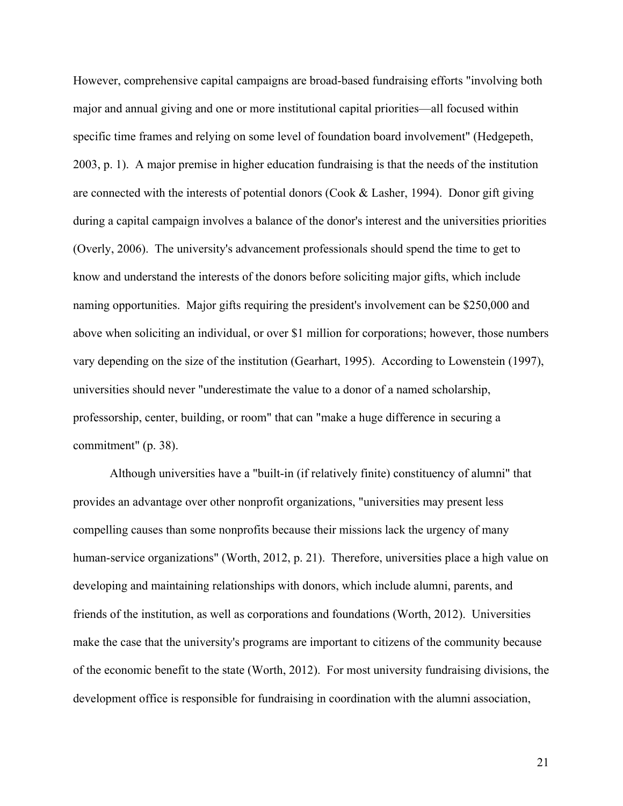However, comprehensive capital campaigns are broad-based fundraising efforts "involving both major and annual giving and one or more institutional capital priorities—all focused within specific time frames and relying on some level of foundation board involvement" (Hedgepeth, 2003, p. 1). A major premise in higher education fundraising is that the needs of the institution are connected with the interests of potential donors (Cook & Lasher, 1994). Donor gift giving during a capital campaign involves a balance of the donor's interest and the universities priorities (Overly, 2006). The university's advancement professionals should spend the time to get to know and understand the interests of the donors before soliciting major gifts, which include naming opportunities. Major gifts requiring the president's involvement can be \$250,000 and above when soliciting an individual, or over \$1 million for corporations; however, those numbers vary depending on the size of the institution (Gearhart, 1995). According to Lowenstein (1997), universities should never "underestimate the value to a donor of a named scholarship, professorship, center, building, or room" that can "make a huge difference in securing a commitment" (p. 38).

Although universities have a "built-in (if relatively finite) constituency of alumni" that provides an advantage over other nonprofit organizations, "universities may present less compelling causes than some nonprofits because their missions lack the urgency of many human-service organizations" (Worth, 2012, p. 21). Therefore, universities place a high value on developing and maintaining relationships with donors, which include alumni, parents, and friends of the institution, as well as corporations and foundations (Worth, 2012). Universities make the case that the university's programs are important to citizens of the community because of the economic benefit to the state (Worth, 2012). For most university fundraising divisions, the development office is responsible for fundraising in coordination with the alumni association,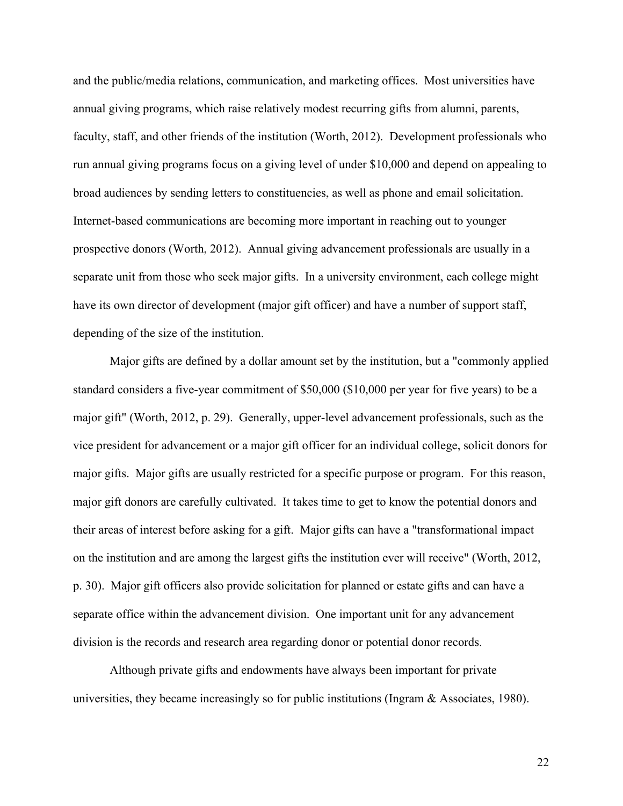and the public/media relations, communication, and marketing offices. Most universities have annual giving programs, which raise relatively modest recurring gifts from alumni, parents, faculty, staff, and other friends of the institution (Worth, 2012). Development professionals who run annual giving programs focus on a giving level of under \$10,000 and depend on appealing to broad audiences by sending letters to constituencies, as well as phone and email solicitation. Internet-based communications are becoming more important in reaching out to younger prospective donors (Worth, 2012). Annual giving advancement professionals are usually in a separate unit from those who seek major gifts. In a university environment, each college might have its own director of development (major gift officer) and have a number of support staff, depending of the size of the institution.

Major gifts are defined by a dollar amount set by the institution, but a "commonly applied standard considers a five-year commitment of \$50,000 (\$10,000 per year for five years) to be a major gift" (Worth, 2012, p. 29). Generally, upper-level advancement professionals, such as the vice president for advancement or a major gift officer for an individual college, solicit donors for major gifts. Major gifts are usually restricted for a specific purpose or program. For this reason, major gift donors are carefully cultivated. It takes time to get to know the potential donors and their areas of interest before asking for a gift. Major gifts can have a "transformational impact on the institution and are among the largest gifts the institution ever will receive" (Worth, 2012, p. 30). Major gift officers also provide solicitation for planned or estate gifts and can have a separate office within the advancement division. One important unit for any advancement division is the records and research area regarding donor or potential donor records.

Although private gifts and endowments have always been important for private universities, they became increasingly so for public institutions (Ingram & Associates, 1980).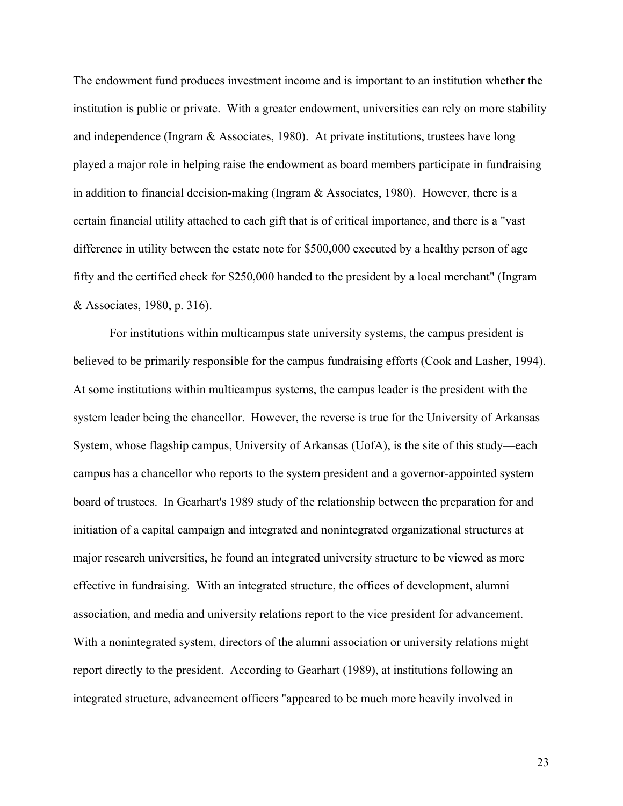The endowment fund produces investment income and is important to an institution whether the institution is public or private. With a greater endowment, universities can rely on more stability and independence (Ingram & Associates, 1980). At private institutions, trustees have long played a major role in helping raise the endowment as board members participate in fundraising in addition to financial decision-making (Ingram  $&$  Associates, 1980). However, there is a certain financial utility attached to each gift that is of critical importance, and there is a "vast difference in utility between the estate note for \$500,000 executed by a healthy person of age fifty and the certified check for \$250,000 handed to the president by a local merchant" (Ingram & Associates, 1980, p. 316).

For institutions within multicampus state university systems, the campus president is believed to be primarily responsible for the campus fundraising efforts (Cook and Lasher, 1994). At some institutions within multicampus systems, the campus leader is the president with the system leader being the chancellor. However, the reverse is true for the University of Arkansas System, whose flagship campus, University of Arkansas (UofA), is the site of this study—each campus has a chancellor who reports to the system president and a governor-appointed system board of trustees. In Gearhart's 1989 study of the relationship between the preparation for and initiation of a capital campaign and integrated and nonintegrated organizational structures at major research universities, he found an integrated university structure to be viewed as more effective in fundraising. With an integrated structure, the offices of development, alumni association, and media and university relations report to the vice president for advancement. With a nonintegrated system, directors of the alumni association or university relations might report directly to the president. According to Gearhart (1989), at institutions following an integrated structure, advancement officers "appeared to be much more heavily involved in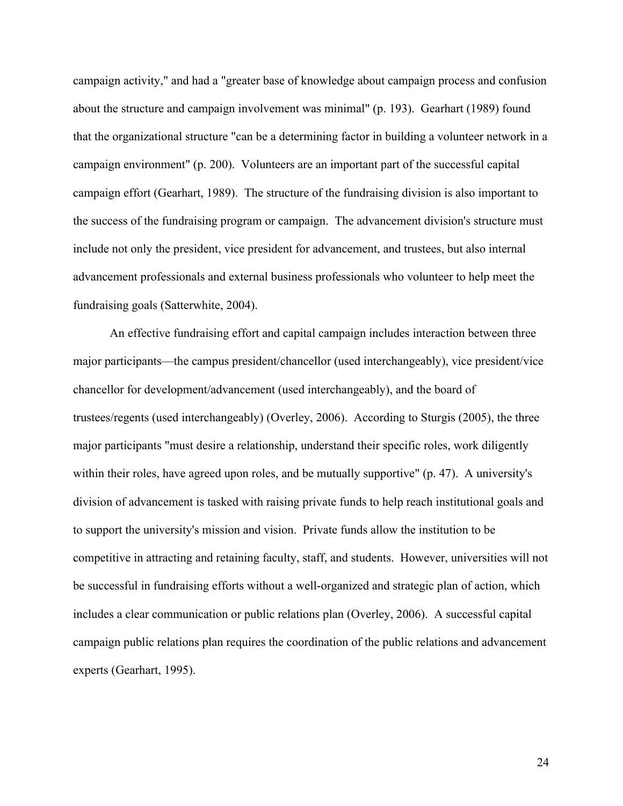campaign activity," and had a "greater base of knowledge about campaign process and confusion about the structure and campaign involvement was minimal" (p. 193). Gearhart (1989) found that the organizational structure "can be a determining factor in building a volunteer network in a campaign environment" (p. 200). Volunteers are an important part of the successful capital campaign effort (Gearhart, 1989). The structure of the fundraising division is also important to the success of the fundraising program or campaign. The advancement division's structure must include not only the president, vice president for advancement, and trustees, but also internal advancement professionals and external business professionals who volunteer to help meet the fundraising goals (Satterwhite, 2004).

An effective fundraising effort and capital campaign includes interaction between three major participants—the campus president/chancellor (used interchangeably), vice president/vice chancellor for development/advancement (used interchangeably), and the board of trustees/regents (used interchangeably) (Overley, 2006). According to Sturgis (2005), the three major participants "must desire a relationship, understand their specific roles, work diligently within their roles, have agreed upon roles, and be mutually supportive" (p. 47). A university's division of advancement is tasked with raising private funds to help reach institutional goals and to support the university's mission and vision. Private funds allow the institution to be competitive in attracting and retaining faculty, staff, and students. However, universities will not be successful in fundraising efforts without a well-organized and strategic plan of action, which includes a clear communication or public relations plan (Overley, 2006). A successful capital campaign public relations plan requires the coordination of the public relations and advancement experts (Gearhart, 1995).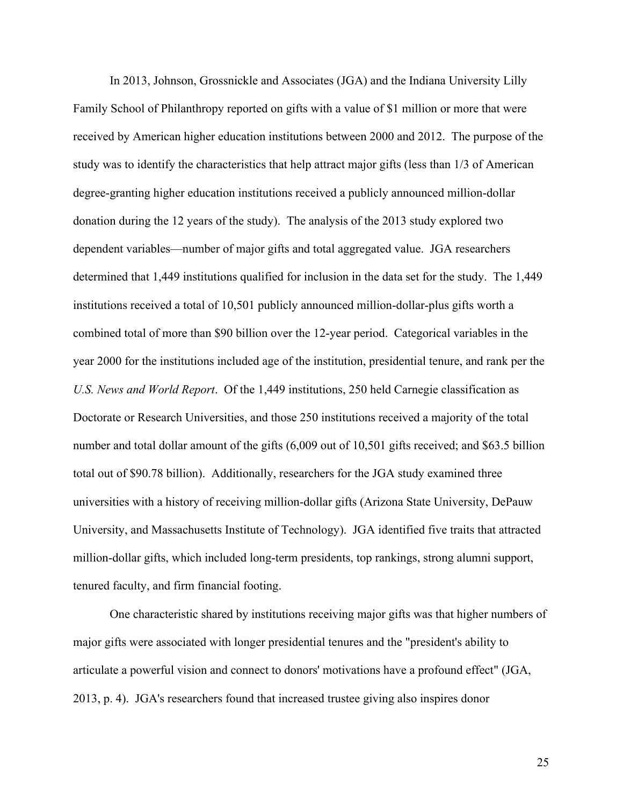In 2013, Johnson, Grossnickle and Associates (JGA) and the Indiana University Lilly Family School of Philanthropy reported on gifts with a value of \$1 million or more that were received by American higher education institutions between 2000 and 2012. The purpose of the study was to identify the characteristics that help attract major gifts (less than 1/3 of American degree-granting higher education institutions received a publicly announced million-dollar donation during the 12 years of the study). The analysis of the 2013 study explored two dependent variables—number of major gifts and total aggregated value. JGA researchers determined that 1,449 institutions qualified for inclusion in the data set for the study. The 1,449 institutions received a total of 10,501 publicly announced million-dollar-plus gifts worth a combined total of more than \$90 billion over the 12-year period. Categorical variables in the year 2000 for the institutions included age of the institution, presidential tenure, and rank per the *U.S. News and World Report*. Of the 1,449 institutions, 250 held Carnegie classification as Doctorate or Research Universities, and those 250 institutions received a majority of the total number and total dollar amount of the gifts (6,009 out of 10,501 gifts received; and \$63.5 billion total out of \$90.78 billion). Additionally, researchers for the JGA study examined three universities with a history of receiving million-dollar gifts (Arizona State University, DePauw University, and Massachusetts Institute of Technology). JGA identified five traits that attracted million-dollar gifts, which included long-term presidents, top rankings, strong alumni support, tenured faculty, and firm financial footing.

One characteristic shared by institutions receiving major gifts was that higher numbers of major gifts were associated with longer presidential tenures and the "president's ability to articulate a powerful vision and connect to donors' motivations have a profound effect" (JGA, 2013, p. 4). JGA's researchers found that increased trustee giving also inspires donor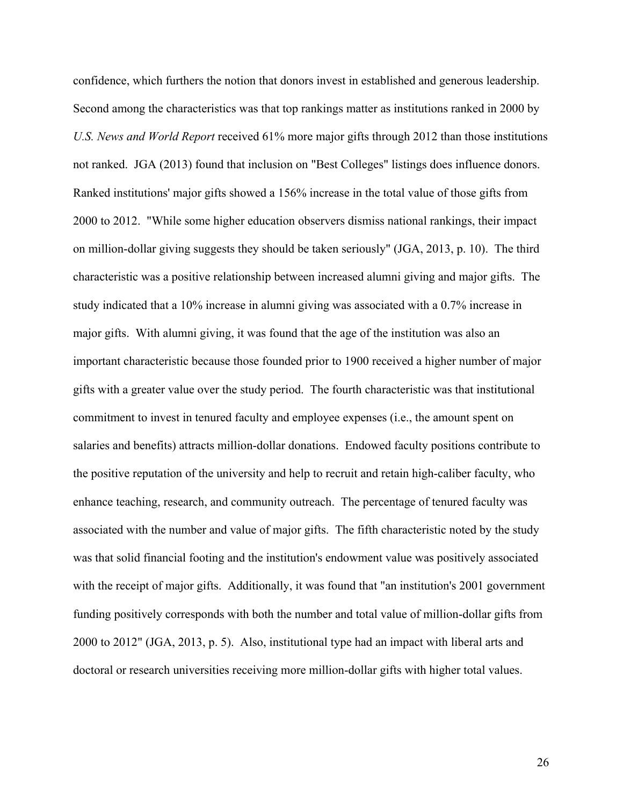confidence, which furthers the notion that donors invest in established and generous leadership. Second among the characteristics was that top rankings matter as institutions ranked in 2000 by *U.S. News and World Report* received 61% more major gifts through 2012 than those institutions not ranked. JGA (2013) found that inclusion on "Best Colleges" listings does influence donors. Ranked institutions' major gifts showed a 156% increase in the total value of those gifts from 2000 to 2012. "While some higher education observers dismiss national rankings, their impact on million-dollar giving suggests they should be taken seriously" (JGA, 2013, p. 10). The third characteristic was a positive relationship between increased alumni giving and major gifts. The study indicated that a 10% increase in alumni giving was associated with a 0.7% increase in major gifts. With alumni giving, it was found that the age of the institution was also an important characteristic because those founded prior to 1900 received a higher number of major gifts with a greater value over the study period. The fourth characteristic was that institutional commitment to invest in tenured faculty and employee expenses (i.e., the amount spent on salaries and benefits) attracts million-dollar donations. Endowed faculty positions contribute to the positive reputation of the university and help to recruit and retain high-caliber faculty, who enhance teaching, research, and community outreach. The percentage of tenured faculty was associated with the number and value of major gifts. The fifth characteristic noted by the study was that solid financial footing and the institution's endowment value was positively associated with the receipt of major gifts. Additionally, it was found that "an institution's 2001 government funding positively corresponds with both the number and total value of million-dollar gifts from 2000 to 2012" (JGA, 2013, p. 5). Also, institutional type had an impact with liberal arts and doctoral or research universities receiving more million-dollar gifts with higher total values.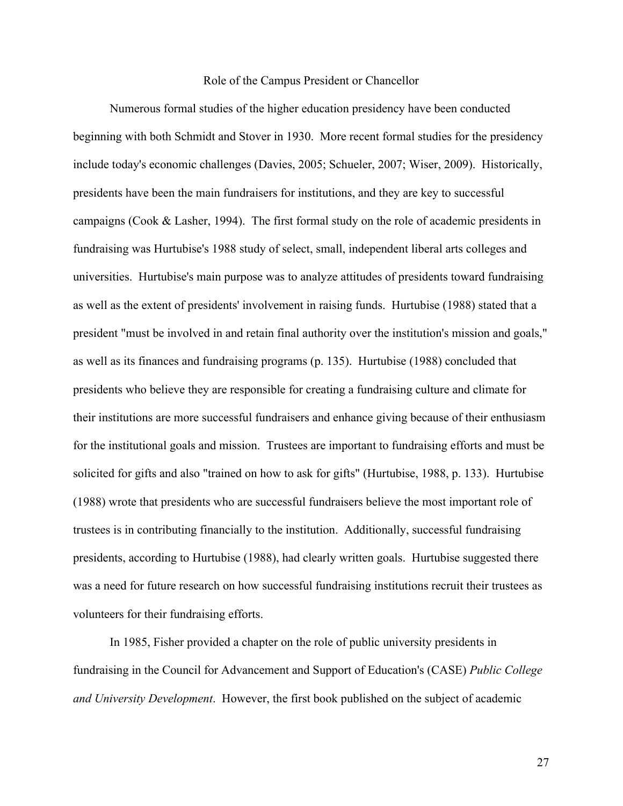### Role of the Campus President or Chancellor

Numerous formal studies of the higher education presidency have been conducted beginning with both Schmidt and Stover in 1930. More recent formal studies for the presidency include today's economic challenges (Davies, 2005; Schueler, 2007; Wiser, 2009). Historically, presidents have been the main fundraisers for institutions, and they are key to successful campaigns (Cook & Lasher, 1994). The first formal study on the role of academic presidents in fundraising was Hurtubise's 1988 study of select, small, independent liberal arts colleges and universities. Hurtubise's main purpose was to analyze attitudes of presidents toward fundraising as well as the extent of presidents' involvement in raising funds. Hurtubise (1988) stated that a president "must be involved in and retain final authority over the institution's mission and goals," as well as its finances and fundraising programs (p. 135). Hurtubise (1988) concluded that presidents who believe they are responsible for creating a fundraising culture and climate for their institutions are more successful fundraisers and enhance giving because of their enthusiasm for the institutional goals and mission. Trustees are important to fundraising efforts and must be solicited for gifts and also "trained on how to ask for gifts" (Hurtubise, 1988, p. 133). Hurtubise (1988) wrote that presidents who are successful fundraisers believe the most important role of trustees is in contributing financially to the institution. Additionally, successful fundraising presidents, according to Hurtubise (1988), had clearly written goals. Hurtubise suggested there was a need for future research on how successful fundraising institutions recruit their trustees as volunteers for their fundraising efforts.

In 1985, Fisher provided a chapter on the role of public university presidents in fundraising in the Council for Advancement and Support of Education's (CASE) *Public College and University Development*. However, the first book published on the subject of academic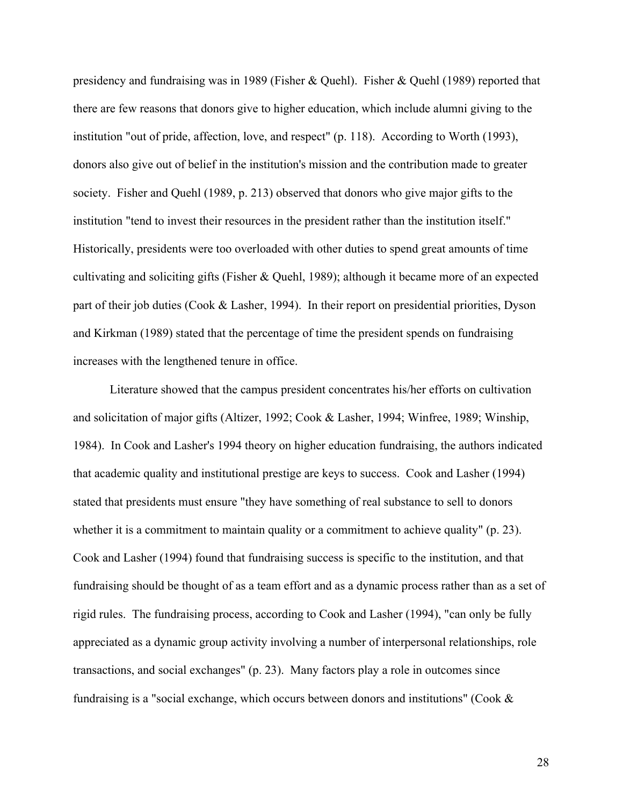presidency and fundraising was in 1989 (Fisher & Quehl). Fisher & Quehl (1989) reported that there are few reasons that donors give to higher education, which include alumni giving to the institution "out of pride, affection, love, and respect" (p. 118). According to Worth (1993), donors also give out of belief in the institution's mission and the contribution made to greater society. Fisher and Quehl (1989, p. 213) observed that donors who give major gifts to the institution "tend to invest their resources in the president rather than the institution itself." Historically, presidents were too overloaded with other duties to spend great amounts of time cultivating and soliciting gifts (Fisher & Quehl, 1989); although it became more of an expected part of their job duties (Cook & Lasher, 1994). In their report on presidential priorities, Dyson and Kirkman (1989) stated that the percentage of time the president spends on fundraising increases with the lengthened tenure in office.

Literature showed that the campus president concentrates his/her efforts on cultivation and solicitation of major gifts (Altizer, 1992; Cook & Lasher, 1994; Winfree, 1989; Winship, 1984). In Cook and Lasher's 1994 theory on higher education fundraising, the authors indicated that academic quality and institutional prestige are keys to success. Cook and Lasher (1994) stated that presidents must ensure "they have something of real substance to sell to donors whether it is a commitment to maintain quality or a commitment to achieve quality" (p. 23). Cook and Lasher (1994) found that fundraising success is specific to the institution, and that fundraising should be thought of as a team effort and as a dynamic process rather than as a set of rigid rules. The fundraising process, according to Cook and Lasher (1994), "can only be fully appreciated as a dynamic group activity involving a number of interpersonal relationships, role transactions, and social exchanges" (p. 23). Many factors play a role in outcomes since fundraising is a "social exchange, which occurs between donors and institutions" (Cook &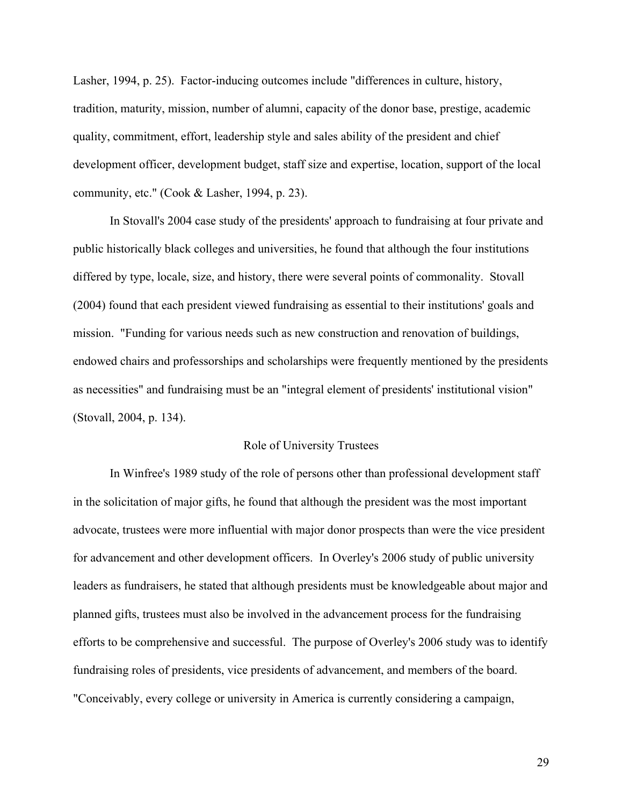Lasher, 1994, p. 25). Factor-inducing outcomes include "differences in culture, history, tradition, maturity, mission, number of alumni, capacity of the donor base, prestige, academic quality, commitment, effort, leadership style and sales ability of the president and chief development officer, development budget, staff size and expertise, location, support of the local community, etc." (Cook & Lasher, 1994, p. 23).

In Stovall's 2004 case study of the presidents' approach to fundraising at four private and public historically black colleges and universities, he found that although the four institutions differed by type, locale, size, and history, there were several points of commonality. Stovall (2004) found that each president viewed fundraising as essential to their institutions' goals and mission. "Funding for various needs such as new construction and renovation of buildings, endowed chairs and professorships and scholarships were frequently mentioned by the presidents as necessities" and fundraising must be an "integral element of presidents' institutional vision" (Stovall, 2004, p. 134).

# Role of University Trustees

In Winfree's 1989 study of the role of persons other than professional development staff in the solicitation of major gifts, he found that although the president was the most important advocate, trustees were more influential with major donor prospects than were the vice president for advancement and other development officers. In Overley's 2006 study of public university leaders as fundraisers, he stated that although presidents must be knowledgeable about major and planned gifts, trustees must also be involved in the advancement process for the fundraising efforts to be comprehensive and successful. The purpose of Overley's 2006 study was to identify fundraising roles of presidents, vice presidents of advancement, and members of the board. "Conceivably, every college or university in America is currently considering a campaign,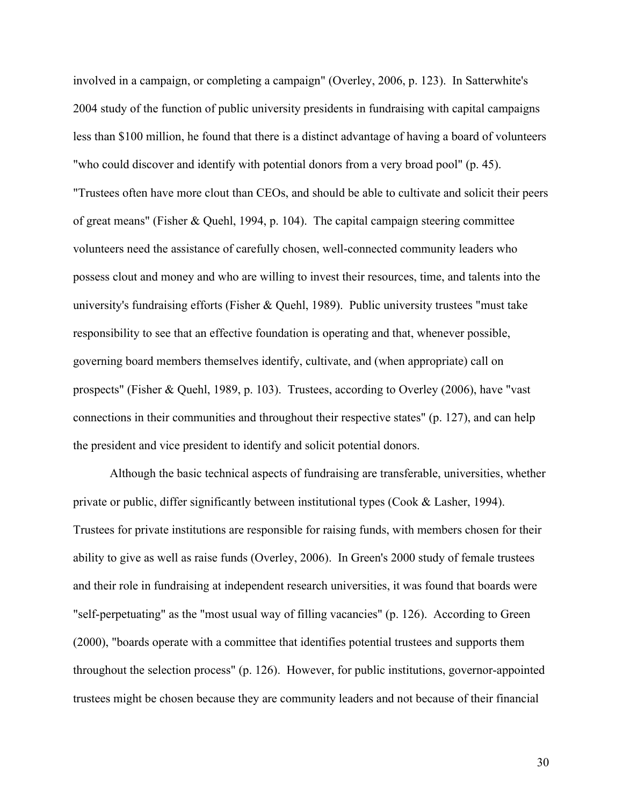involved in a campaign, or completing a campaign" (Overley, 2006, p. 123). In Satterwhite's 2004 study of the function of public university presidents in fundraising with capital campaigns less than \$100 million, he found that there is a distinct advantage of having a board of volunteers "who could discover and identify with potential donors from a very broad pool" (p. 45). "Trustees often have more clout than CEOs, and should be able to cultivate and solicit their peers of great means" (Fisher & Quehl, 1994, p. 104). The capital campaign steering committee volunteers need the assistance of carefully chosen, well-connected community leaders who possess clout and money and who are willing to invest their resources, time, and talents into the university's fundraising efforts (Fisher & Quehl, 1989). Public university trustees "must take responsibility to see that an effective foundation is operating and that, whenever possible, governing board members themselves identify, cultivate, and (when appropriate) call on prospects" (Fisher & Quehl, 1989, p. 103). Trustees, according to Overley (2006), have "vast connections in their communities and throughout their respective states" (p. 127), and can help the president and vice president to identify and solicit potential donors.

Although the basic technical aspects of fundraising are transferable, universities, whether private or public, differ significantly between institutional types (Cook & Lasher, 1994). Trustees for private institutions are responsible for raising funds, with members chosen for their ability to give as well as raise funds (Overley, 2006). In Green's 2000 study of female trustees and their role in fundraising at independent research universities, it was found that boards were "self-perpetuating" as the "most usual way of filling vacancies" (p. 126). According to Green (2000), "boards operate with a committee that identifies potential trustees and supports them throughout the selection process" (p. 126). However, for public institutions, governor-appointed trustees might be chosen because they are community leaders and not because of their financial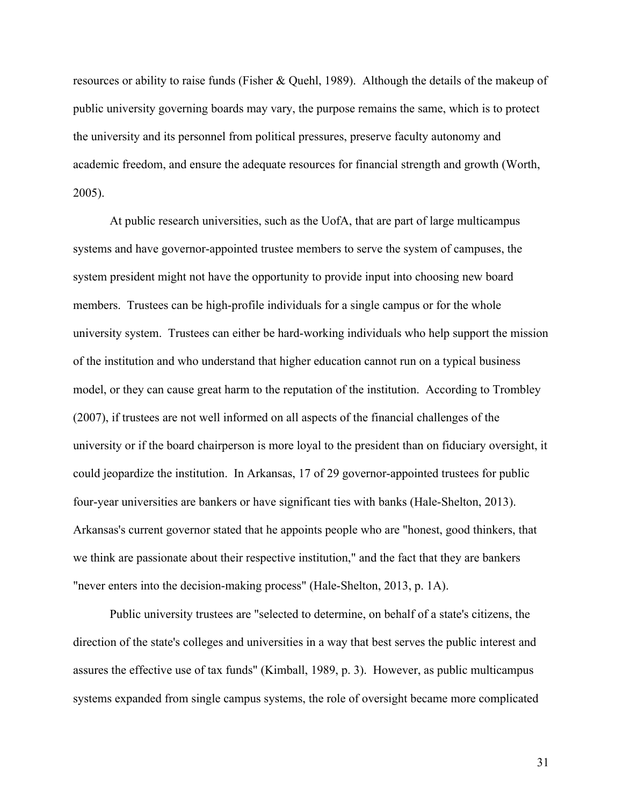resources or ability to raise funds (Fisher & Quehl, 1989). Although the details of the makeup of public university governing boards may vary, the purpose remains the same, which is to protect the university and its personnel from political pressures, preserve faculty autonomy and academic freedom, and ensure the adequate resources for financial strength and growth (Worth, 2005).

At public research universities, such as the UofA, that are part of large multicampus systems and have governor-appointed trustee members to serve the system of campuses, the system president might not have the opportunity to provide input into choosing new board members. Trustees can be high-profile individuals for a single campus or for the whole university system. Trustees can either be hard-working individuals who help support the mission of the institution and who understand that higher education cannot run on a typical business model, or they can cause great harm to the reputation of the institution. According to Trombley (2007), if trustees are not well informed on all aspects of the financial challenges of the university or if the board chairperson is more loyal to the president than on fiduciary oversight, it could jeopardize the institution. In Arkansas, 17 of 29 governor-appointed trustees for public four-year universities are bankers or have significant ties with banks (Hale-Shelton, 2013). Arkansas's current governor stated that he appoints people who are "honest, good thinkers, that we think are passionate about their respective institution," and the fact that they are bankers "never enters into the decision-making process" (Hale-Shelton, 2013, p. 1A).

Public university trustees are "selected to determine, on behalf of a state's citizens, the direction of the state's colleges and universities in a way that best serves the public interest and assures the effective use of tax funds" (Kimball, 1989, p. 3). However, as public multicampus systems expanded from single campus systems, the role of oversight became more complicated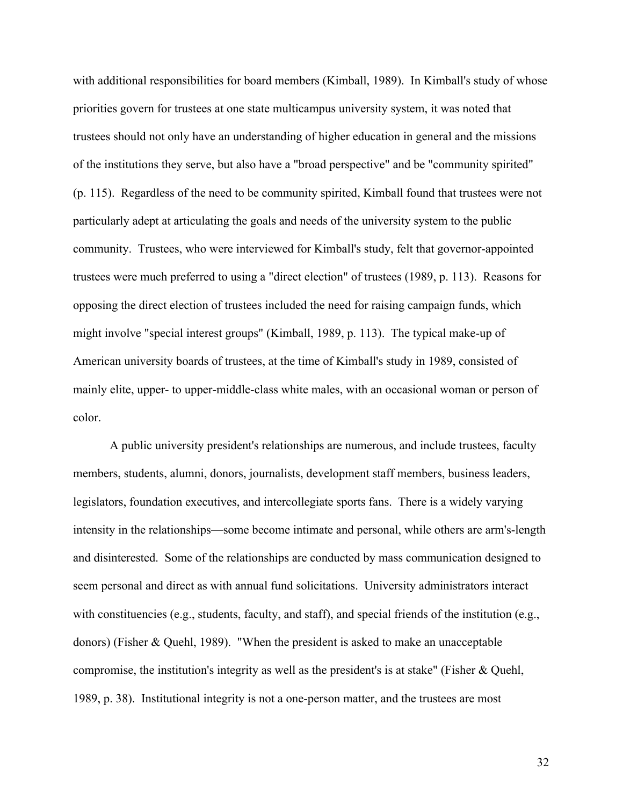with additional responsibilities for board members (Kimball, 1989). In Kimball's study of whose priorities govern for trustees at one state multicampus university system, it was noted that trustees should not only have an understanding of higher education in general and the missions of the institutions they serve, but also have a "broad perspective" and be "community spirited" (p. 115). Regardless of the need to be community spirited, Kimball found that trustees were not particularly adept at articulating the goals and needs of the university system to the public community. Trustees, who were interviewed for Kimball's study, felt that governor-appointed trustees were much preferred to using a "direct election" of trustees (1989, p. 113). Reasons for opposing the direct election of trustees included the need for raising campaign funds, which might involve "special interest groups" (Kimball, 1989, p. 113). The typical make-up of American university boards of trustees, at the time of Kimball's study in 1989, consisted of mainly elite, upper- to upper-middle-class white males, with an occasional woman or person of color.

A public university president's relationships are numerous, and include trustees, faculty members, students, alumni, donors, journalists, development staff members, business leaders, legislators, foundation executives, and intercollegiate sports fans. There is a widely varying intensity in the relationships—some become intimate and personal, while others are arm's-length and disinterested. Some of the relationships are conducted by mass communication designed to seem personal and direct as with annual fund solicitations. University administrators interact with constituencies (e.g., students, faculty, and staff), and special friends of the institution (e.g., donors) (Fisher & Quehl, 1989). "When the president is asked to make an unacceptable compromise, the institution's integrity as well as the president's is at stake" (Fisher & Quehl, 1989, p. 38). Institutional integrity is not a one-person matter, and the trustees are most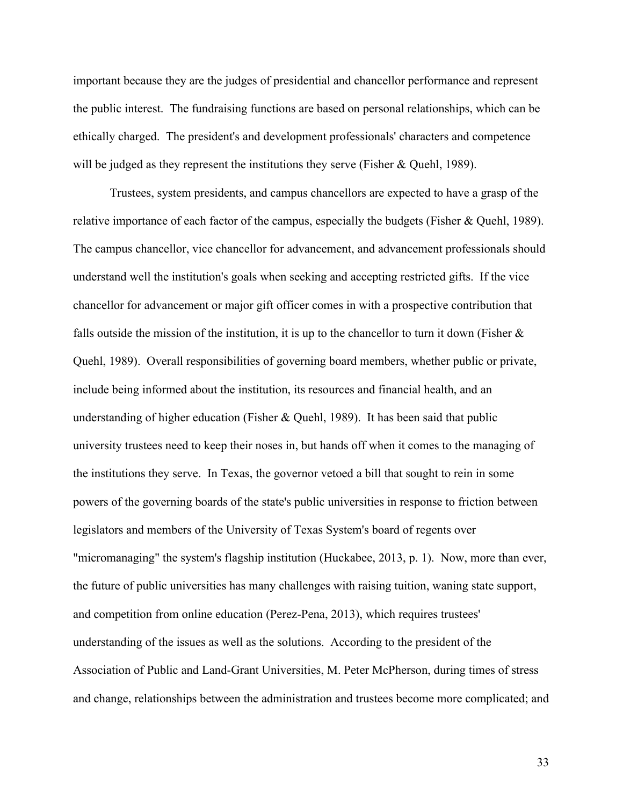important because they are the judges of presidential and chancellor performance and represent the public interest. The fundraising functions are based on personal relationships, which can be ethically charged. The president's and development professionals' characters and competence will be judged as they represent the institutions they serve (Fisher & Quehl, 1989).

Trustees, system presidents, and campus chancellors are expected to have a grasp of the relative importance of each factor of the campus, especially the budgets (Fisher & Quehl, 1989). The campus chancellor, vice chancellor for advancement, and advancement professionals should understand well the institution's goals when seeking and accepting restricted gifts. If the vice chancellor for advancement or major gift officer comes in with a prospective contribution that falls outside the mission of the institution, it is up to the chancellor to turn it down (Fisher  $\&$ Quehl, 1989). Overall responsibilities of governing board members, whether public or private, include being informed about the institution, its resources and financial health, and an understanding of higher education (Fisher & Quehl, 1989). It has been said that public university trustees need to keep their noses in, but hands off when it comes to the managing of the institutions they serve. In Texas, the governor vetoed a bill that sought to rein in some powers of the governing boards of the state's public universities in response to friction between legislators and members of the University of Texas System's board of regents over "micromanaging" the system's flagship institution (Huckabee, 2013, p. 1). Now, more than ever, the future of public universities has many challenges with raising tuition, waning state support, and competition from online education (Perez-Pena, 2013), which requires trustees' understanding of the issues as well as the solutions. According to the president of the Association of Public and Land-Grant Universities, M. Peter McPherson, during times of stress and change, relationships between the administration and trustees become more complicated; and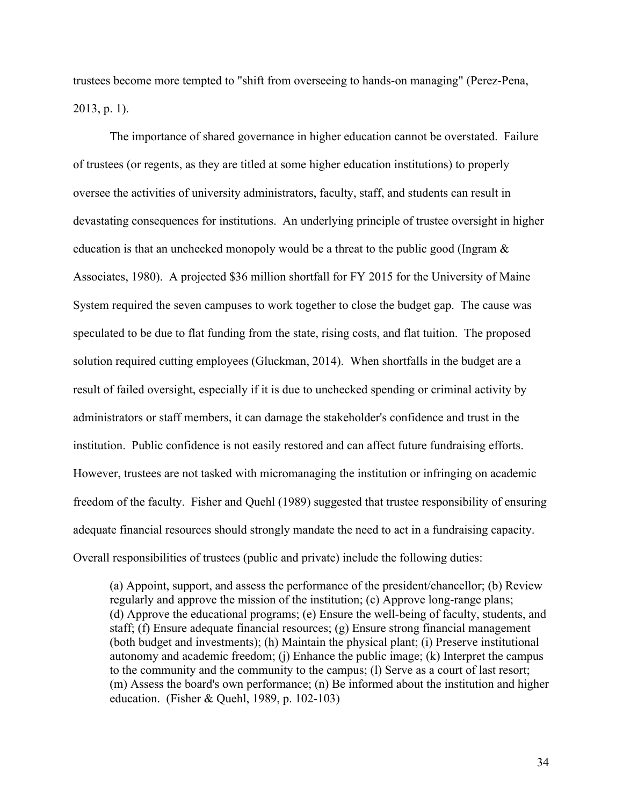trustees become more tempted to "shift from overseeing to hands-on managing" (Perez-Pena, 2013, p. 1).

The importance of shared governance in higher education cannot be overstated. Failure of trustees (or regents, as they are titled at some higher education institutions) to properly oversee the activities of university administrators, faculty, staff, and students can result in devastating consequences for institutions. An underlying principle of trustee oversight in higher education is that an unchecked monopoly would be a threat to the public good (Ingram & Associates, 1980). A projected \$36 million shortfall for FY 2015 for the University of Maine System required the seven campuses to work together to close the budget gap. The cause was speculated to be due to flat funding from the state, rising costs, and flat tuition. The proposed solution required cutting employees (Gluckman, 2014). When shortfalls in the budget are a result of failed oversight, especially if it is due to unchecked spending or criminal activity by administrators or staff members, it can damage the stakeholder's confidence and trust in the institution. Public confidence is not easily restored and can affect future fundraising efforts. However, trustees are not tasked with micromanaging the institution or infringing on academic freedom of the faculty. Fisher and Quehl (1989) suggested that trustee responsibility of ensuring adequate financial resources should strongly mandate the need to act in a fundraising capacity. Overall responsibilities of trustees (public and private) include the following duties:

(a) Appoint, support, and assess the performance of the president/chancellor; (b) Review regularly and approve the mission of the institution; (c) Approve long-range plans; (d) Approve the educational programs; (e) Ensure the well-being of faculty, students, and staff; (f) Ensure adequate financial resources; (g) Ensure strong financial management (both budget and investments); (h) Maintain the physical plant; (i) Preserve institutional autonomy and academic freedom; (j) Enhance the public image; (k) Interpret the campus to the community and the community to the campus; (l) Serve as a court of last resort; (m) Assess the board's own performance; (n) Be informed about the institution and higher education. (Fisher & Quehl, 1989, p. 102-103)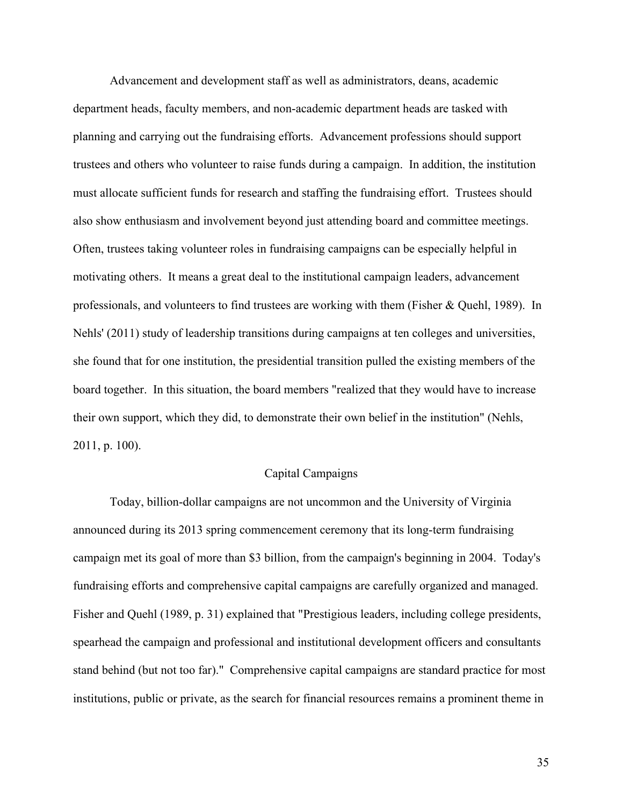Advancement and development staff as well as administrators, deans, academic department heads, faculty members, and non-academic department heads are tasked with planning and carrying out the fundraising efforts. Advancement professions should support trustees and others who volunteer to raise funds during a campaign. In addition, the institution must allocate sufficient funds for research and staffing the fundraising effort. Trustees should also show enthusiasm and involvement beyond just attending board and committee meetings. Often, trustees taking volunteer roles in fundraising campaigns can be especially helpful in motivating others. It means a great deal to the institutional campaign leaders, advancement professionals, and volunteers to find trustees are working with them (Fisher & Quehl, 1989). In Nehls' (2011) study of leadership transitions during campaigns at ten colleges and universities, she found that for one institution, the presidential transition pulled the existing members of the board together. In this situation, the board members "realized that they would have to increase their own support, which they did, to demonstrate their own belief in the institution" (Nehls, 2011, p. 100).

## Capital Campaigns

Today, billion-dollar campaigns are not uncommon and the University of Virginia announced during its 2013 spring commencement ceremony that its long-term fundraising campaign met its goal of more than \$3 billion, from the campaign's beginning in 2004. Today's fundraising efforts and comprehensive capital campaigns are carefully organized and managed. Fisher and Quehl (1989, p. 31) explained that "Prestigious leaders, including college presidents, spearhead the campaign and professional and institutional development officers and consultants stand behind (but not too far)." Comprehensive capital campaigns are standard practice for most institutions, public or private, as the search for financial resources remains a prominent theme in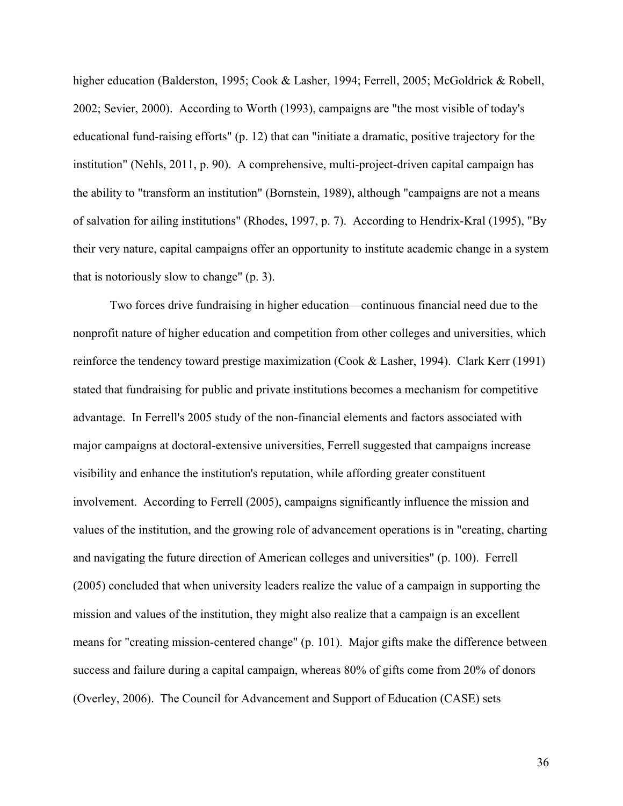higher education (Balderston, 1995; Cook & Lasher, 1994; Ferrell, 2005; McGoldrick & Robell, 2002; Sevier, 2000). According to Worth (1993), campaigns are "the most visible of today's educational fund-raising efforts" (p. 12) that can "initiate a dramatic, positive trajectory for the institution" (Nehls, 2011, p. 90). A comprehensive, multi-project-driven capital campaign has the ability to "transform an institution" (Bornstein, 1989), although "campaigns are not a means of salvation for ailing institutions" (Rhodes, 1997, p. 7). According to Hendrix-Kral (1995), "By their very nature, capital campaigns offer an opportunity to institute academic change in a system that is notoriously slow to change" (p. 3).

Two forces drive fundraising in higher education—continuous financial need due to the nonprofit nature of higher education and competition from other colleges and universities, which reinforce the tendency toward prestige maximization (Cook & Lasher, 1994). Clark Kerr (1991) stated that fundraising for public and private institutions becomes a mechanism for competitive advantage. In Ferrell's 2005 study of the non-financial elements and factors associated with major campaigns at doctoral-extensive universities, Ferrell suggested that campaigns increase visibility and enhance the institution's reputation, while affording greater constituent involvement. According to Ferrell (2005), campaigns significantly influence the mission and values of the institution, and the growing role of advancement operations is in "creating, charting and navigating the future direction of American colleges and universities" (p. 100). Ferrell (2005) concluded that when university leaders realize the value of a campaign in supporting the mission and values of the institution, they might also realize that a campaign is an excellent means for "creating mission-centered change" (p. 101). Major gifts make the difference between success and failure during a capital campaign, whereas 80% of gifts come from 20% of donors (Overley, 2006). The Council for Advancement and Support of Education (CASE) sets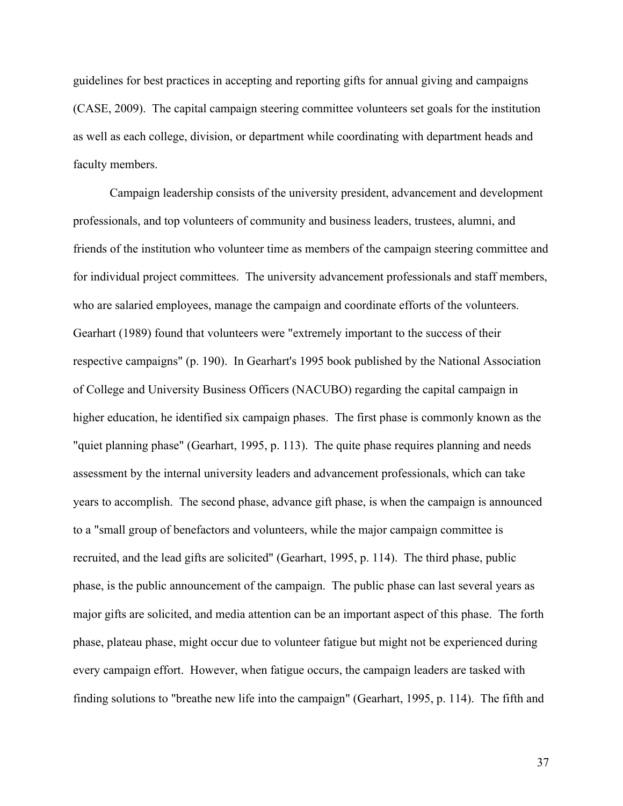guidelines for best practices in accepting and reporting gifts for annual giving and campaigns (CASE, 2009). The capital campaign steering committee volunteers set goals for the institution as well as each college, division, or department while coordinating with department heads and faculty members.

Campaign leadership consists of the university president, advancement and development professionals, and top volunteers of community and business leaders, trustees, alumni, and friends of the institution who volunteer time as members of the campaign steering committee and for individual project committees. The university advancement professionals and staff members, who are salaried employees, manage the campaign and coordinate efforts of the volunteers. Gearhart (1989) found that volunteers were "extremely important to the success of their respective campaigns" (p. 190). In Gearhart's 1995 book published by the National Association of College and University Business Officers (NACUBO) regarding the capital campaign in higher education, he identified six campaign phases. The first phase is commonly known as the "quiet planning phase" (Gearhart, 1995, p. 113). The quite phase requires planning and needs assessment by the internal university leaders and advancement professionals, which can take years to accomplish. The second phase, advance gift phase, is when the campaign is announced to a "small group of benefactors and volunteers, while the major campaign committee is recruited, and the lead gifts are solicited" (Gearhart, 1995, p. 114). The third phase, public phase, is the public announcement of the campaign. The public phase can last several years as major gifts are solicited, and media attention can be an important aspect of this phase. The forth phase, plateau phase, might occur due to volunteer fatigue but might not be experienced during every campaign effort. However, when fatigue occurs, the campaign leaders are tasked with finding solutions to "breathe new life into the campaign" (Gearhart, 1995, p. 114). The fifth and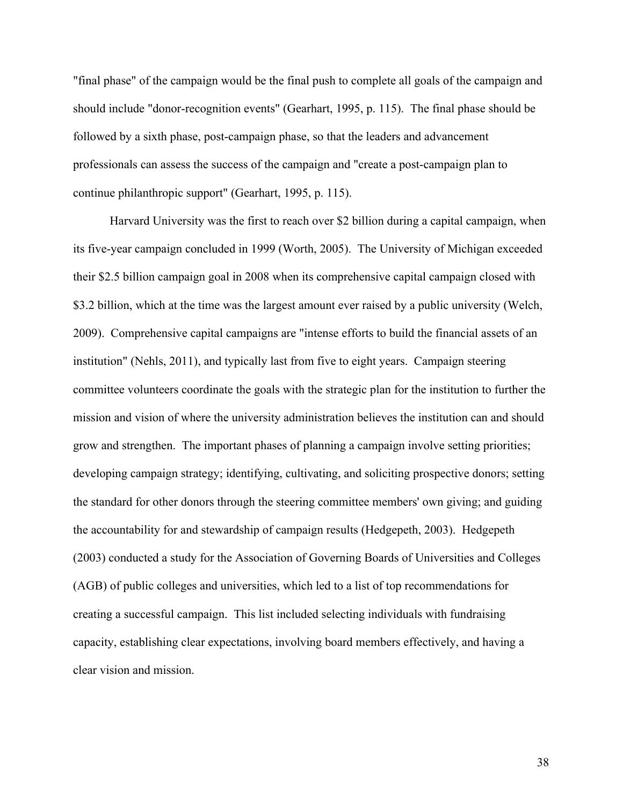"final phase" of the campaign would be the final push to complete all goals of the campaign and should include "donor-recognition events" (Gearhart, 1995, p. 115). The final phase should be followed by a sixth phase, post-campaign phase, so that the leaders and advancement professionals can assess the success of the campaign and "create a post-campaign plan to continue philanthropic support" (Gearhart, 1995, p. 115).

Harvard University was the first to reach over \$2 billion during a capital campaign, when its five-year campaign concluded in 1999 (Worth, 2005). The University of Michigan exceeded their \$2.5 billion campaign goal in 2008 when its comprehensive capital campaign closed with \$3.2 billion, which at the time was the largest amount ever raised by a public university (Welch, 2009). Comprehensive capital campaigns are "intense efforts to build the financial assets of an institution" (Nehls, 2011), and typically last from five to eight years. Campaign steering committee volunteers coordinate the goals with the strategic plan for the institution to further the mission and vision of where the university administration believes the institution can and should grow and strengthen. The important phases of planning a campaign involve setting priorities; developing campaign strategy; identifying, cultivating, and soliciting prospective donors; setting the standard for other donors through the steering committee members' own giving; and guiding the accountability for and stewardship of campaign results (Hedgepeth, 2003). Hedgepeth (2003) conducted a study for the Association of Governing Boards of Universities and Colleges (AGB) of public colleges and universities, which led to a list of top recommendations for creating a successful campaign. This list included selecting individuals with fundraising capacity, establishing clear expectations, involving board members effectively, and having a clear vision and mission.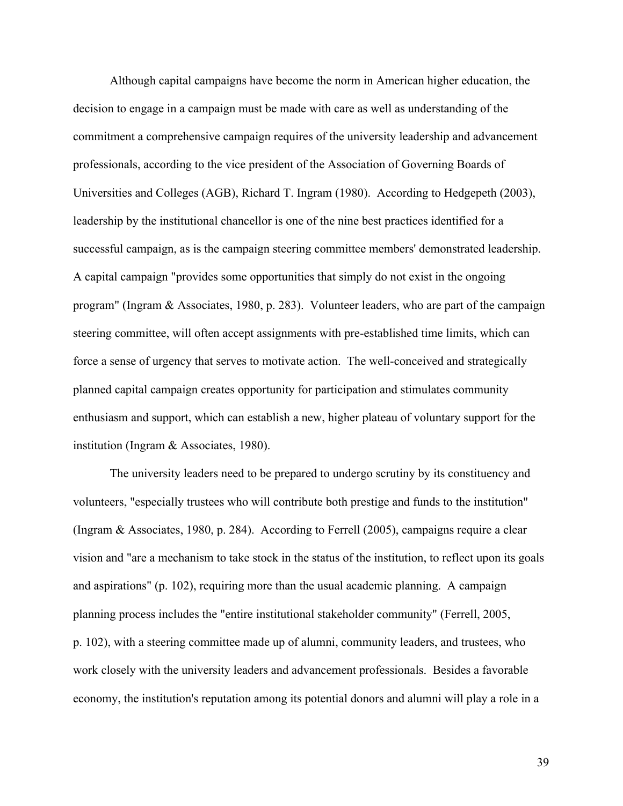Although capital campaigns have become the norm in American higher education, the decision to engage in a campaign must be made with care as well as understanding of the commitment a comprehensive campaign requires of the university leadership and advancement professionals, according to the vice president of the Association of Governing Boards of Universities and Colleges (AGB), Richard T. Ingram (1980). According to Hedgepeth (2003), leadership by the institutional chancellor is one of the nine best practices identified for a successful campaign, as is the campaign steering committee members' demonstrated leadership. A capital campaign "provides some opportunities that simply do not exist in the ongoing program" (Ingram & Associates, 1980, p. 283). Volunteer leaders, who are part of the campaign steering committee, will often accept assignments with pre-established time limits, which can force a sense of urgency that serves to motivate action. The well-conceived and strategically planned capital campaign creates opportunity for participation and stimulates community enthusiasm and support, which can establish a new, higher plateau of voluntary support for the institution (Ingram & Associates, 1980).

The university leaders need to be prepared to undergo scrutiny by its constituency and volunteers, "especially trustees who will contribute both prestige and funds to the institution" (Ingram & Associates, 1980, p. 284). According to Ferrell (2005), campaigns require a clear vision and "are a mechanism to take stock in the status of the institution, to reflect upon its goals and aspirations" (p. 102), requiring more than the usual academic planning. A campaign planning process includes the "entire institutional stakeholder community" (Ferrell, 2005, p. 102), with a steering committee made up of alumni, community leaders, and trustees, who work closely with the university leaders and advancement professionals. Besides a favorable economy, the institution's reputation among its potential donors and alumni will play a role in a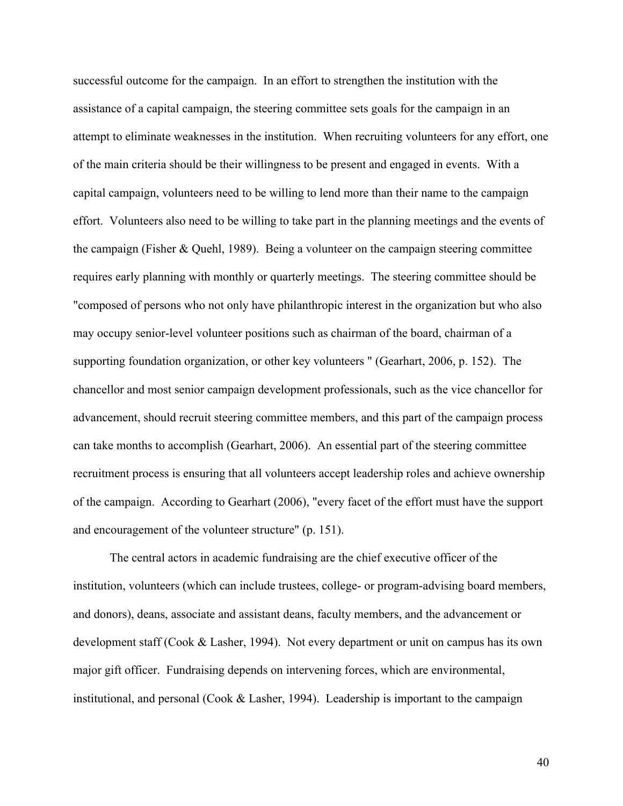successful outcome for the campaign. In an effort to strengthen the institution with the assistance of a capital campaign, the steering committee sets goals for the campaign in an attempt to eliminate weaknesses in the institution. When recruiting volunteers for any effort, one of the main criteria should be their willingness to be present and engaged in events. With a capital campaign, volunteers need to be willing to lend more than their name to the campaign effort. Volunteers also need to be willing to take part in the planning meetings and the events of the campaign (Fisher & Quehl, 1989). Being a volunteer on the campaign steering committee requires early planning with monthly or quarterly meetings. The steering committee should be "composed of persons who not only have philanthropic interest in the organization but who also may occupy senior-level volunteer positions such as chairman of the board, chairman of a supporting foundation organization, or other key volunteers " (Gearhart, 2006, p. 152). The chancellor and most senior campaign development professionals, such as the vice chancellor for advancement, should recruit steering committee members, and this part of the campaign process can take months to accomplish (Gearhart, 2006). An essential part of the steering committee recruitment process is ensuring that all volunteers accept leadership roles and achieve ownership of the campaign. According to Gearhart (2006), "every facet of the effort must have the support and encouragement of the volunteer structure" (p. 151).

The central actors in academic fundraising are the chief executive officer of the institution, volunteers (which can include trustees, college- or program-advising board members, and donors), deans, associate and assistant deans, faculty members, and the advancement or development staff (Cook & Lasher, 1994). Not every department or unit on campus has its own major gift officer. Fundraising depends on intervening forces, which are environmental, institutional, and personal (Cook & Lasher, 1994). Leadership is important to the campaign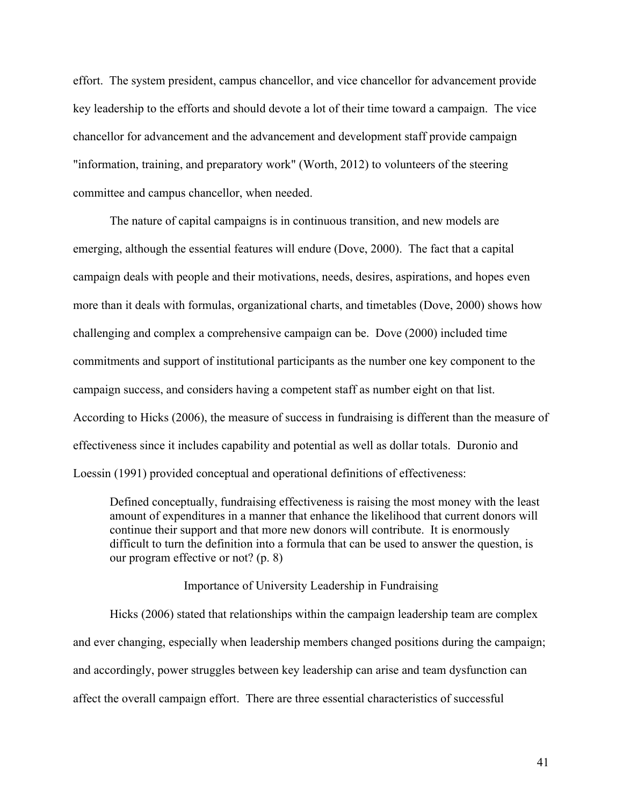effort. The system president, campus chancellor, and vice chancellor for advancement provide key leadership to the efforts and should devote a lot of their time toward a campaign. The vice chancellor for advancement and the advancement and development staff provide campaign "information, training, and preparatory work" (Worth, 2012) to volunteers of the steering committee and campus chancellor, when needed.

The nature of capital campaigns is in continuous transition, and new models are emerging, although the essential features will endure (Dove, 2000). The fact that a capital campaign deals with people and their motivations, needs, desires, aspirations, and hopes even more than it deals with formulas, organizational charts, and timetables (Dove, 2000) shows how challenging and complex a comprehensive campaign can be. Dove (2000) included time commitments and support of institutional participants as the number one key component to the campaign success, and considers having a competent staff as number eight on that list. According to Hicks (2006), the measure of success in fundraising is different than the measure of effectiveness since it includes capability and potential as well as dollar totals. Duronio and Loessin (1991) provided conceptual and operational definitions of effectiveness:

Defined conceptually, fundraising effectiveness is raising the most money with the least amount of expenditures in a manner that enhance the likelihood that current donors will continue their support and that more new donors will contribute. It is enormously difficult to turn the definition into a formula that can be used to answer the question, is our program effective or not? (p. 8)

Importance of University Leadership in Fundraising

Hicks (2006) stated that relationships within the campaign leadership team are complex and ever changing, especially when leadership members changed positions during the campaign; and accordingly, power struggles between key leadership can arise and team dysfunction can affect the overall campaign effort. There are three essential characteristics of successful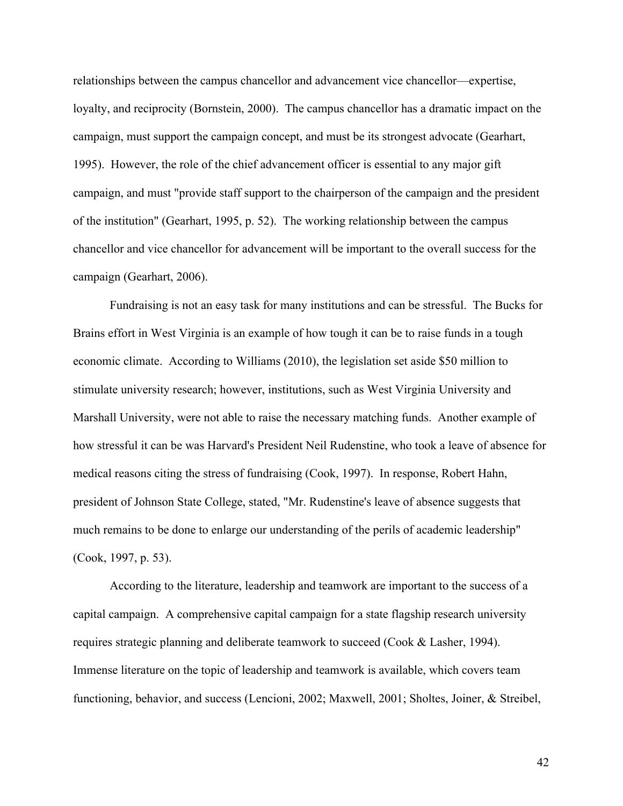relationships between the campus chancellor and advancement vice chancellor—expertise, loyalty, and reciprocity (Bornstein, 2000). The campus chancellor has a dramatic impact on the campaign, must support the campaign concept, and must be its strongest advocate (Gearhart, 1995). However, the role of the chief advancement officer is essential to any major gift campaign, and must "provide staff support to the chairperson of the campaign and the president of the institution" (Gearhart, 1995, p. 52). The working relationship between the campus chancellor and vice chancellor for advancement will be important to the overall success for the campaign (Gearhart, 2006).

Fundraising is not an easy task for many institutions and can be stressful. The Bucks for Brains effort in West Virginia is an example of how tough it can be to raise funds in a tough economic climate. According to Williams (2010), the legislation set aside \$50 million to stimulate university research; however, institutions, such as West Virginia University and Marshall University, were not able to raise the necessary matching funds. Another example of how stressful it can be was Harvard's President Neil Rudenstine, who took a leave of absence for medical reasons citing the stress of fundraising (Cook, 1997). In response, Robert Hahn, president of Johnson State College, stated, "Mr. Rudenstine's leave of absence suggests that much remains to be done to enlarge our understanding of the perils of academic leadership" (Cook, 1997, p. 53).

According to the literature, leadership and teamwork are important to the success of a capital campaign. A comprehensive capital campaign for a state flagship research university requires strategic planning and deliberate teamwork to succeed (Cook & Lasher, 1994). Immense literature on the topic of leadership and teamwork is available, which covers team functioning, behavior, and success (Lencioni, 2002; Maxwell, 2001; Sholtes, Joiner, & Streibel,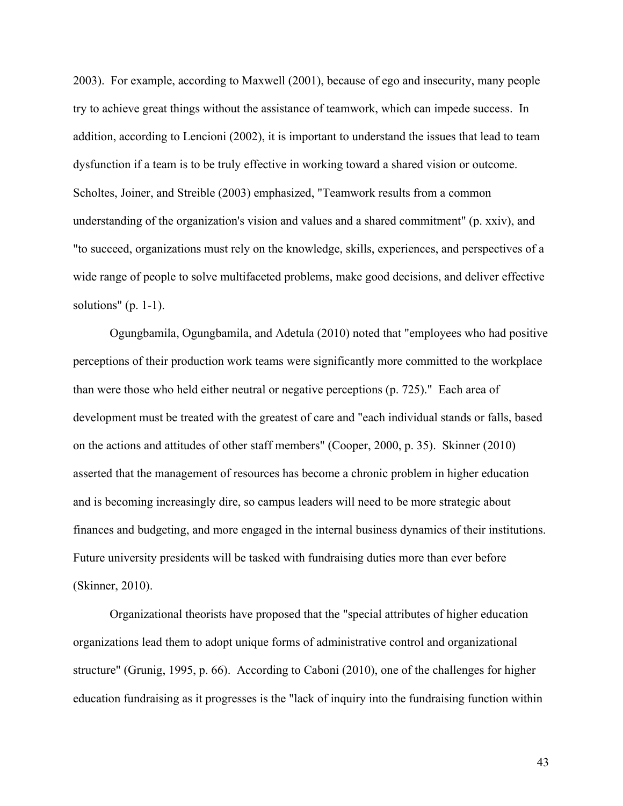2003). For example, according to Maxwell (2001), because of ego and insecurity, many people try to achieve great things without the assistance of teamwork, which can impede success. In addition, according to Lencioni (2002), it is important to understand the issues that lead to team dysfunction if a team is to be truly effective in working toward a shared vision or outcome. Scholtes, Joiner, and Streible (2003) emphasized, "Teamwork results from a common understanding of the organization's vision and values and a shared commitment" (p. xxiv), and "to succeed, organizations must rely on the knowledge, skills, experiences, and perspectives of a wide range of people to solve multifaceted problems, make good decisions, and deliver effective solutions"  $(p. 1-1)$ .

Ogungbamila, Ogungbamila, and Adetula (2010) noted that "employees who had positive perceptions of their production work teams were significantly more committed to the workplace than were those who held either neutral or negative perceptions (p. 725)." Each area of development must be treated with the greatest of care and "each individual stands or falls, based on the actions and attitudes of other staff members" (Cooper, 2000, p. 35). Skinner (2010) asserted that the management of resources has become a chronic problem in higher education and is becoming increasingly dire, so campus leaders will need to be more strategic about finances and budgeting, and more engaged in the internal business dynamics of their institutions. Future university presidents will be tasked with fundraising duties more than ever before (Skinner, 2010).

Organizational theorists have proposed that the "special attributes of higher education organizations lead them to adopt unique forms of administrative control and organizational structure" (Grunig, 1995, p. 66). According to Caboni (2010), one of the challenges for higher education fundraising as it progresses is the "lack of inquiry into the fundraising function within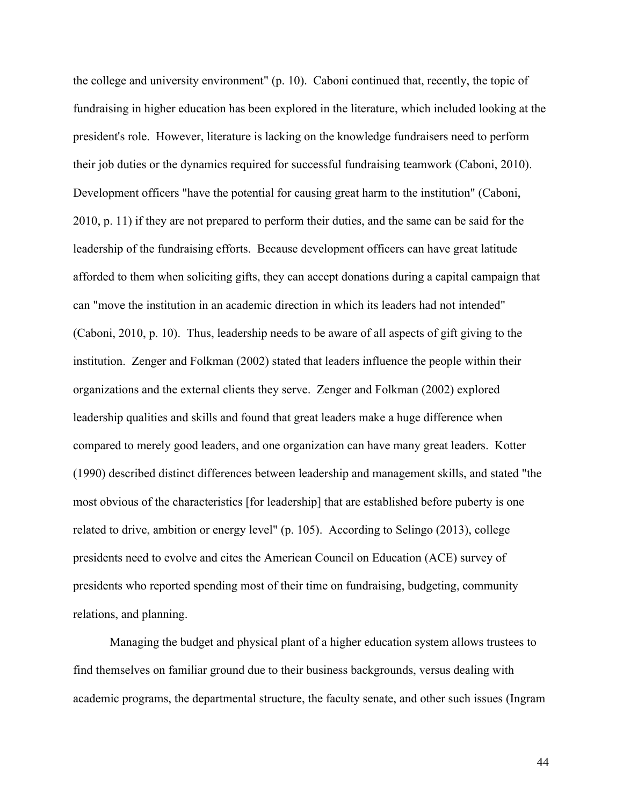the college and university environment" (p. 10). Caboni continued that, recently, the topic of fundraising in higher education has been explored in the literature, which included looking at the president's role. However, literature is lacking on the knowledge fundraisers need to perform their job duties or the dynamics required for successful fundraising teamwork (Caboni, 2010). Development officers "have the potential for causing great harm to the institution" (Caboni, 2010, p. 11) if they are not prepared to perform their duties, and the same can be said for the leadership of the fundraising efforts. Because development officers can have great latitude afforded to them when soliciting gifts, they can accept donations during a capital campaign that can "move the institution in an academic direction in which its leaders had not intended" (Caboni, 2010, p. 10). Thus, leadership needs to be aware of all aspects of gift giving to the institution. Zenger and Folkman (2002) stated that leaders influence the people within their organizations and the external clients they serve. Zenger and Folkman (2002) explored leadership qualities and skills and found that great leaders make a huge difference when compared to merely good leaders, and one organization can have many great leaders. Kotter (1990) described distinct differences between leadership and management skills, and stated "the most obvious of the characteristics [for leadership] that are established before puberty is one related to drive, ambition or energy level" (p. 105). According to Selingo (2013), college presidents need to evolve and cites the American Council on Education (ACE) survey of presidents who reported spending most of their time on fundraising, budgeting, community relations, and planning.

Managing the budget and physical plant of a higher education system allows trustees to find themselves on familiar ground due to their business backgrounds, versus dealing with academic programs, the departmental structure, the faculty senate, and other such issues (Ingram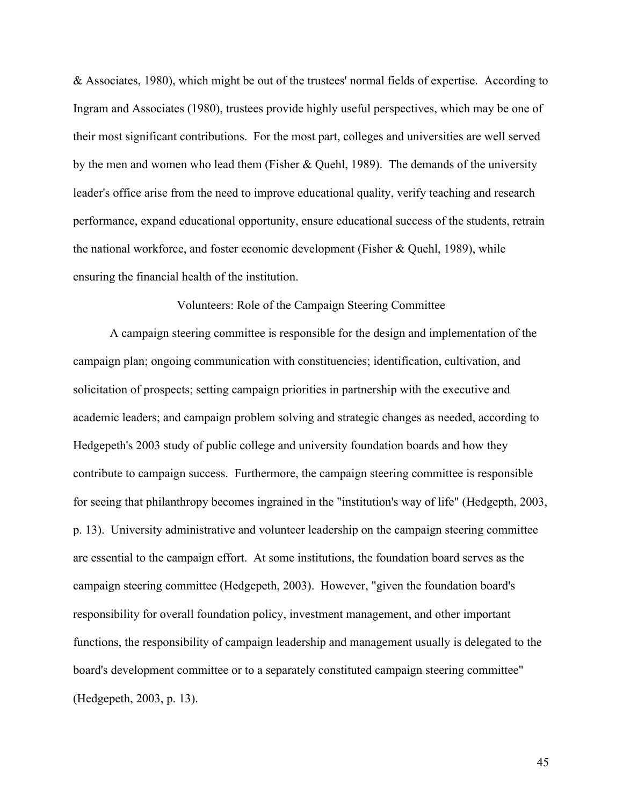& Associates, 1980), which might be out of the trustees' normal fields of expertise. According to Ingram and Associates (1980), trustees provide highly useful perspectives, which may be one of their most significant contributions. For the most part, colleges and universities are well served by the men and women who lead them (Fisher & Quehl, 1989). The demands of the university leader's office arise from the need to improve educational quality, verify teaching and research performance, expand educational opportunity, ensure educational success of the students, retrain the national workforce, and foster economic development (Fisher & Quehl, 1989), while ensuring the financial health of the institution.

## Volunteers: Role of the Campaign Steering Committee

A campaign steering committee is responsible for the design and implementation of the campaign plan; ongoing communication with constituencies; identification, cultivation, and solicitation of prospects; setting campaign priorities in partnership with the executive and academic leaders; and campaign problem solving and strategic changes as needed, according to Hedgepeth's 2003 study of public college and university foundation boards and how they contribute to campaign success. Furthermore, the campaign steering committee is responsible for seeing that philanthropy becomes ingrained in the "institution's way of life" (Hedgepth, 2003, p. 13). University administrative and volunteer leadership on the campaign steering committee are essential to the campaign effort. At some institutions, the foundation board serves as the campaign steering committee (Hedgepeth, 2003). However, "given the foundation board's responsibility for overall foundation policy, investment management, and other important functions, the responsibility of campaign leadership and management usually is delegated to the board's development committee or to a separately constituted campaign steering committee" (Hedgepeth, 2003, p. 13).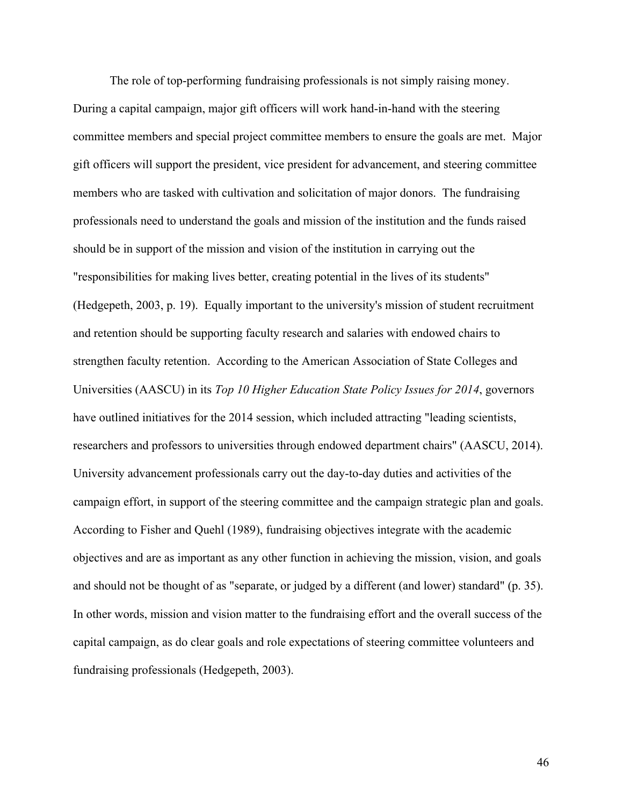The role of top-performing fundraising professionals is not simply raising money. During a capital campaign, major gift officers will work hand-in-hand with the steering committee members and special project committee members to ensure the goals are met. Major gift officers will support the president, vice president for advancement, and steering committee members who are tasked with cultivation and solicitation of major donors. The fundraising professionals need to understand the goals and mission of the institution and the funds raised should be in support of the mission and vision of the institution in carrying out the "responsibilities for making lives better, creating potential in the lives of its students" (Hedgepeth, 2003, p. 19). Equally important to the university's mission of student recruitment and retention should be supporting faculty research and salaries with endowed chairs to strengthen faculty retention. According to the American Association of State Colleges and Universities (AASCU) in its *Top 10 Higher Education State Policy Issues for 2014*, governors have outlined initiatives for the 2014 session, which included attracting "leading scientists, researchers and professors to universities through endowed department chairs" (AASCU, 2014). University advancement professionals carry out the day-to-day duties and activities of the campaign effort, in support of the steering committee and the campaign strategic plan and goals. According to Fisher and Quehl (1989), fundraising objectives integrate with the academic objectives and are as important as any other function in achieving the mission, vision, and goals and should not be thought of as "separate, or judged by a different (and lower) standard" (p. 35). In other words, mission and vision matter to the fundraising effort and the overall success of the capital campaign, as do clear goals and role expectations of steering committee volunteers and fundraising professionals (Hedgepeth, 2003).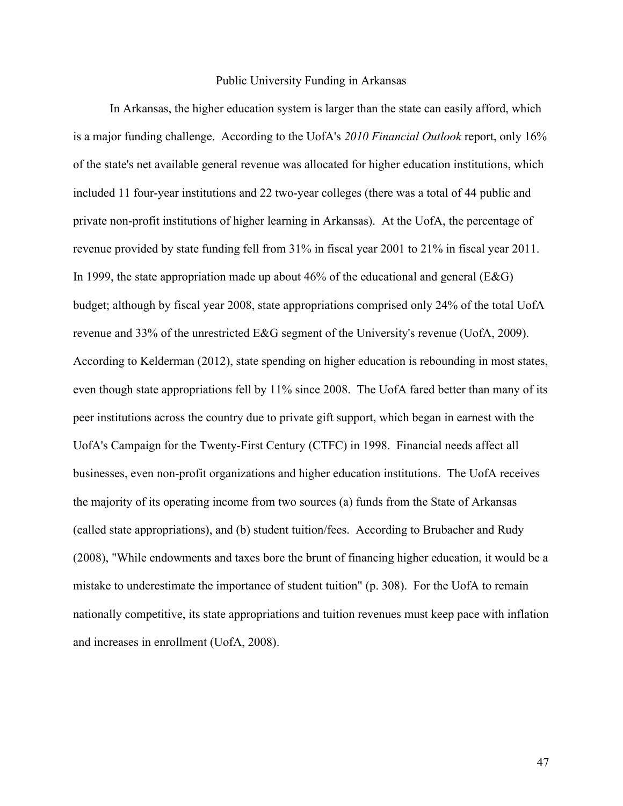#### Public University Funding in Arkansas

In Arkansas, the higher education system is larger than the state can easily afford, which is a major funding challenge. According to the UofA's *2010 Financial Outlook* report, only 16% of the state's net available general revenue was allocated for higher education institutions, which included 11 four-year institutions and 22 two-year colleges (there was a total of 44 public and private non-profit institutions of higher learning in Arkansas). At the UofA, the percentage of revenue provided by state funding fell from 31% in fiscal year 2001 to 21% in fiscal year 2011. In 1999, the state appropriation made up about 46% of the educational and general ( $E&G$ ) budget; although by fiscal year 2008, state appropriations comprised only 24% of the total UofA revenue and 33% of the unrestricted E&G segment of the University's revenue (UofA, 2009). According to Kelderman (2012), state spending on higher education is rebounding in most states, even though state appropriations fell by 11% since 2008. The UofA fared better than many of its peer institutions across the country due to private gift support, which began in earnest with the UofA's Campaign for the Twenty-First Century (CTFC) in 1998. Financial needs affect all businesses, even non-profit organizations and higher education institutions. The UofA receives the majority of its operating income from two sources (a) funds from the State of Arkansas (called state appropriations), and (b) student tuition/fees. According to Brubacher and Rudy (2008), "While endowments and taxes bore the brunt of financing higher education, it would be a mistake to underestimate the importance of student tuition" (p. 308). For the UofA to remain nationally competitive, its state appropriations and tuition revenues must keep pace with inflation and increases in enrollment (UofA, 2008).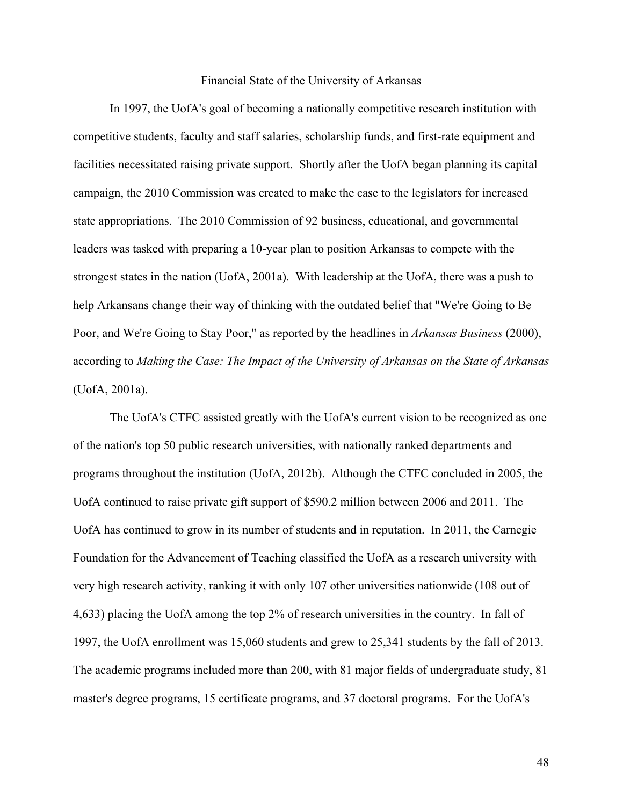#### Financial State of the University of Arkansas

In 1997, the UofA's goal of becoming a nationally competitive research institution with competitive students, faculty and staff salaries, scholarship funds, and first-rate equipment and facilities necessitated raising private support. Shortly after the UofA began planning its capital campaign, the 2010 Commission was created to make the case to the legislators for increased state appropriations. The 2010 Commission of 92 business, educational, and governmental leaders was tasked with preparing a 10-year plan to position Arkansas to compete with the strongest states in the nation (UofA, 2001a). With leadership at the UofA, there was a push to help Arkansans change their way of thinking with the outdated belief that "We're Going to Be Poor, and We're Going to Stay Poor," as reported by the headlines in *Arkansas Business* (2000), according to *Making the Case: The Impact of the University of Arkansas on the State of Arkansas* (UofA, 2001a).

The UofA's CTFC assisted greatly with the UofA's current vision to be recognized as one of the nation's top 50 public research universities, with nationally ranked departments and programs throughout the institution (UofA, 2012b). Although the CTFC concluded in 2005, the UofA continued to raise private gift support of \$590.2 million between 2006 and 2011. The UofA has continued to grow in its number of students and in reputation. In 2011, the Carnegie Foundation for the Advancement of Teaching classified the UofA as a research university with very high research activity, ranking it with only 107 other universities nationwide (108 out of 4,633) placing the UofA among the top 2% of research universities in the country. In fall of 1997, the UofA enrollment was 15,060 students and grew to 25,341 students by the fall of 2013. The academic programs included more than 200, with 81 major fields of undergraduate study, 81 master's degree programs, 15 certificate programs, and 37 doctoral programs. For the UofA's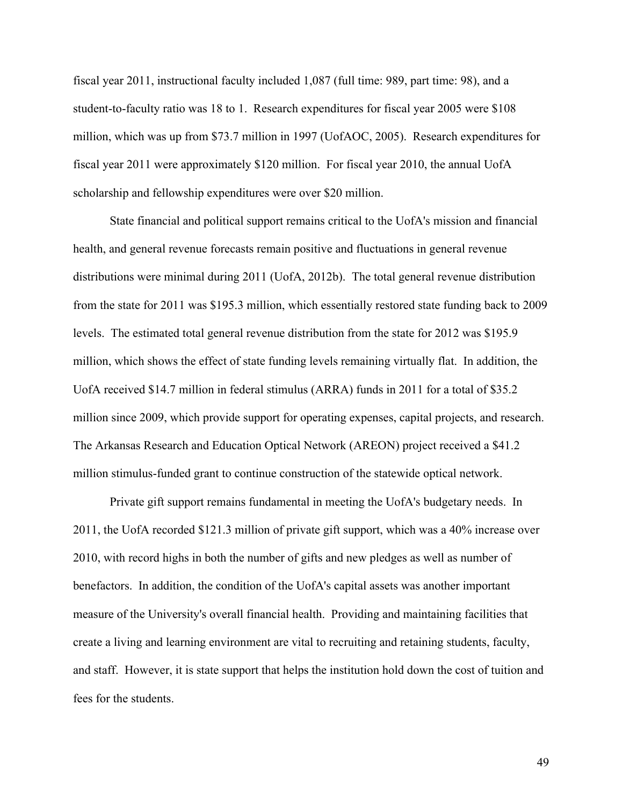fiscal year 2011, instructional faculty included 1,087 (full time: 989, part time: 98), and a student-to-faculty ratio was 18 to 1. Research expenditures for fiscal year 2005 were \$108 million, which was up from \$73.7 million in 1997 (UofAOC, 2005). Research expenditures for fiscal year 2011 were approximately \$120 million. For fiscal year 2010, the annual UofA scholarship and fellowship expenditures were over \$20 million.

State financial and political support remains critical to the UofA's mission and financial health, and general revenue forecasts remain positive and fluctuations in general revenue distributions were minimal during 2011 (UofA, 2012b). The total general revenue distribution from the state for 2011 was \$195.3 million, which essentially restored state funding back to 2009 levels. The estimated total general revenue distribution from the state for 2012 was \$195.9 million, which shows the effect of state funding levels remaining virtually flat. In addition, the UofA received \$14.7 million in federal stimulus (ARRA) funds in 2011 for a total of \$35.2 million since 2009, which provide support for operating expenses, capital projects, and research. The Arkansas Research and Education Optical Network (AREON) project received a \$41.2 million stimulus-funded grant to continue construction of the statewide optical network.

Private gift support remains fundamental in meeting the UofA's budgetary needs. In 2011, the UofA recorded \$121.3 million of private gift support, which was a 40% increase over 2010, with record highs in both the number of gifts and new pledges as well as number of benefactors. In addition, the condition of the UofA's capital assets was another important measure of the University's overall financial health. Providing and maintaining facilities that create a living and learning environment are vital to recruiting and retaining students, faculty, and staff. However, it is state support that helps the institution hold down the cost of tuition and fees for the students.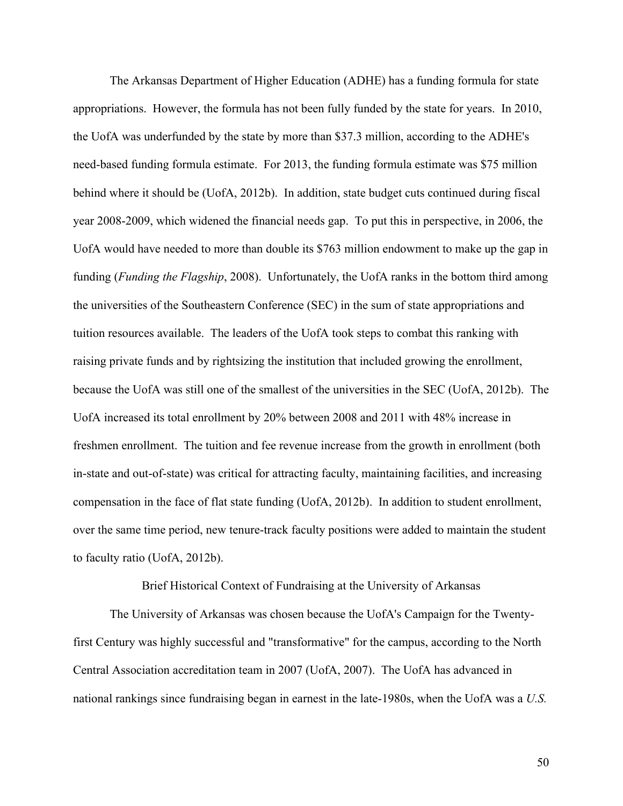The Arkansas Department of Higher Education (ADHE) has a funding formula for state appropriations. However, the formula has not been fully funded by the state for years. In 2010, the UofA was underfunded by the state by more than \$37.3 million, according to the ADHE's need-based funding formula estimate. For 2013, the funding formula estimate was \$75 million behind where it should be (UofA, 2012b). In addition, state budget cuts continued during fiscal year 2008-2009, which widened the financial needs gap. To put this in perspective, in 2006, the UofA would have needed to more than double its \$763 million endowment to make up the gap in funding (*Funding the Flagship*, 2008). Unfortunately, the UofA ranks in the bottom third among the universities of the Southeastern Conference (SEC) in the sum of state appropriations and tuition resources available. The leaders of the UofA took steps to combat this ranking with raising private funds and by rightsizing the institution that included growing the enrollment, because the UofA was still one of the smallest of the universities in the SEC (UofA, 2012b). The UofA increased its total enrollment by 20% between 2008 and 2011 with 48% increase in freshmen enrollment. The tuition and fee revenue increase from the growth in enrollment (both in-state and out-of-state) was critical for attracting faculty, maintaining facilities, and increasing compensation in the face of flat state funding (UofA, 2012b). In addition to student enrollment, over the same time period, new tenure-track faculty positions were added to maintain the student to faculty ratio (UofA, 2012b).

Brief Historical Context of Fundraising at the University of Arkansas

The University of Arkansas was chosen because the UofA's Campaign for the Twentyfirst Century was highly successful and "transformative" for the campus, according to the North Central Association accreditation team in 2007 (UofA, 2007). The UofA has advanced in national rankings since fundraising began in earnest in the late-1980s, when the UofA was a *U.S.*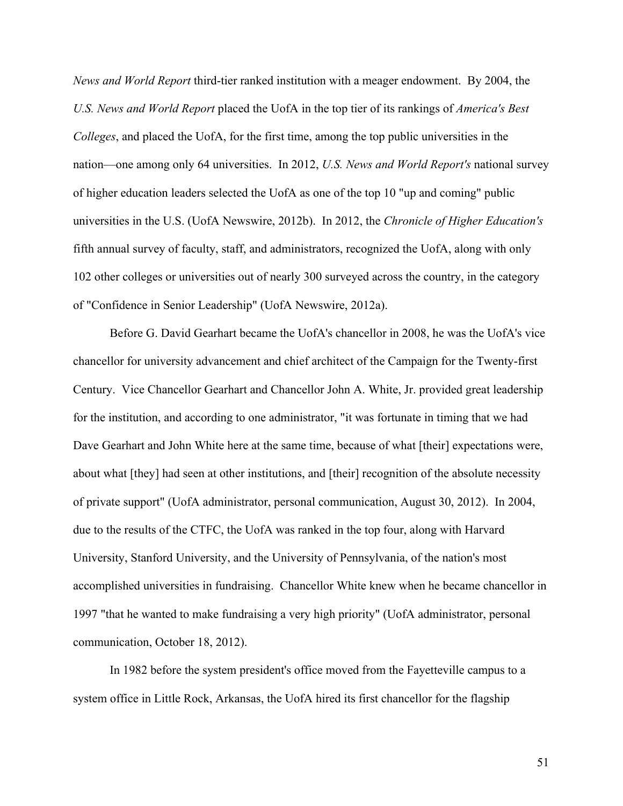*News and World Report* third-tier ranked institution with a meager endowment. By 2004, the *U.S. News and World Report* placed the UofA in the top tier of its rankings of *America's Best Colleges*, and placed the UofA, for the first time, among the top public universities in the nation—one among only 64 universities. In 2012, *U.S. News and World Report's* national survey of higher education leaders selected the UofA as one of the top 10 "up and coming" public universities in the U.S. (UofA Newswire, 2012b). In 2012, the *Chronicle of Higher Education's* fifth annual survey of faculty, staff, and administrators, recognized the UofA, along with only 102 other colleges or universities out of nearly 300 surveyed across the country, in the category of "Confidence in Senior Leadership" (UofA Newswire, 2012a).

Before G. David Gearhart became the UofA's chancellor in 2008, he was the UofA's vice chancellor for university advancement and chief architect of the Campaign for the Twenty-first Century. Vice Chancellor Gearhart and Chancellor John A. White, Jr. provided great leadership for the institution, and according to one administrator, "it was fortunate in timing that we had Dave Gearhart and John White here at the same time, because of what [their] expectations were, about what [they] had seen at other institutions, and [their] recognition of the absolute necessity of private support" (UofA administrator, personal communication, August 30, 2012). In 2004, due to the results of the CTFC, the UofA was ranked in the top four, along with Harvard University, Stanford University, and the University of Pennsylvania, of the nation's most accomplished universities in fundraising. Chancellor White knew when he became chancellor in 1997 "that he wanted to make fundraising a very high priority" (UofA administrator, personal communication, October 18, 2012).

In 1982 before the system president's office moved from the Fayetteville campus to a system office in Little Rock, Arkansas, the UofA hired its first chancellor for the flagship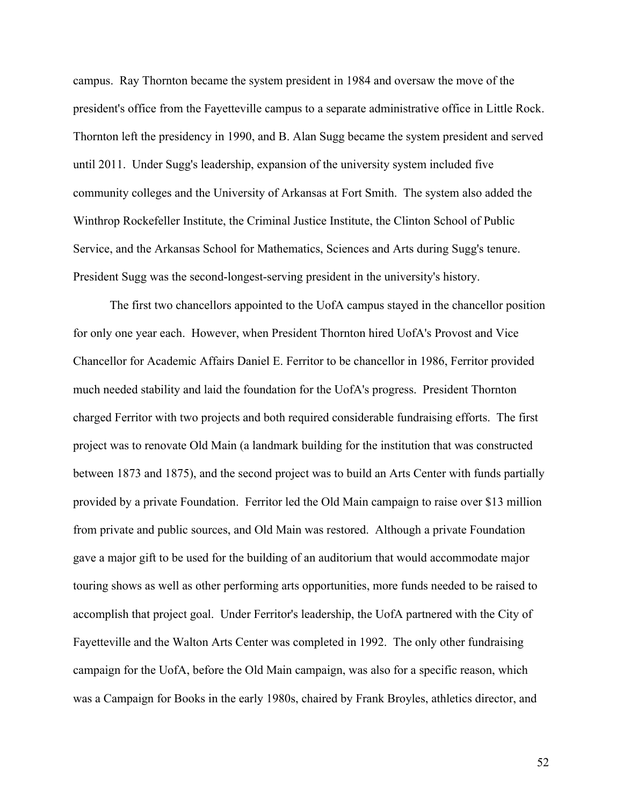campus. Ray Thornton became the system president in 1984 and oversaw the move of the president's office from the Fayetteville campus to a separate administrative office in Little Rock. Thornton left the presidency in 1990, and B. Alan Sugg became the system president and served until 2011. Under Sugg's leadership, expansion of the university system included five community colleges and the University of Arkansas at Fort Smith. The system also added the Winthrop Rockefeller Institute, the Criminal Justice Institute, the Clinton School of Public Service, and the Arkansas School for Mathematics, Sciences and Arts during Sugg's tenure. President Sugg was the second-longest-serving president in the university's history.

The first two chancellors appointed to the UofA campus stayed in the chancellor position for only one year each. However, when President Thornton hired UofA's Provost and Vice Chancellor for Academic Affairs Daniel E. Ferritor to be chancellor in 1986, Ferritor provided much needed stability and laid the foundation for the UofA's progress. President Thornton charged Ferritor with two projects and both required considerable fundraising efforts. The first project was to renovate Old Main (a landmark building for the institution that was constructed between 1873 and 1875), and the second project was to build an Arts Center with funds partially provided by a private Foundation. Ferritor led the Old Main campaign to raise over \$13 million from private and public sources, and Old Main was restored. Although a private Foundation gave a major gift to be used for the building of an auditorium that would accommodate major touring shows as well as other performing arts opportunities, more funds needed to be raised to accomplish that project goal. Under Ferritor's leadership, the UofA partnered with the City of Fayetteville and the Walton Arts Center was completed in 1992. The only other fundraising campaign for the UofA, before the Old Main campaign, was also for a specific reason, which was a Campaign for Books in the early 1980s, chaired by Frank Broyles, athletics director, and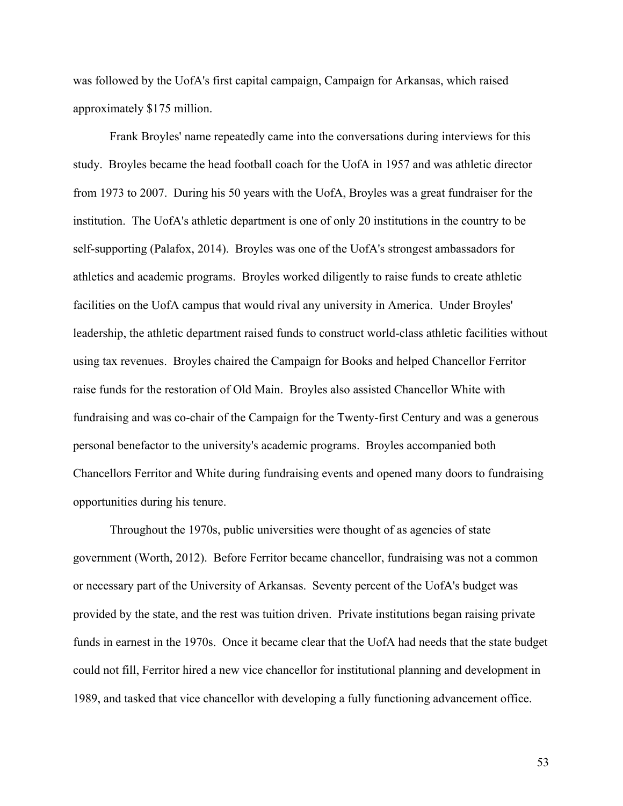was followed by the UofA's first capital campaign, Campaign for Arkansas, which raised approximately \$175 million.

Frank Broyles' name repeatedly came into the conversations during interviews for this study. Broyles became the head football coach for the UofA in 1957 and was athletic director from 1973 to 2007. During his 50 years with the UofA, Broyles was a great fundraiser for the institution. The UofA's athletic department is one of only 20 institutions in the country to be self-supporting (Palafox, 2014). Broyles was one of the UofA's strongest ambassadors for athletics and academic programs. Broyles worked diligently to raise funds to create athletic facilities on the UofA campus that would rival any university in America. Under Broyles' leadership, the athletic department raised funds to construct world-class athletic facilities without using tax revenues. Broyles chaired the Campaign for Books and helped Chancellor Ferritor raise funds for the restoration of Old Main. Broyles also assisted Chancellor White with fundraising and was co-chair of the Campaign for the Twenty-first Century and was a generous personal benefactor to the university's academic programs. Broyles accompanied both Chancellors Ferritor and White during fundraising events and opened many doors to fundraising opportunities during his tenure.

Throughout the 1970s, public universities were thought of as agencies of state government (Worth, 2012). Before Ferritor became chancellor, fundraising was not a common or necessary part of the University of Arkansas. Seventy percent of the UofA's budget was provided by the state, and the rest was tuition driven. Private institutions began raising private funds in earnest in the 1970s. Once it became clear that the UofA had needs that the state budget could not fill, Ferritor hired a new vice chancellor for institutional planning and development in 1989, and tasked that vice chancellor with developing a fully functioning advancement office.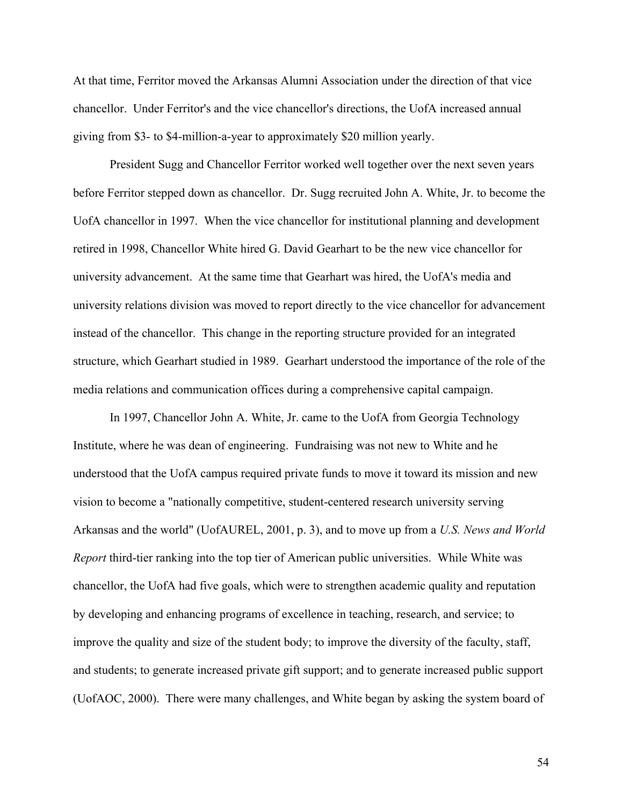At that time, Ferritor moved the Arkansas Alumni Association under the direction of that vice chancellor. Under Ferritor's and the vice chancellor's directions, the UofA increased annual giving from \$3- to \$4-million-a-year to approximately \$20 million yearly.

President Sugg and Chancellor Ferritor worked well together over the next seven years before Ferritor stepped down as chancellor. Dr. Sugg recruited John A. White, Jr. to become the UofA chancellor in 1997. When the vice chancellor for institutional planning and development retired in 1998, Chancellor White hired G. David Gearhart to be the new vice chancellor for university advancement. At the same time that Gearhart was hired, the UofA's media and university relations division was moved to report directly to the vice chancellor for advancement instead of the chancellor. This change in the reporting structure provided for an integrated structure, which Gearhart studied in 1989. Gearhart understood the importance of the role of the media relations and communication offices during a comprehensive capital campaign.

In 1997, Chancellor John A. White, Jr. came to the UofA from Georgia Technology Institute, where he was dean of engineering. Fundraising was not new to White and he understood that the UofA campus required private funds to move it toward its mission and new vision to become a "nationally competitive, student-centered research university serving Arkansas and the world" (UofAUREL, 2001, p. 3), and to move up from a *U.S. News and World Report* third-tier ranking into the top tier of American public universities. While White was chancellor, the UofA had five goals, which were to strengthen academic quality and reputation by developing and enhancing programs of excellence in teaching, research, and service; to improve the quality and size of the student body; to improve the diversity of the faculty, staff, and students; to generate increased private gift support; and to generate increased public support (UofAOC, 2000). There were many challenges, and White began by asking the system board of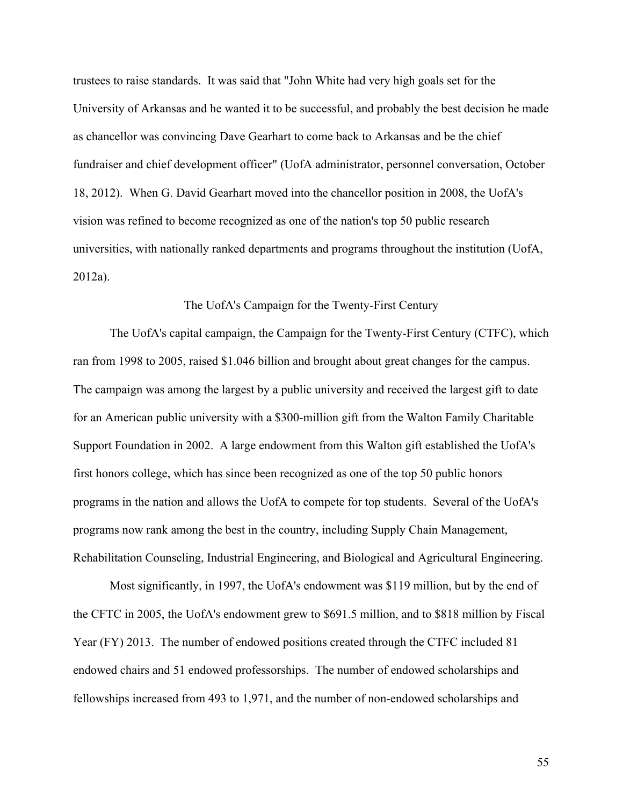trustees to raise standards. It was said that "John White had very high goals set for the University of Arkansas and he wanted it to be successful, and probably the best decision he made as chancellor was convincing Dave Gearhart to come back to Arkansas and be the chief fundraiser and chief development officer" (UofA administrator, personnel conversation, October 18, 2012). When G. David Gearhart moved into the chancellor position in 2008, the UofA's vision was refined to become recognized as one of the nation's top 50 public research universities, with nationally ranked departments and programs throughout the institution (UofA, 2012a).

## The UofA's Campaign for the Twenty-First Century

The UofA's capital campaign, the Campaign for the Twenty-First Century (CTFC), which ran from 1998 to 2005, raised \$1.046 billion and brought about great changes for the campus. The campaign was among the largest by a public university and received the largest gift to date for an American public university with a \$300-million gift from the Walton Family Charitable Support Foundation in 2002. A large endowment from this Walton gift established the UofA's first honors college, which has since been recognized as one of the top 50 public honors programs in the nation and allows the UofA to compete for top students. Several of the UofA's programs now rank among the best in the country, including Supply Chain Management, Rehabilitation Counseling, Industrial Engineering, and Biological and Agricultural Engineering.

Most significantly, in 1997, the UofA's endowment was \$119 million, but by the end of the CFTC in 2005, the UofA's endowment grew to \$691.5 million, and to \$818 million by Fiscal Year (FY) 2013. The number of endowed positions created through the CTFC included 81 endowed chairs and 51 endowed professorships. The number of endowed scholarships and fellowships increased from 493 to 1,971, and the number of non-endowed scholarships and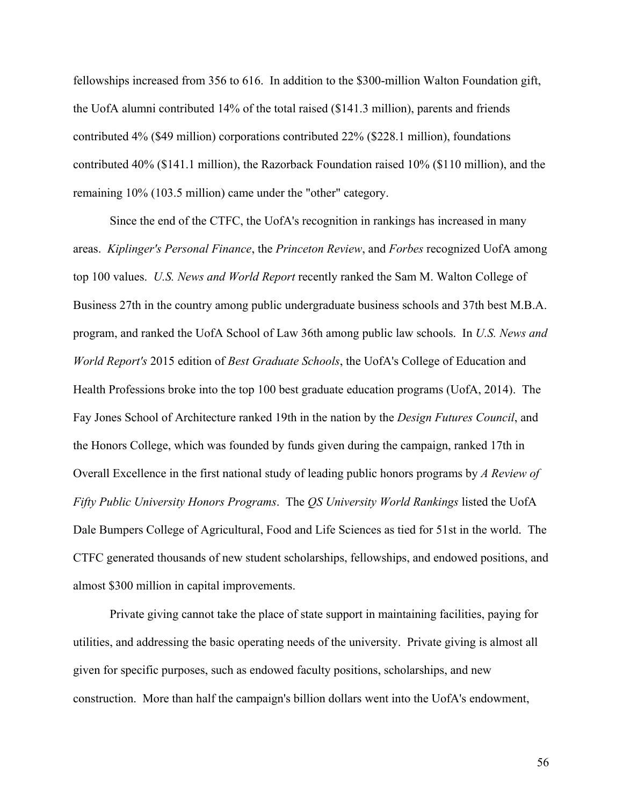fellowships increased from 356 to 616. In addition to the \$300-million Walton Foundation gift, the UofA alumni contributed 14% of the total raised (\$141.3 million), parents and friends contributed 4% (\$49 million) corporations contributed 22% (\$228.1 million), foundations contributed 40% (\$141.1 million), the Razorback Foundation raised 10% (\$110 million), and the remaining 10% (103.5 million) came under the "other" category.

Since the end of the CTFC, the UofA's recognition in rankings has increased in many areas. *Kiplinger's Personal Finance*, the *Princeton Review*, and *Forbes* recognized UofA among top 100 values. *U.S. News and World Report* recently ranked the Sam M. Walton College of Business 27th in the country among public undergraduate business schools and 37th best M.B.A. program, and ranked the UofA School of Law 36th among public law schools. In *U.S. News and World Report's* 2015 edition of *Best Graduate Schools*, the UofA's College of Education and Health Professions broke into the top 100 best graduate education programs (UofA, 2014). The Fay Jones School of Architecture ranked 19th in the nation by the *Design Futures Council*, and the Honors College, which was founded by funds given during the campaign, ranked 17th in Overall Excellence in the first national study of leading public honors programs by *A Review of Fifty Public University Honors Programs*. The *QS University World Rankings* listed the UofA Dale Bumpers College of Agricultural, Food and Life Sciences as tied for 51st in the world. The CTFC generated thousands of new student scholarships, fellowships, and endowed positions, and almost \$300 million in capital improvements.

Private giving cannot take the place of state support in maintaining facilities, paying for utilities, and addressing the basic operating needs of the university. Private giving is almost all given for specific purposes, such as endowed faculty positions, scholarships, and new construction. More than half the campaign's billion dollars went into the UofA's endowment,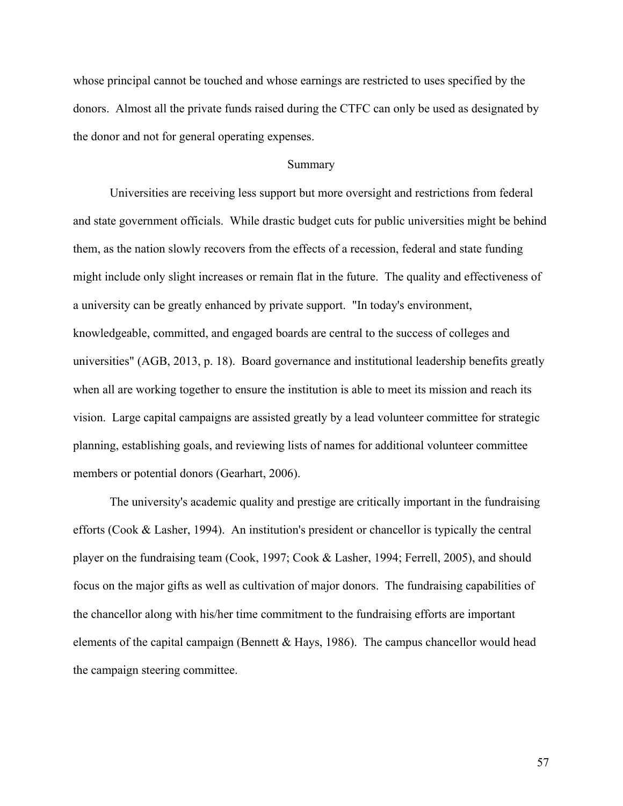whose principal cannot be touched and whose earnings are restricted to uses specified by the donors. Almost all the private funds raised during the CTFC can only be used as designated by the donor and not for general operating expenses.

## Summary

Universities are receiving less support but more oversight and restrictions from federal and state government officials. While drastic budget cuts for public universities might be behind them, as the nation slowly recovers from the effects of a recession, federal and state funding might include only slight increases or remain flat in the future. The quality and effectiveness of a university can be greatly enhanced by private support. "In today's environment, knowledgeable, committed, and engaged boards are central to the success of colleges and universities" (AGB, 2013, p. 18). Board governance and institutional leadership benefits greatly when all are working together to ensure the institution is able to meet its mission and reach its vision. Large capital campaigns are assisted greatly by a lead volunteer committee for strategic planning, establishing goals, and reviewing lists of names for additional volunteer committee members or potential donors (Gearhart, 2006).

The university's academic quality and prestige are critically important in the fundraising efforts (Cook & Lasher, 1994). An institution's president or chancellor is typically the central player on the fundraising team (Cook, 1997; Cook & Lasher, 1994; Ferrell, 2005), and should focus on the major gifts as well as cultivation of major donors. The fundraising capabilities of the chancellor along with his/her time commitment to the fundraising efforts are important elements of the capital campaign (Bennett & Hays, 1986). The campus chancellor would head the campaign steering committee.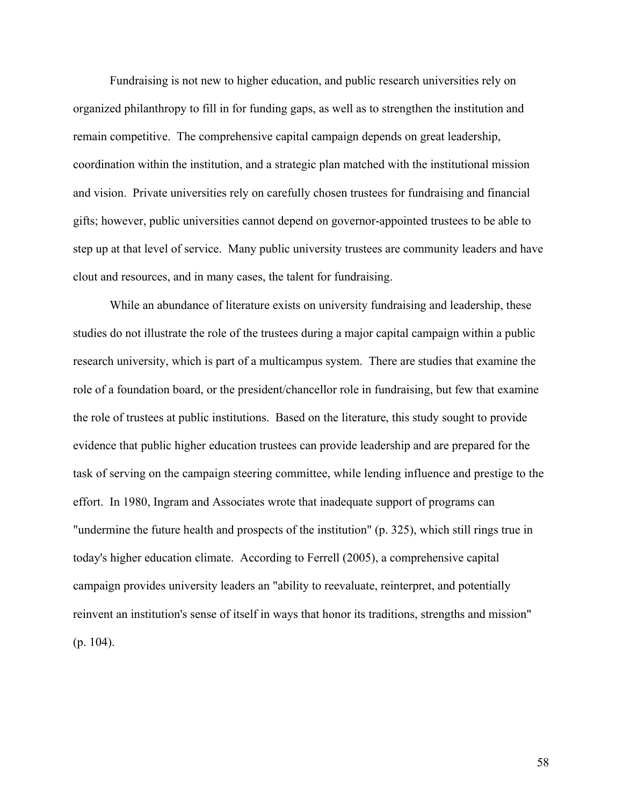Fundraising is not new to higher education, and public research universities rely on organized philanthropy to fill in for funding gaps, as well as to strengthen the institution and remain competitive. The comprehensive capital campaign depends on great leadership, coordination within the institution, and a strategic plan matched with the institutional mission and vision. Private universities rely on carefully chosen trustees for fundraising and financial gifts; however, public universities cannot depend on governor-appointed trustees to be able to step up at that level of service. Many public university trustees are community leaders and have clout and resources, and in many cases, the talent for fundraising.

While an abundance of literature exists on university fundraising and leadership, these studies do not illustrate the role of the trustees during a major capital campaign within a public research university, which is part of a multicampus system. There are studies that examine the role of a foundation board, or the president/chancellor role in fundraising, but few that examine the role of trustees at public institutions. Based on the literature, this study sought to provide evidence that public higher education trustees can provide leadership and are prepared for the task of serving on the campaign steering committee, while lending influence and prestige to the effort. In 1980, Ingram and Associates wrote that inadequate support of programs can "undermine the future health and prospects of the institution" (p. 325), which still rings true in today's higher education climate. According to Ferrell (2005), a comprehensive capital campaign provides university leaders an "ability to reevaluate, reinterpret, and potentially reinvent an institution's sense of itself in ways that honor its traditions, strengths and mission" (p. 104).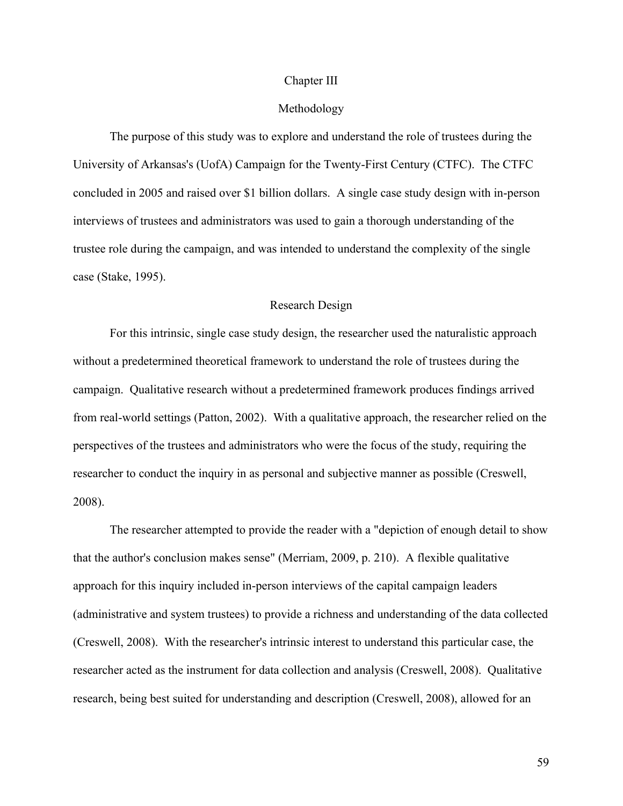#### Chapter III

## Methodology

The purpose of this study was to explore and understand the role of trustees during the University of Arkansas's (UofA) Campaign for the Twenty-First Century (CTFC). The CTFC concluded in 2005 and raised over \$1 billion dollars. A single case study design with in-person interviews of trustees and administrators was used to gain a thorough understanding of the trustee role during the campaign, and was intended to understand the complexity of the single case (Stake, 1995).

## Research Design

For this intrinsic, single case study design, the researcher used the naturalistic approach without a predetermined theoretical framework to understand the role of trustees during the campaign. Qualitative research without a predetermined framework produces findings arrived from real-world settings (Patton, 2002). With a qualitative approach, the researcher relied on the perspectives of the trustees and administrators who were the focus of the study, requiring the researcher to conduct the inquiry in as personal and subjective manner as possible (Creswell, 2008).

The researcher attempted to provide the reader with a "depiction of enough detail to show that the author's conclusion makes sense" (Merriam, 2009, p. 210). A flexible qualitative approach for this inquiry included in-person interviews of the capital campaign leaders (administrative and system trustees) to provide a richness and understanding of the data collected (Creswell, 2008). With the researcher's intrinsic interest to understand this particular case, the researcher acted as the instrument for data collection and analysis (Creswell, 2008). Qualitative research, being best suited for understanding and description (Creswell, 2008), allowed for an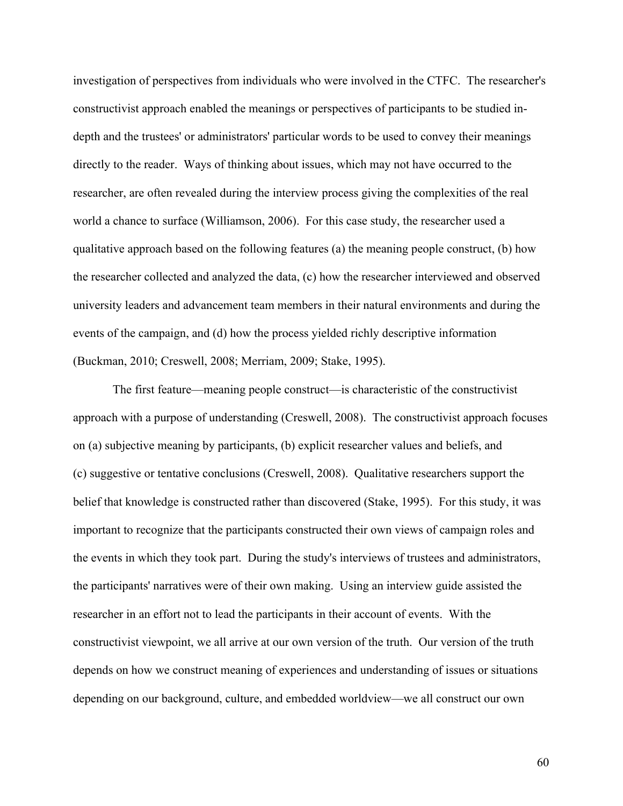investigation of perspectives from individuals who were involved in the CTFC. The researcher's constructivist approach enabled the meanings or perspectives of participants to be studied indepth and the trustees' or administrators' particular words to be used to convey their meanings directly to the reader. Ways of thinking about issues, which may not have occurred to the researcher, are often revealed during the interview process giving the complexities of the real world a chance to surface (Williamson, 2006). For this case study, the researcher used a qualitative approach based on the following features (a) the meaning people construct, (b) how the researcher collected and analyzed the data, (c) how the researcher interviewed and observed university leaders and advancement team members in their natural environments and during the events of the campaign, and (d) how the process yielded richly descriptive information (Buckman, 2010; Creswell, 2008; Merriam, 2009; Stake, 1995).

The first feature—meaning people construct—is characteristic of the constructivist approach with a purpose of understanding (Creswell, 2008). The constructivist approach focuses on (a) subjective meaning by participants, (b) explicit researcher values and beliefs, and (c) suggestive or tentative conclusions (Creswell, 2008). Qualitative researchers support the belief that knowledge is constructed rather than discovered (Stake, 1995). For this study, it was important to recognize that the participants constructed their own views of campaign roles and the events in which they took part. During the study's interviews of trustees and administrators, the participants' narratives were of their own making. Using an interview guide assisted the researcher in an effort not to lead the participants in their account of events. With the constructivist viewpoint, we all arrive at our own version of the truth. Our version of the truth depends on how we construct meaning of experiences and understanding of issues or situations depending on our background, culture, and embedded worldview—we all construct our own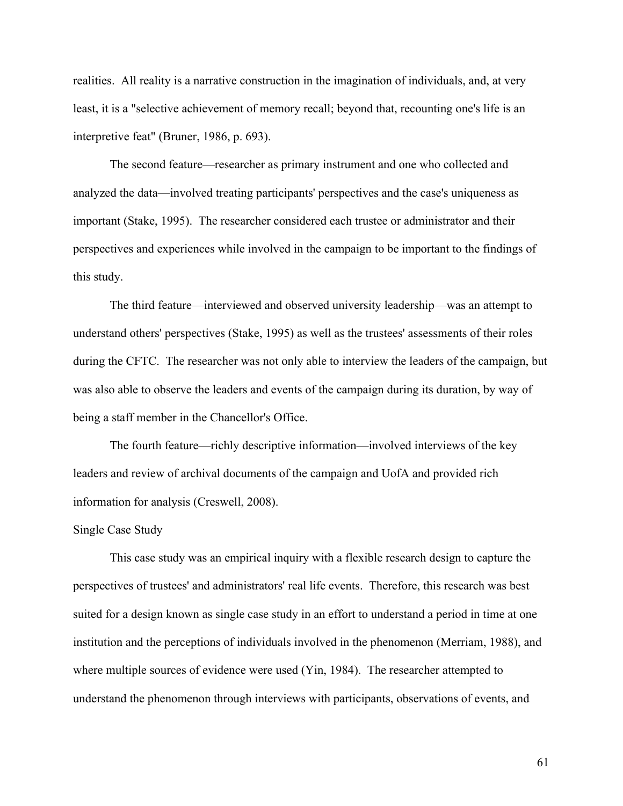realities. All reality is a narrative construction in the imagination of individuals, and, at very least, it is a "selective achievement of memory recall; beyond that, recounting one's life is an interpretive feat" (Bruner, 1986, p. 693).

The second feature—researcher as primary instrument and one who collected and analyzed the data—involved treating participants' perspectives and the case's uniqueness as important (Stake, 1995). The researcher considered each trustee or administrator and their perspectives and experiences while involved in the campaign to be important to the findings of this study.

The third feature—interviewed and observed university leadership—was an attempt to understand others' perspectives (Stake, 1995) as well as the trustees' assessments of their roles during the CFTC. The researcher was not only able to interview the leaders of the campaign, but was also able to observe the leaders and events of the campaign during its duration, by way of being a staff member in the Chancellor's Office.

The fourth feature—richly descriptive information—involved interviews of the key leaders and review of archival documents of the campaign and UofA and provided rich information for analysis (Creswell, 2008).

#### Single Case Study

This case study was an empirical inquiry with a flexible research design to capture the perspectives of trustees' and administrators' real life events. Therefore, this research was best suited for a design known as single case study in an effort to understand a period in time at one institution and the perceptions of individuals involved in the phenomenon (Merriam, 1988), and where multiple sources of evidence were used (Yin, 1984). The researcher attempted to understand the phenomenon through interviews with participants, observations of events, and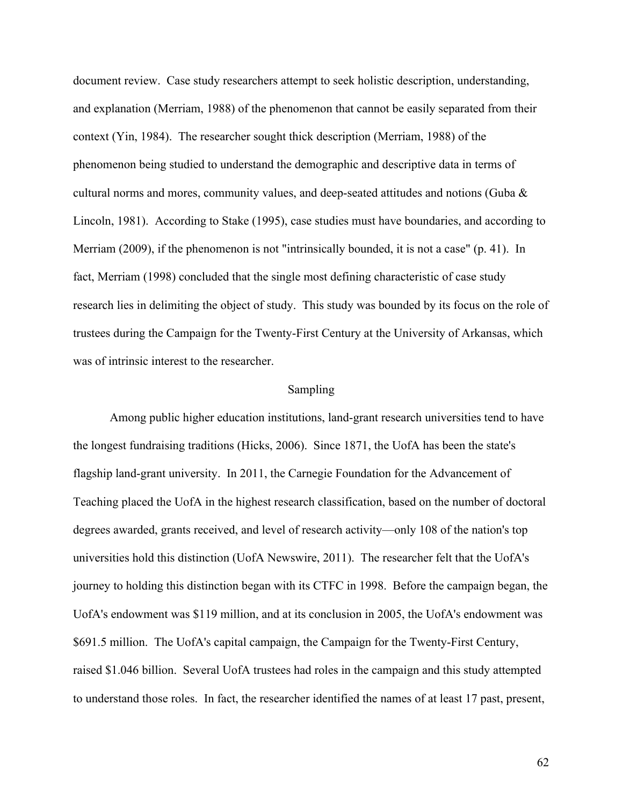document review. Case study researchers attempt to seek holistic description, understanding, and explanation (Merriam, 1988) of the phenomenon that cannot be easily separated from their context (Yin, 1984). The researcher sought thick description (Merriam, 1988) of the phenomenon being studied to understand the demographic and descriptive data in terms of cultural norms and mores, community values, and deep-seated attitudes and notions (Guba & Lincoln, 1981). According to Stake (1995), case studies must have boundaries, and according to Merriam (2009), if the phenomenon is not "intrinsically bounded, it is not a case" (p. 41). In fact, Merriam (1998) concluded that the single most defining characteristic of case study research lies in delimiting the object of study. This study was bounded by its focus on the role of trustees during the Campaign for the Twenty-First Century at the University of Arkansas, which was of intrinsic interest to the researcher.

#### Sampling

Among public higher education institutions, land-grant research universities tend to have the longest fundraising traditions (Hicks, 2006). Since 1871, the UofA has been the state's flagship land-grant university. In 2011, the Carnegie Foundation for the Advancement of Teaching placed the UofA in the highest research classification, based on the number of doctoral degrees awarded, grants received, and level of research activity—only 108 of the nation's top universities hold this distinction (UofA Newswire, 2011). The researcher felt that the UofA's journey to holding this distinction began with its CTFC in 1998. Before the campaign began, the UofA's endowment was \$119 million, and at its conclusion in 2005, the UofA's endowment was \$691.5 million. The UofA's capital campaign, the Campaign for the Twenty-First Century, raised \$1.046 billion. Several UofA trustees had roles in the campaign and this study attempted to understand those roles. In fact, the researcher identified the names of at least 17 past, present,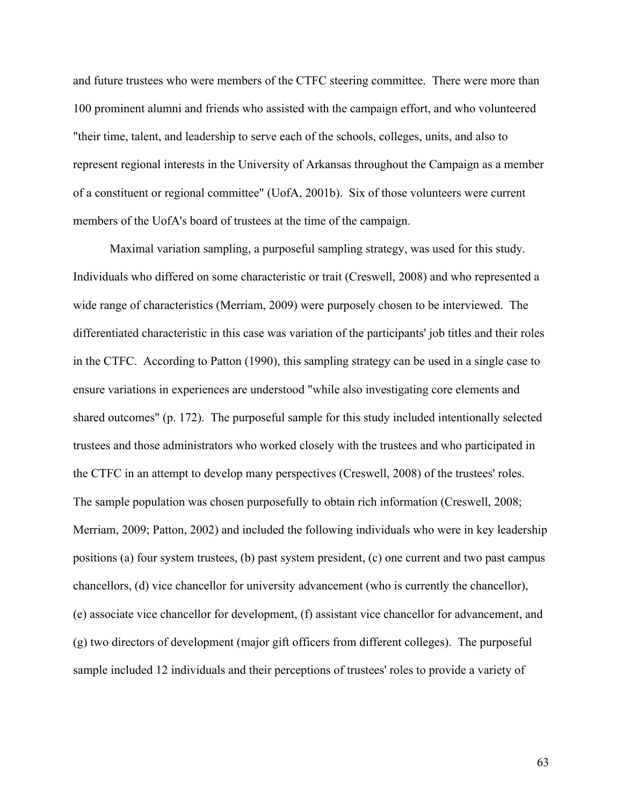and future trustees who were members of the CTFC steering committee. There were more than 100 prominent alumni and friends who assisted with the campaign effort, and who volunteered "their time, talent, and leadership to serve each of the schools, colleges, units, and also to represent regional interests in the University of Arkansas throughout the Campaign as a member of a constituent or regional committee" (UofA, 2001b). Six of those volunteers were current members of the UofA's board of trustees at the time of the campaign.

Maximal variation sampling, a purposeful sampling strategy, was used for this study. Individuals who differed on some characteristic or trait (Creswell, 2008) and who represented a wide range of characteristics (Merriam, 2009) were purposely chosen to be interviewed. The differentiated characteristic in this case was variation of the participants' job titles and their roles in the CTFC. According to Patton (1990), this sampling strategy can be used in a single case to ensure variations in experiences are understood "while also investigating core elements and shared outcomes" (p. 172). The purposeful sample for this study included intentionally selected trustees and those administrators who worked closely with the trustees and who participated in the CTFC in an attempt to develop many perspectives (Creswell, 2008) of the trustees' roles. The sample population was chosen purposefully to obtain rich information (Creswell, 2008; Merriam, 2009; Patton, 2002) and included the following individuals who were in key leadership positions (a) four system trustees, (b) past system president, (c) one current and two past campus chancellors, (d) vice chancellor for university advancement (who is currently the chancellor), (e) associate vice chancellor for development, (f) assistant vice chancellor for advancement, and (g) two directors of development (major gift officers from different colleges). The purposeful sample included 12 individuals and their perceptions of trustees' roles to provide a variety of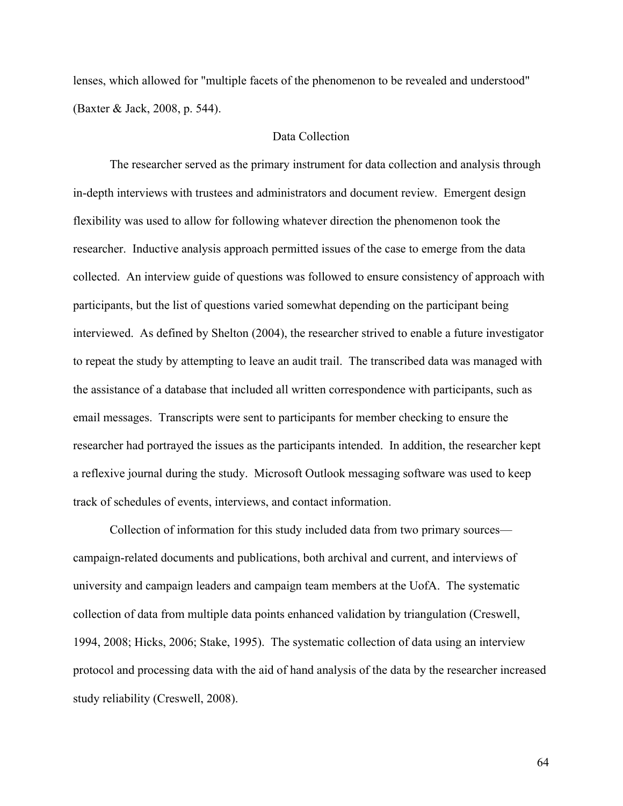lenses, which allowed for "multiple facets of the phenomenon to be revealed and understood" (Baxter & Jack, 2008, p. 544).

# Data Collection

The researcher served as the primary instrument for data collection and analysis through in-depth interviews with trustees and administrators and document review. Emergent design flexibility was used to allow for following whatever direction the phenomenon took the researcher. Inductive analysis approach permitted issues of the case to emerge from the data collected. An interview guide of questions was followed to ensure consistency of approach with participants, but the list of questions varied somewhat depending on the participant being interviewed. As defined by Shelton (2004), the researcher strived to enable a future investigator to repeat the study by attempting to leave an audit trail. The transcribed data was managed with the assistance of a database that included all written correspondence with participants, such as email messages. Transcripts were sent to participants for member checking to ensure the researcher had portrayed the issues as the participants intended. In addition, the researcher kept a reflexive journal during the study. Microsoft Outlook messaging software was used to keep track of schedules of events, interviews, and contact information.

Collection of information for this study included data from two primary sources campaign-related documents and publications, both archival and current, and interviews of university and campaign leaders and campaign team members at the UofA. The systematic collection of data from multiple data points enhanced validation by triangulation (Creswell, 1994, 2008; Hicks, 2006; Stake, 1995). The systematic collection of data using an interview protocol and processing data with the aid of hand analysis of the data by the researcher increased study reliability (Creswell, 2008).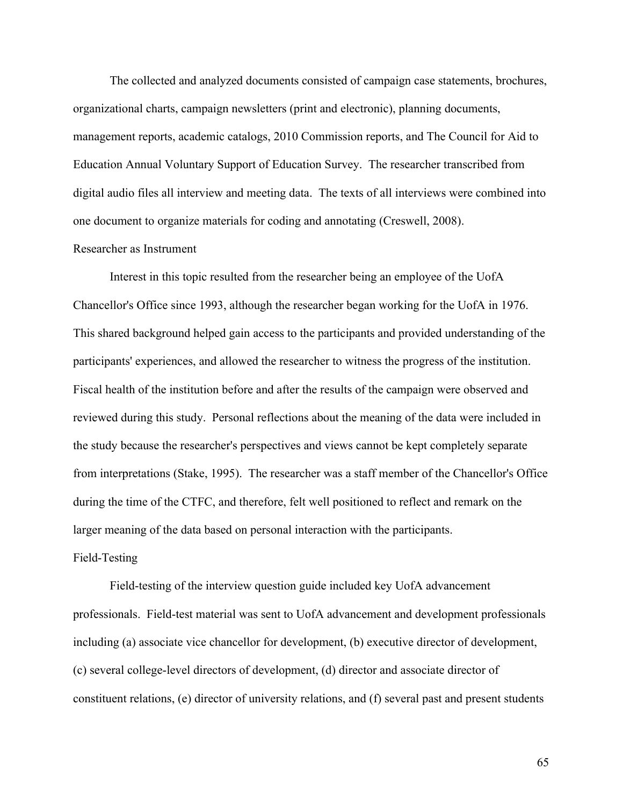The collected and analyzed documents consisted of campaign case statements, brochures, organizational charts, campaign newsletters (print and electronic), planning documents, management reports, academic catalogs, 2010 Commission reports, and The Council for Aid to Education Annual Voluntary Support of Education Survey. The researcher transcribed from digital audio files all interview and meeting data. The texts of all interviews were combined into one document to organize materials for coding and annotating (Creswell, 2008).

# Researcher as Instrument

Interest in this topic resulted from the researcher being an employee of the UofA Chancellor's Office since 1993, although the researcher began working for the UofA in 1976. This shared background helped gain access to the participants and provided understanding of the participants' experiences, and allowed the researcher to witness the progress of the institution. Fiscal health of the institution before and after the results of the campaign were observed and reviewed during this study. Personal reflections about the meaning of the data were included in the study because the researcher's perspectives and views cannot be kept completely separate from interpretations (Stake, 1995). The researcher was a staff member of the Chancellor's Office during the time of the CTFC, and therefore, felt well positioned to reflect and remark on the larger meaning of the data based on personal interaction with the participants.

# Field-Testing

Field-testing of the interview question guide included key UofA advancement professionals. Field-test material was sent to UofA advancement and development professionals including (a) associate vice chancellor for development, (b) executive director of development, (c) several college-level directors of development, (d) director and associate director of constituent relations, (e) director of university relations, and (f) several past and present students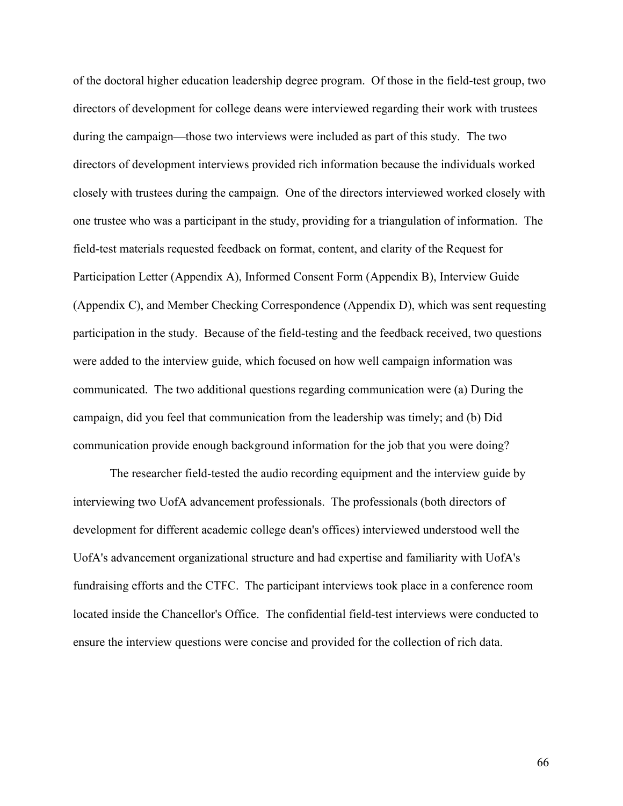of the doctoral higher education leadership degree program. Of those in the field-test group, two directors of development for college deans were interviewed regarding their work with trustees during the campaign—those two interviews were included as part of this study. The two directors of development interviews provided rich information because the individuals worked closely with trustees during the campaign. One of the directors interviewed worked closely with one trustee who was a participant in the study, providing for a triangulation of information. The field-test materials requested feedback on format, content, and clarity of the Request for Participation Letter (Appendix A), Informed Consent Form (Appendix B), Interview Guide (Appendix C), and Member Checking Correspondence (Appendix D), which was sent requesting participation in the study. Because of the field-testing and the feedback received, two questions were added to the interview guide, which focused on how well campaign information was communicated. The two additional questions regarding communication were (a) During the campaign, did you feel that communication from the leadership was timely; and (b) Did communication provide enough background information for the job that you were doing?

The researcher field-tested the audio recording equipment and the interview guide by interviewing two UofA advancement professionals. The professionals (both directors of development for different academic college dean's offices) interviewed understood well the UofA's advancement organizational structure and had expertise and familiarity with UofA's fundraising efforts and the CTFC. The participant interviews took place in a conference room located inside the Chancellor's Office. The confidential field-test interviews were conducted to ensure the interview questions were concise and provided for the collection of rich data.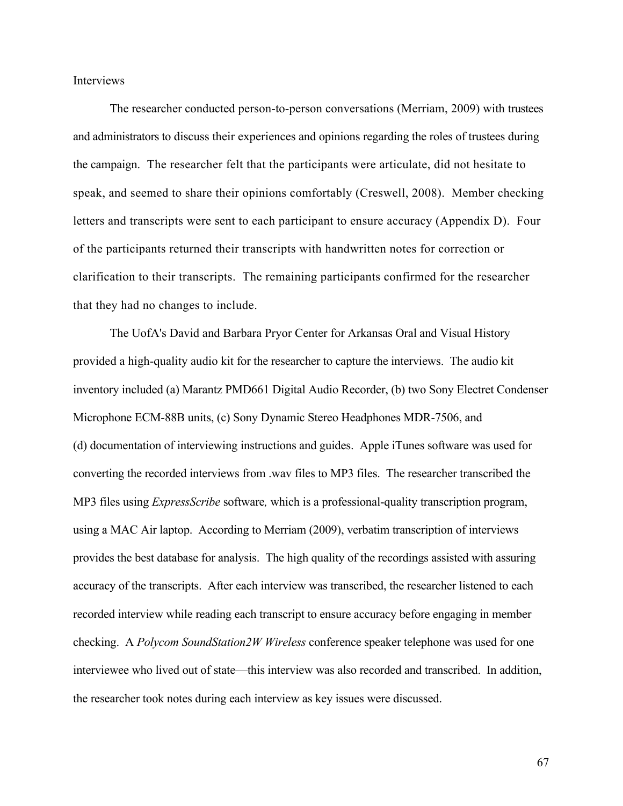Interviews

The researcher conducted person-to-person conversations (Merriam, 2009) with trustees and administrators to discuss their experiences and opinions regarding the roles of trustees during the campaign. The researcher felt that the participants were articulate, did not hesitate to speak, and seemed to share their opinions comfortably (Creswell, 2008). Member checking letters and transcripts were sent to each participant to ensure accuracy (Appendix D). Four of the participants returned their transcripts with handwritten notes for correction or clarification to their transcripts. The remaining participants confirmed for the researcher that they had no changes to include.

The UofA's David and Barbara Pryor Center for Arkansas Oral and Visual History provided a high-quality audio kit for the researcher to capture the interviews. The audio kit inventory included (a) Marantz PMD661 Digital Audio Recorder, (b) two Sony Electret Condenser Microphone ECM-88B units, (c) Sony Dynamic Stereo Headphones MDR-7506, and (d) documentation of interviewing instructions and guides. Apple iTunes software was used for converting the recorded interviews from .wav files to MP3 files. The researcher transcribed the MP3 files using *ExpressScribe* software*,* which is a professional-quality transcription program, using a MAC Air laptop. According to Merriam (2009), verbatim transcription of interviews provides the best database for analysis. The high quality of the recordings assisted with assuring accuracy of the transcripts. After each interview was transcribed, the researcher listened to each recorded interview while reading each transcript to ensure accuracy before engaging in member checking. A *Polycom SoundStation2W Wireless* conference speaker telephone was used for one interviewee who lived out of state—this interview was also recorded and transcribed. In addition, the researcher took notes during each interview as key issues were discussed.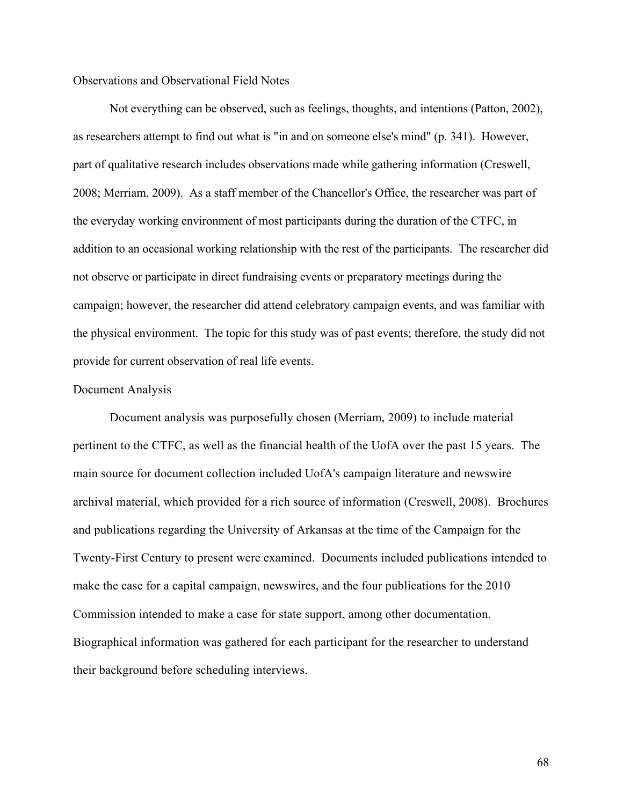## Observations and Observational Field Notes

Not everything can be observed, such as feelings, thoughts, and intentions (Patton, 2002), as researchers attempt to find out what is "in and on someone else's mind" (p. 341). However, part of qualitative research includes observations made while gathering information (Creswell, 2008; Merriam, 2009). As a staff member of the Chancellor's Office, the researcher was part of the everyday working environment of most participants during the duration of the CTFC, in addition to an occasional working relationship with the rest of the participants. The researcher did not observe or participate in direct fundraising events or preparatory meetings during the campaign; however, the researcher did attend celebratory campaign events, and was familiar with the physical environment. The topic for this study was of past events; therefore, the study did not provide for current observation of real life events.

## Document Analysis

Document analysis was purposefully chosen (Merriam, 2009) to include material pertinent to the CTFC, as well as the financial health of the UofA over the past 15 years. The main source for document collection included UofA's campaign literature and newswire archival material, which provided for a rich source of information (Creswell, 2008). Brochures and publications regarding the University of Arkansas at the time of the Campaign for the Twenty-First Century to present were examined. Documents included publications intended to make the case for a capital campaign, newswires, and the four publications for the 2010 Commission intended to make a case for state support, among other documentation. Biographical information was gathered for each participant for the researcher to understand their background before scheduling interviews.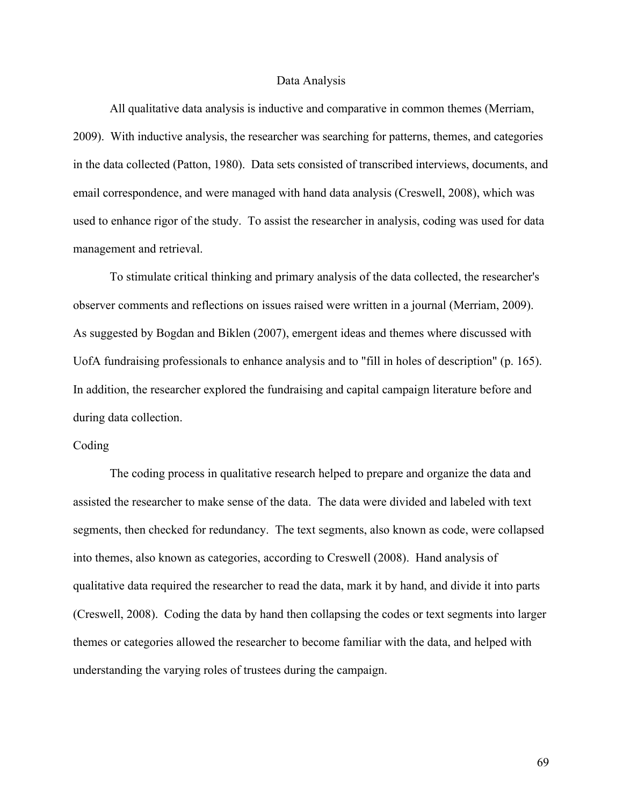#### Data Analysis

All qualitative data analysis is inductive and comparative in common themes (Merriam, 2009). With inductive analysis, the researcher was searching for patterns, themes, and categories in the data collected (Patton, 1980). Data sets consisted of transcribed interviews, documents, and email correspondence, and were managed with hand data analysis (Creswell, 2008), which was used to enhance rigor of the study. To assist the researcher in analysis, coding was used for data management and retrieval.

To stimulate critical thinking and primary analysis of the data collected, the researcher's observer comments and reflections on issues raised were written in a journal (Merriam, 2009). As suggested by Bogdan and Biklen (2007), emergent ideas and themes where discussed with UofA fundraising professionals to enhance analysis and to "fill in holes of description" (p. 165). In addition, the researcher explored the fundraising and capital campaign literature before and during data collection.

## Coding

The coding process in qualitative research helped to prepare and organize the data and assisted the researcher to make sense of the data. The data were divided and labeled with text segments, then checked for redundancy. The text segments, also known as code, were collapsed into themes, also known as categories, according to Creswell (2008). Hand analysis of qualitative data required the researcher to read the data, mark it by hand, and divide it into parts (Creswell, 2008). Coding the data by hand then collapsing the codes or text segments into larger themes or categories allowed the researcher to become familiar with the data, and helped with understanding the varying roles of trustees during the campaign.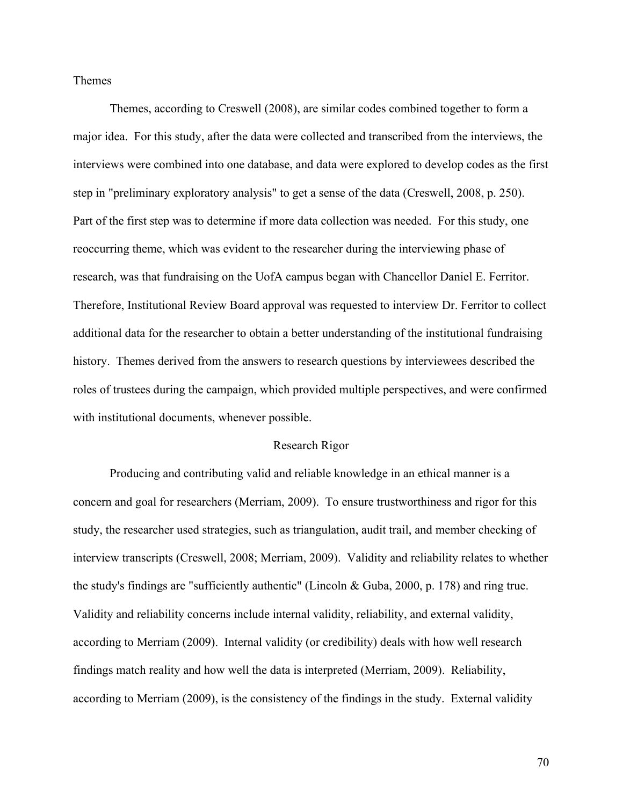Themes

Themes, according to Creswell (2008), are similar codes combined together to form a major idea. For this study, after the data were collected and transcribed from the interviews, the interviews were combined into one database, and data were explored to develop codes as the first step in "preliminary exploratory analysis" to get a sense of the data (Creswell, 2008, p. 250). Part of the first step was to determine if more data collection was needed. For this study, one reoccurring theme, which was evident to the researcher during the interviewing phase of research, was that fundraising on the UofA campus began with Chancellor Daniel E. Ferritor. Therefore, Institutional Review Board approval was requested to interview Dr. Ferritor to collect additional data for the researcher to obtain a better understanding of the institutional fundraising history. Themes derived from the answers to research questions by interviewees described the roles of trustees during the campaign, which provided multiple perspectives, and were confirmed with institutional documents, whenever possible.

#### Research Rigor

Producing and contributing valid and reliable knowledge in an ethical manner is a concern and goal for researchers (Merriam, 2009). To ensure trustworthiness and rigor for this study, the researcher used strategies, such as triangulation, audit trail, and member checking of interview transcripts (Creswell, 2008; Merriam, 2009). Validity and reliability relates to whether the study's findings are "sufficiently authentic" (Lincoln & Guba, 2000, p. 178) and ring true. Validity and reliability concerns include internal validity, reliability, and external validity, according to Merriam (2009). Internal validity (or credibility) deals with how well research findings match reality and how well the data is interpreted (Merriam, 2009). Reliability, according to Merriam (2009), is the consistency of the findings in the study. External validity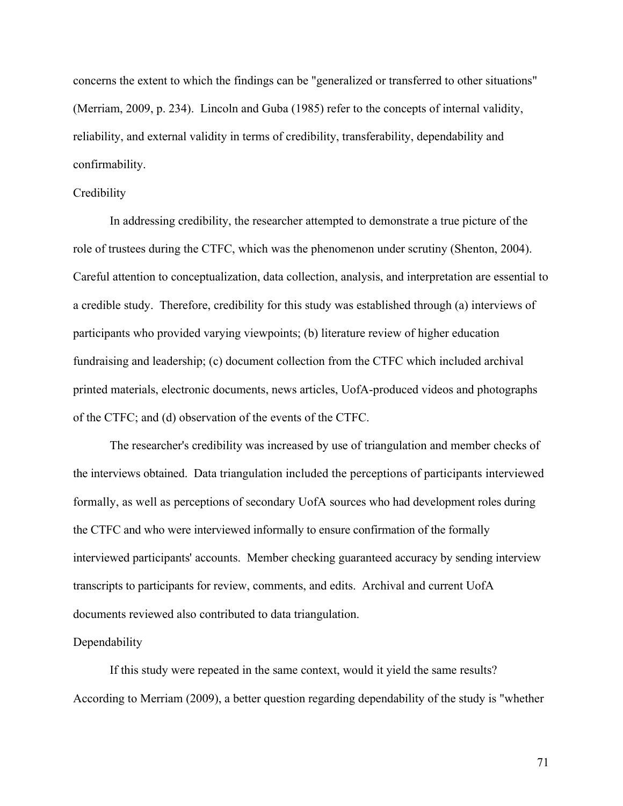concerns the extent to which the findings can be "generalized or transferred to other situations" (Merriam, 2009, p. 234). Lincoln and Guba (1985) refer to the concepts of internal validity, reliability, and external validity in terms of credibility, transferability, dependability and confirmability.

# **Credibility**

In addressing credibility, the researcher attempted to demonstrate a true picture of the role of trustees during the CTFC, which was the phenomenon under scrutiny (Shenton, 2004). Careful attention to conceptualization, data collection, analysis, and interpretation are essential to a credible study. Therefore, credibility for this study was established through (a) interviews of participants who provided varying viewpoints; (b) literature review of higher education fundraising and leadership; (c) document collection from the CTFC which included archival printed materials, electronic documents, news articles, UofA-produced videos and photographs of the CTFC; and (d) observation of the events of the CTFC.

The researcher's credibility was increased by use of triangulation and member checks of the interviews obtained. Data triangulation included the perceptions of participants interviewed formally, as well as perceptions of secondary UofA sources who had development roles during the CTFC and who were interviewed informally to ensure confirmation of the formally interviewed participants' accounts. Member checking guaranteed accuracy by sending interview transcripts to participants for review, comments, and edits. Archival and current UofA documents reviewed also contributed to data triangulation.

### Dependability

If this study were repeated in the same context, would it yield the same results? According to Merriam (2009), a better question regarding dependability of the study is "whether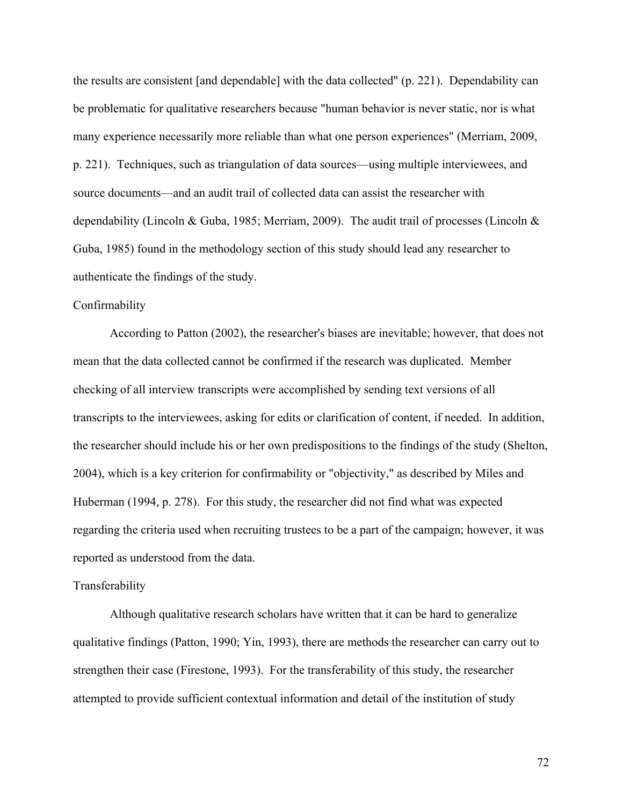the results are consistent [and dependable] with the data collected" (p. 221). Dependability can be problematic for qualitative researchers because "human behavior is never static, nor is what many experience necessarily more reliable than what one person experiences" (Merriam, 2009, p. 221). Techniques, such as triangulation of data sources—using multiple interviewees, and source documents—and an audit trail of collected data can assist the researcher with dependability (Lincoln & Guba, 1985; Merriam, 2009). The audit trail of processes (Lincoln  $\&$ Guba, 1985) found in the methodology section of this study should lead any researcher to authenticate the findings of the study.

## Confirmability

According to Patton (2002), the researcher's biases are inevitable; however, that does not mean that the data collected cannot be confirmed if the research was duplicated. Member checking of all interview transcripts were accomplished by sending text versions of all transcripts to the interviewees, asking for edits or clarification of content, if needed. In addition, the researcher should include his or her own predispositions to the findings of the study (Shelton, 2004), which is a key criterion for confirmability or "objectivity," as described by Miles and Huberman (1994, p. 278). For this study, the researcher did not find what was expected regarding the criteria used when recruiting trustees to be a part of the campaign; however, it was reported as understood from the data.

#### Transferability

Although qualitative research scholars have written that it can be hard to generalize qualitative findings (Patton, 1990; Yin, 1993), there are methods the researcher can carry out to strengthen their case (Firestone, 1993). For the transferability of this study, the researcher attempted to provide sufficient contextual information and detail of the institution of study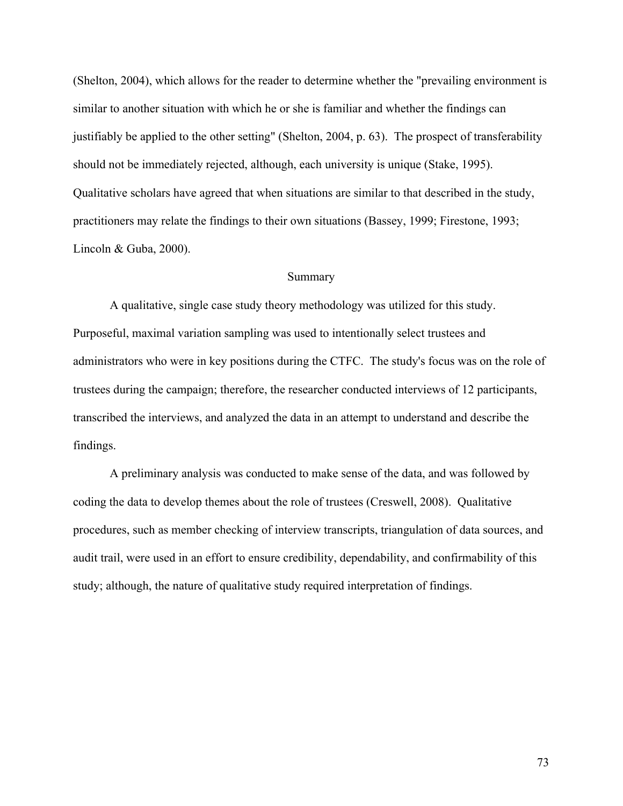(Shelton, 2004), which allows for the reader to determine whether the "prevailing environment is similar to another situation with which he or she is familiar and whether the findings can justifiably be applied to the other setting" (Shelton, 2004, p. 63). The prospect of transferability should not be immediately rejected, although, each university is unique (Stake, 1995). Qualitative scholars have agreed that when situations are similar to that described in the study, practitioners may relate the findings to their own situations (Bassey, 1999; Firestone, 1993; Lincoln & Guba, 2000).

## Summary

A qualitative, single case study theory methodology was utilized for this study. Purposeful, maximal variation sampling was used to intentionally select trustees and administrators who were in key positions during the CTFC. The study's focus was on the role of trustees during the campaign; therefore, the researcher conducted interviews of 12 participants, transcribed the interviews, and analyzed the data in an attempt to understand and describe the findings.

A preliminary analysis was conducted to make sense of the data, and was followed by coding the data to develop themes about the role of trustees (Creswell, 2008). Qualitative procedures, such as member checking of interview transcripts, triangulation of data sources, and audit trail, were used in an effort to ensure credibility, dependability, and confirmability of this study; although, the nature of qualitative study required interpretation of findings.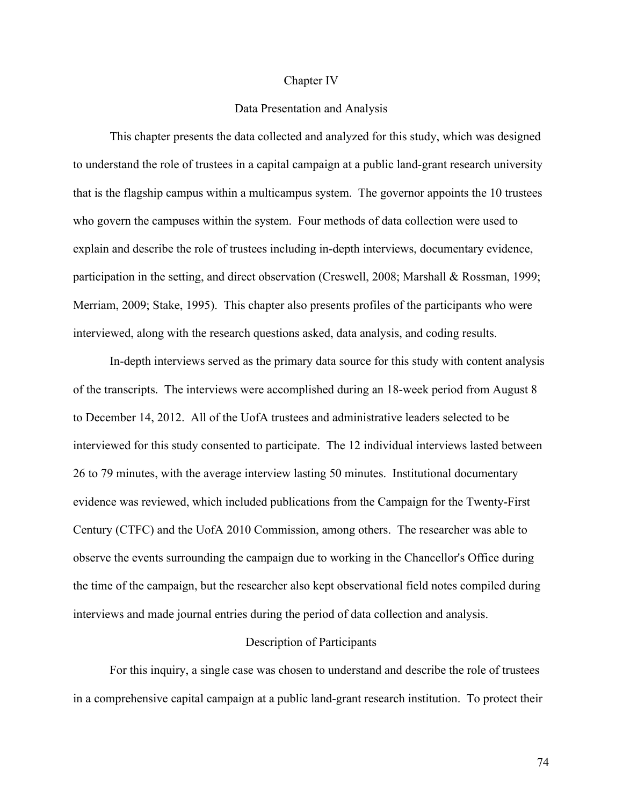#### Chapter IV

## Data Presentation and Analysis

This chapter presents the data collected and analyzed for this study, which was designed to understand the role of trustees in a capital campaign at a public land-grant research university that is the flagship campus within a multicampus system. The governor appoints the 10 trustees who govern the campuses within the system. Four methods of data collection were used to explain and describe the role of trustees including in-depth interviews, documentary evidence, participation in the setting, and direct observation (Creswell, 2008; Marshall & Rossman, 1999; Merriam, 2009; Stake, 1995). This chapter also presents profiles of the participants who were interviewed, along with the research questions asked, data analysis, and coding results.

In-depth interviews served as the primary data source for this study with content analysis of the transcripts. The interviews were accomplished during an 18-week period from August 8 to December 14, 2012. All of the UofA trustees and administrative leaders selected to be interviewed for this study consented to participate. The 12 individual interviews lasted between 26 to 79 minutes, with the average interview lasting 50 minutes. Institutional documentary evidence was reviewed, which included publications from the Campaign for the Twenty-First Century (CTFC) and the UofA 2010 Commission, among others. The researcher was able to observe the events surrounding the campaign due to working in the Chancellor's Office during the time of the campaign, but the researcher also kept observational field notes compiled during interviews and made journal entries during the period of data collection and analysis.

## Description of Participants

For this inquiry, a single case was chosen to understand and describe the role of trustees in a comprehensive capital campaign at a public land-grant research institution. To protect their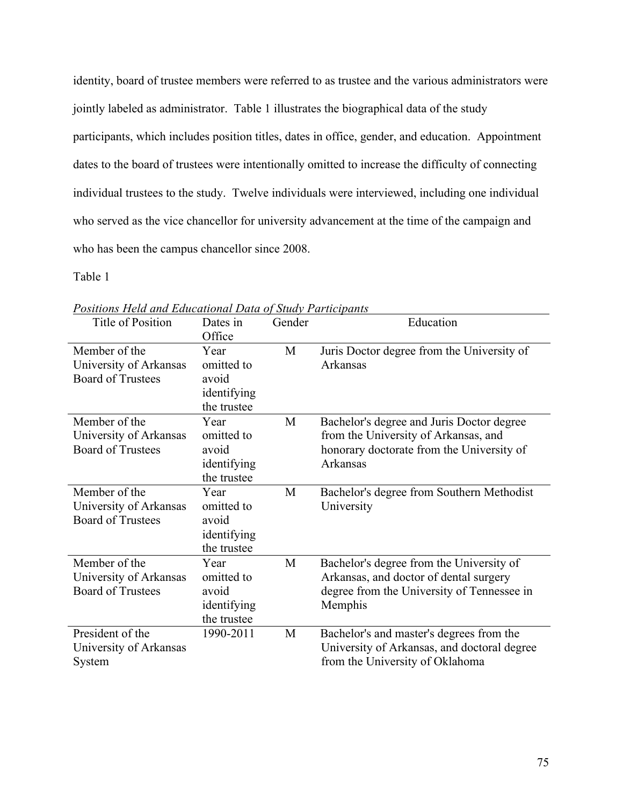identity, board of trustee members were referred to as trustee and the various administrators were jointly labeled as administrator. Table 1 illustrates the biographical data of the study participants, which includes position titles, dates in office, gender, and education. Appointment dates to the board of trustees were intentionally omitted to increase the difficulty of connecting individual trustees to the study. Twelve individuals were interviewed, including one individual who served as the vice chancellor for university advancement at the time of the campaign and who has been the campus chancellor since 2008.

Table 1

| Title of Position                                                   | Dates in<br>Office                                        | Gender | Education                                                                                                                                   |
|---------------------------------------------------------------------|-----------------------------------------------------------|--------|---------------------------------------------------------------------------------------------------------------------------------------------|
| Member of the<br>University of Arkansas<br><b>Board of Trustees</b> | Year<br>omitted to<br>avoid<br>identifying<br>the trustee | M      | Juris Doctor degree from the University of<br>Arkansas                                                                                      |
| Member of the<br>University of Arkansas<br><b>Board of Trustees</b> | Year<br>omitted to<br>avoid<br>identifying<br>the trustee | M      | Bachelor's degree and Juris Doctor degree<br>from the University of Arkansas, and<br>honorary doctorate from the University of<br>Arkansas  |
| Member of the<br>University of Arkansas<br><b>Board of Trustees</b> | Year<br>omitted to<br>avoid<br>identifying<br>the trustee | M      | Bachelor's degree from Southern Methodist<br>University                                                                                     |
| Member of the<br>University of Arkansas<br><b>Board of Trustees</b> | Year<br>omitted to<br>avoid<br>identifying<br>the trustee | M      | Bachelor's degree from the University of<br>Arkansas, and doctor of dental surgery<br>degree from the University of Tennessee in<br>Memphis |
| President of the<br>University of Arkansas<br>System                | 1990-2011                                                 | M      | Bachelor's and master's degrees from the<br>University of Arkansas, and doctoral degree<br>from the University of Oklahoma                  |

*Positions Held and Educational Data of Study Participants*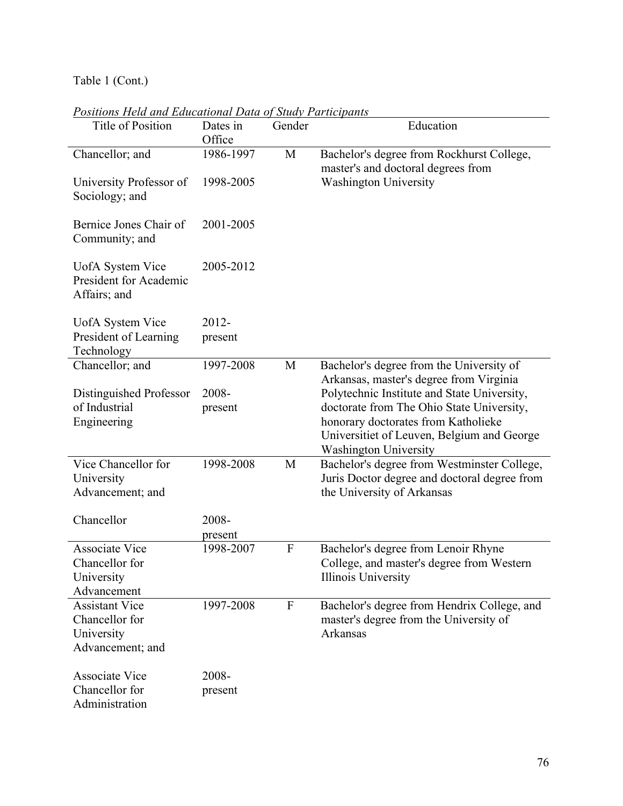Table 1 (Cont.)

| Title of Position                                          | Dates in<br>Office | Gender                    | Education                                                                                                         |
|------------------------------------------------------------|--------------------|---------------------------|-------------------------------------------------------------------------------------------------------------------|
| Chancellor; and                                            | 1986-1997          | M                         | Bachelor's degree from Rockhurst College,<br>master's and doctoral degrees from                                   |
| University Professor of<br>Sociology; and                  | 1998-2005          |                           | <b>Washington University</b>                                                                                      |
| Bernice Jones Chair of<br>Community; and                   | 2001-2005          |                           |                                                                                                                   |
| UofA System Vice<br>President for Academic<br>Affairs; and | 2005-2012          |                           |                                                                                                                   |
| UofA System Vice                                           | 2012-              |                           |                                                                                                                   |
| President of Learning<br>Technology                        | present            |                           |                                                                                                                   |
| Chancellor; and                                            | 1997-2008          | M                         | Bachelor's degree from the University of                                                                          |
|                                                            |                    |                           | Arkansas, master's degree from Virginia                                                                           |
| Distinguished Professor<br>of Industrial                   | 2008-<br>present   |                           | Polytechnic Institute and State University,<br>doctorate from The Ohio State University,                          |
| Engineering                                                |                    |                           | honorary doctorates from Katholieke<br>Universitiet of Leuven, Belgium and George<br><b>Washington University</b> |
| Vice Chancellor for                                        | 1998-2008          | M                         | Bachelor's degree from Westminster College,                                                                       |
| University                                                 |                    |                           | Juris Doctor degree and doctoral degree from                                                                      |
| Advancement; and                                           |                    |                           | the University of Arkansas                                                                                        |
| Chancellor                                                 | 2008-              |                           |                                                                                                                   |
|                                                            | present            |                           |                                                                                                                   |
| <b>Associate Vice</b>                                      | 1998-2007          | $\mathbf{F}$              | Bachelor's degree from Lenoir Rhyne                                                                               |
| Chancellor for                                             |                    |                           | College, and master's degree from Western<br><b>Illinois University</b>                                           |
| University<br>Advancement                                  |                    |                           |                                                                                                                   |
| <b>Assistant Vice</b>                                      | 1997-2008          | $\boldsymbol{\mathrm{F}}$ | Bachelor's degree from Hendrix College, and                                                                       |
| Chancellor for                                             |                    |                           | master's degree from the University of                                                                            |
| University                                                 |                    |                           | <b>Arkansas</b>                                                                                                   |
| Advancement; and                                           |                    |                           |                                                                                                                   |
| <b>Associate Vice</b>                                      | 2008-              |                           |                                                                                                                   |
| Chancellor for                                             | present            |                           |                                                                                                                   |
| Administration                                             |                    |                           |                                                                                                                   |

*Positions Held and Educational Data of Study Participants*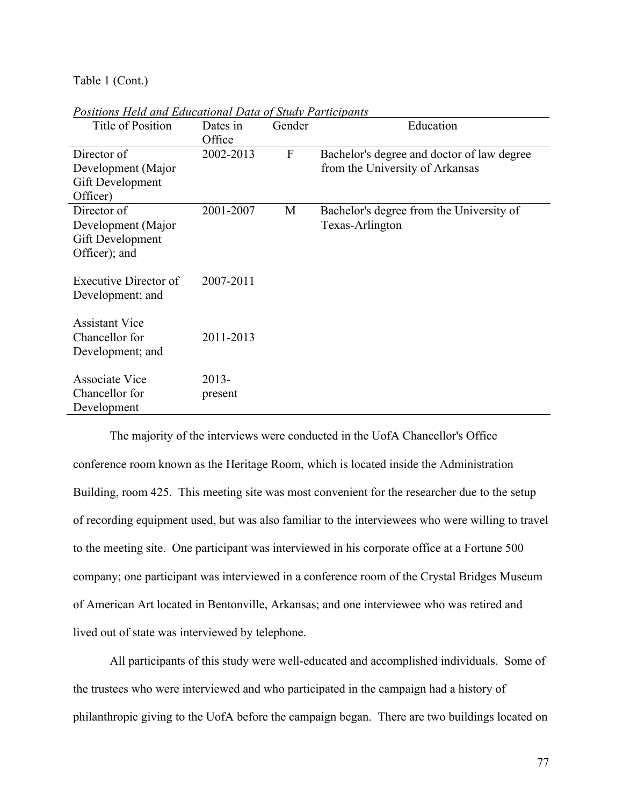Table 1 (Cont.)

| oshions II ama ana Bancanonai Dana of Shan e a mcipanis<br>Title of Position | Dates in  | Gender       | Education                                  |
|------------------------------------------------------------------------------|-----------|--------------|--------------------------------------------|
|                                                                              | Office    |              |                                            |
| Director of                                                                  | 2002-2013 | $\mathbf{F}$ | Bachelor's degree and doctor of law degree |
| Development (Major                                                           |           |              | from the University of Arkansas            |
| Gift Development                                                             |           |              |                                            |
| Officer)                                                                     |           |              |                                            |
| Director of                                                                  | 2001-2007 | M            | Bachelor's degree from the University of   |
| Development (Major                                                           |           |              | Texas-Arlington                            |
| Gift Development                                                             |           |              |                                            |
| Officer); and                                                                |           |              |                                            |
|                                                                              |           |              |                                            |
| Executive Director of                                                        | 2007-2011 |              |                                            |
| Development; and                                                             |           |              |                                            |
| <b>Assistant Vice</b>                                                        |           |              |                                            |
| Chancellor for                                                               | 2011-2013 |              |                                            |
|                                                                              |           |              |                                            |
| Development; and                                                             |           |              |                                            |
| <b>Associate Vice</b>                                                        | $2013 -$  |              |                                            |
| Chancellor for                                                               | present   |              |                                            |
| Development                                                                  |           |              |                                            |

*Positions Held and Educational Data of Study Participants*

The majority of the interviews were conducted in the UofA Chancellor's Office conference room known as the Heritage Room, which is located inside the Administration Building, room 425. This meeting site was most convenient for the researcher due to the setup of recording equipment used, but was also familiar to the interviewees who were willing to travel to the meeting site. One participant was interviewed in his corporate office at a Fortune 500 company; one participant was interviewed in a conference room of the Crystal Bridges Museum of American Art located in Bentonville, Arkansas; and one interviewee who was retired and lived out of state was interviewed by telephone.

All participants of this study were well-educated and accomplished individuals. Some of the trustees who were interviewed and who participated in the campaign had a history of philanthropic giving to the UofA before the campaign began. There are two buildings located on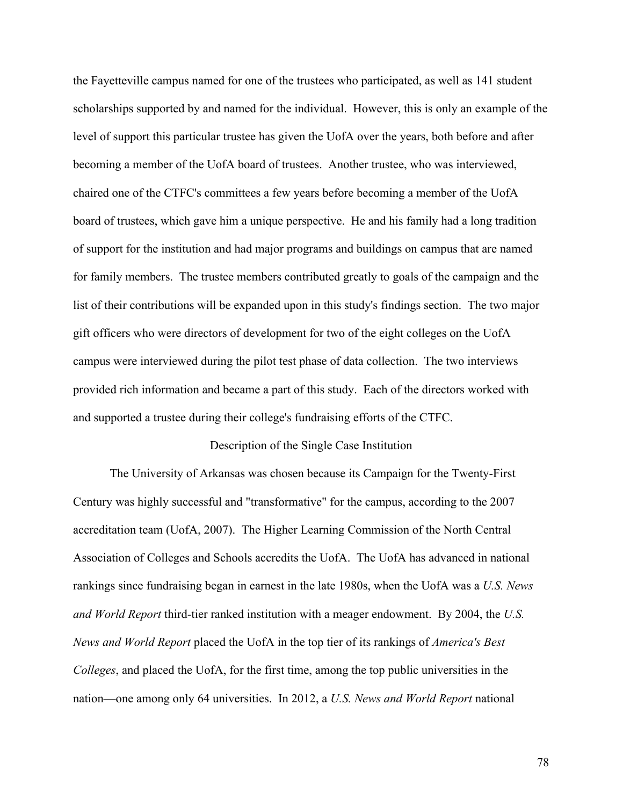the Fayetteville campus named for one of the trustees who participated, as well as 141 student scholarships supported by and named for the individual. However, this is only an example of the level of support this particular trustee has given the UofA over the years, both before and after becoming a member of the UofA board of trustees. Another trustee, who was interviewed, chaired one of the CTFC's committees a few years before becoming a member of the UofA board of trustees, which gave him a unique perspective. He and his family had a long tradition of support for the institution and had major programs and buildings on campus that are named for family members. The trustee members contributed greatly to goals of the campaign and the list of their contributions will be expanded upon in this study's findings section. The two major gift officers who were directors of development for two of the eight colleges on the UofA campus were interviewed during the pilot test phase of data collection. The two interviews provided rich information and became a part of this study. Each of the directors worked with and supported a trustee during their college's fundraising efforts of the CTFC.

## Description of the Single Case Institution

The University of Arkansas was chosen because its Campaign for the Twenty-First Century was highly successful and "transformative" for the campus, according to the 2007 accreditation team (UofA, 2007). The Higher Learning Commission of the North Central Association of Colleges and Schools accredits the UofA. The UofA has advanced in national rankings since fundraising began in earnest in the late 1980s, when the UofA was a *U.S. News and World Report* third-tier ranked institution with a meager endowment. By 2004, the *U.S. News and World Report* placed the UofA in the top tier of its rankings of *America's Best Colleges*, and placed the UofA, for the first time, among the top public universities in the nation—one among only 64 universities. In 2012, a *U.S. News and World Report* national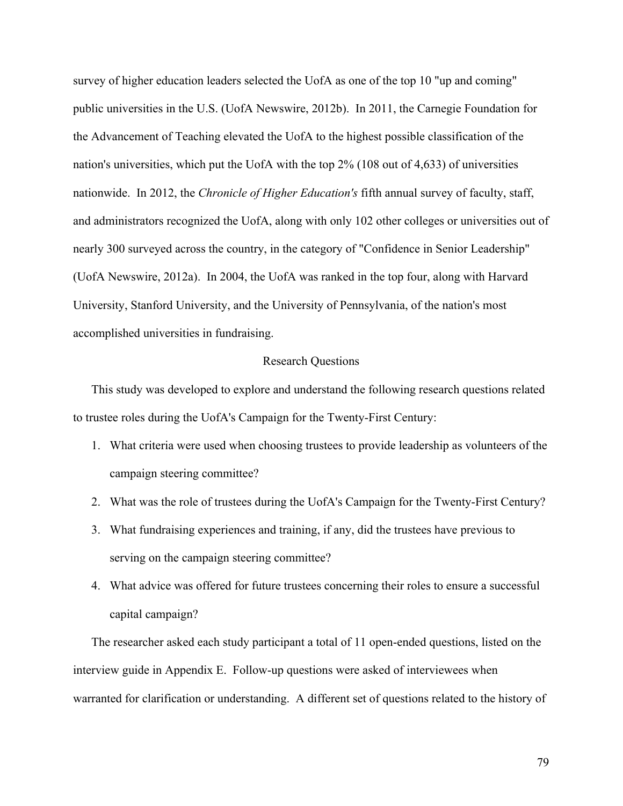survey of higher education leaders selected the UofA as one of the top 10 "up and coming" public universities in the U.S. (UofA Newswire, 2012b). In 2011, the Carnegie Foundation for the Advancement of Teaching elevated the UofA to the highest possible classification of the nation's universities, which put the UofA with the top 2% (108 out of 4,633) of universities nationwide. In 2012, the *Chronicle of Higher Education's* fifth annual survey of faculty, staff, and administrators recognized the UofA, along with only 102 other colleges or universities out of nearly 300 surveyed across the country, in the category of "Confidence in Senior Leadership" (UofA Newswire, 2012a). In 2004, the UofA was ranked in the top four, along with Harvard University, Stanford University, and the University of Pennsylvania, of the nation's most accomplished universities in fundraising.

## Research Questions

This study was developed to explore and understand the following research questions related to trustee roles during the UofA's Campaign for the Twenty-First Century:

- 1. What criteria were used when choosing trustees to provide leadership as volunteers of the campaign steering committee?
- 2. What was the role of trustees during the UofA's Campaign for the Twenty-First Century?
- 3. What fundraising experiences and training, if any, did the trustees have previous to serving on the campaign steering committee?
- 4. What advice was offered for future trustees concerning their roles to ensure a successful capital campaign?

The researcher asked each study participant a total of 11 open-ended questions, listed on the interview guide in Appendix E. Follow-up questions were asked of interviewees when warranted for clarification or understanding. A different set of questions related to the history of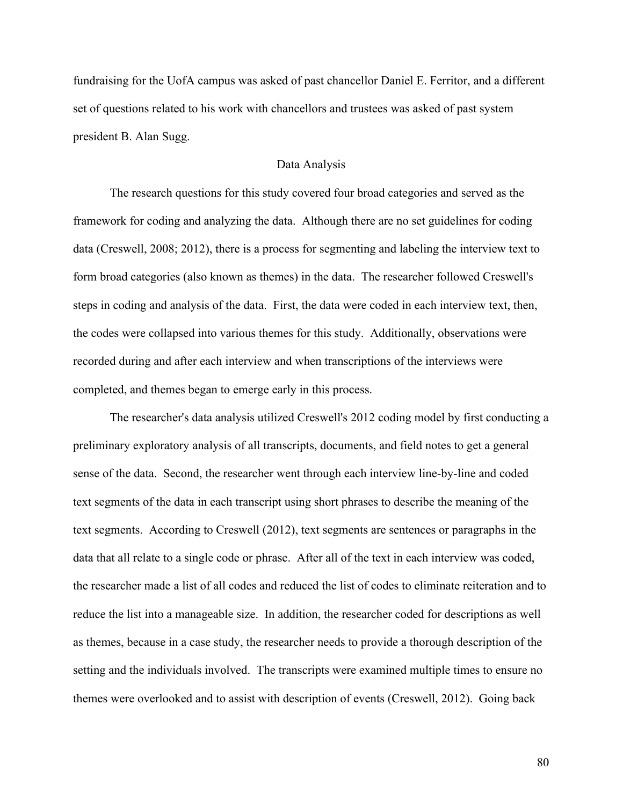fundraising for the UofA campus was asked of past chancellor Daniel E. Ferritor, and a different set of questions related to his work with chancellors and trustees was asked of past system president B. Alan Sugg.

## Data Analysis

The research questions for this study covered four broad categories and served as the framework for coding and analyzing the data. Although there are no set guidelines for coding data (Creswell, 2008; 2012), there is a process for segmenting and labeling the interview text to form broad categories (also known as themes) in the data. The researcher followed Creswell's steps in coding and analysis of the data. First, the data were coded in each interview text, then, the codes were collapsed into various themes for this study. Additionally, observations were recorded during and after each interview and when transcriptions of the interviews were completed, and themes began to emerge early in this process.

The researcher's data analysis utilized Creswell's 2012 coding model by first conducting a preliminary exploratory analysis of all transcripts, documents, and field notes to get a general sense of the data. Second, the researcher went through each interview line-by-line and coded text segments of the data in each transcript using short phrases to describe the meaning of the text segments. According to Creswell (2012), text segments are sentences or paragraphs in the data that all relate to a single code or phrase. After all of the text in each interview was coded, the researcher made a list of all codes and reduced the list of codes to eliminate reiteration and to reduce the list into a manageable size. In addition, the researcher coded for descriptions as well as themes, because in a case study, the researcher needs to provide a thorough description of the setting and the individuals involved. The transcripts were examined multiple times to ensure no themes were overlooked and to assist with description of events (Creswell, 2012). Going back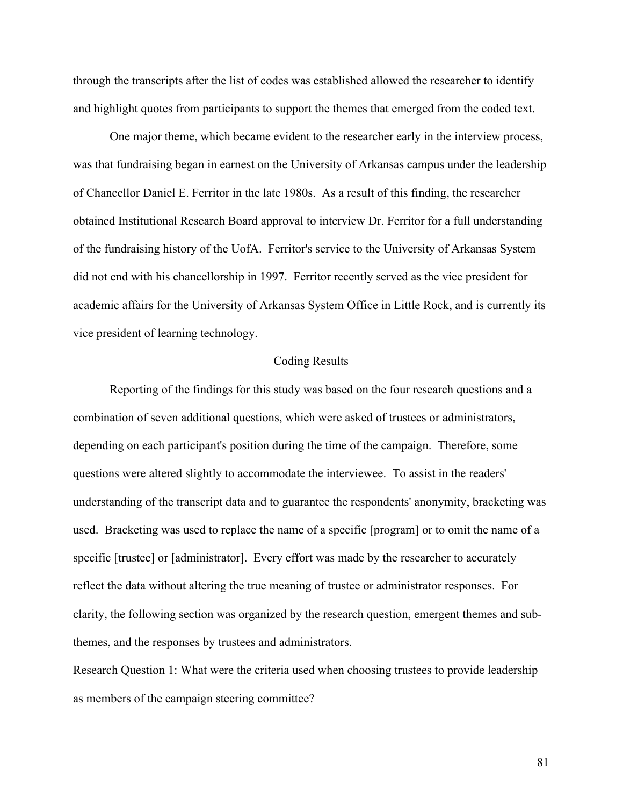through the transcripts after the list of codes was established allowed the researcher to identify and highlight quotes from participants to support the themes that emerged from the coded text.

One major theme, which became evident to the researcher early in the interview process, was that fundraising began in earnest on the University of Arkansas campus under the leadership of Chancellor Daniel E. Ferritor in the late 1980s. As a result of this finding, the researcher obtained Institutional Research Board approval to interview Dr. Ferritor for a full understanding of the fundraising history of the UofA. Ferritor's service to the University of Arkansas System did not end with his chancellorship in 1997. Ferritor recently served as the vice president for academic affairs for the University of Arkansas System Office in Little Rock, and is currently its vice president of learning technology.

## Coding Results

Reporting of the findings for this study was based on the four research questions and a combination of seven additional questions, which were asked of trustees or administrators, depending on each participant's position during the time of the campaign. Therefore, some questions were altered slightly to accommodate the interviewee. To assist in the readers' understanding of the transcript data and to guarantee the respondents' anonymity, bracketing was used. Bracketing was used to replace the name of a specific [program] or to omit the name of a specific [trustee] or [administrator]. Every effort was made by the researcher to accurately reflect the data without altering the true meaning of trustee or administrator responses. For clarity, the following section was organized by the research question, emergent themes and subthemes, and the responses by trustees and administrators.

Research Question 1: What were the criteria used when choosing trustees to provide leadership as members of the campaign steering committee?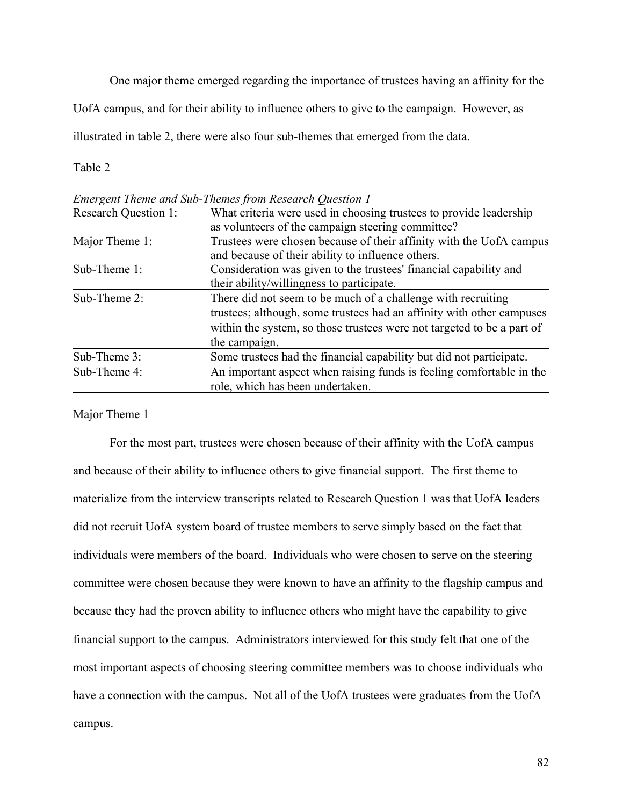One major theme emerged regarding the importance of trustees having an affinity for the

UofA campus, and for their ability to influence others to give to the campaign. However, as

illustrated in table 2, there were also four sub-themes that emerged from the data.

Table 2

|                             | Emergent Theme and Sub-Themes from Research Question T                 |  |
|-----------------------------|------------------------------------------------------------------------|--|
| <b>Research Question 1:</b> | What criteria were used in choosing trustees to provide leadership     |  |
|                             | as volunteers of the campaign steering committee?                      |  |
| Major Theme 1:              | Trustees were chosen because of their affinity with the UofA campus    |  |
|                             | and because of their ability to influence others.                      |  |
| Sub-Theme 1:                | Consideration was given to the trustees' financial capability and      |  |
|                             | their ability/willingness to participate.                              |  |
| Sub-Theme 2:                | There did not seem to be much of a challenge with recruiting           |  |
|                             | trustees; although, some trustees had an affinity with other campuses  |  |
|                             | within the system, so those trustees were not targeted to be a part of |  |
|                             | the campaign.                                                          |  |
| Sub-Theme 3:                | Some trustees had the financial capability but did not participate.    |  |
| Sub-Theme 4:                | An important aspect when raising funds is feeling comfortable in the   |  |
|                             | role, which has been undertaken.                                       |  |

*Emergent Theme and Sub-Themes from Research Question 1*

Major Theme 1

For the most part, trustees were chosen because of their affinity with the UofA campus and because of their ability to influence others to give financial support. The first theme to materialize from the interview transcripts related to Research Question 1 was that UofA leaders did not recruit UofA system board of trustee members to serve simply based on the fact that individuals were members of the board. Individuals who were chosen to serve on the steering committee were chosen because they were known to have an affinity to the flagship campus and because they had the proven ability to influence others who might have the capability to give financial support to the campus. Administrators interviewed for this study felt that one of the most important aspects of choosing steering committee members was to choose individuals who have a connection with the campus. Not all of the UofA trustees were graduates from the UofA campus.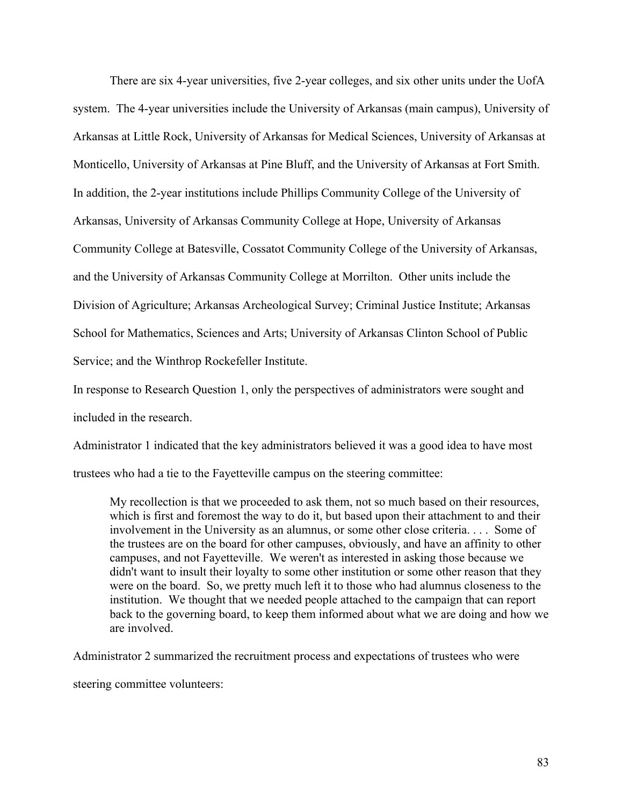There are six 4-year universities, five 2-year colleges, and six other units under the UofA system. The 4-year universities include the University of Arkansas (main campus), University of Arkansas at Little Rock, University of Arkansas for Medical Sciences, University of Arkansas at Monticello, University of Arkansas at Pine Bluff, and the University of Arkansas at Fort Smith. In addition, the 2-year institutions include Phillips Community College of the University of Arkansas, University of Arkansas Community College at Hope, University of Arkansas Community College at Batesville, Cossatot Community College of the University of Arkansas, and the University of Arkansas Community College at Morrilton. Other units include the Division of Agriculture; Arkansas Archeological Survey; Criminal Justice Institute; Arkansas School for Mathematics, Sciences and Arts; University of Arkansas Clinton School of Public Service; and the Winthrop Rockefeller Institute.

In response to Research Question 1, only the perspectives of administrators were sought and included in the research.

Administrator 1 indicated that the key administrators believed it was a good idea to have most trustees who had a tie to the Fayetteville campus on the steering committee:

My recollection is that we proceeded to ask them, not so much based on their resources, which is first and foremost the way to do it, but based upon their attachment to and their involvement in the University as an alumnus, or some other close criteria. . . . Some of the trustees are on the board for other campuses, obviously, and have an affinity to other campuses, and not Fayetteville. We weren't as interested in asking those because we didn't want to insult their loyalty to some other institution or some other reason that they were on the board. So, we pretty much left it to those who had alumnus closeness to the institution. We thought that we needed people attached to the campaign that can report back to the governing board, to keep them informed about what we are doing and how we are involved.

Administrator 2 summarized the recruitment process and expectations of trustees who were

steering committee volunteers: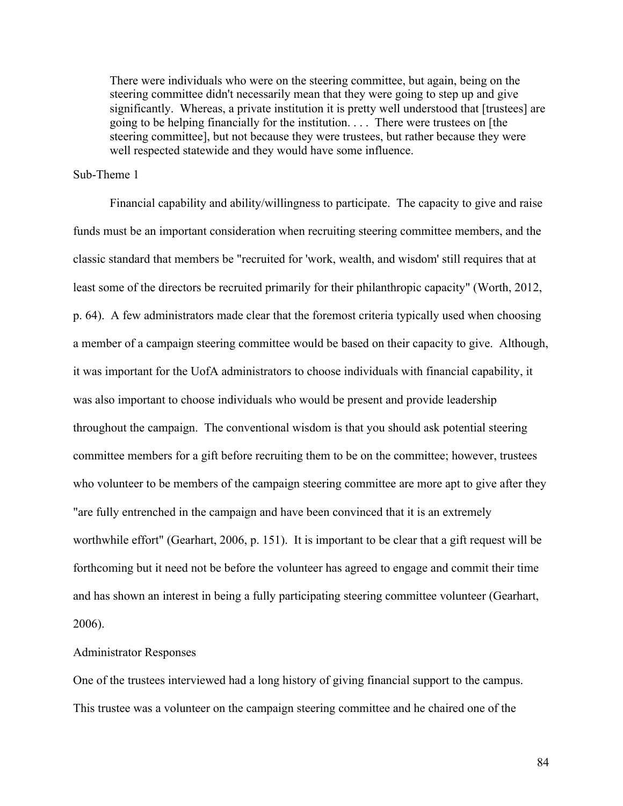There were individuals who were on the steering committee, but again, being on the steering committee didn't necessarily mean that they were going to step up and give significantly. Whereas, a private institution it is pretty well understood that [trustees] are going to be helping financially for the institution. . . . There were trustees on [the steering committee], but not because they were trustees, but rather because they were well respected statewide and they would have some influence.

## Sub-Theme 1

Financial capability and ability/willingness to participate. The capacity to give and raise funds must be an important consideration when recruiting steering committee members, and the classic standard that members be "recruited for 'work, wealth, and wisdom' still requires that at least some of the directors be recruited primarily for their philanthropic capacity" (Worth, 2012, p. 64). A few administrators made clear that the foremost criteria typically used when choosing a member of a campaign steering committee would be based on their capacity to give. Although, it was important for the UofA administrators to choose individuals with financial capability, it was also important to choose individuals who would be present and provide leadership throughout the campaign. The conventional wisdom is that you should ask potential steering committee members for a gift before recruiting them to be on the committee; however, trustees who volunteer to be members of the campaign steering committee are more apt to give after they "are fully entrenched in the campaign and have been convinced that it is an extremely worthwhile effort" (Gearhart, 2006, p. 151). It is important to be clear that a gift request will be forthcoming but it need not be before the volunteer has agreed to engage and commit their time and has shown an interest in being a fully participating steering committee volunteer (Gearhart, 2006).

## Administrator Responses

One of the trustees interviewed had a long history of giving financial support to the campus. This trustee was a volunteer on the campaign steering committee and he chaired one of the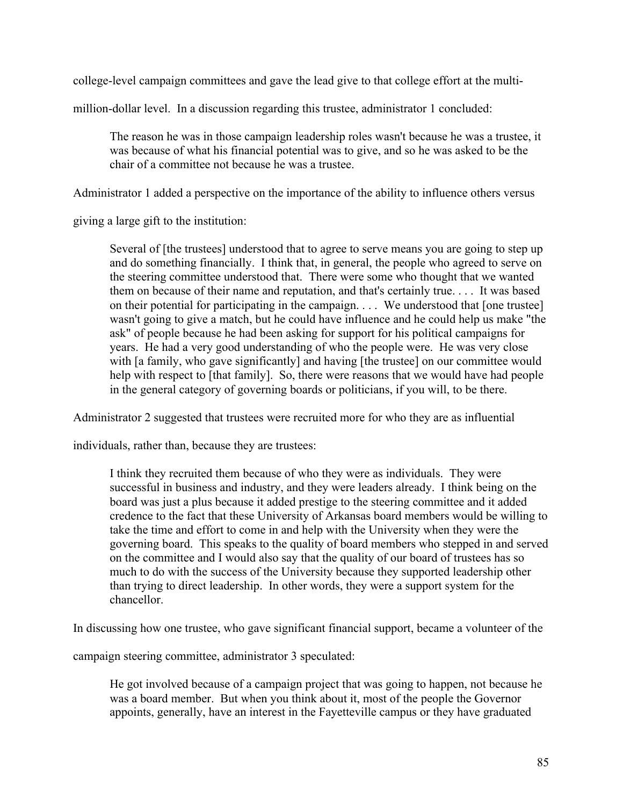college-level campaign committees and gave the lead give to that college effort at the multi-

million-dollar level. In a discussion regarding this trustee, administrator 1 concluded:

The reason he was in those campaign leadership roles wasn't because he was a trustee, it was because of what his financial potential was to give, and so he was asked to be the chair of a committee not because he was a trustee.

Administrator 1 added a perspective on the importance of the ability to influence others versus

giving a large gift to the institution:

Several of [the trustees] understood that to agree to serve means you are going to step up and do something financially. I think that, in general, the people who agreed to serve on the steering committee understood that. There were some who thought that we wanted them on because of their name and reputation, and that's certainly true. . . . It was based on their potential for participating in the campaign. . . . We understood that [one trustee] wasn't going to give a match, but he could have influence and he could help us make "the ask" of people because he had been asking for support for his political campaigns for years. He had a very good understanding of who the people were. He was very close with [a family, who gave significantly] and having [the trustee] on our committee would help with respect to [that family]. So, there were reasons that we would have had people in the general category of governing boards or politicians, if you will, to be there.

Administrator 2 suggested that trustees were recruited more for who they are as influential

individuals, rather than, because they are trustees:

I think they recruited them because of who they were as individuals. They were successful in business and industry, and they were leaders already. I think being on the board was just a plus because it added prestige to the steering committee and it added credence to the fact that these University of Arkansas board members would be willing to take the time and effort to come in and help with the University when they were the governing board. This speaks to the quality of board members who stepped in and served on the committee and I would also say that the quality of our board of trustees has so much to do with the success of the University because they supported leadership other than trying to direct leadership. In other words, they were a support system for the chancellor.

In discussing how one trustee, who gave significant financial support, became a volunteer of the

campaign steering committee, administrator 3 speculated:

He got involved because of a campaign project that was going to happen, not because he was a board member. But when you think about it, most of the people the Governor appoints, generally, have an interest in the Fayetteville campus or they have graduated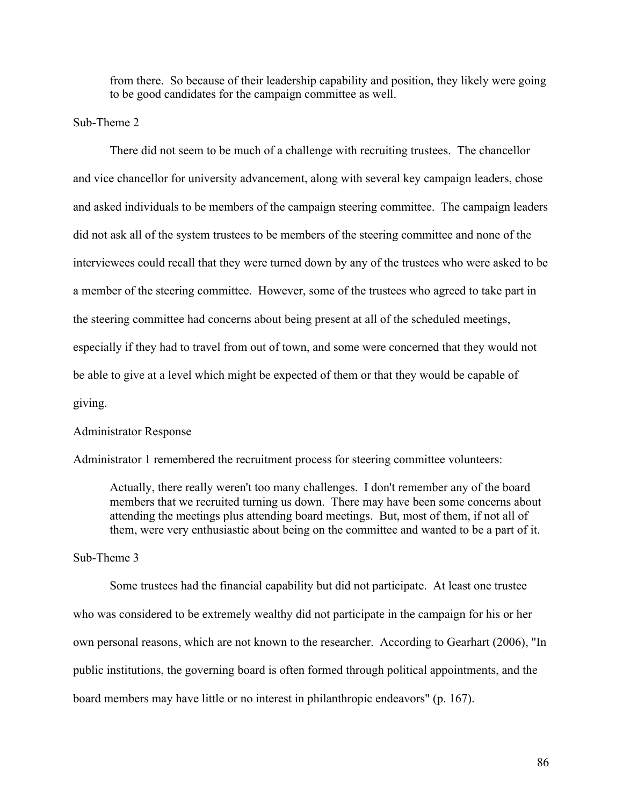from there. So because of their leadership capability and position, they likely were going to be good candidates for the campaign committee as well.

## Sub-Theme 2

There did not seem to be much of a challenge with recruiting trustees. The chancellor and vice chancellor for university advancement, along with several key campaign leaders, chose and asked individuals to be members of the campaign steering committee. The campaign leaders did not ask all of the system trustees to be members of the steering committee and none of the interviewees could recall that they were turned down by any of the trustees who were asked to be a member of the steering committee. However, some of the trustees who agreed to take part in the steering committee had concerns about being present at all of the scheduled meetings, especially if they had to travel from out of town, and some were concerned that they would not be able to give at a level which might be expected of them or that they would be capable of giving.

## Administrator Response

Administrator 1 remembered the recruitment process for steering committee volunteers:

Actually, there really weren't too many challenges. I don't remember any of the board members that we recruited turning us down. There may have been some concerns about attending the meetings plus attending board meetings. But, most of them, if not all of them, were very enthusiastic about being on the committee and wanted to be a part of it.

## Sub-Theme 3

Some trustees had the financial capability but did not participate. At least one trustee who was considered to be extremely wealthy did not participate in the campaign for his or her own personal reasons, which are not known to the researcher. According to Gearhart (2006), "In public institutions, the governing board is often formed through political appointments, and the board members may have little or no interest in philanthropic endeavors" (p. 167).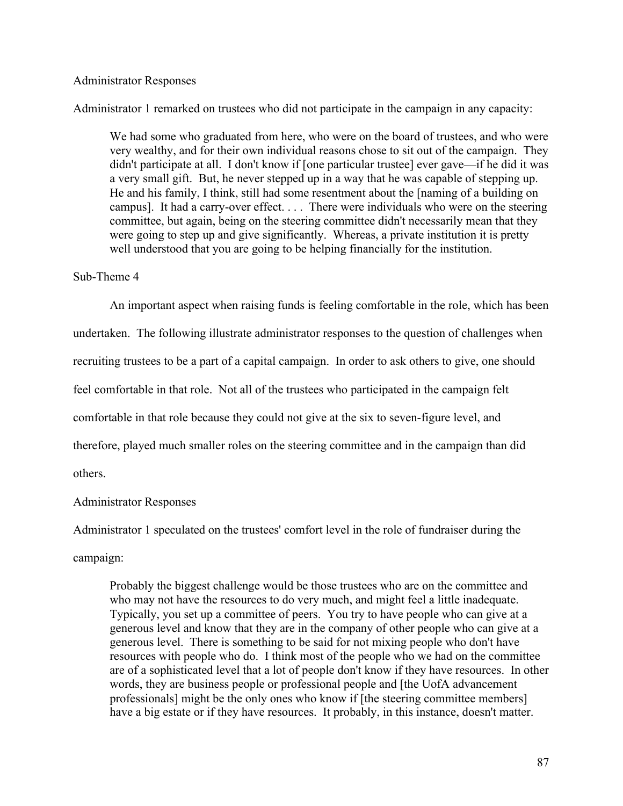## Administrator Responses

Administrator 1 remarked on trustees who did not participate in the campaign in any capacity:

We had some who graduated from here, who were on the board of trustees, and who were very wealthy, and for their own individual reasons chose to sit out of the campaign. They didn't participate at all. I don't know if [one particular trustee] ever gave—if he did it was a very small gift. But, he never stepped up in a way that he was capable of stepping up. He and his family, I think, still had some resentment about the [naming of a building on campus]. It had a carry-over effect. . . . There were individuals who were on the steering committee, but again, being on the steering committee didn't necessarily mean that they were going to step up and give significantly. Whereas, a private institution it is pretty well understood that you are going to be helping financially for the institution.

#### Sub-Theme 4

An important aspect when raising funds is feeling comfortable in the role, which has been undertaken. The following illustrate administrator responses to the question of challenges when recruiting trustees to be a part of a capital campaign. In order to ask others to give, one should feel comfortable in that role. Not all of the trustees who participated in the campaign felt comfortable in that role because they could not give at the six to seven-figure level, and therefore, played much smaller roles on the steering committee and in the campaign than did others.

## Administrator Responses

Administrator 1 speculated on the trustees' comfort level in the role of fundraiser during the campaign:

Probably the biggest challenge would be those trustees who are on the committee and who may not have the resources to do very much, and might feel a little inadequate. Typically, you set up a committee of peers. You try to have people who can give at a generous level and know that they are in the company of other people who can give at a generous level. There is something to be said for not mixing people who don't have resources with people who do. I think most of the people who we had on the committee are of a sophisticated level that a lot of people don't know if they have resources. In other words, they are business people or professional people and [the UofA advancement professionals] might be the only ones who know if [the steering committee members] have a big estate or if they have resources. It probably, in this instance, doesn't matter.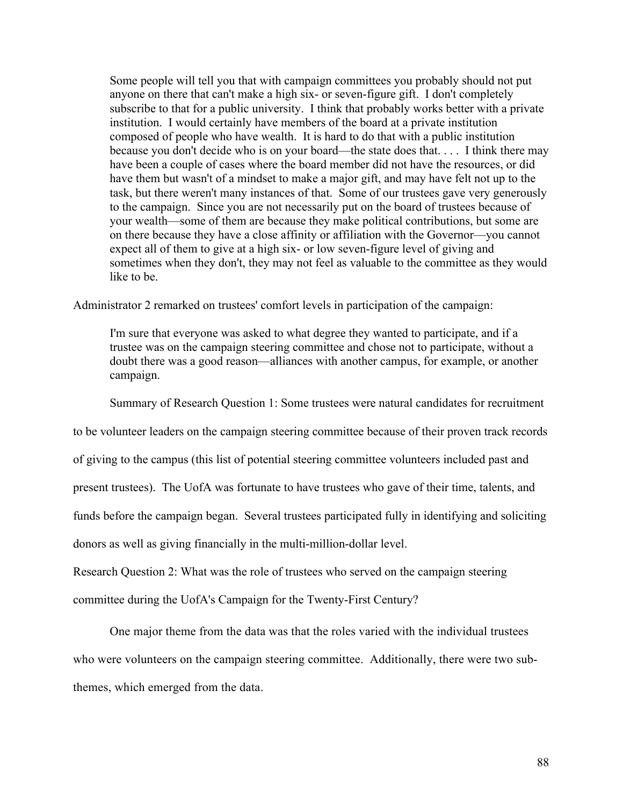Some people will tell you that with campaign committees you probably should not put anyone on there that can't make a high six- or seven-figure gift. I don't completely subscribe to that for a public university. I think that probably works better with a private institution. I would certainly have members of the board at a private institution composed of people who have wealth. It is hard to do that with a public institution because you don't decide who is on your board—the state does that. . . . I think there may have been a couple of cases where the board member did not have the resources, or did have them but wasn't of a mindset to make a major gift, and may have felt not up to the task, but there weren't many instances of that. Some of our trustees gave very generously to the campaign. Since you are not necessarily put on the board of trustees because of your wealth—some of them are because they make political contributions, but some are on there because they have a close affinity or affiliation with the Governor—you cannot expect all of them to give at a high six- or low seven-figure level of giving and sometimes when they don't, they may not feel as valuable to the committee as they would like to be.

Administrator 2 remarked on trustees' comfort levels in participation of the campaign:

I'm sure that everyone was asked to what degree they wanted to participate, and if a trustee was on the campaign steering committee and chose not to participate, without a doubt there was a good reason—alliances with another campus, for example, or another campaign.

Summary of Research Question 1: Some trustees were natural candidates for recruitment

to be volunteer leaders on the campaign steering committee because of their proven track records

of giving to the campus (this list of potential steering committee volunteers included past and

present trustees). The UofA was fortunate to have trustees who gave of their time, talents, and

funds before the campaign began. Several trustees participated fully in identifying and soliciting

donors as well as giving financially in the multi-million-dollar level.

Research Question 2: What was the role of trustees who served on the campaign steering

committee during the UofA's Campaign for the Twenty-First Century?

One major theme from the data was that the roles varied with the individual trustees who were volunteers on the campaign steering committee. Additionally, there were two subthemes, which emerged from the data.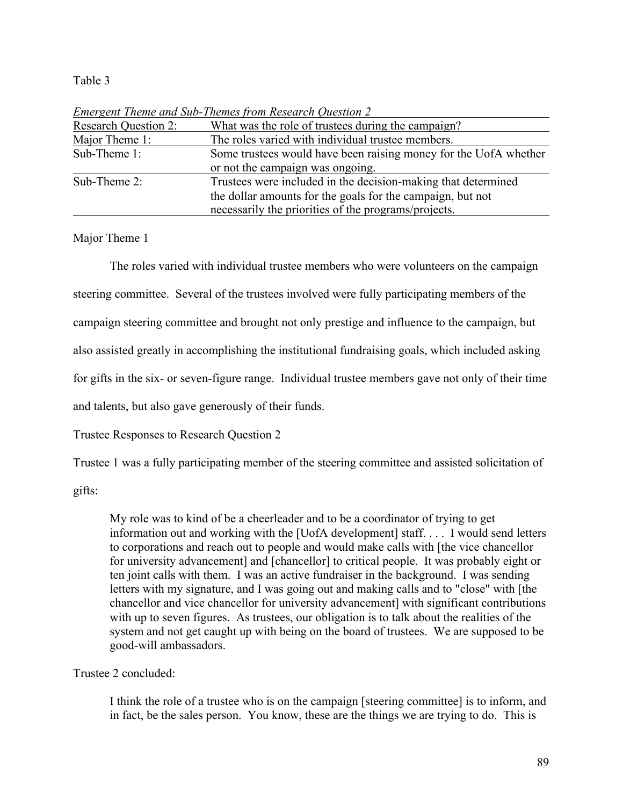# Table 3

| Einergent Theme and Sub-Themes from Research Question 2          |
|------------------------------------------------------------------|
| What was the role of trustees during the campaign?               |
| The roles varied with individual trustee members.                |
| Some trustees would have been raising money for the UofA whether |
| or not the campaign was ongoing.                                 |
| Trustees were included in the decision-making that determined    |
| the dollar amounts for the goals for the campaign, but not       |
| necessarily the priorities of the programs/projects.             |
|                                                                  |

*Emergent Theme and Sub-Themes from Research Question 2*

Major Theme 1

The roles varied with individual trustee members who were volunteers on the campaign steering committee. Several of the trustees involved were fully participating members of the campaign steering committee and brought not only prestige and influence to the campaign, but also assisted greatly in accomplishing the institutional fundraising goals, which included asking for gifts in the six- or seven-figure range. Individual trustee members gave not only of their time and talents, but also gave generously of their funds.

Trustee Responses to Research Question 2

Trustee 1 was a fully participating member of the steering committee and assisted solicitation of

gifts:

My role was to kind of be a cheerleader and to be a coordinator of trying to get information out and working with the [UofA development] staff. . . . I would send letters to corporations and reach out to people and would make calls with [the vice chancellor for university advancement] and [chancellor] to critical people. It was probably eight or ten joint calls with them. I was an active fundraiser in the background. I was sending letters with my signature, and I was going out and making calls and to "close" with [the chancellor and vice chancellor for university advancement] with significant contributions with up to seven figures. As trustees, our obligation is to talk about the realities of the system and not get caught up with being on the board of trustees. We are supposed to be good-will ambassadors.

Trustee 2 concluded:

I think the role of a trustee who is on the campaign [steering committee] is to inform, and in fact, be the sales person. You know, these are the things we are trying to do. This is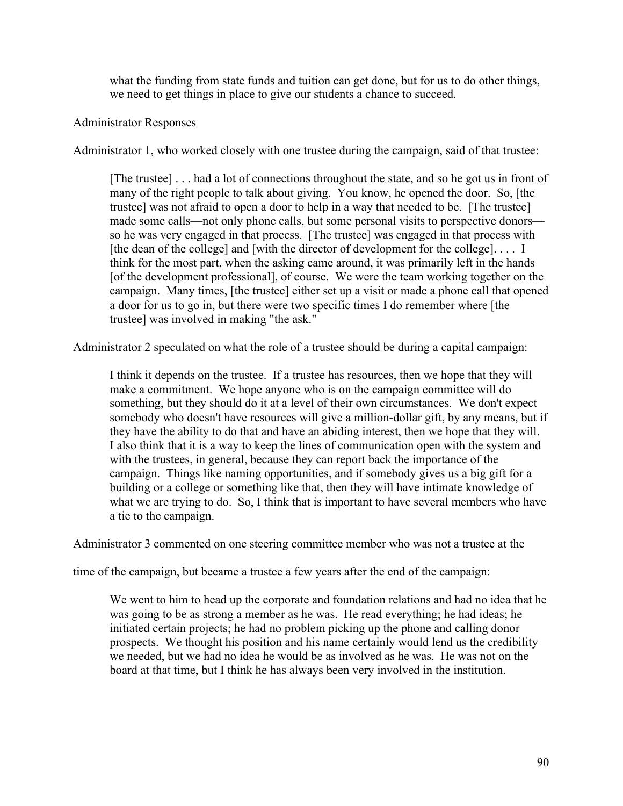what the funding from state funds and tuition can get done, but for us to do other things, we need to get things in place to give our students a chance to succeed.

# Administrator Responses

Administrator 1, who worked closely with one trustee during the campaign, said of that trustee:

[The trustee] . . . had a lot of connections throughout the state, and so he got us in front of many of the right people to talk about giving. You know, he opened the door. So, [the trustee] was not afraid to open a door to help in a way that needed to be. [The trustee] made some calls—not only phone calls, but some personal visits to perspective donors so he was very engaged in that process. [The trustee] was engaged in that process with [the dean of the college] and [with the director of development for the college].... I think for the most part, when the asking came around, it was primarily left in the hands [of the development professional], of course. We were the team working together on the campaign. Many times, [the trustee] either set up a visit or made a phone call that opened a door for us to go in, but there were two specific times I do remember where [the trustee] was involved in making "the ask."

Administrator 2 speculated on what the role of a trustee should be during a capital campaign:

I think it depends on the trustee. If a trustee has resources, then we hope that they will make a commitment. We hope anyone who is on the campaign committee will do something, but they should do it at a level of their own circumstances. We don't expect somebody who doesn't have resources will give a million-dollar gift, by any means, but if they have the ability to do that and have an abiding interest, then we hope that they will. I also think that it is a way to keep the lines of communication open with the system and with the trustees, in general, because they can report back the importance of the campaign. Things like naming opportunities, and if somebody gives us a big gift for a building or a college or something like that, then they will have intimate knowledge of what we are trying to do. So, I think that is important to have several members who have a tie to the campaign.

Administrator 3 commented on one steering committee member who was not a trustee at the

time of the campaign, but became a trustee a few years after the end of the campaign:

We went to him to head up the corporate and foundation relations and had no idea that he was going to be as strong a member as he was. He read everything; he had ideas; he initiated certain projects; he had no problem picking up the phone and calling donor prospects. We thought his position and his name certainly would lend us the credibility we needed, but we had no idea he would be as involved as he was. He was not on the board at that time, but I think he has always been very involved in the institution.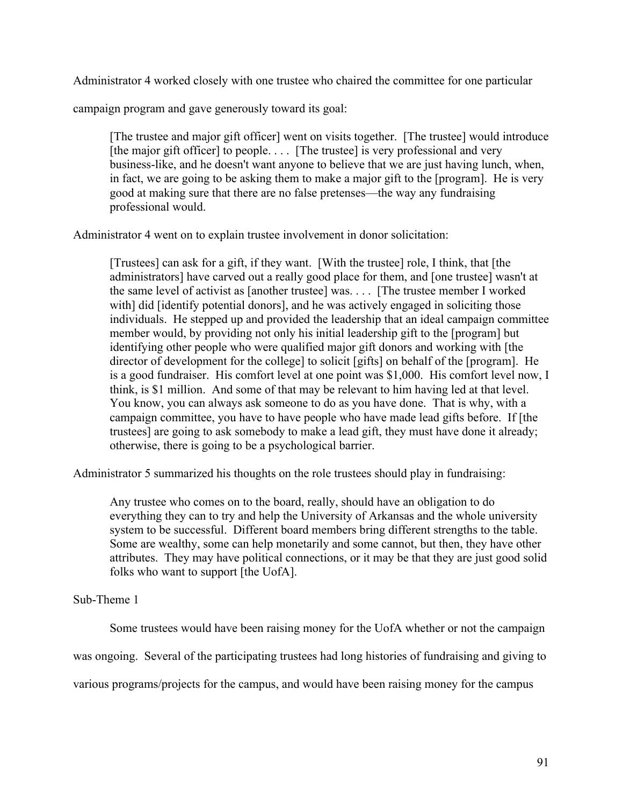Administrator 4 worked closely with one trustee who chaired the committee for one particular

campaign program and gave generously toward its goal:

[The trustee and major gift officer] went on visits together. [The trustee] would introduce [the major gift officer] to people. . . . [The trustee] is very professional and very business-like, and he doesn't want anyone to believe that we are just having lunch, when, in fact, we are going to be asking them to make a major gift to the [program]. He is very good at making sure that there are no false pretenses—the way any fundraising professional would.

Administrator 4 went on to explain trustee involvement in donor solicitation:

[Trustees] can ask for a gift, if they want. [With the trustee] role, I think, that [the administrators] have carved out a really good place for them, and [one trustee] wasn't at the same level of activist as [another trustee] was. . . . [The trustee member I worked with] did [identify potential donors], and he was actively engaged in soliciting those individuals. He stepped up and provided the leadership that an ideal campaign committee member would, by providing not only his initial leadership gift to the [program] but identifying other people who were qualified major gift donors and working with [the director of development for the college] to solicit [gifts] on behalf of the [program]. He is a good fundraiser. His comfort level at one point was \$1,000. His comfort level now, I think, is \$1 million. And some of that may be relevant to him having led at that level. You know, you can always ask someone to do as you have done. That is why, with a campaign committee, you have to have people who have made lead gifts before. If [the trustees] are going to ask somebody to make a lead gift, they must have done it already; otherwise, there is going to be a psychological barrier.

Administrator 5 summarized his thoughts on the role trustees should play in fundraising:

Any trustee who comes on to the board, really, should have an obligation to do everything they can to try and help the University of Arkansas and the whole university system to be successful. Different board members bring different strengths to the table. Some are wealthy, some can help monetarily and some cannot, but then, they have other attributes. They may have political connections, or it may be that they are just good solid folks who want to support [the UofA].

# Sub-Theme 1

Some trustees would have been raising money for the UofA whether or not the campaign

was ongoing. Several of the participating trustees had long histories of fundraising and giving to

various programs/projects for the campus, and would have been raising money for the campus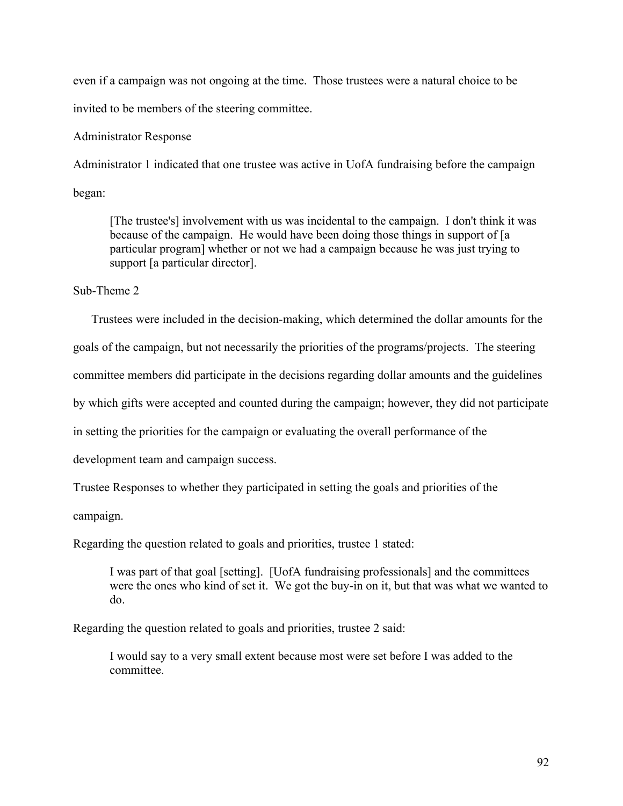even if a campaign was not ongoing at the time. Those trustees were a natural choice to be invited to be members of the steering committee.

# Administrator Response

Administrator 1 indicated that one trustee was active in UofA fundraising before the campaign began:

[The trustee's] involvement with us was incidental to the campaign. I don't think it was because of the campaign. He would have been doing those things in support of [a particular program] whether or not we had a campaign because he was just trying to support [a particular director].

Sub-Theme 2

Trustees were included in the decision-making, which determined the dollar amounts for the

goals of the campaign, but not necessarily the priorities of the programs/projects. The steering

committee members did participate in the decisions regarding dollar amounts and the guidelines

by which gifts were accepted and counted during the campaign; however, they did not participate

in setting the priorities for the campaign or evaluating the overall performance of the

development team and campaign success.

Trustee Responses to whether they participated in setting the goals and priorities of the

campaign.

Regarding the question related to goals and priorities, trustee 1 stated:

I was part of that goal [setting]. [UofA fundraising professionals] and the committees were the ones who kind of set it. We got the buy-in on it, but that was what we wanted to do.

Regarding the question related to goals and priorities, trustee 2 said:

I would say to a very small extent because most were set before I was added to the committee.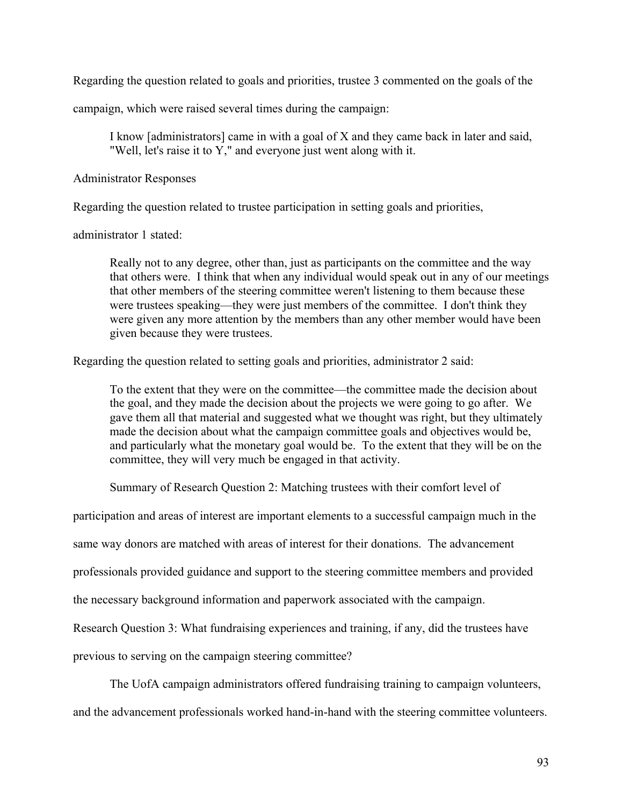Regarding the question related to goals and priorities, trustee 3 commented on the goals of the

campaign, which were raised several times during the campaign:

I know [administrators] came in with a goal of X and they came back in later and said, "Well, let's raise it to Y," and everyone just went along with it.

Administrator Responses

Regarding the question related to trustee participation in setting goals and priorities,

administrator 1 stated:

Really not to any degree, other than, just as participants on the committee and the way that others were. I think that when any individual would speak out in any of our meetings that other members of the steering committee weren't listening to them because these were trustees speaking—they were just members of the committee. I don't think they were given any more attention by the members than any other member would have been given because they were trustees.

Regarding the question related to setting goals and priorities, administrator 2 said:

To the extent that they were on the committee—the committee made the decision about the goal, and they made the decision about the projects we were going to go after. We gave them all that material and suggested what we thought was right, but they ultimately made the decision about what the campaign committee goals and objectives would be, and particularly what the monetary goal would be. To the extent that they will be on the committee, they will very much be engaged in that activity.

Summary of Research Question 2: Matching trustees with their comfort level of

participation and areas of interest are important elements to a successful campaign much in the

same way donors are matched with areas of interest for their donations. The advancement

professionals provided guidance and support to the steering committee members and provided

the necessary background information and paperwork associated with the campaign.

Research Question 3: What fundraising experiences and training, if any, did the trustees have

previous to serving on the campaign steering committee?

The UofA campaign administrators offered fundraising training to campaign volunteers,

and the advancement professionals worked hand-in-hand with the steering committee volunteers.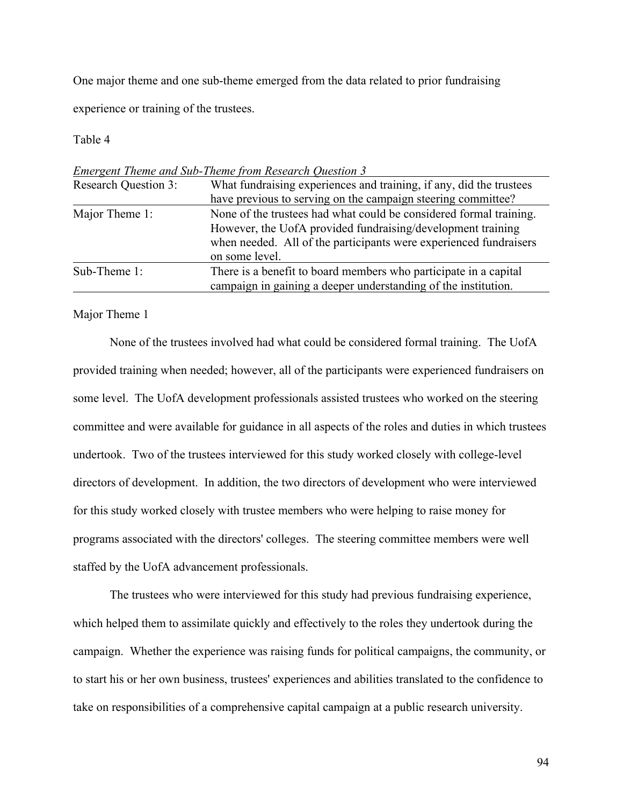One major theme and one sub-theme emerged from the data related to prior fundraising

experience or training of the trustees.

Table 4

| <b>Research Question 3:</b> | What fundraising experiences and training, if any, did the trustees                                                                                                                                                      |
|-----------------------------|--------------------------------------------------------------------------------------------------------------------------------------------------------------------------------------------------------------------------|
|                             | have previous to serving on the campaign steering committee?                                                                                                                                                             |
| Major Theme 1:              | None of the trustees had what could be considered formal training.<br>However, the UofA provided fundraising/development training<br>when needed. All of the participants were experienced fundraisers<br>on some level. |
| Sub-Theme 1:                | There is a benefit to board members who participate in a capital                                                                                                                                                         |
|                             | campaign in gaining a deeper understanding of the institution.                                                                                                                                                           |

*Emergent Theme and Sub-Theme from Research Question 3*

Major Theme 1

None of the trustees involved had what could be considered formal training. The UofA provided training when needed; however, all of the participants were experienced fundraisers on some level. The UofA development professionals assisted trustees who worked on the steering committee and were available for guidance in all aspects of the roles and duties in which trustees undertook. Two of the trustees interviewed for this study worked closely with college-level directors of development. In addition, the two directors of development who were interviewed for this study worked closely with trustee members who were helping to raise money for programs associated with the directors' colleges. The steering committee members were well staffed by the UofA advancement professionals.

The trustees who were interviewed for this study had previous fundraising experience, which helped them to assimilate quickly and effectively to the roles they undertook during the campaign. Whether the experience was raising funds for political campaigns, the community, or to start his or her own business, trustees' experiences and abilities translated to the confidence to take on responsibilities of a comprehensive capital campaign at a public research university.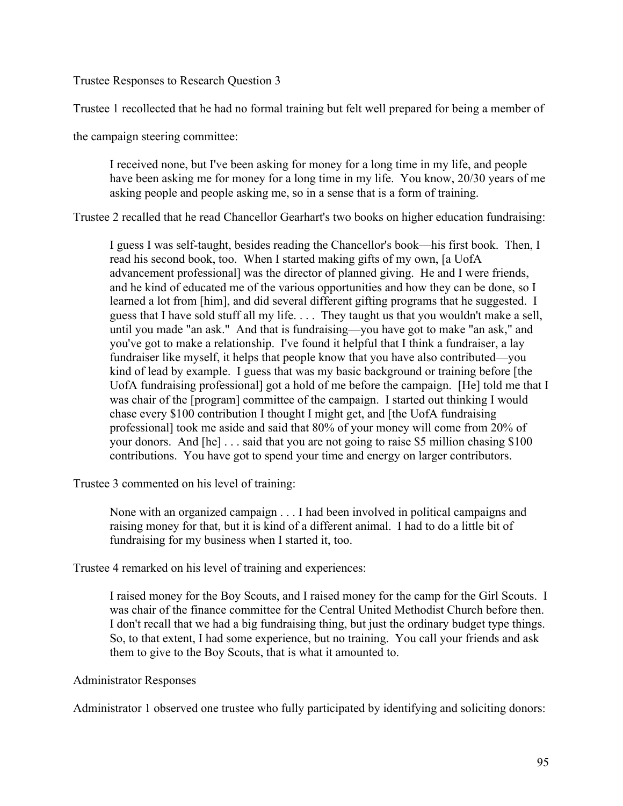Trustee Responses to Research Question 3

Trustee 1 recollected that he had no formal training but felt well prepared for being a member of

the campaign steering committee:

I received none, but I've been asking for money for a long time in my life, and people have been asking me for money for a long time in my life. You know, 20/30 years of me asking people and people asking me, so in a sense that is a form of training.

Trustee 2 recalled that he read Chancellor Gearhart's two books on higher education fundraising:

I guess I was self-taught, besides reading the Chancellor's book—his first book. Then, I read his second book, too. When I started making gifts of my own, [a UofA advancement professional] was the director of planned giving. He and I were friends, and he kind of educated me of the various opportunities and how they can be done, so I learned a lot from [him], and did several different gifting programs that he suggested. I guess that I have sold stuff all my life. . . . They taught us that you wouldn't make a sell, until you made "an ask." And that is fundraising—you have got to make "an ask," and you've got to make a relationship. I've found it helpful that I think a fundraiser, a lay fundraiser like myself, it helps that people know that you have also contributed—you kind of lead by example. I guess that was my basic background or training before [the UofA fundraising professional] got a hold of me before the campaign. [He] told me that I was chair of the [program] committee of the campaign. I started out thinking I would chase every \$100 contribution I thought I might get, and [the UofA fundraising professional] took me aside and said that 80% of your money will come from 20% of your donors. And [he] . . . said that you are not going to raise \$5 million chasing \$100 contributions. You have got to spend your time and energy on larger contributors.

Trustee 3 commented on his level of training:

None with an organized campaign . . . I had been involved in political campaigns and raising money for that, but it is kind of a different animal. I had to do a little bit of fundraising for my business when I started it, too.

Trustee 4 remarked on his level of training and experiences:

I raised money for the Boy Scouts, and I raised money for the camp for the Girl Scouts. I was chair of the finance committee for the Central United Methodist Church before then. I don't recall that we had a big fundraising thing, but just the ordinary budget type things. So, to that extent, I had some experience, but no training. You call your friends and ask them to give to the Boy Scouts, that is what it amounted to.

# Administrator Responses

Administrator 1 observed one trustee who fully participated by identifying and soliciting donors: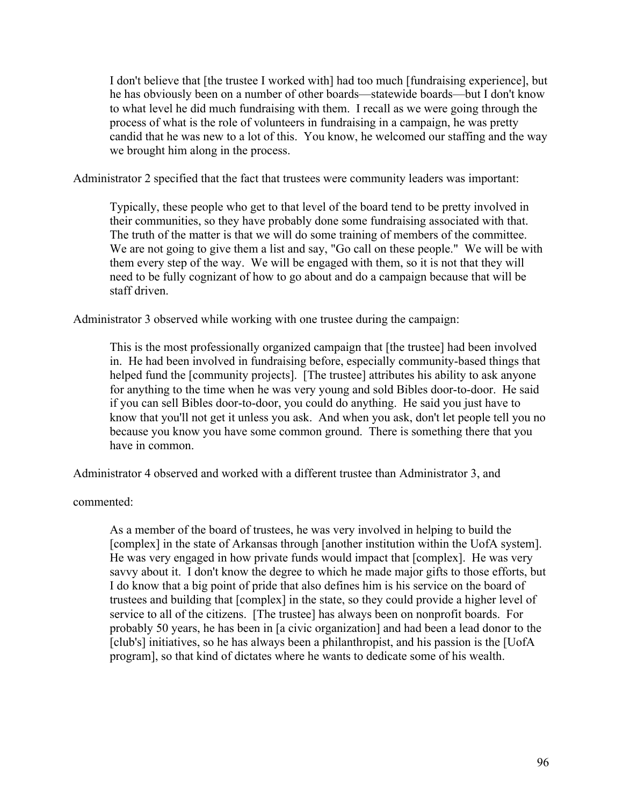I don't believe that [the trustee I worked with] had too much [fundraising experience], but he has obviously been on a number of other boards—statewide boards—but I don't know to what level he did much fundraising with them. I recall as we were going through the process of what is the role of volunteers in fundraising in a campaign, he was pretty candid that he was new to a lot of this. You know, he welcomed our staffing and the way we brought him along in the process.

Administrator 2 specified that the fact that trustees were community leaders was important:

Typically, these people who get to that level of the board tend to be pretty involved in their communities, so they have probably done some fundraising associated with that. The truth of the matter is that we will do some training of members of the committee. We are not going to give them a list and say, "Go call on these people." We will be with them every step of the way. We will be engaged with them, so it is not that they will need to be fully cognizant of how to go about and do a campaign because that will be staff driven.

Administrator 3 observed while working with one trustee during the campaign:

This is the most professionally organized campaign that [the trustee] had been involved in. He had been involved in fundraising before, especially community-based things that helped fund the [community projects]. [The trustee] attributes his ability to ask anyone for anything to the time when he was very young and sold Bibles door-to-door. He said if you can sell Bibles door-to-door, you could do anything. He said you just have to know that you'll not get it unless you ask. And when you ask, don't let people tell you no because you know you have some common ground. There is something there that you have in common.

Administrator 4 observed and worked with a different trustee than Administrator 3, and

commented:

As a member of the board of trustees, he was very involved in helping to build the [complex] in the state of Arkansas through [another institution within the UofA system]. He was very engaged in how private funds would impact that [complex]. He was very savvy about it. I don't know the degree to which he made major gifts to those efforts, but I do know that a big point of pride that also defines him is his service on the board of trustees and building that [complex] in the state, so they could provide a higher level of service to all of the citizens. [The trustee] has always been on nonprofit boards. For probably 50 years, he has been in [a civic organization] and had been a lead donor to the [club's] initiatives, so he has always been a philanthropist, and his passion is the [UofA program], so that kind of dictates where he wants to dedicate some of his wealth.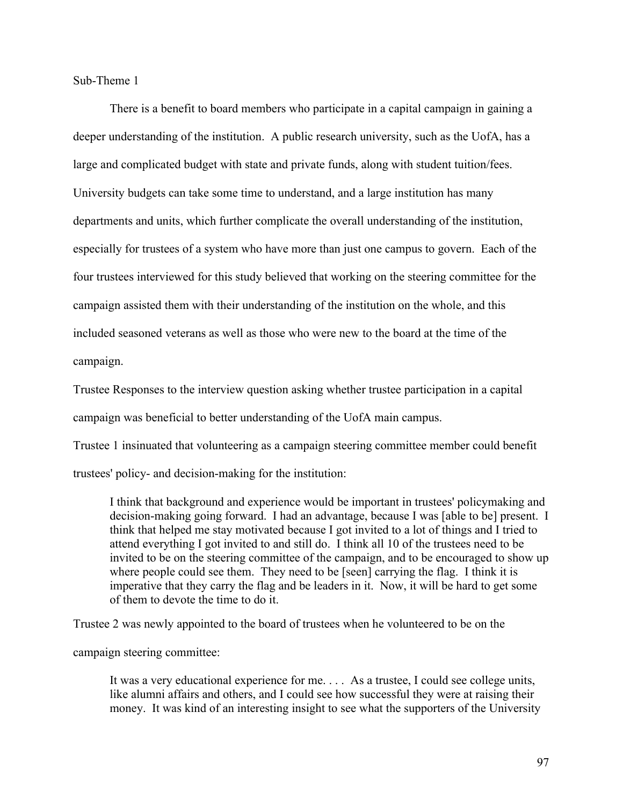Sub-Theme 1

There is a benefit to board members who participate in a capital campaign in gaining a deeper understanding of the institution. A public research university, such as the UofA, has a large and complicated budget with state and private funds, along with student tuition/fees. University budgets can take some time to understand, and a large institution has many departments and units, which further complicate the overall understanding of the institution, especially for trustees of a system who have more than just one campus to govern. Each of the four trustees interviewed for this study believed that working on the steering committee for the campaign assisted them with their understanding of the institution on the whole, and this included seasoned veterans as well as those who were new to the board at the time of the campaign.

Trustee Responses to the interview question asking whether trustee participation in a capital

campaign was beneficial to better understanding of the UofA main campus.

Trustee 1 insinuated that volunteering as a campaign steering committee member could benefit

trustees' policy- and decision-making for the institution:

I think that background and experience would be important in trustees' policymaking and decision-making going forward. I had an advantage, because I was [able to be] present. I think that helped me stay motivated because I got invited to a lot of things and I tried to attend everything I got invited to and still do. I think all 10 of the trustees need to be invited to be on the steering committee of the campaign, and to be encouraged to show up where people could see them. They need to be [seen] carrying the flag. I think it is imperative that they carry the flag and be leaders in it. Now, it will be hard to get some of them to devote the time to do it.

Trustee 2 was newly appointed to the board of trustees when he volunteered to be on the

campaign steering committee:

It was a very educational experience for me. . . . As a trustee, I could see college units, like alumni affairs and others, and I could see how successful they were at raising their money. It was kind of an interesting insight to see what the supporters of the University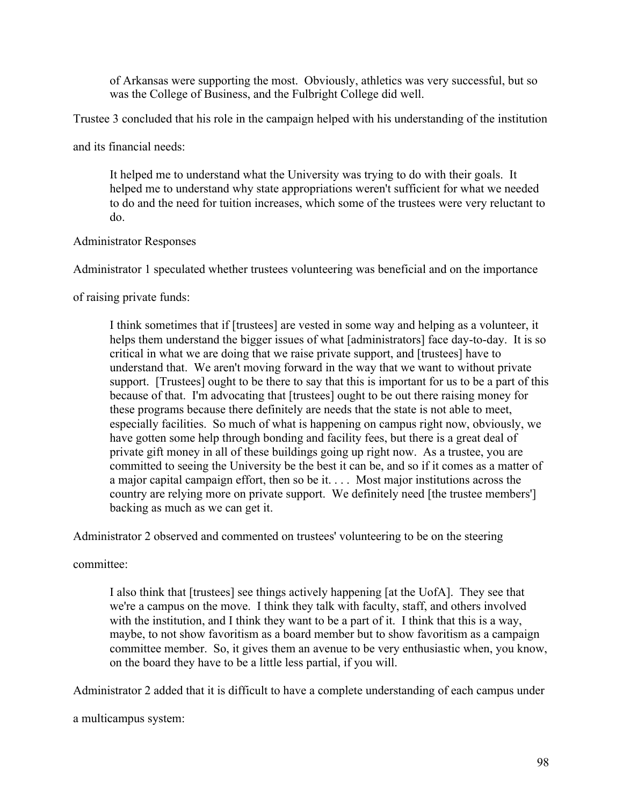of Arkansas were supporting the most. Obviously, athletics was very successful, but so was the College of Business, and the Fulbright College did well.

Trustee 3 concluded that his role in the campaign helped with his understanding of the institution

and its financial needs:

It helped me to understand what the University was trying to do with their goals. It helped me to understand why state appropriations weren't sufficient for what we needed to do and the need for tuition increases, which some of the trustees were very reluctant to do.

## Administrator Responses

Administrator 1 speculated whether trustees volunteering was beneficial and on the importance

of raising private funds:

I think sometimes that if [trustees] are vested in some way and helping as a volunteer, it helps them understand the bigger issues of what [administrators] face day-to-day. It is so critical in what we are doing that we raise private support, and [trustees] have to understand that. We aren't moving forward in the way that we want to without private support. [Trustees] ought to be there to say that this is important for us to be a part of this because of that. I'm advocating that [trustees] ought to be out there raising money for these programs because there definitely are needs that the state is not able to meet, especially facilities. So much of what is happening on campus right now, obviously, we have gotten some help through bonding and facility fees, but there is a great deal of private gift money in all of these buildings going up right now. As a trustee, you are committed to seeing the University be the best it can be, and so if it comes as a matter of a major capital campaign effort, then so be it. . . . Most major institutions across the country are relying more on private support. We definitely need [the trustee members'] backing as much as we can get it.

Administrator 2 observed and commented on trustees' volunteering to be on the steering

committee:

I also think that [trustees] see things actively happening [at the UofA]. They see that we're a campus on the move. I think they talk with faculty, staff, and others involved with the institution, and I think they want to be a part of it. I think that this is a way, maybe, to not show favoritism as a board member but to show favoritism as a campaign committee member. So, it gives them an avenue to be very enthusiastic when, you know, on the board they have to be a little less partial, if you will.

Administrator 2 added that it is difficult to have a complete understanding of each campus under

a multicampus system: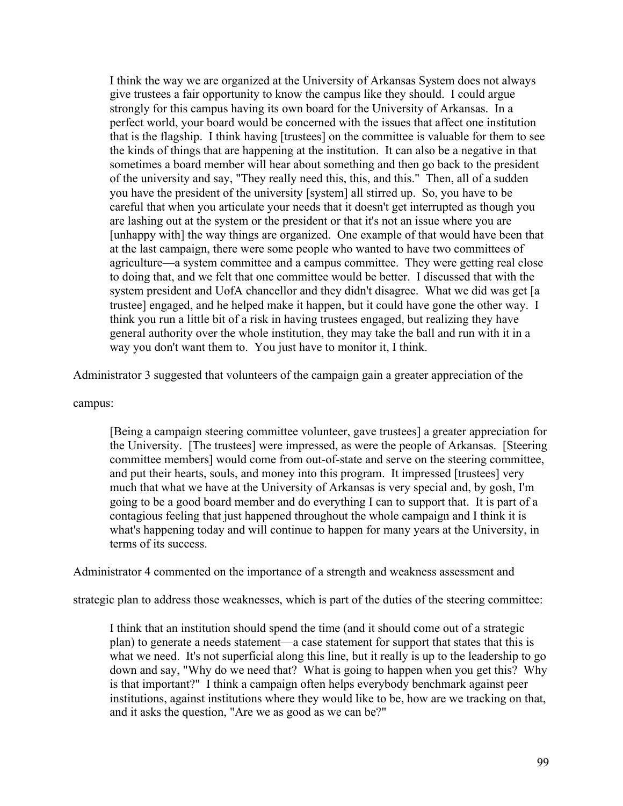I think the way we are organized at the University of Arkansas System does not always give trustees a fair opportunity to know the campus like they should. I could argue strongly for this campus having its own board for the University of Arkansas. In a perfect world, your board would be concerned with the issues that affect one institution that is the flagship. I think having [trustees] on the committee is valuable for them to see the kinds of things that are happening at the institution. It can also be a negative in that sometimes a board member will hear about something and then go back to the president of the university and say, "They really need this, this, and this." Then, all of a sudden you have the president of the university [system] all stirred up. So, you have to be careful that when you articulate your needs that it doesn't get interrupted as though you are lashing out at the system or the president or that it's not an issue where you are [unhappy with] the way things are organized. One example of that would have been that at the last campaign, there were some people who wanted to have two committees of agriculture—a system committee and a campus committee. They were getting real close to doing that, and we felt that one committee would be better. I discussed that with the system president and UofA chancellor and they didn't disagree. What we did was get [a trustee] engaged, and he helped make it happen, but it could have gone the other way. I think you run a little bit of a risk in having trustees engaged, but realizing they have general authority over the whole institution, they may take the ball and run with it in a way you don't want them to. You just have to monitor it, I think.

Administrator 3 suggested that volunteers of the campaign gain a greater appreciation of the

campus:

[Being a campaign steering committee volunteer, gave trustees] a greater appreciation for the University. [The trustees] were impressed, as were the people of Arkansas. [Steering committee members] would come from out-of-state and serve on the steering committee, and put their hearts, souls, and money into this program. It impressed [trustees] very much that what we have at the University of Arkansas is very special and, by gosh, I'm going to be a good board member and do everything I can to support that. It is part of a contagious feeling that just happened throughout the whole campaign and I think it is what's happening today and will continue to happen for many years at the University, in terms of its success.

Administrator 4 commented on the importance of a strength and weakness assessment and

strategic plan to address those weaknesses, which is part of the duties of the steering committee:

I think that an institution should spend the time (and it should come out of a strategic plan) to generate a needs statement—a case statement for support that states that this is what we need. It's not superficial along this line, but it really is up to the leadership to go down and say, "Why do we need that? What is going to happen when you get this? Why is that important?" I think a campaign often helps everybody benchmark against peer institutions, against institutions where they would like to be, how are we tracking on that, and it asks the question, "Are we as good as we can be?"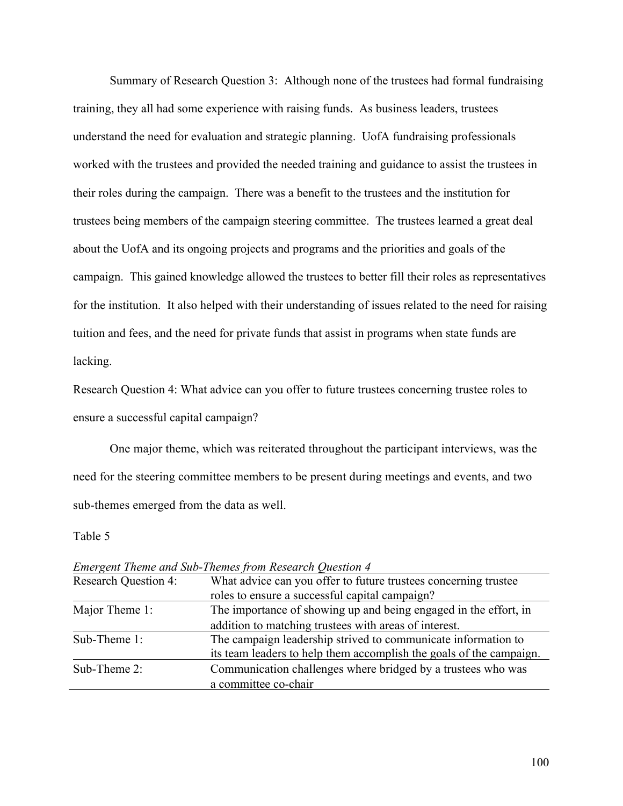Summary of Research Question 3: Although none of the trustees had formal fundraising training, they all had some experience with raising funds. As business leaders, trustees understand the need for evaluation and strategic planning. UofA fundraising professionals worked with the trustees and provided the needed training and guidance to assist the trustees in their roles during the campaign. There was a benefit to the trustees and the institution for trustees being members of the campaign steering committee. The trustees learned a great deal about the UofA and its ongoing projects and programs and the priorities and goals of the campaign. This gained knowledge allowed the trustees to better fill their roles as representatives for the institution. It also helped with their understanding of issues related to the need for raising tuition and fees, and the need for private funds that assist in programs when state funds are lacking.

Research Question 4: What advice can you offer to future trustees concerning trustee roles to ensure a successful capital campaign?

One major theme, which was reiterated throughout the participant interviews, was the need for the steering committee members to be present during meetings and events, and two sub-themes emerged from the data as well.

Table 5

| Emergent Theme and Sub-Themes from Research Question 4 |                                                                     |
|--------------------------------------------------------|---------------------------------------------------------------------|
| <b>Research Question 4:</b>                            | What advice can you offer to future trustees concerning trustee     |
|                                                        | roles to ensure a successful capital campaign?                      |
| Major Theme 1:                                         | The importance of showing up and being engaged in the effort, in    |
|                                                        | addition to matching trustees with areas of interest.               |
| Sub-Theme 1:                                           | The campaign leadership strived to communicate information to       |
|                                                        | its team leaders to help them accomplish the goals of the campaign. |
| Sub-Theme 2:                                           | Communication challenges where bridged by a trustees who was        |
|                                                        | a committee co-chair                                                |

*Emergent Theme and Sub-Themes from Research Question 4*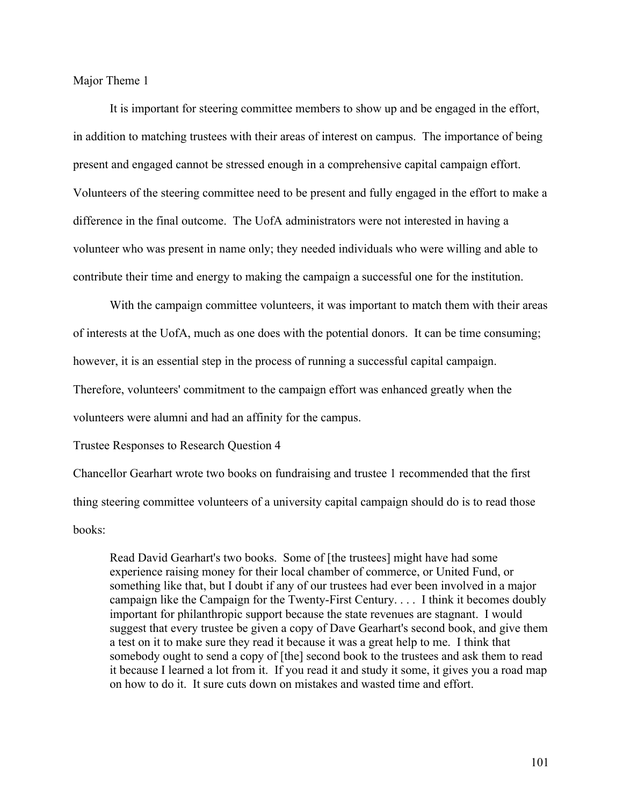Major Theme 1

It is important for steering committee members to show up and be engaged in the effort, in addition to matching trustees with their areas of interest on campus. The importance of being present and engaged cannot be stressed enough in a comprehensive capital campaign effort. Volunteers of the steering committee need to be present and fully engaged in the effort to make a difference in the final outcome. The UofA administrators were not interested in having a volunteer who was present in name only; they needed individuals who were willing and able to contribute their time and energy to making the campaign a successful one for the institution.

With the campaign committee volunteers, it was important to match them with their areas of interests at the UofA, much as one does with the potential donors. It can be time consuming; however, it is an essential step in the process of running a successful capital campaign.

Therefore, volunteers' commitment to the campaign effort was enhanced greatly when the

volunteers were alumni and had an affinity for the campus.

Trustee Responses to Research Question 4

Chancellor Gearhart wrote two books on fundraising and trustee 1 recommended that the first thing steering committee volunteers of a university capital campaign should do is to read those books:

Read David Gearhart's two books. Some of [the trustees] might have had some experience raising money for their local chamber of commerce, or United Fund, or something like that, but I doubt if any of our trustees had ever been involved in a major campaign like the Campaign for the Twenty-First Century. . . . I think it becomes doubly important for philanthropic support because the state revenues are stagnant. I would suggest that every trustee be given a copy of Dave Gearhart's second book, and give them a test on it to make sure they read it because it was a great help to me. I think that somebody ought to send a copy of [the] second book to the trustees and ask them to read it because I learned a lot from it. If you read it and study it some, it gives you a road map on how to do it. It sure cuts down on mistakes and wasted time and effort.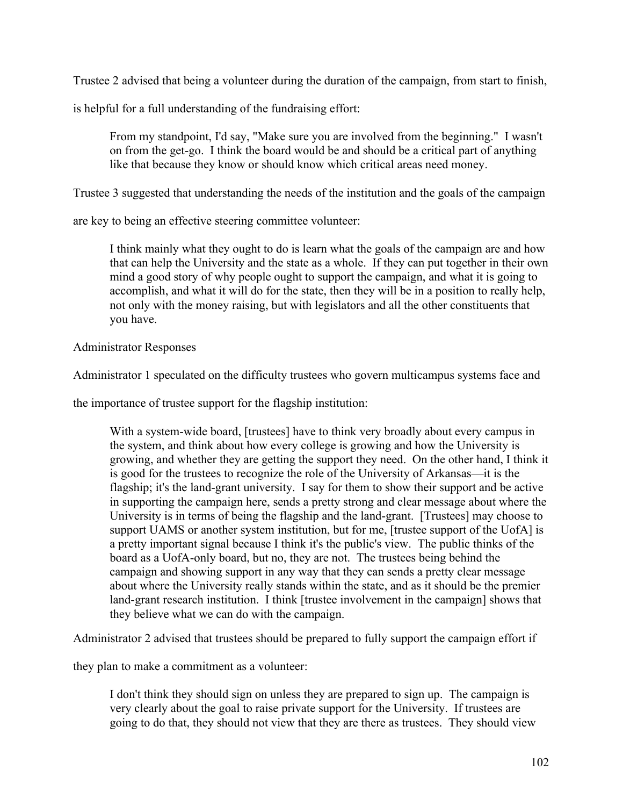Trustee 2 advised that being a volunteer during the duration of the campaign, from start to finish,

is helpful for a full understanding of the fundraising effort:

From my standpoint, I'd say, "Make sure you are involved from the beginning." I wasn't on from the get-go. I think the board would be and should be a critical part of anything like that because they know or should know which critical areas need money.

Trustee 3 suggested that understanding the needs of the institution and the goals of the campaign

are key to being an effective steering committee volunteer:

I think mainly what they ought to do is learn what the goals of the campaign are and how that can help the University and the state as a whole. If they can put together in their own mind a good story of why people ought to support the campaign, and what it is going to accomplish, and what it will do for the state, then they will be in a position to really help, not only with the money raising, but with legislators and all the other constituents that you have.

# Administrator Responses

Administrator 1 speculated on the difficulty trustees who govern multicampus systems face and

the importance of trustee support for the flagship institution:

With a system-wide board, [trustees] have to think very broadly about every campus in the system, and think about how every college is growing and how the University is growing, and whether they are getting the support they need. On the other hand, I think it is good for the trustees to recognize the role of the University of Arkansas—it is the flagship; it's the land-grant university. I say for them to show their support and be active in supporting the campaign here, sends a pretty strong and clear message about where the University is in terms of being the flagship and the land-grant. [Trustees] may choose to support UAMS or another system institution, but for me, [trustee support of the UofA] is a pretty important signal because I think it's the public's view. The public thinks of the board as a UofA-only board, but no, they are not. The trustees being behind the campaign and showing support in any way that they can sends a pretty clear message about where the University really stands within the state, and as it should be the premier land-grant research institution. I think [trustee involvement in the campaign] shows that they believe what we can do with the campaign.

Administrator 2 advised that trustees should be prepared to fully support the campaign effort if

they plan to make a commitment as a volunteer:

I don't think they should sign on unless they are prepared to sign up. The campaign is very clearly about the goal to raise private support for the University. If trustees are going to do that, they should not view that they are there as trustees. They should view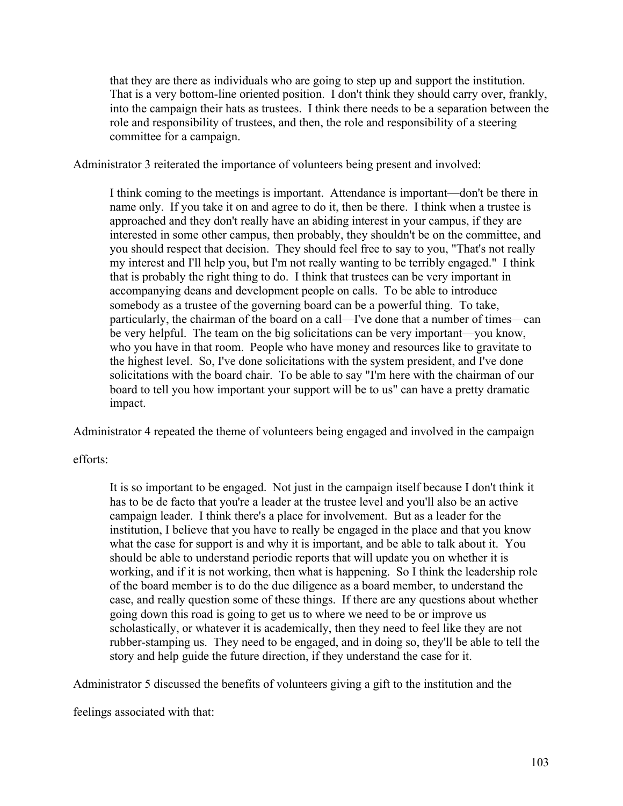that they are there as individuals who are going to step up and support the institution. That is a very bottom-line oriented position. I don't think they should carry over, frankly, into the campaign their hats as trustees. I think there needs to be a separation between the role and responsibility of trustees, and then, the role and responsibility of a steering committee for a campaign.

Administrator 3 reiterated the importance of volunteers being present and involved:

I think coming to the meetings is important. Attendance is important—don't be there in name only. If you take it on and agree to do it, then be there. I think when a trustee is approached and they don't really have an abiding interest in your campus, if they are interested in some other campus, then probably, they shouldn't be on the committee, and you should respect that decision. They should feel free to say to you, "That's not really my interest and I'll help you, but I'm not really wanting to be terribly engaged." I think that is probably the right thing to do. I think that trustees can be very important in accompanying deans and development people on calls. To be able to introduce somebody as a trustee of the governing board can be a powerful thing. To take, particularly, the chairman of the board on a call—I've done that a number of times—can be very helpful. The team on the big solicitations can be very important—you know, who you have in that room. People who have money and resources like to gravitate to the highest level. So, I've done solicitations with the system president, and I've done solicitations with the board chair. To be able to say "I'm here with the chairman of our board to tell you how important your support will be to us" can have a pretty dramatic impact.

Administrator 4 repeated the theme of volunteers being engaged and involved in the campaign

efforts:

It is so important to be engaged. Not just in the campaign itself because I don't think it has to be de facto that you're a leader at the trustee level and you'll also be an active campaign leader. I think there's a place for involvement. But as a leader for the institution, I believe that you have to really be engaged in the place and that you know what the case for support is and why it is important, and be able to talk about it. You should be able to understand periodic reports that will update you on whether it is working, and if it is not working, then what is happening. So I think the leadership role of the board member is to do the due diligence as a board member, to understand the case, and really question some of these things. If there are any questions about whether going down this road is going to get us to where we need to be or improve us scholastically, or whatever it is academically, then they need to feel like they are not rubber-stamping us. They need to be engaged, and in doing so, they'll be able to tell the story and help guide the future direction, if they understand the case for it.

Administrator 5 discussed the benefits of volunteers giving a gift to the institution and the

feelings associated with that: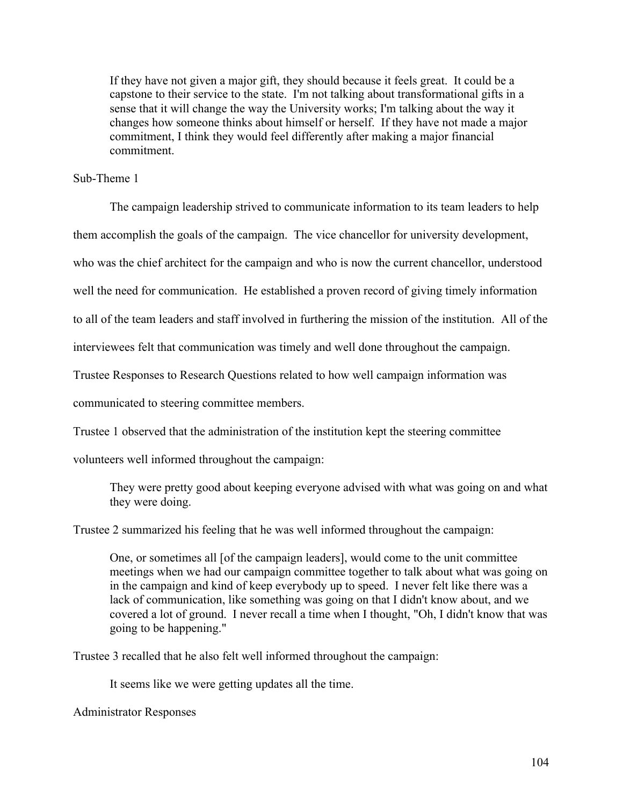If they have not given a major gift, they should because it feels great. It could be a capstone to their service to the state. I'm not talking about transformational gifts in a sense that it will change the way the University works; I'm talking about the way it changes how someone thinks about himself or herself. If they have not made a major commitment, I think they would feel differently after making a major financial commitment.

## Sub-Theme 1

The campaign leadership strived to communicate information to its team leaders to help them accomplish the goals of the campaign. The vice chancellor for university development, who was the chief architect for the campaign and who is now the current chancellor, understood well the need for communication. He established a proven record of giving timely information to all of the team leaders and staff involved in furthering the mission of the institution. All of the

interviewees felt that communication was timely and well done throughout the campaign.

Trustee Responses to Research Questions related to how well campaign information was

communicated to steering committee members.

Trustee 1 observed that the administration of the institution kept the steering committee

volunteers well informed throughout the campaign:

They were pretty good about keeping everyone advised with what was going on and what they were doing.

Trustee 2 summarized his feeling that he was well informed throughout the campaign:

One, or sometimes all [of the campaign leaders], would come to the unit committee meetings when we had our campaign committee together to talk about what was going on in the campaign and kind of keep everybody up to speed. I never felt like there was a lack of communication, like something was going on that I didn't know about, and we covered a lot of ground. I never recall a time when I thought, "Oh, I didn't know that was going to be happening."

Trustee 3 recalled that he also felt well informed throughout the campaign:

It seems like we were getting updates all the time.

Administrator Responses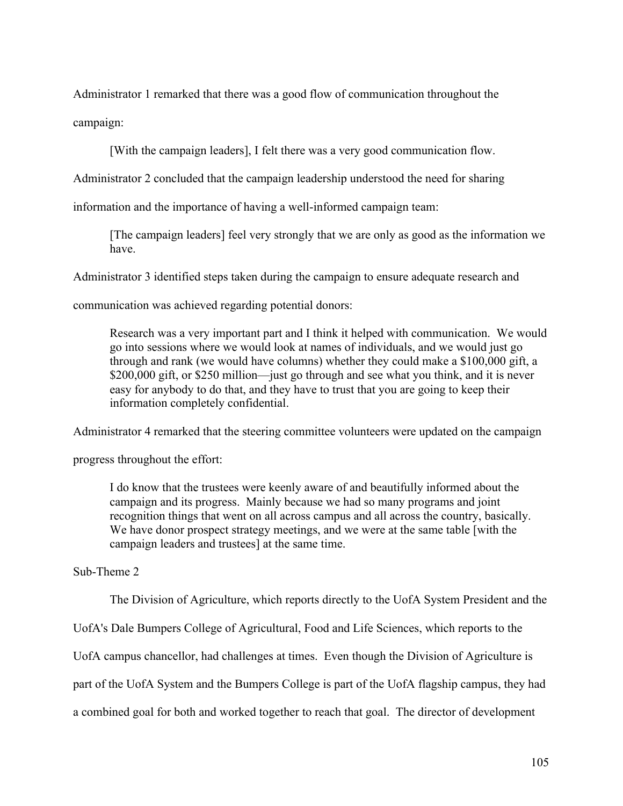Administrator 1 remarked that there was a good flow of communication throughout the campaign:

[With the campaign leaders], I felt there was a very good communication flow.

Administrator 2 concluded that the campaign leadership understood the need for sharing

information and the importance of having a well-informed campaign team:

[The campaign leaders] feel very strongly that we are only as good as the information we have.

Administrator 3 identified steps taken during the campaign to ensure adequate research and

communication was achieved regarding potential donors:

Research was a very important part and I think it helped with communication. We would go into sessions where we would look at names of individuals, and we would just go through and rank (we would have columns) whether they could make a \$100,000 gift, a \$200,000 gift, or \$250 million—just go through and see what you think, and it is never easy for anybody to do that, and they have to trust that you are going to keep their information completely confidential.

Administrator 4 remarked that the steering committee volunteers were updated on the campaign

progress throughout the effort:

I do know that the trustees were keenly aware of and beautifully informed about the campaign and its progress. Mainly because we had so many programs and joint recognition things that went on all across campus and all across the country, basically. We have donor prospect strategy meetings, and we were at the same table [with the campaign leaders and trustees] at the same time.

Sub-Theme 2

The Division of Agriculture, which reports directly to the UofA System President and the

UofA's Dale Bumpers College of Agricultural, Food and Life Sciences, which reports to the

UofA campus chancellor, had challenges at times. Even though the Division of Agriculture is

part of the UofA System and the Bumpers College is part of the UofA flagship campus, they had

a combined goal for both and worked together to reach that goal. The director of development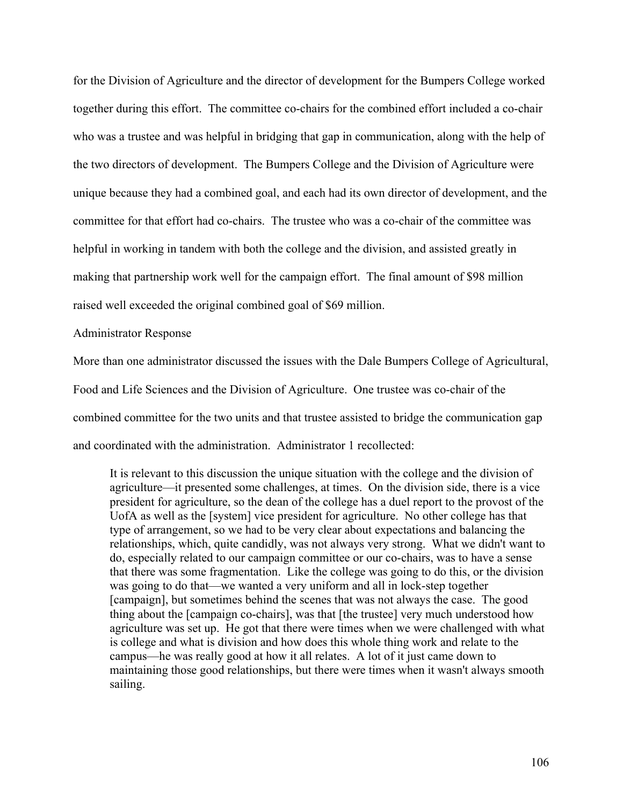for the Division of Agriculture and the director of development for the Bumpers College worked together during this effort. The committee co-chairs for the combined effort included a co-chair who was a trustee and was helpful in bridging that gap in communication, along with the help of the two directors of development. The Bumpers College and the Division of Agriculture were unique because they had a combined goal, and each had its own director of development, and the committee for that effort had co-chairs. The trustee who was a co-chair of the committee was helpful in working in tandem with both the college and the division, and assisted greatly in making that partnership work well for the campaign effort. The final amount of \$98 million raised well exceeded the original combined goal of \$69 million.

Administrator Response

More than one administrator discussed the issues with the Dale Bumpers College of Agricultural, Food and Life Sciences and the Division of Agriculture. One trustee was co-chair of the combined committee for the two units and that trustee assisted to bridge the communication gap and coordinated with the administration. Administrator 1 recollected:

It is relevant to this discussion the unique situation with the college and the division of agriculture—it presented some challenges, at times. On the division side, there is a vice president for agriculture, so the dean of the college has a duel report to the provost of the UofA as well as the [system] vice president for agriculture. No other college has that type of arrangement, so we had to be very clear about expectations and balancing the relationships, which, quite candidly, was not always very strong. What we didn't want to do, especially related to our campaign committee or our co-chairs, was to have a sense that there was some fragmentation. Like the college was going to do this, or the division was going to do that—we wanted a very uniform and all in lock-step together [campaign], but sometimes behind the scenes that was not always the case. The good thing about the [campaign co-chairs], was that [the trustee] very much understood how agriculture was set up. He got that there were times when we were challenged with what is college and what is division and how does this whole thing work and relate to the campus—he was really good at how it all relates. A lot of it just came down to maintaining those good relationships, but there were times when it wasn't always smooth sailing.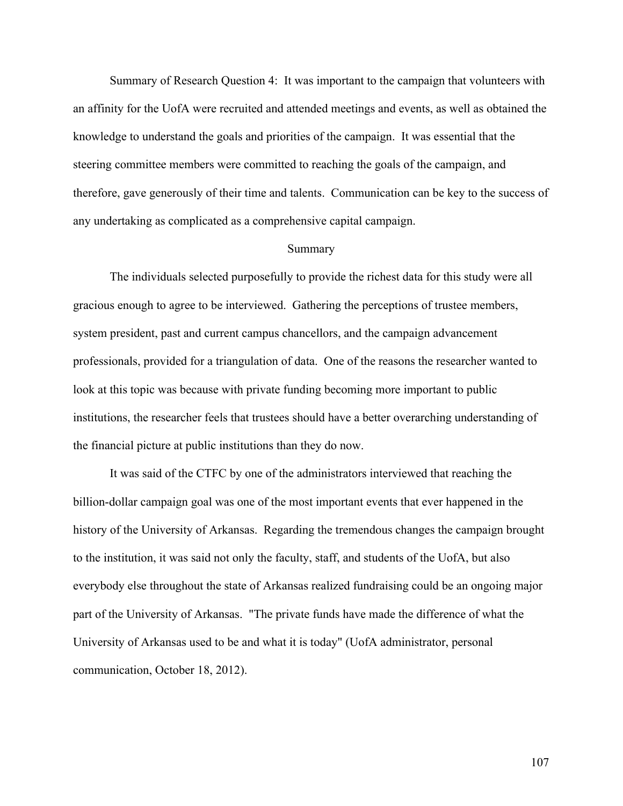Summary of Research Question 4: It was important to the campaign that volunteers with an affinity for the UofA were recruited and attended meetings and events, as well as obtained the knowledge to understand the goals and priorities of the campaign. It was essential that the steering committee members were committed to reaching the goals of the campaign, and therefore, gave generously of their time and talents. Communication can be key to the success of any undertaking as complicated as a comprehensive capital campaign.

#### Summary

The individuals selected purposefully to provide the richest data for this study were all gracious enough to agree to be interviewed. Gathering the perceptions of trustee members, system president, past and current campus chancellors, and the campaign advancement professionals, provided for a triangulation of data. One of the reasons the researcher wanted to look at this topic was because with private funding becoming more important to public institutions, the researcher feels that trustees should have a better overarching understanding of the financial picture at public institutions than they do now.

It was said of the CTFC by one of the administrators interviewed that reaching the billion-dollar campaign goal was one of the most important events that ever happened in the history of the University of Arkansas. Regarding the tremendous changes the campaign brought to the institution, it was said not only the faculty, staff, and students of the UofA, but also everybody else throughout the state of Arkansas realized fundraising could be an ongoing major part of the University of Arkansas. "The private funds have made the difference of what the University of Arkansas used to be and what it is today" (UofA administrator, personal communication, October 18, 2012).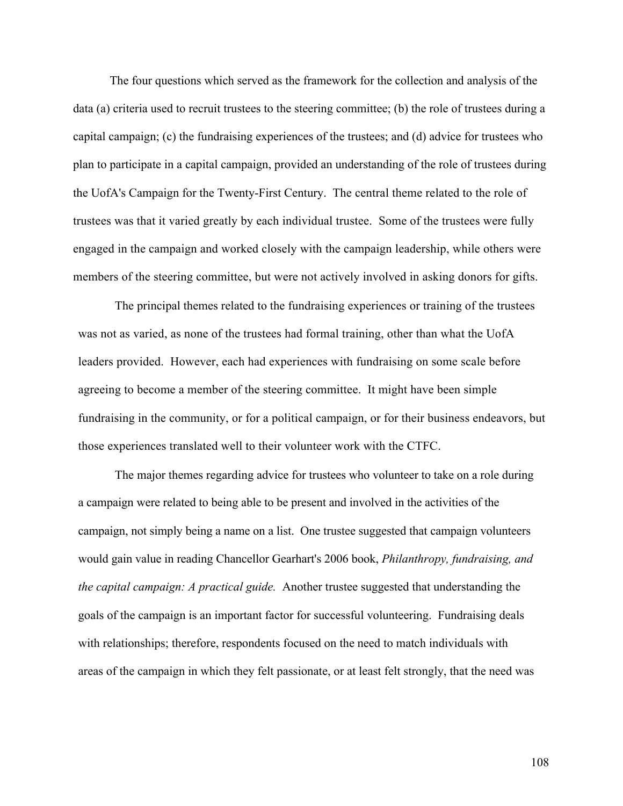The four questions which served as the framework for the collection and analysis of the data (a) criteria used to recruit trustees to the steering committee; (b) the role of trustees during a capital campaign; (c) the fundraising experiences of the trustees; and (d) advice for trustees who plan to participate in a capital campaign, provided an understanding of the role of trustees during the UofA's Campaign for the Twenty-First Century. The central theme related to the role of trustees was that it varied greatly by each individual trustee. Some of the trustees were fully engaged in the campaign and worked closely with the campaign leadership, while others were members of the steering committee, but were not actively involved in asking donors for gifts.

The principal themes related to the fundraising experiences or training of the trustees was not as varied, as none of the trustees had formal training, other than what the UofA leaders provided. However, each had experiences with fundraising on some scale before agreeing to become a member of the steering committee. It might have been simple fundraising in the community, or for a political campaign, or for their business endeavors, but those experiences translated well to their volunteer work with the CTFC.

The major themes regarding advice for trustees who volunteer to take on a role during a campaign were related to being able to be present and involved in the activities of the campaign, not simply being a name on a list. One trustee suggested that campaign volunteers would gain value in reading Chancellor Gearhart's 2006 book, *Philanthropy, fundraising, and the capital campaign: A practical guide.* Another trustee suggested that understanding the goals of the campaign is an important factor for successful volunteering. Fundraising deals with relationships; therefore, respondents focused on the need to match individuals with areas of the campaign in which they felt passionate, or at least felt strongly, that the need was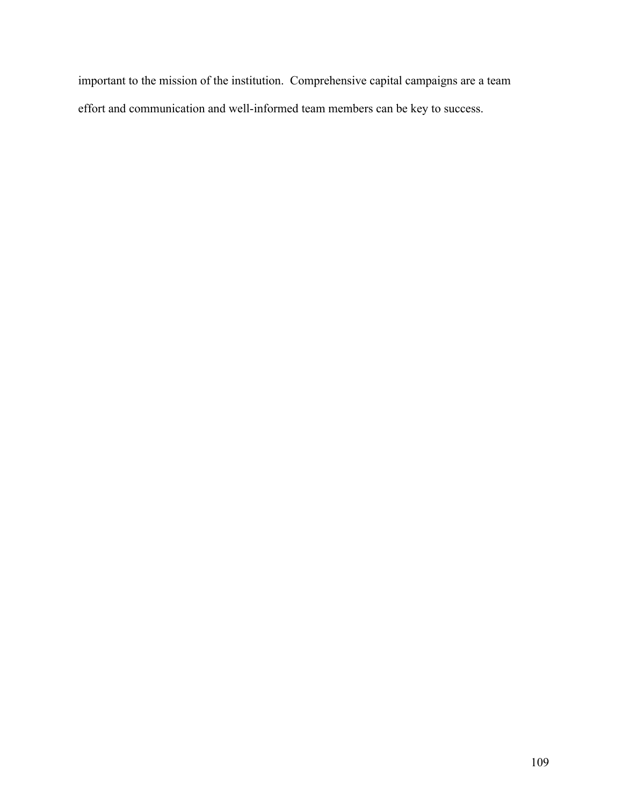important to the mission of the institution. Comprehensive capital campaigns are a team effort and communication and well-informed team members can be key to success.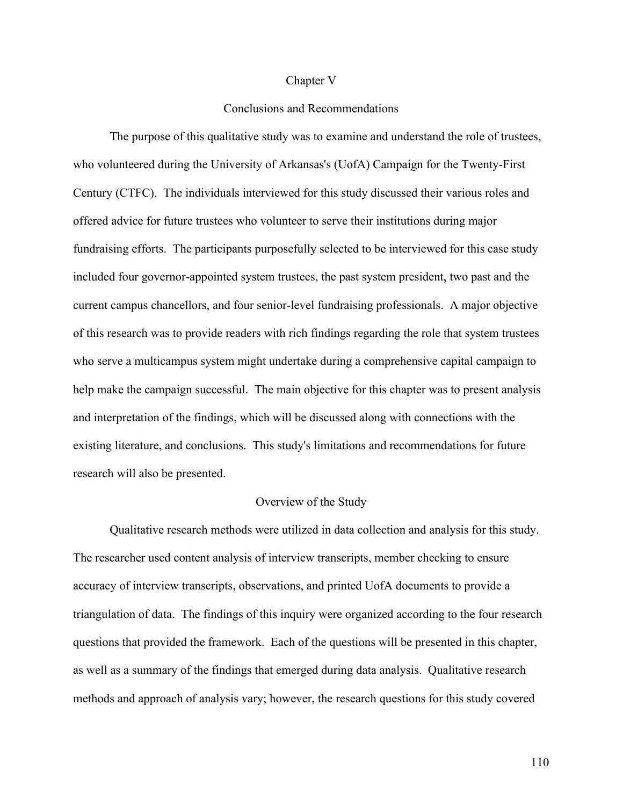#### Chapter V

## Conclusions and Recommendations

The purpose of this qualitative study was to examine and understand the role of trustees, who volunteered during the University of Arkansas's (UofA) Campaign for the Twenty-First Century (CTFC). The individuals interviewed for this study discussed their various roles and offered advice for future trustees who volunteer to serve their institutions during major fundraising efforts. The participants purposefully selected to be interviewed for this case study included four governor-appointed system trustees, the past system president, two past and the current campus chancellors, and four senior-level fundraising professionals. A major objective of this research was to provide readers with rich findings regarding the role that system trustees who serve a multicampus system might undertake during a comprehensive capital campaign to help make the campaign successful. The main objective for this chapter was to present analysis and interpretation of the findings, which will be discussed along with connections with the existing literature, and conclusions. This study's limitations and recommendations for future research will also be presented.

## Overview of the Study

Qualitative research methods were utilized in data collection and analysis for this study. The researcher used content analysis of interview transcripts, member checking to ensure accuracy of interview transcripts, observations, and printed UofA documents to provide a triangulation of data. The findings of this inquiry were organized according to the four research questions that provided the framework. Each of the questions will be presented in this chapter, as well as a summary of the findings that emerged during data analysis. Qualitative research methods and approach of analysis vary; however, the research questions for this study covered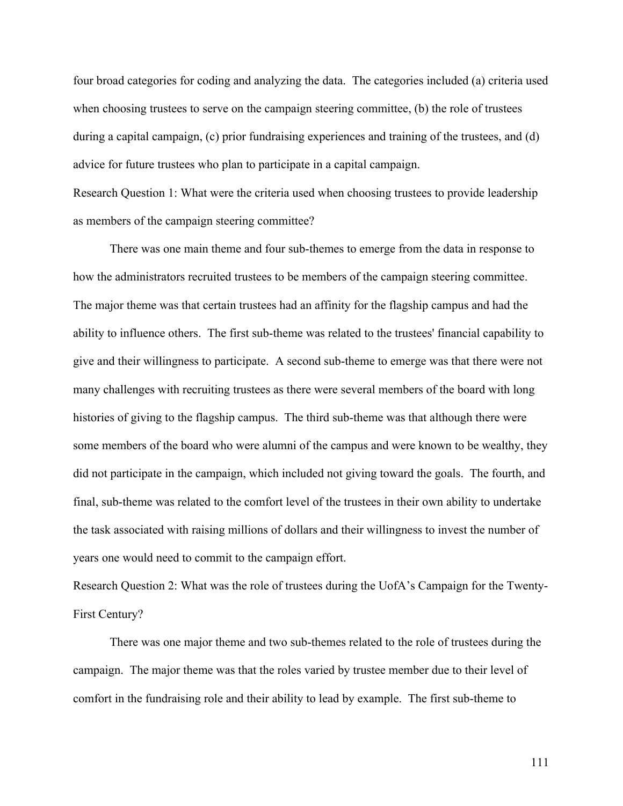four broad categories for coding and analyzing the data. The categories included (a) criteria used when choosing trustees to serve on the campaign steering committee, (b) the role of trustees during a capital campaign, (c) prior fundraising experiences and training of the trustees, and (d) advice for future trustees who plan to participate in a capital campaign.

Research Question 1: What were the criteria used when choosing trustees to provide leadership as members of the campaign steering committee?

There was one main theme and four sub-themes to emerge from the data in response to how the administrators recruited trustees to be members of the campaign steering committee. The major theme was that certain trustees had an affinity for the flagship campus and had the ability to influence others. The first sub-theme was related to the trustees' financial capability to give and their willingness to participate. A second sub-theme to emerge was that there were not many challenges with recruiting trustees as there were several members of the board with long histories of giving to the flagship campus. The third sub-theme was that although there were some members of the board who were alumni of the campus and were known to be wealthy, they did not participate in the campaign, which included not giving toward the goals. The fourth, and final, sub-theme was related to the comfort level of the trustees in their own ability to undertake the task associated with raising millions of dollars and their willingness to invest the number of years one would need to commit to the campaign effort.

Research Question 2: What was the role of trustees during the UofA's Campaign for the Twenty-First Century?

There was one major theme and two sub-themes related to the role of trustees during the campaign. The major theme was that the roles varied by trustee member due to their level of comfort in the fundraising role and their ability to lead by example. The first sub-theme to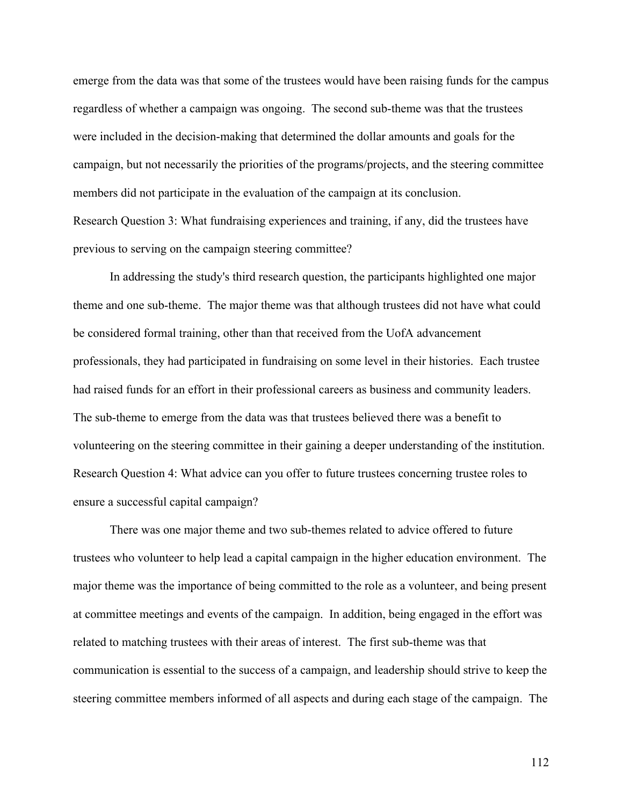emerge from the data was that some of the trustees would have been raising funds for the campus regardless of whether a campaign was ongoing. The second sub-theme was that the trustees were included in the decision-making that determined the dollar amounts and goals for the campaign, but not necessarily the priorities of the programs/projects, and the steering committee members did not participate in the evaluation of the campaign at its conclusion. Research Question 3: What fundraising experiences and training, if any, did the trustees have previous to serving on the campaign steering committee?

In addressing the study's third research question, the participants highlighted one major theme and one sub-theme. The major theme was that although trustees did not have what could be considered formal training, other than that received from the UofA advancement professionals, they had participated in fundraising on some level in their histories. Each trustee had raised funds for an effort in their professional careers as business and community leaders. The sub-theme to emerge from the data was that trustees believed there was a benefit to volunteering on the steering committee in their gaining a deeper understanding of the institution. Research Question 4: What advice can you offer to future trustees concerning trustee roles to ensure a successful capital campaign?

There was one major theme and two sub-themes related to advice offered to future trustees who volunteer to help lead a capital campaign in the higher education environment. The major theme was the importance of being committed to the role as a volunteer, and being present at committee meetings and events of the campaign. In addition, being engaged in the effort was related to matching trustees with their areas of interest. The first sub-theme was that communication is essential to the success of a campaign, and leadership should strive to keep the steering committee members informed of all aspects and during each stage of the campaign. The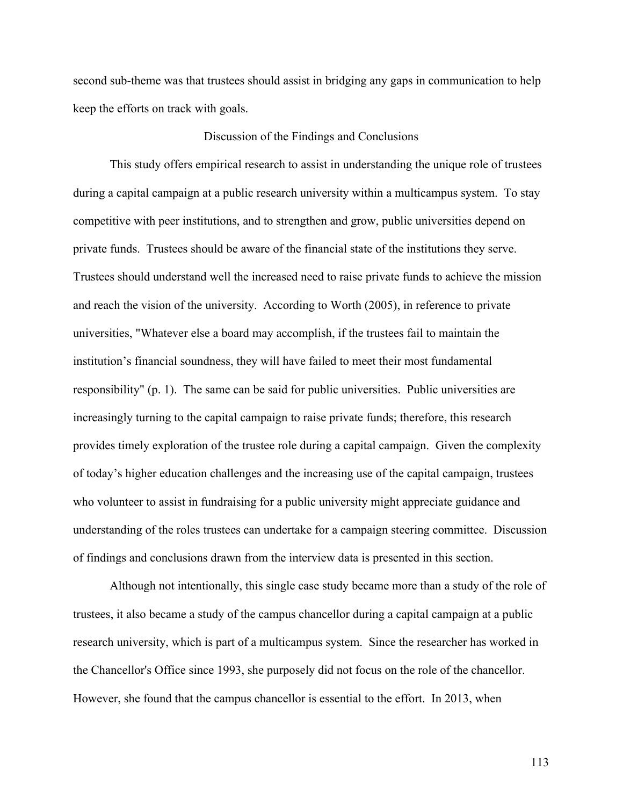second sub-theme was that trustees should assist in bridging any gaps in communication to help keep the efforts on track with goals.

### Discussion of the Findings and Conclusions

This study offers empirical research to assist in understanding the unique role of trustees during a capital campaign at a public research university within a multicampus system. To stay competitive with peer institutions, and to strengthen and grow, public universities depend on private funds. Trustees should be aware of the financial state of the institutions they serve. Trustees should understand well the increased need to raise private funds to achieve the mission and reach the vision of the university. According to Worth (2005), in reference to private universities, "Whatever else a board may accomplish, if the trustees fail to maintain the institution's financial soundness, they will have failed to meet their most fundamental responsibility" (p. 1). The same can be said for public universities. Public universities are increasingly turning to the capital campaign to raise private funds; therefore, this research provides timely exploration of the trustee role during a capital campaign. Given the complexity of today's higher education challenges and the increasing use of the capital campaign, trustees who volunteer to assist in fundraising for a public university might appreciate guidance and understanding of the roles trustees can undertake for a campaign steering committee. Discussion of findings and conclusions drawn from the interview data is presented in this section.

Although not intentionally, this single case study became more than a study of the role of trustees, it also became a study of the campus chancellor during a capital campaign at a public research university, which is part of a multicampus system. Since the researcher has worked in the Chancellor's Office since 1993, she purposely did not focus on the role of the chancellor. However, she found that the campus chancellor is essential to the effort. In 2013, when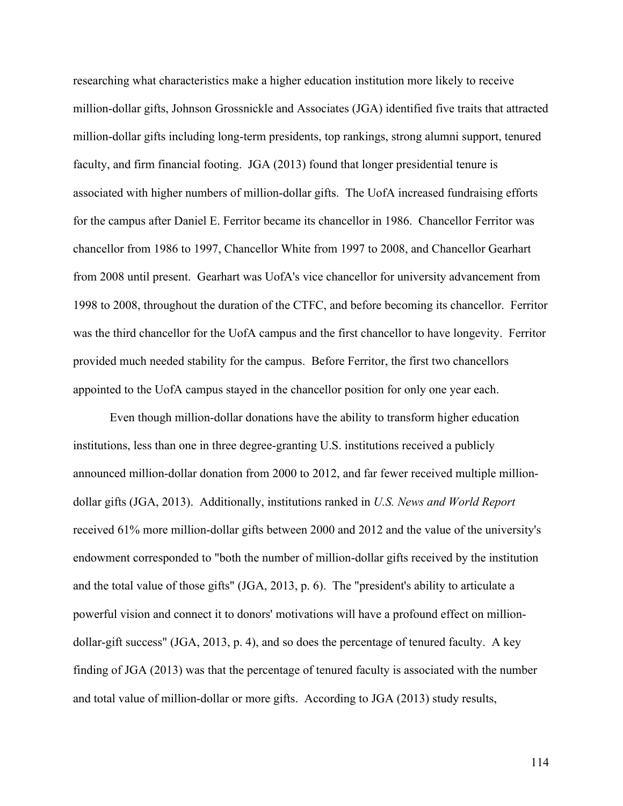researching what characteristics make a higher education institution more likely to receive million-dollar gifts, Johnson Grossnickle and Associates (JGA) identified five traits that attracted million-dollar gifts including long-term presidents, top rankings, strong alumni support, tenured faculty, and firm financial footing. JGA (2013) found that longer presidential tenure is associated with higher numbers of million-dollar gifts. The UofA increased fundraising efforts for the campus after Daniel E. Ferritor became its chancellor in 1986. Chancellor Ferritor was chancellor from 1986 to 1997, Chancellor White from 1997 to 2008, and Chancellor Gearhart from 2008 until present. Gearhart was UofA's vice chancellor for university advancement from 1998 to 2008, throughout the duration of the CTFC, and before becoming its chancellor. Ferritor was the third chancellor for the UofA campus and the first chancellor to have longevity. Ferritor provided much needed stability for the campus. Before Ferritor, the first two chancellors appointed to the UofA campus stayed in the chancellor position for only one year each.

Even though million-dollar donations have the ability to transform higher education institutions, less than one in three degree-granting U.S. institutions received a publicly announced million-dollar donation from 2000 to 2012, and far fewer received multiple milliondollar gifts (JGA, 2013). Additionally, institutions ranked in *U.S. News and World Report* received 61% more million-dollar gifts between 2000 and 2012 and the value of the university's endowment corresponded to "both the number of million-dollar gifts received by the institution and the total value of those gifts" (JGA, 2013, p. 6). The "president's ability to articulate a powerful vision and connect it to donors' motivations will have a profound effect on milliondollar-gift success" (JGA, 2013, p. 4), and so does the percentage of tenured faculty. A key finding of JGA (2013) was that the percentage of tenured faculty is associated with the number and total value of million-dollar or more gifts. According to JGA (2013) study results,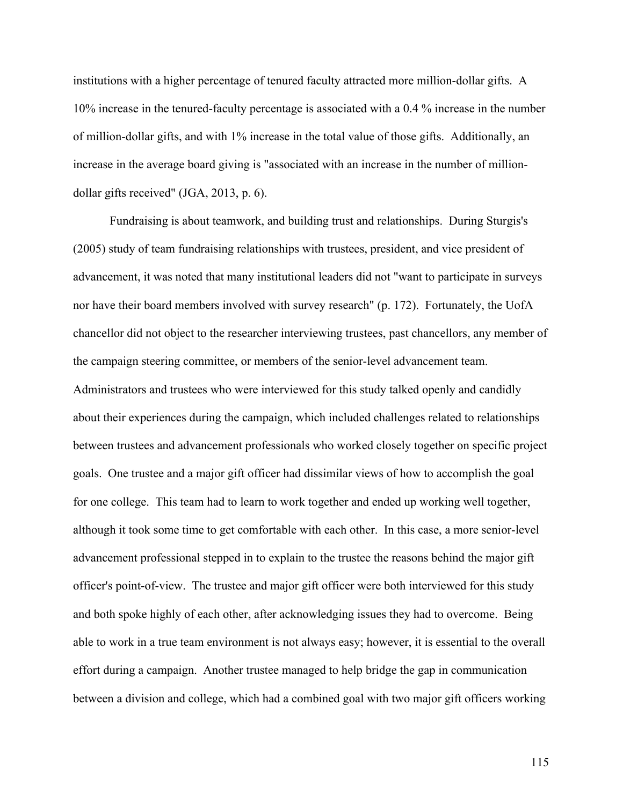institutions with a higher percentage of tenured faculty attracted more million-dollar gifts. A 10% increase in the tenured-faculty percentage is associated with a 0.4 % increase in the number of million-dollar gifts, and with 1% increase in the total value of those gifts. Additionally, an increase in the average board giving is "associated with an increase in the number of milliondollar gifts received" (JGA, 2013, p. 6).

Fundraising is about teamwork, and building trust and relationships. During Sturgis's (2005) study of team fundraising relationships with trustees, president, and vice president of advancement, it was noted that many institutional leaders did not "want to participate in surveys nor have their board members involved with survey research" (p. 172). Fortunately, the UofA chancellor did not object to the researcher interviewing trustees, past chancellors, any member of the campaign steering committee, or members of the senior-level advancement team. Administrators and trustees who were interviewed for this study talked openly and candidly about their experiences during the campaign, which included challenges related to relationships between trustees and advancement professionals who worked closely together on specific project goals. One trustee and a major gift officer had dissimilar views of how to accomplish the goal for one college. This team had to learn to work together and ended up working well together, although it took some time to get comfortable with each other. In this case, a more senior-level advancement professional stepped in to explain to the trustee the reasons behind the major gift officer's point-of-view. The trustee and major gift officer were both interviewed for this study and both spoke highly of each other, after acknowledging issues they had to overcome. Being able to work in a true team environment is not always easy; however, it is essential to the overall effort during a campaign. Another trustee managed to help bridge the gap in communication between a division and college, which had a combined goal with two major gift officers working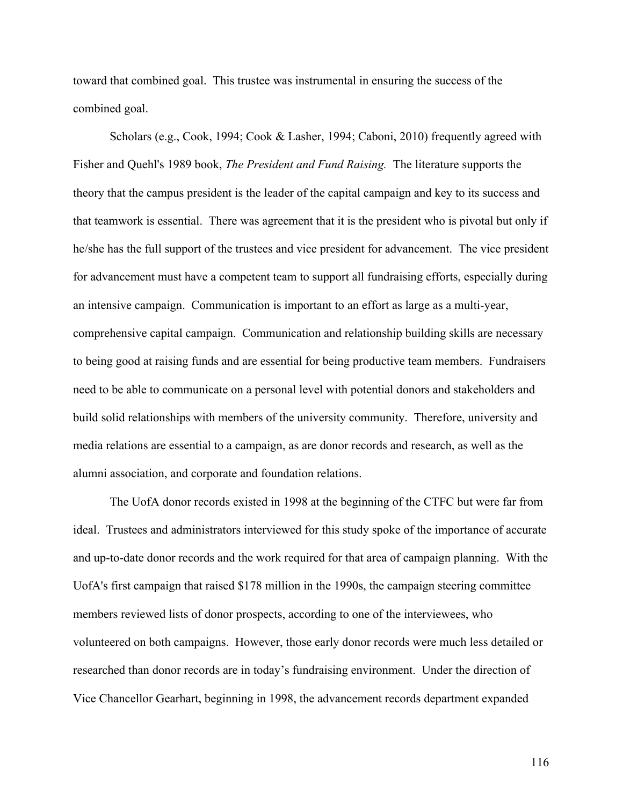toward that combined goal. This trustee was instrumental in ensuring the success of the combined goal.

Scholars (e.g., Cook, 1994; Cook & Lasher, 1994; Caboni, 2010) frequently agreed with Fisher and Quehl's 1989 book, *The President and Fund Raising.* The literature supports the theory that the campus president is the leader of the capital campaign and key to its success and that teamwork is essential. There was agreement that it is the president who is pivotal but only if he/she has the full support of the trustees and vice president for advancement. The vice president for advancement must have a competent team to support all fundraising efforts, especially during an intensive campaign. Communication is important to an effort as large as a multi-year, comprehensive capital campaign. Communication and relationship building skills are necessary to being good at raising funds and are essential for being productive team members. Fundraisers need to be able to communicate on a personal level with potential donors and stakeholders and build solid relationships with members of the university community. Therefore, university and media relations are essential to a campaign, as are donor records and research, as well as the alumni association, and corporate and foundation relations.

The UofA donor records existed in 1998 at the beginning of the CTFC but were far from ideal. Trustees and administrators interviewed for this study spoke of the importance of accurate and up-to-date donor records and the work required for that area of campaign planning. With the UofA's first campaign that raised \$178 million in the 1990s, the campaign steering committee members reviewed lists of donor prospects, according to one of the interviewees, who volunteered on both campaigns. However, those early donor records were much less detailed or researched than donor records are in today's fundraising environment. Under the direction of Vice Chancellor Gearhart, beginning in 1998, the advancement records department expanded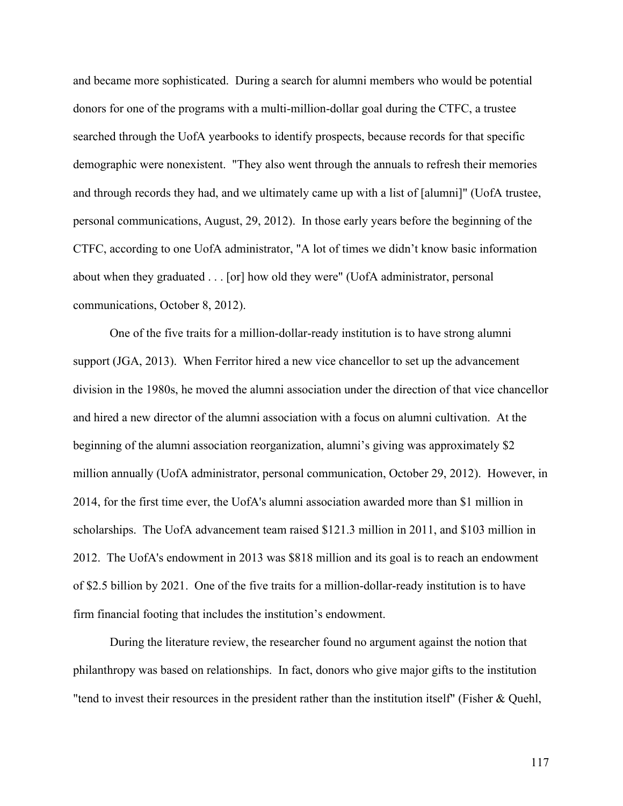and became more sophisticated. During a search for alumni members who would be potential donors for one of the programs with a multi-million-dollar goal during the CTFC, a trustee searched through the UofA yearbooks to identify prospects, because records for that specific demographic were nonexistent. "They also went through the annuals to refresh their memories and through records they had, and we ultimately came up with a list of [alumni]" (UofA trustee, personal communications, August, 29, 2012). In those early years before the beginning of the CTFC, according to one UofA administrator, "A lot of times we didn't know basic information about when they graduated . . . [or] how old they were" (UofA administrator, personal communications, October 8, 2012).

One of the five traits for a million-dollar-ready institution is to have strong alumni support (JGA, 2013). When Ferritor hired a new vice chancellor to set up the advancement division in the 1980s, he moved the alumni association under the direction of that vice chancellor and hired a new director of the alumni association with a focus on alumni cultivation. At the beginning of the alumni association reorganization, alumni's giving was approximately \$2 million annually (UofA administrator, personal communication, October 29, 2012). However, in 2014, for the first time ever, the UofA's alumni association awarded more than \$1 million in scholarships. The UofA advancement team raised \$121.3 million in 2011, and \$103 million in 2012. The UofA's endowment in 2013 was \$818 million and its goal is to reach an endowment of \$2.5 billion by 2021. One of the five traits for a million-dollar-ready institution is to have firm financial footing that includes the institution's endowment.

During the literature review, the researcher found no argument against the notion that philanthropy was based on relationships. In fact, donors who give major gifts to the institution "tend to invest their resources in the president rather than the institution itself" (Fisher & Quehl,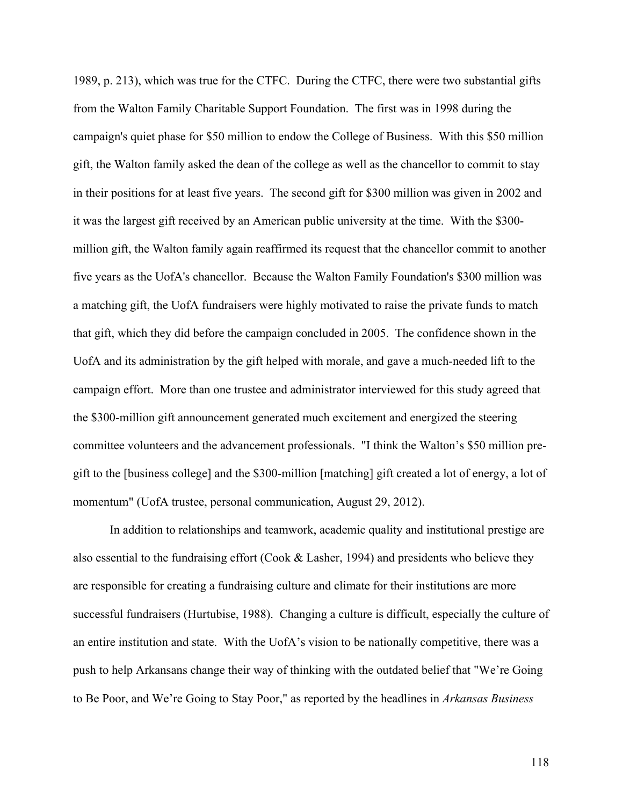1989, p. 213), which was true for the CTFC. During the CTFC, there were two substantial gifts from the Walton Family Charitable Support Foundation. The first was in 1998 during the campaign's quiet phase for \$50 million to endow the College of Business. With this \$50 million gift, the Walton family asked the dean of the college as well as the chancellor to commit to stay in their positions for at least five years. The second gift for \$300 million was given in 2002 and it was the largest gift received by an American public university at the time. With the \$300 million gift, the Walton family again reaffirmed its request that the chancellor commit to another five years as the UofA's chancellor. Because the Walton Family Foundation's \$300 million was a matching gift, the UofA fundraisers were highly motivated to raise the private funds to match that gift, which they did before the campaign concluded in 2005. The confidence shown in the UofA and its administration by the gift helped with morale, and gave a much-needed lift to the campaign effort. More than one trustee and administrator interviewed for this study agreed that the \$300-million gift announcement generated much excitement and energized the steering committee volunteers and the advancement professionals. "I think the Walton's \$50 million pregift to the [business college] and the \$300-million [matching] gift created a lot of energy, a lot of momentum" (UofA trustee, personal communication, August 29, 2012).

In addition to relationships and teamwork, academic quality and institutional prestige are also essential to the fundraising effort (Cook & Lasher, 1994) and presidents who believe they are responsible for creating a fundraising culture and climate for their institutions are more successful fundraisers (Hurtubise, 1988). Changing a culture is difficult, especially the culture of an entire institution and state. With the UofA's vision to be nationally competitive, there was a push to help Arkansans change their way of thinking with the outdated belief that "We're Going to Be Poor, and We're Going to Stay Poor," as reported by the headlines in *Arkansas Business*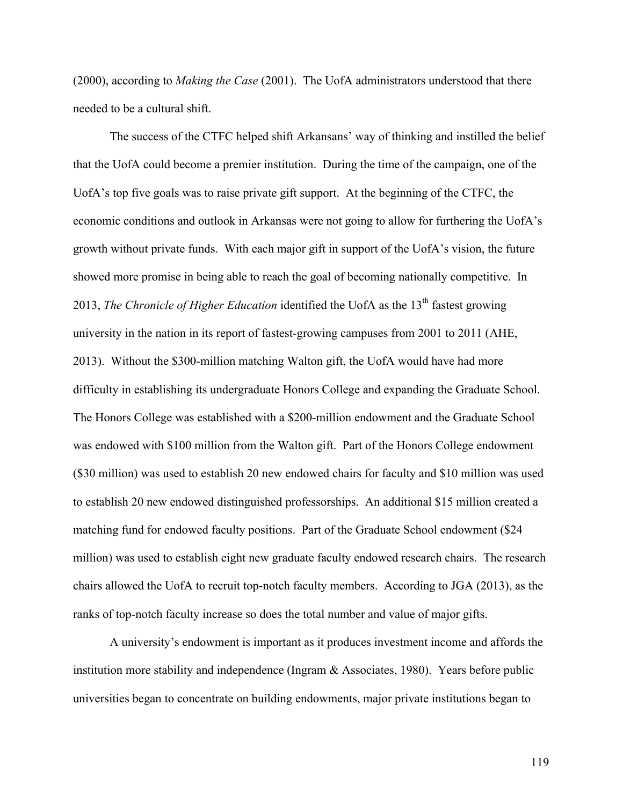(2000), according to *Making the Case* (2001). The UofA administrators understood that there needed to be a cultural shift.

The success of the CTFC helped shift Arkansans' way of thinking and instilled the belief that the UofA could become a premier institution. During the time of the campaign, one of the UofA's top five goals was to raise private gift support. At the beginning of the CTFC, the economic conditions and outlook in Arkansas were not going to allow for furthering the UofA's growth without private funds. With each major gift in support of the UofA's vision, the future showed more promise in being able to reach the goal of becoming nationally competitive. In 2013, *The Chronicle of Higher Education* identified the UofA as the 13<sup>th</sup> fastest growing university in the nation in its report of fastest-growing campuses from 2001 to 2011 (AHE, 2013). Without the \$300-million matching Walton gift, the UofA would have had more difficulty in establishing its undergraduate Honors College and expanding the Graduate School. The Honors College was established with a \$200-million endowment and the Graduate School was endowed with \$100 million from the Walton gift. Part of the Honors College endowment (\$30 million) was used to establish 20 new endowed chairs for faculty and \$10 million was used to establish 20 new endowed distinguished professorships. An additional \$15 million created a matching fund for endowed faculty positions. Part of the Graduate School endowment (\$24 million) was used to establish eight new graduate faculty endowed research chairs. The research chairs allowed the UofA to recruit top-notch faculty members. According to JGA (2013), as the ranks of top-notch faculty increase so does the total number and value of major gifts.

A university's endowment is important as it produces investment income and affords the institution more stability and independence (Ingram & Associates, 1980). Years before public universities began to concentrate on building endowments, major private institutions began to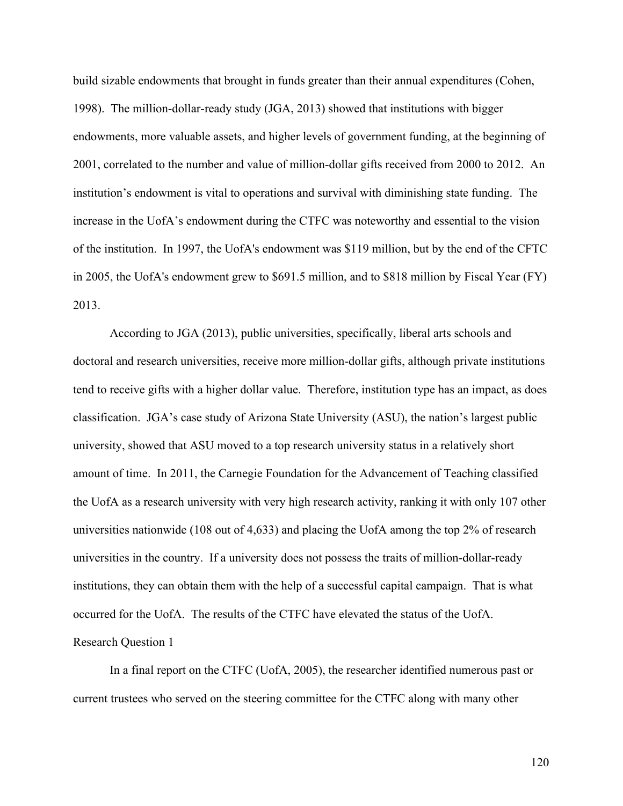build sizable endowments that brought in funds greater than their annual expenditures (Cohen, 1998). The million-dollar-ready study (JGA, 2013) showed that institutions with bigger endowments, more valuable assets, and higher levels of government funding, at the beginning of 2001, correlated to the number and value of million-dollar gifts received from 2000 to 2012. An institution's endowment is vital to operations and survival with diminishing state funding. The increase in the UofA's endowment during the CTFC was noteworthy and essential to the vision of the institution. In 1997, the UofA's endowment was \$119 million, but by the end of the CFTC in 2005, the UofA's endowment grew to \$691.5 million, and to \$818 million by Fiscal Year (FY) 2013.

According to JGA (2013), public universities, specifically, liberal arts schools and doctoral and research universities, receive more million-dollar gifts, although private institutions tend to receive gifts with a higher dollar value. Therefore, institution type has an impact, as does classification. JGA's case study of Arizona State University (ASU), the nation's largest public university, showed that ASU moved to a top research university status in a relatively short amount of time. In 2011, the Carnegie Foundation for the Advancement of Teaching classified the UofA as a research university with very high research activity, ranking it with only 107 other universities nationwide (108 out of 4,633) and placing the UofA among the top 2% of research universities in the country. If a university does not possess the traits of million-dollar-ready institutions, they can obtain them with the help of a successful capital campaign. That is what occurred for the UofA. The results of the CTFC have elevated the status of the UofA. Research Question 1

In a final report on the CTFC (UofA, 2005), the researcher identified numerous past or current trustees who served on the steering committee for the CTFC along with many other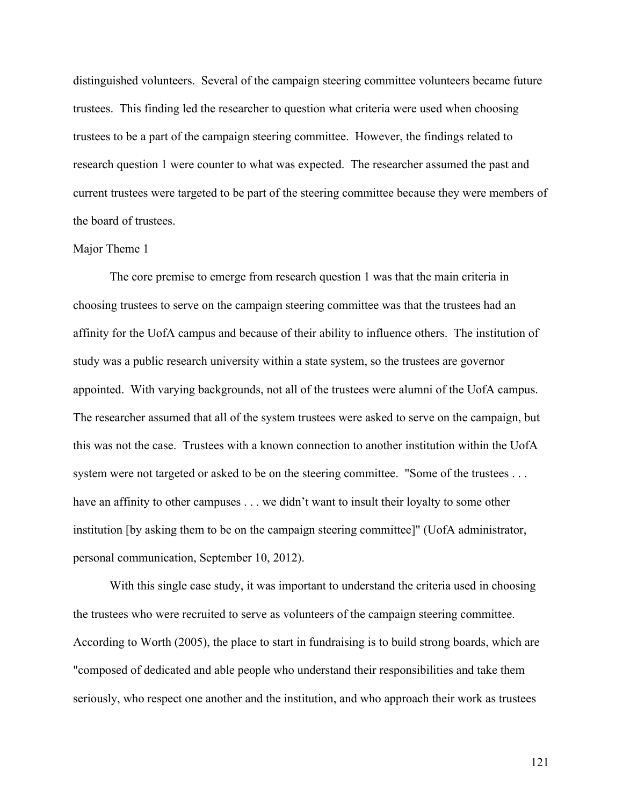distinguished volunteers. Several of the campaign steering committee volunteers became future trustees. This finding led the researcher to question what criteria were used when choosing trustees to be a part of the campaign steering committee. However, the findings related to research question 1 were counter to what was expected. The researcher assumed the past and current trustees were targeted to be part of the steering committee because they were members of the board of trustees.

### Major Theme 1

The core premise to emerge from research question 1 was that the main criteria in choosing trustees to serve on the campaign steering committee was that the trustees had an affinity for the UofA campus and because of their ability to influence others. The institution of study was a public research university within a state system, so the trustees are governor appointed. With varying backgrounds, not all of the trustees were alumni of the UofA campus. The researcher assumed that all of the system trustees were asked to serve on the campaign, but this was not the case. Trustees with a known connection to another institution within the UofA system were not targeted or asked to be on the steering committee. "Some of the trustees . . . have an affinity to other campuses . . . we didn't want to insult their loyalty to some other institution [by asking them to be on the campaign steering committee]" (UofA administrator, personal communication, September 10, 2012).

With this single case study, it was important to understand the criteria used in choosing the trustees who were recruited to serve as volunteers of the campaign steering committee. According to Worth (2005), the place to start in fundraising is to build strong boards, which are "composed of dedicated and able people who understand their responsibilities and take them seriously, who respect one another and the institution, and who approach their work as trustees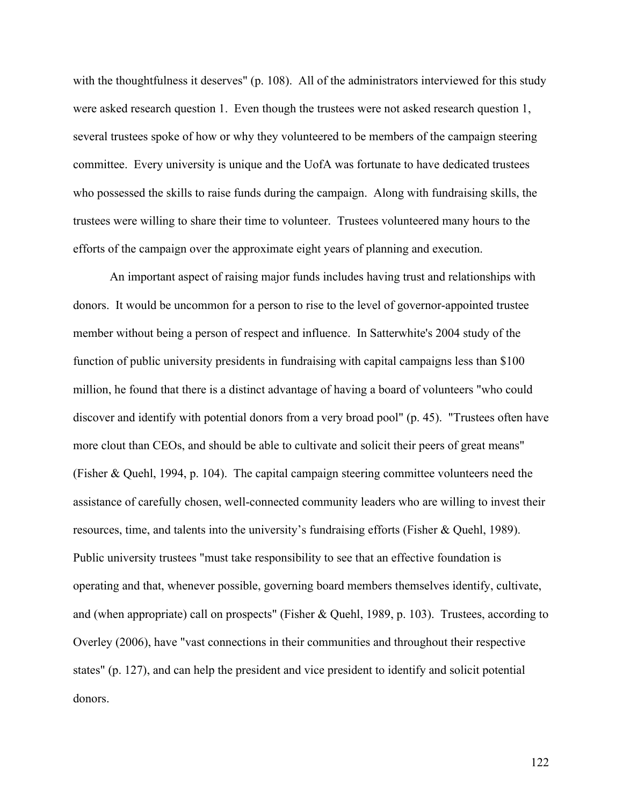with the thoughtfulness it deserves" (p. 108). All of the administrators interviewed for this study were asked research question 1. Even though the trustees were not asked research question 1, several trustees spoke of how or why they volunteered to be members of the campaign steering committee. Every university is unique and the UofA was fortunate to have dedicated trustees who possessed the skills to raise funds during the campaign. Along with fundraising skills, the trustees were willing to share their time to volunteer. Trustees volunteered many hours to the efforts of the campaign over the approximate eight years of planning and execution.

An important aspect of raising major funds includes having trust and relationships with donors. It would be uncommon for a person to rise to the level of governor-appointed trustee member without being a person of respect and influence. In Satterwhite's 2004 study of the function of public university presidents in fundraising with capital campaigns less than \$100 million, he found that there is a distinct advantage of having a board of volunteers "who could discover and identify with potential donors from a very broad pool" (p. 45). "Trustees often have more clout than CEOs, and should be able to cultivate and solicit their peers of great means" (Fisher & Quehl, 1994, p. 104). The capital campaign steering committee volunteers need the assistance of carefully chosen, well-connected community leaders who are willing to invest their resources, time, and talents into the university's fundraising efforts (Fisher & Quehl, 1989). Public university trustees "must take responsibility to see that an effective foundation is operating and that, whenever possible, governing board members themselves identify, cultivate, and (when appropriate) call on prospects" (Fisher & Quehl, 1989, p. 103). Trustees, according to Overley (2006), have "vast connections in their communities and throughout their respective states" (p. 127), and can help the president and vice president to identify and solicit potential donors.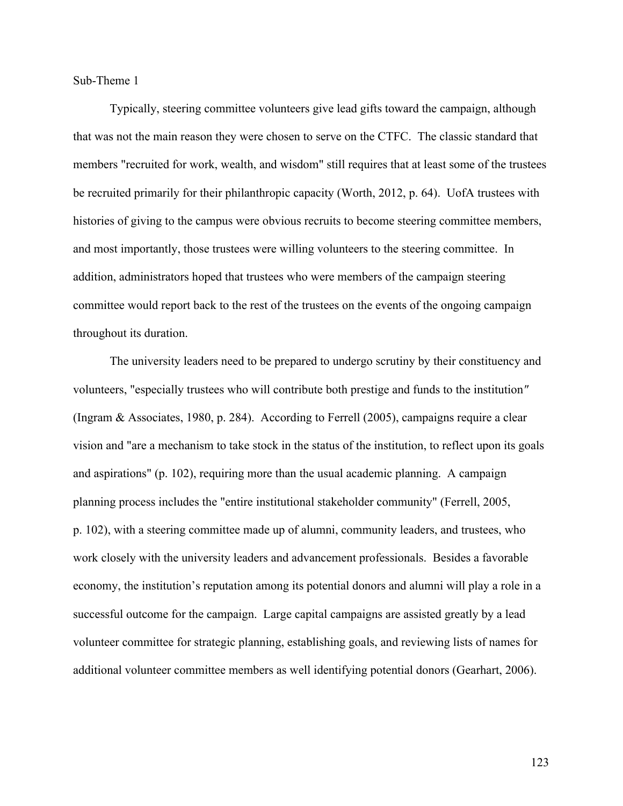Sub-Theme 1

Typically, steering committee volunteers give lead gifts toward the campaign, although that was not the main reason they were chosen to serve on the CTFC. The classic standard that members "recruited for work, wealth, and wisdom" still requires that at least some of the trustees be recruited primarily for their philanthropic capacity (Worth, 2012, p. 64). UofA trustees with histories of giving to the campus were obvious recruits to become steering committee members, and most importantly, those trustees were willing volunteers to the steering committee. In addition, administrators hoped that trustees who were members of the campaign steering committee would report back to the rest of the trustees on the events of the ongoing campaign throughout its duration.

The university leaders need to be prepared to undergo scrutiny by their constituency and volunteers, "especially trustees who will contribute both prestige and funds to the institution*"* (Ingram & Associates, 1980, p. 284). According to Ferrell (2005), campaigns require a clear vision and "are a mechanism to take stock in the status of the institution, to reflect upon its goals and aspirations" (p. 102), requiring more than the usual academic planning. A campaign planning process includes the "entire institutional stakeholder community" (Ferrell, 2005, p. 102), with a steering committee made up of alumni, community leaders, and trustees, who work closely with the university leaders and advancement professionals. Besides a favorable economy, the institution's reputation among its potential donors and alumni will play a role in a successful outcome for the campaign. Large capital campaigns are assisted greatly by a lead volunteer committee for strategic planning, establishing goals, and reviewing lists of names for additional volunteer committee members as well identifying potential donors (Gearhart, 2006).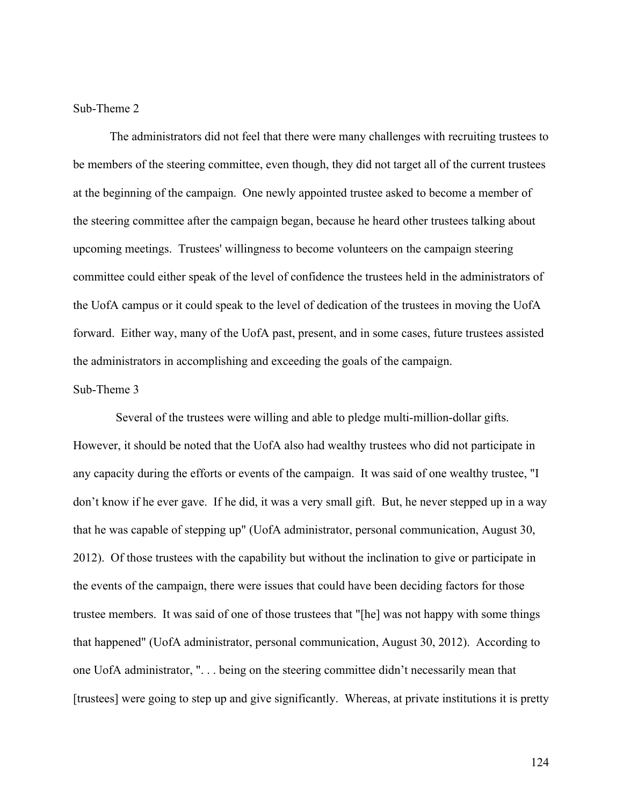## Sub-Theme 2

The administrators did not feel that there were many challenges with recruiting trustees to be members of the steering committee, even though, they did not target all of the current trustees at the beginning of the campaign. One newly appointed trustee asked to become a member of the steering committee after the campaign began, because he heard other trustees talking about upcoming meetings. Trustees' willingness to become volunteers on the campaign steering committee could either speak of the level of confidence the trustees held in the administrators of the UofA campus or it could speak to the level of dedication of the trustees in moving the UofA forward. Either way, many of the UofA past, present, and in some cases, future trustees assisted the administrators in accomplishing and exceeding the goals of the campaign.

### Sub-Theme 3

 Several of the trustees were willing and able to pledge multi-million-dollar gifts. However, it should be noted that the UofA also had wealthy trustees who did not participate in any capacity during the efforts or events of the campaign. It was said of one wealthy trustee, "I don't know if he ever gave. If he did, it was a very small gift. But, he never stepped up in a way that he was capable of stepping up" (UofA administrator, personal communication, August 30, 2012). Of those trustees with the capability but without the inclination to give or participate in the events of the campaign, there were issues that could have been deciding factors for those trustee members. It was said of one of those trustees that "[he] was not happy with some things that happened" (UofA administrator, personal communication, August 30, 2012). According to one UofA administrator, ". . . being on the steering committee didn't necessarily mean that [trustees] were going to step up and give significantly. Whereas, at private institutions it is pretty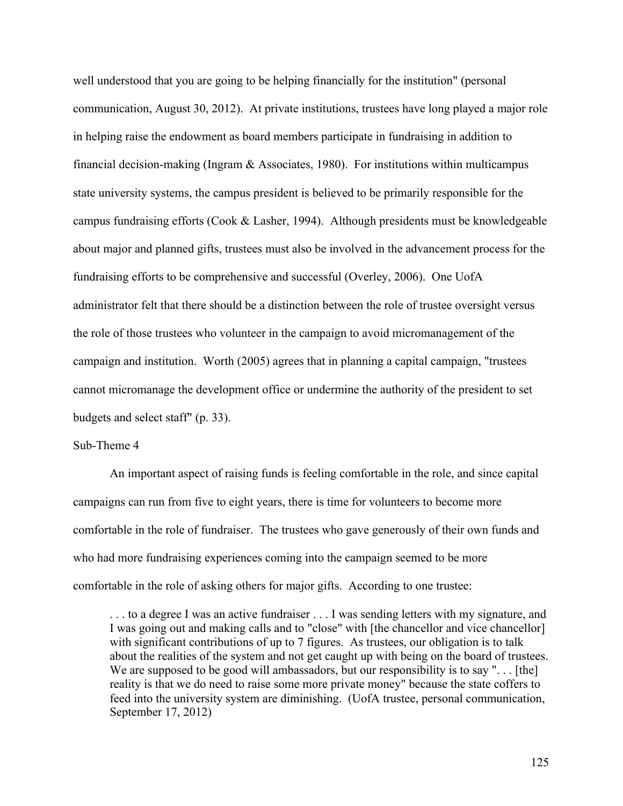well understood that you are going to be helping financially for the institution" (personal communication, August 30, 2012). At private institutions, trustees have long played a major role in helping raise the endowment as board members participate in fundraising in addition to financial decision-making (Ingram  $&$  Associates, 1980). For institutions within multicampus state university systems, the campus president is believed to be primarily responsible for the campus fundraising efforts (Cook & Lasher, 1994). Although presidents must be knowledgeable about major and planned gifts, trustees must also be involved in the advancement process for the fundraising efforts to be comprehensive and successful (Overley, 2006). One UofA administrator felt that there should be a distinction between the role of trustee oversight versus the role of those trustees who volunteer in the campaign to avoid micromanagement of the campaign and institution. Worth (2005) agrees that in planning a capital campaign, "trustees cannot micromanage the development office or undermine the authority of the president to set budgets and select staff" (p. 33).

### Sub-Theme 4

An important aspect of raising funds is feeling comfortable in the role, and since capital campaigns can run from five to eight years, there is time for volunteers to become more comfortable in the role of fundraiser. The trustees who gave generously of their own funds and who had more fundraising experiences coming into the campaign seemed to be more comfortable in the role of asking others for major gifts. According to one trustee:

. . . to a degree I was an active fundraiser . . . I was sending letters with my signature, and I was going out and making calls and to "close" with [the chancellor and vice chancellor] with significant contributions of up to 7 figures. As trustees, our obligation is to talk about the realities of the system and not get caught up with being on the board of trustees. We are supposed to be good will ambassadors, but our responsibility is to say "... [the] reality is that we do need to raise some more private money" because the state coffers to feed into the university system are diminishing. (UofA trustee, personal communication, September 17, 2012)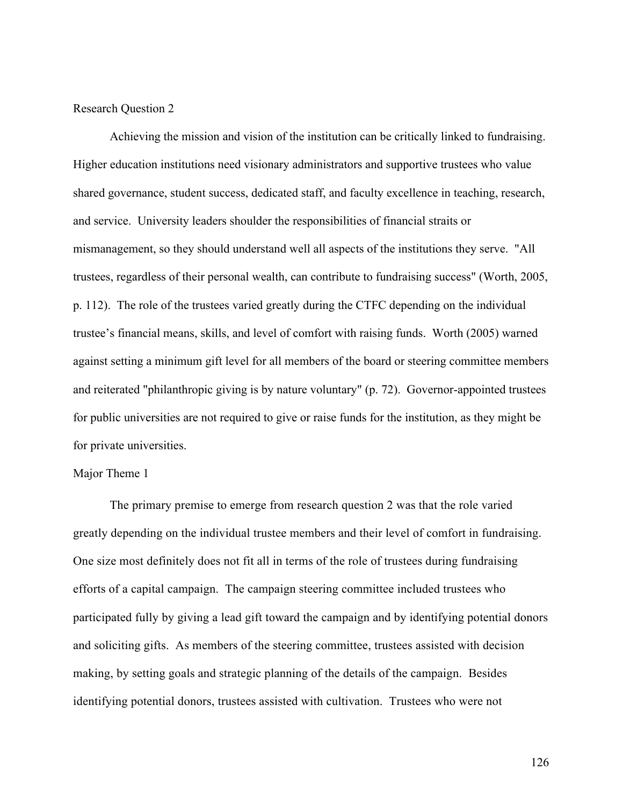## Research Question 2

Achieving the mission and vision of the institution can be critically linked to fundraising. Higher education institutions need visionary administrators and supportive trustees who value shared governance, student success, dedicated staff, and faculty excellence in teaching, research, and service. University leaders shoulder the responsibilities of financial straits or mismanagement, so they should understand well all aspects of the institutions they serve. "All trustees, regardless of their personal wealth, can contribute to fundraising success" (Worth, 2005, p. 112). The role of the trustees varied greatly during the CTFC depending on the individual trustee's financial means, skills, and level of comfort with raising funds. Worth (2005) warned against setting a minimum gift level for all members of the board or steering committee members and reiterated "philanthropic giving is by nature voluntary" (p. 72). Governor-appointed trustees for public universities are not required to give or raise funds for the institution, as they might be for private universities.

## Major Theme 1

The primary premise to emerge from research question 2 was that the role varied greatly depending on the individual trustee members and their level of comfort in fundraising. One size most definitely does not fit all in terms of the role of trustees during fundraising efforts of a capital campaign. The campaign steering committee included trustees who participated fully by giving a lead gift toward the campaign and by identifying potential donors and soliciting gifts. As members of the steering committee, trustees assisted with decision making, by setting goals and strategic planning of the details of the campaign. Besides identifying potential donors, trustees assisted with cultivation. Trustees who were not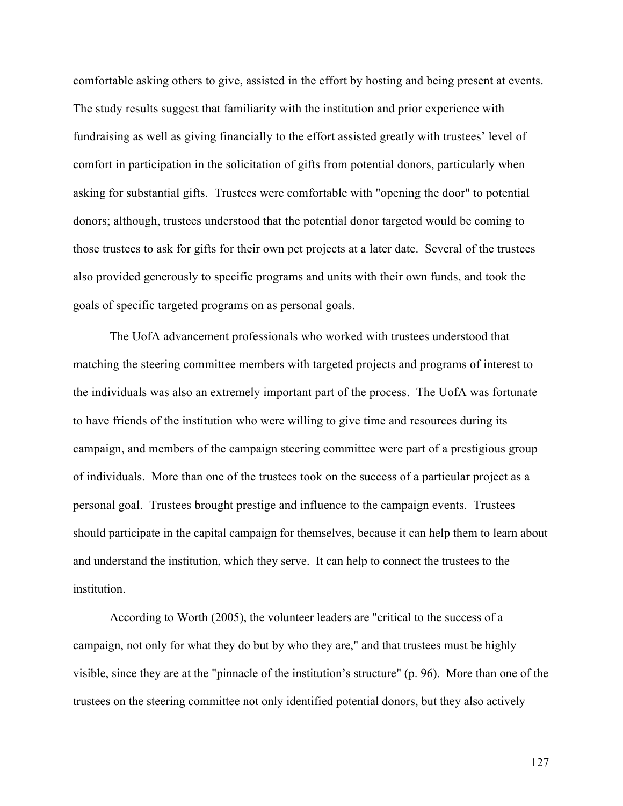comfortable asking others to give, assisted in the effort by hosting and being present at events. The study results suggest that familiarity with the institution and prior experience with fundraising as well as giving financially to the effort assisted greatly with trustees' level of comfort in participation in the solicitation of gifts from potential donors, particularly when asking for substantial gifts. Trustees were comfortable with "opening the door" to potential donors; although, trustees understood that the potential donor targeted would be coming to those trustees to ask for gifts for their own pet projects at a later date. Several of the trustees also provided generously to specific programs and units with their own funds, and took the goals of specific targeted programs on as personal goals.

The UofA advancement professionals who worked with trustees understood that matching the steering committee members with targeted projects and programs of interest to the individuals was also an extremely important part of the process. The UofA was fortunate to have friends of the institution who were willing to give time and resources during its campaign, and members of the campaign steering committee were part of a prestigious group of individuals. More than one of the trustees took on the success of a particular project as a personal goal. Trustees brought prestige and influence to the campaign events. Trustees should participate in the capital campaign for themselves, because it can help them to learn about and understand the institution, which they serve. It can help to connect the trustees to the institution.

According to Worth (2005), the volunteer leaders are "critical to the success of a campaign, not only for what they do but by who they are," and that trustees must be highly visible, since they are at the "pinnacle of the institution's structure" (p. 96). More than one of the trustees on the steering committee not only identified potential donors, but they also actively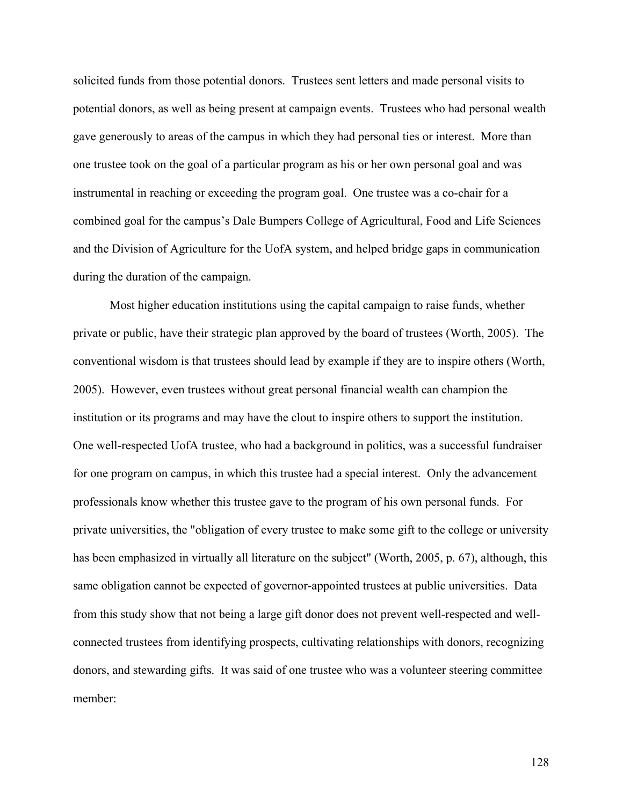solicited funds from those potential donors. Trustees sent letters and made personal visits to potential donors, as well as being present at campaign events. Trustees who had personal wealth gave generously to areas of the campus in which they had personal ties or interest. More than one trustee took on the goal of a particular program as his or her own personal goal and was instrumental in reaching or exceeding the program goal. One trustee was a co-chair for a combined goal for the campus's Dale Bumpers College of Agricultural, Food and Life Sciences and the Division of Agriculture for the UofA system, and helped bridge gaps in communication during the duration of the campaign.

Most higher education institutions using the capital campaign to raise funds, whether private or public, have their strategic plan approved by the board of trustees (Worth, 2005). The conventional wisdom is that trustees should lead by example if they are to inspire others (Worth, 2005). However, even trustees without great personal financial wealth can champion the institution or its programs and may have the clout to inspire others to support the institution. One well-respected UofA trustee, who had a background in politics, was a successful fundraiser for one program on campus, in which this trustee had a special interest. Only the advancement professionals know whether this trustee gave to the program of his own personal funds. For private universities, the "obligation of every trustee to make some gift to the college or university has been emphasized in virtually all literature on the subject" (Worth, 2005, p. 67), although, this same obligation cannot be expected of governor-appointed trustees at public universities. Data from this study show that not being a large gift donor does not prevent well-respected and wellconnected trustees from identifying prospects, cultivating relationships with donors, recognizing donors, and stewarding gifts. It was said of one trustee who was a volunteer steering committee member: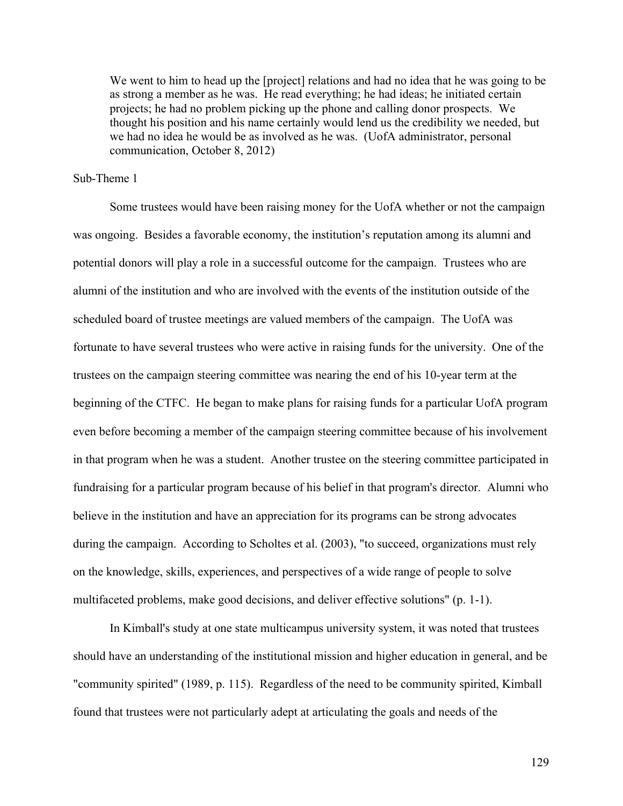We went to him to head up the [project] relations and had no idea that he was going to be as strong a member as he was. He read everything; he had ideas; he initiated certain projects; he had no problem picking up the phone and calling donor prospects. We thought his position and his name certainly would lend us the credibility we needed, but we had no idea he would be as involved as he was. (UofA administrator, personal communication, October 8, 2012)

#### Sub-Theme 1

Some trustees would have been raising money for the UofA whether or not the campaign was ongoing. Besides a favorable economy, the institution's reputation among its alumni and potential donors will play a role in a successful outcome for the campaign. Trustees who are alumni of the institution and who are involved with the events of the institution outside of the scheduled board of trustee meetings are valued members of the campaign. The UofA was fortunate to have several trustees who were active in raising funds for the university. One of the trustees on the campaign steering committee was nearing the end of his 10-year term at the beginning of the CTFC. He began to make plans for raising funds for a particular UofA program even before becoming a member of the campaign steering committee because of his involvement in that program when he was a student. Another trustee on the steering committee participated in fundraising for a particular program because of his belief in that program's director. Alumni who believe in the institution and have an appreciation for its programs can be strong advocates during the campaign. According to Scholtes et al. (2003), "to succeed, organizations must rely on the knowledge, skills, experiences, and perspectives of a wide range of people to solve multifaceted problems, make good decisions, and deliver effective solutions" (p. 1-1).

In Kimball's study at one state multicampus university system, it was noted that trustees should have an understanding of the institutional mission and higher education in general, and be "community spirited" (1989, p. 115). Regardless of the need to be community spirited, Kimball found that trustees were not particularly adept at articulating the goals and needs of the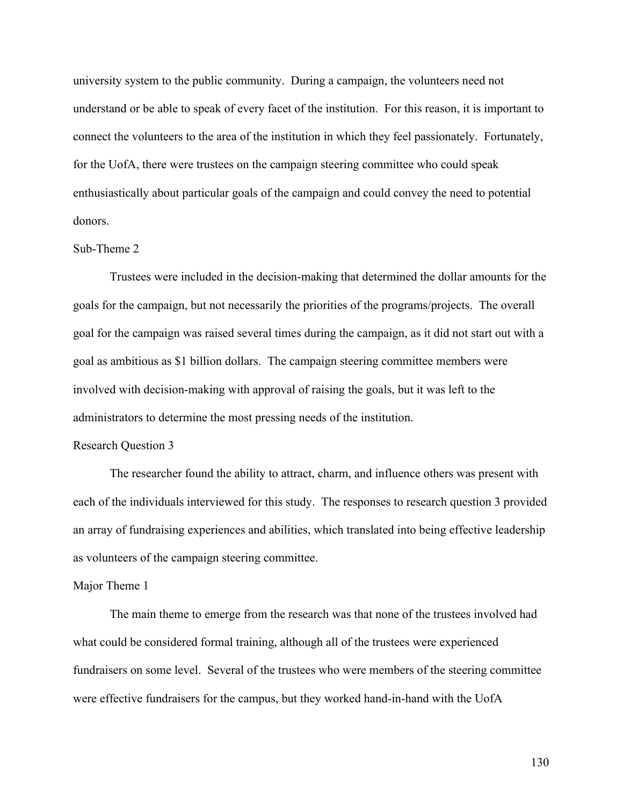university system to the public community. During a campaign, the volunteers need not understand or be able to speak of every facet of the institution. For this reason, it is important to connect the volunteers to the area of the institution in which they feel passionately. Fortunately, for the UofA, there were trustees on the campaign steering committee who could speak enthusiastically about particular goals of the campaign and could convey the need to potential donors.

#### Sub-Theme 2

Trustees were included in the decision-making that determined the dollar amounts for the goals for the campaign, but not necessarily the priorities of the programs/projects. The overall goal for the campaign was raised several times during the campaign, as it did not start out with a goal as ambitious as \$1 billion dollars. The campaign steering committee members were involved with decision-making with approval of raising the goals, but it was left to the administrators to determine the most pressing needs of the institution.

### Research Question 3

The researcher found the ability to attract, charm, and influence others was present with each of the individuals interviewed for this study. The responses to research question 3 provided an array of fundraising experiences and abilities, which translated into being effective leadership as volunteers of the campaign steering committee.

#### Major Theme 1

The main theme to emerge from the research was that none of the trustees involved had what could be considered formal training, although all of the trustees were experienced fundraisers on some level. Several of the trustees who were members of the steering committee were effective fundraisers for the campus, but they worked hand-in-hand with the UofA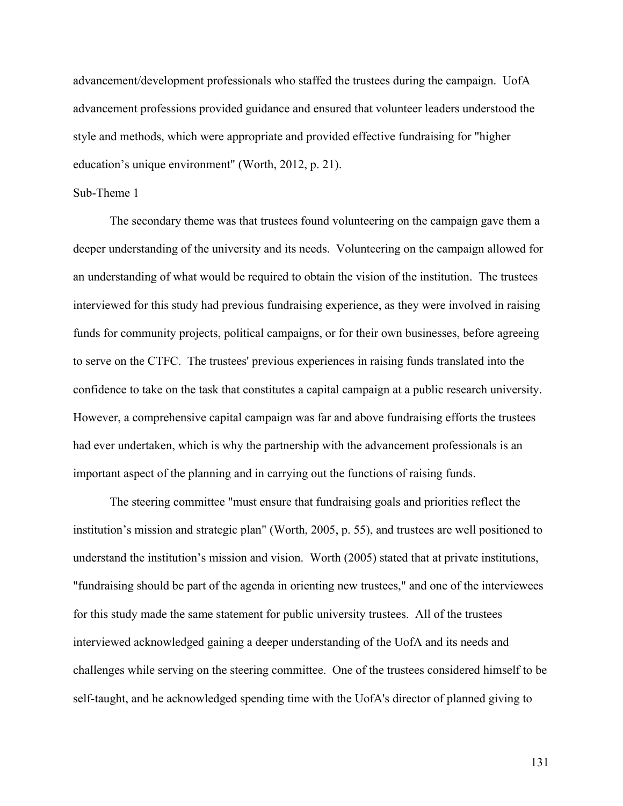advancement/development professionals who staffed the trustees during the campaign. UofA advancement professions provided guidance and ensured that volunteer leaders understood the style and methods, which were appropriate and provided effective fundraising for "higher education's unique environment" (Worth, 2012, p. 21).

### Sub-Theme 1

The secondary theme was that trustees found volunteering on the campaign gave them a deeper understanding of the university and its needs. Volunteering on the campaign allowed for an understanding of what would be required to obtain the vision of the institution. The trustees interviewed for this study had previous fundraising experience, as they were involved in raising funds for community projects, political campaigns, or for their own businesses, before agreeing to serve on the CTFC. The trustees' previous experiences in raising funds translated into the confidence to take on the task that constitutes a capital campaign at a public research university. However, a comprehensive capital campaign was far and above fundraising efforts the trustees had ever undertaken, which is why the partnership with the advancement professionals is an important aspect of the planning and in carrying out the functions of raising funds.

The steering committee "must ensure that fundraising goals and priorities reflect the institution's mission and strategic plan" (Worth, 2005, p. 55), and trustees are well positioned to understand the institution's mission and vision. Worth (2005) stated that at private institutions, "fundraising should be part of the agenda in orienting new trustees," and one of the interviewees for this study made the same statement for public university trustees. All of the trustees interviewed acknowledged gaining a deeper understanding of the UofA and its needs and challenges while serving on the steering committee. One of the trustees considered himself to be self-taught, and he acknowledged spending time with the UofA's director of planned giving to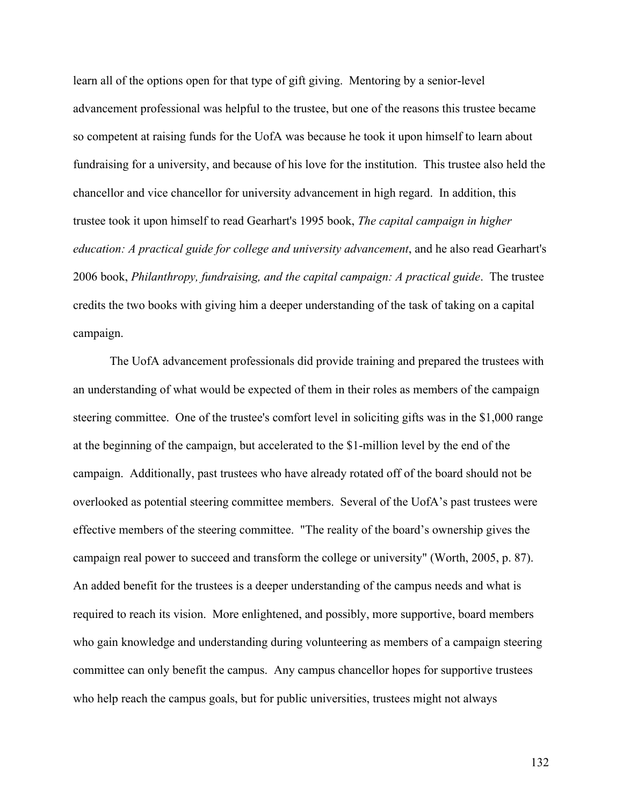learn all of the options open for that type of gift giving. Mentoring by a senior-level advancement professional was helpful to the trustee, but one of the reasons this trustee became so competent at raising funds for the UofA was because he took it upon himself to learn about fundraising for a university, and because of his love for the institution. This trustee also held the chancellor and vice chancellor for university advancement in high regard. In addition, this trustee took it upon himself to read Gearhart's 1995 book, *The capital campaign in higher education: A practical guide for college and university advancement*, and he also read Gearhart's 2006 book, *Philanthropy, fundraising, and the capital campaign: A practical guide*. The trustee credits the two books with giving him a deeper understanding of the task of taking on a capital campaign.

The UofA advancement professionals did provide training and prepared the trustees with an understanding of what would be expected of them in their roles as members of the campaign steering committee. One of the trustee's comfort level in soliciting gifts was in the \$1,000 range at the beginning of the campaign, but accelerated to the \$1-million level by the end of the campaign. Additionally, past trustees who have already rotated off of the board should not be overlooked as potential steering committee members. Several of the UofA's past trustees were effective members of the steering committee. "The reality of the board's ownership gives the campaign real power to succeed and transform the college or university" (Worth, 2005, p. 87). An added benefit for the trustees is a deeper understanding of the campus needs and what is required to reach its vision. More enlightened, and possibly, more supportive, board members who gain knowledge and understanding during volunteering as members of a campaign steering committee can only benefit the campus. Any campus chancellor hopes for supportive trustees who help reach the campus goals, but for public universities, trustees might not always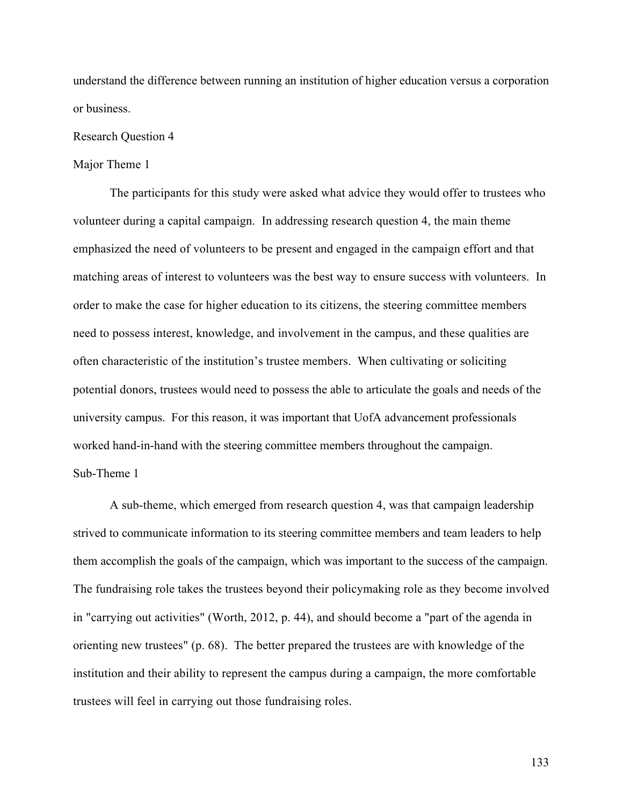understand the difference between running an institution of higher education versus a corporation or business.

#### Research Question 4

#### Major Theme 1

The participants for this study were asked what advice they would offer to trustees who volunteer during a capital campaign. In addressing research question 4, the main theme emphasized the need of volunteers to be present and engaged in the campaign effort and that matching areas of interest to volunteers was the best way to ensure success with volunteers. In order to make the case for higher education to its citizens, the steering committee members need to possess interest, knowledge, and involvement in the campus, and these qualities are often characteristic of the institution's trustee members. When cultivating or soliciting potential donors, trustees would need to possess the able to articulate the goals and needs of the university campus. For this reason, it was important that UofA advancement professionals worked hand-in-hand with the steering committee members throughout the campaign. Sub-Theme 1

A sub-theme, which emerged from research question 4, was that campaign leadership strived to communicate information to its steering committee members and team leaders to help them accomplish the goals of the campaign, which was important to the success of the campaign. The fundraising role takes the trustees beyond their policymaking role as they become involved in "carrying out activities" (Worth, 2012, p. 44), and should become a "part of the agenda in orienting new trustees" (p. 68). The better prepared the trustees are with knowledge of the institution and their ability to represent the campus during a campaign, the more comfortable trustees will feel in carrying out those fundraising roles.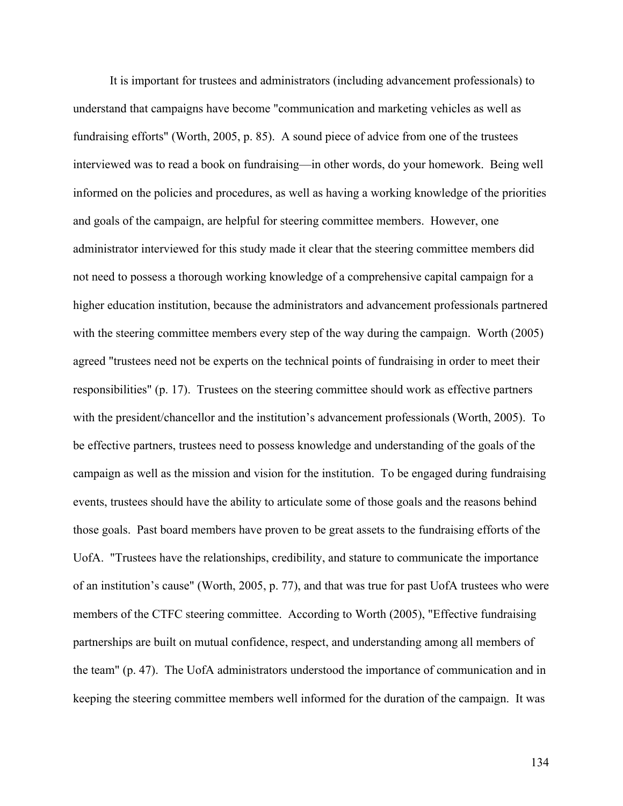It is important for trustees and administrators (including advancement professionals) to understand that campaigns have become "communication and marketing vehicles as well as fundraising efforts" (Worth, 2005, p. 85). A sound piece of advice from one of the trustees interviewed was to read a book on fundraising—in other words, do your homework. Being well informed on the policies and procedures, as well as having a working knowledge of the priorities and goals of the campaign, are helpful for steering committee members. However, one administrator interviewed for this study made it clear that the steering committee members did not need to possess a thorough working knowledge of a comprehensive capital campaign for a higher education institution, because the administrators and advancement professionals partnered with the steering committee members every step of the way during the campaign. Worth (2005) agreed "trustees need not be experts on the technical points of fundraising in order to meet their responsibilities" (p. 17). Trustees on the steering committee should work as effective partners with the president/chancellor and the institution's advancement professionals (Worth, 2005). To be effective partners, trustees need to possess knowledge and understanding of the goals of the campaign as well as the mission and vision for the institution. To be engaged during fundraising events, trustees should have the ability to articulate some of those goals and the reasons behind those goals. Past board members have proven to be great assets to the fundraising efforts of the UofA. "Trustees have the relationships, credibility, and stature to communicate the importance of an institution's cause" (Worth, 2005, p. 77), and that was true for past UofA trustees who were members of the CTFC steering committee. According to Worth (2005), "Effective fundraising partnerships are built on mutual confidence, respect, and understanding among all members of the team" (p. 47). The UofA administrators understood the importance of communication and in keeping the steering committee members well informed for the duration of the campaign. It was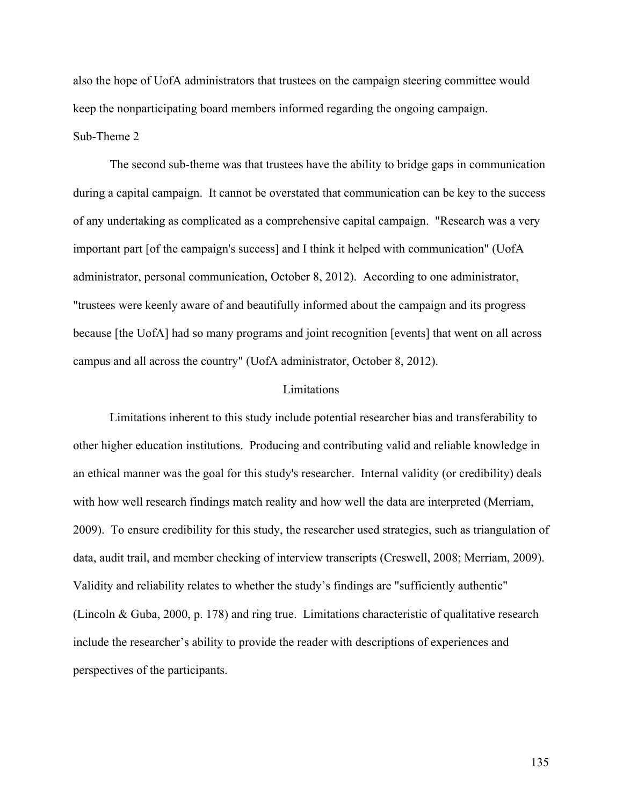also the hope of UofA administrators that trustees on the campaign steering committee would keep the nonparticipating board members informed regarding the ongoing campaign.

## Sub-Theme 2

The second sub-theme was that trustees have the ability to bridge gaps in communication during a capital campaign. It cannot be overstated that communication can be key to the success of any undertaking as complicated as a comprehensive capital campaign. "Research was a very important part [of the campaign's success] and I think it helped with communication" (UofA administrator, personal communication, October 8, 2012). According to one administrator, "trustees were keenly aware of and beautifully informed about the campaign and its progress because [the UofA] had so many programs and joint recognition [events] that went on all across campus and all across the country" (UofA administrator, October 8, 2012).

#### Limitations

Limitations inherent to this study include potential researcher bias and transferability to other higher education institutions. Producing and contributing valid and reliable knowledge in an ethical manner was the goal for this study's researcher. Internal validity (or credibility) deals with how well research findings match reality and how well the data are interpreted (Merriam, 2009). To ensure credibility for this study, the researcher used strategies, such as triangulation of data, audit trail, and member checking of interview transcripts (Creswell, 2008; Merriam, 2009). Validity and reliability relates to whether the study's findings are "sufficiently authentic" (Lincoln & Guba, 2000, p. 178) and ring true. Limitations characteristic of qualitative research include the researcher's ability to provide the reader with descriptions of experiences and perspectives of the participants.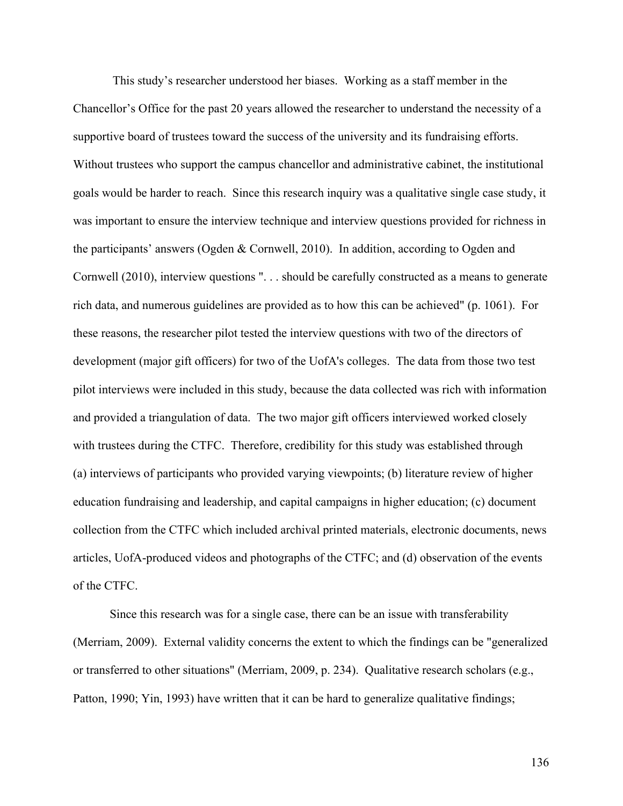This study's researcher understood her biases. Working as a staff member in the Chancellor's Office for the past 20 years allowed the researcher to understand the necessity of a supportive board of trustees toward the success of the university and its fundraising efforts. Without trustees who support the campus chancellor and administrative cabinet, the institutional goals would be harder to reach. Since this research inquiry was a qualitative single case study, it was important to ensure the interview technique and interview questions provided for richness in the participants' answers (Ogden & Cornwell, 2010). In addition, according to Ogden and Cornwell (2010), interview questions ". . . should be carefully constructed as a means to generate rich data, and numerous guidelines are provided as to how this can be achieved" (p. 1061). For these reasons, the researcher pilot tested the interview questions with two of the directors of development (major gift officers) for two of the UofA's colleges. The data from those two test pilot interviews were included in this study, because the data collected was rich with information and provided a triangulation of data. The two major gift officers interviewed worked closely with trustees during the CTFC. Therefore, credibility for this study was established through (a) interviews of participants who provided varying viewpoints; (b) literature review of higher education fundraising and leadership, and capital campaigns in higher education; (c) document collection from the CTFC which included archival printed materials, electronic documents, news articles, UofA-produced videos and photographs of the CTFC; and (d) observation of the events of the CTFC.

Since this research was for a single case, there can be an issue with transferability (Merriam, 2009). External validity concerns the extent to which the findings can be "generalized or transferred to other situations" (Merriam, 2009, p. 234). Qualitative research scholars (e.g., Patton, 1990; Yin, 1993) have written that it can be hard to generalize qualitative findings;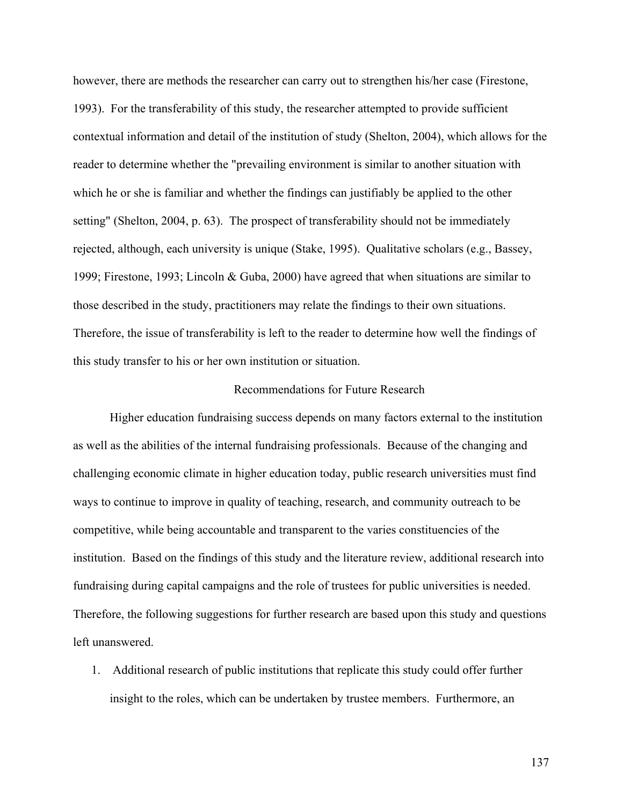however, there are methods the researcher can carry out to strengthen his/her case (Firestone, 1993). For the transferability of this study, the researcher attempted to provide sufficient contextual information and detail of the institution of study (Shelton, 2004), which allows for the reader to determine whether the "prevailing environment is similar to another situation with which he or she is familiar and whether the findings can justifiably be applied to the other setting" (Shelton, 2004, p. 63). The prospect of transferability should not be immediately rejected, although, each university is unique (Stake, 1995). Qualitative scholars (e.g., Bassey, 1999; Firestone, 1993; Lincoln & Guba, 2000) have agreed that when situations are similar to those described in the study, practitioners may relate the findings to their own situations. Therefore, the issue of transferability is left to the reader to determine how well the findings of this study transfer to his or her own institution or situation.

#### Recommendations for Future Research

Higher education fundraising success depends on many factors external to the institution as well as the abilities of the internal fundraising professionals. Because of the changing and challenging economic climate in higher education today, public research universities must find ways to continue to improve in quality of teaching, research, and community outreach to be competitive, while being accountable and transparent to the varies constituencies of the institution. Based on the findings of this study and the literature review, additional research into fundraising during capital campaigns and the role of trustees for public universities is needed. Therefore, the following suggestions for further research are based upon this study and questions left unanswered.

1. Additional research of public institutions that replicate this study could offer further insight to the roles, which can be undertaken by trustee members. Furthermore, an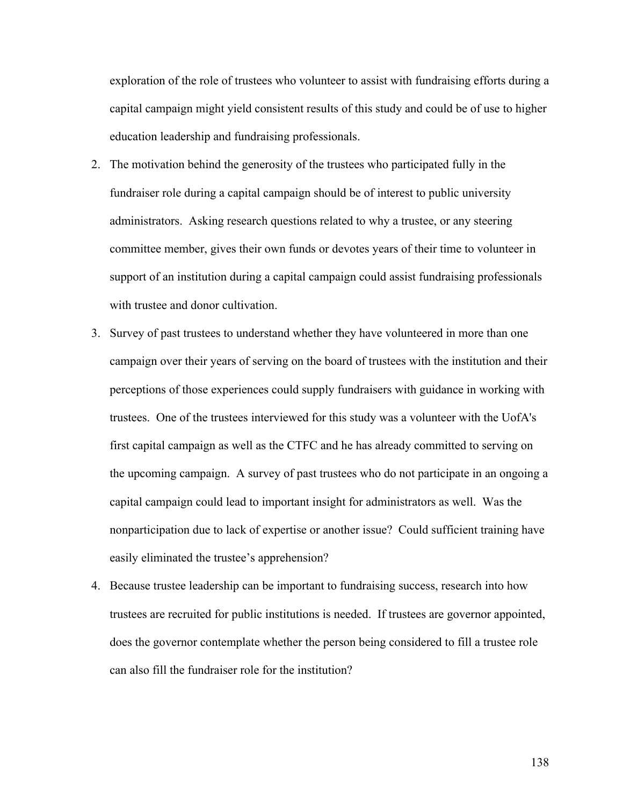exploration of the role of trustees who volunteer to assist with fundraising efforts during a capital campaign might yield consistent results of this study and could be of use to higher education leadership and fundraising professionals.

- 2. The motivation behind the generosity of the trustees who participated fully in the fundraiser role during a capital campaign should be of interest to public university administrators. Asking research questions related to why a trustee, or any steering committee member, gives their own funds or devotes years of their time to volunteer in support of an institution during a capital campaign could assist fundraising professionals with trustee and donor cultivation.
- 3. Survey of past trustees to understand whether they have volunteered in more than one campaign over their years of serving on the board of trustees with the institution and their perceptions of those experiences could supply fundraisers with guidance in working with trustees. One of the trustees interviewed for this study was a volunteer with the UofA's first capital campaign as well as the CTFC and he has already committed to serving on the upcoming campaign. A survey of past trustees who do not participate in an ongoing a capital campaign could lead to important insight for administrators as well. Was the nonparticipation due to lack of expertise or another issue? Could sufficient training have easily eliminated the trustee's apprehension?
- 4. Because trustee leadership can be important to fundraising success, research into how trustees are recruited for public institutions is needed. If trustees are governor appointed, does the governor contemplate whether the person being considered to fill a trustee role can also fill the fundraiser role for the institution?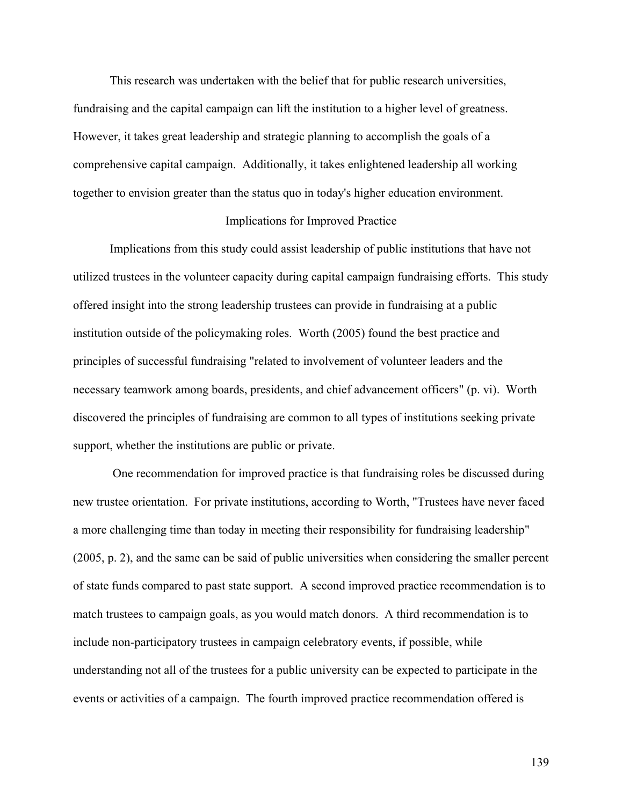This research was undertaken with the belief that for public research universities, fundraising and the capital campaign can lift the institution to a higher level of greatness. However, it takes great leadership and strategic planning to accomplish the goals of a comprehensive capital campaign. Additionally, it takes enlightened leadership all working together to envision greater than the status quo in today's higher education environment.

#### Implications for Improved Practice

Implications from this study could assist leadership of public institutions that have not utilized trustees in the volunteer capacity during capital campaign fundraising efforts. This study offered insight into the strong leadership trustees can provide in fundraising at a public institution outside of the policymaking roles. Worth (2005) found the best practice and principles of successful fundraising "related to involvement of volunteer leaders and the necessary teamwork among boards, presidents, and chief advancement officers" (p. vi). Worth discovered the principles of fundraising are common to all types of institutions seeking private support, whether the institutions are public or private.

One recommendation for improved practice is that fundraising roles be discussed during new trustee orientation. For private institutions, according to Worth, "Trustees have never faced a more challenging time than today in meeting their responsibility for fundraising leadership" (2005, p. 2), and the same can be said of public universities when considering the smaller percent of state funds compared to past state support. A second improved practice recommendation is to match trustees to campaign goals, as you would match donors. A third recommendation is to include non-participatory trustees in campaign celebratory events, if possible, while understanding not all of the trustees for a public university can be expected to participate in the events or activities of a campaign. The fourth improved practice recommendation offered is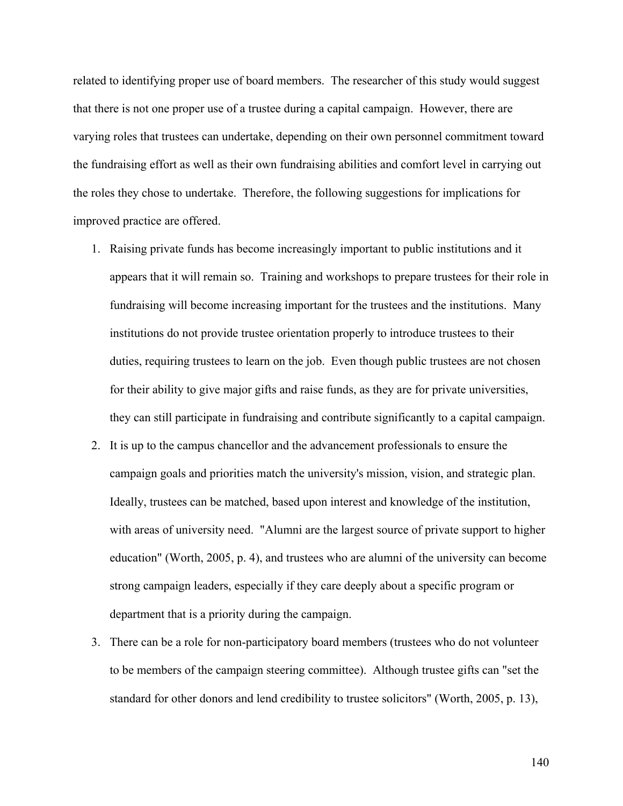related to identifying proper use of board members. The researcher of this study would suggest that there is not one proper use of a trustee during a capital campaign. However, there are varying roles that trustees can undertake, depending on their own personnel commitment toward the fundraising effort as well as their own fundraising abilities and comfort level in carrying out the roles they chose to undertake. Therefore, the following suggestions for implications for improved practice are offered.

- 1. Raising private funds has become increasingly important to public institutions and it appears that it will remain so. Training and workshops to prepare trustees for their role in fundraising will become increasing important for the trustees and the institutions. Many institutions do not provide trustee orientation properly to introduce trustees to their duties, requiring trustees to learn on the job. Even though public trustees are not chosen for their ability to give major gifts and raise funds, as they are for private universities, they can still participate in fundraising and contribute significantly to a capital campaign.
- 2. It is up to the campus chancellor and the advancement professionals to ensure the campaign goals and priorities match the university's mission, vision, and strategic plan. Ideally, trustees can be matched, based upon interest and knowledge of the institution, with areas of university need. "Alumni are the largest source of private support to higher education" (Worth, 2005, p. 4), and trustees who are alumni of the university can become strong campaign leaders, especially if they care deeply about a specific program or department that is a priority during the campaign.
- 3. There can be a role for non-participatory board members (trustees who do not volunteer to be members of the campaign steering committee). Although trustee gifts can "set the standard for other donors and lend credibility to trustee solicitors" (Worth, 2005, p. 13),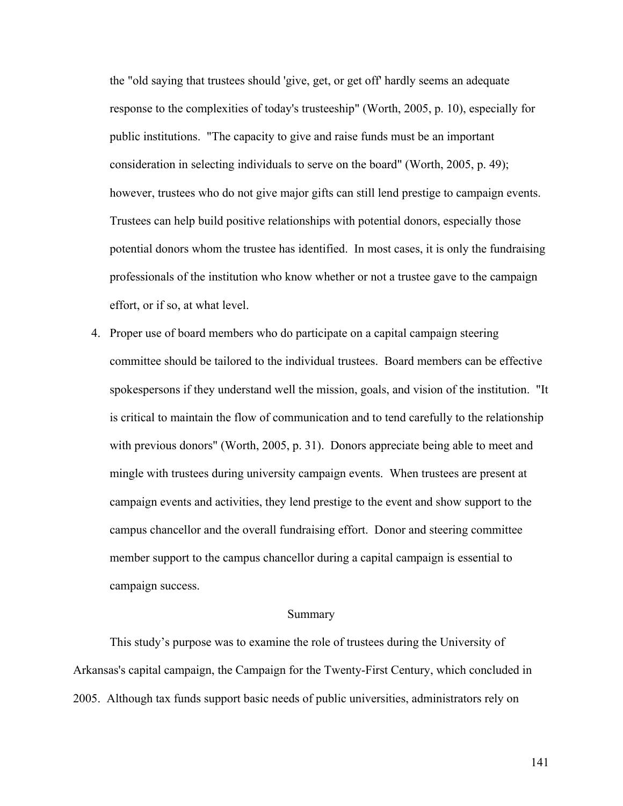the "old saying that trustees should 'give, get, or get off' hardly seems an adequate response to the complexities of today's trusteeship" (Worth, 2005, p. 10), especially for public institutions. "The capacity to give and raise funds must be an important consideration in selecting individuals to serve on the board" (Worth, 2005, p. 49); however, trustees who do not give major gifts can still lend prestige to campaign events. Trustees can help build positive relationships with potential donors, especially those potential donors whom the trustee has identified. In most cases, it is only the fundraising professionals of the institution who know whether or not a trustee gave to the campaign effort, or if so, at what level.

4. Proper use of board members who do participate on a capital campaign steering committee should be tailored to the individual trustees. Board members can be effective spokespersons if they understand well the mission, goals, and vision of the institution. "It is critical to maintain the flow of communication and to tend carefully to the relationship with previous donors" (Worth, 2005, p. 31). Donors appreciate being able to meet and mingle with trustees during university campaign events. When trustees are present at campaign events and activities, they lend prestige to the event and show support to the campus chancellor and the overall fundraising effort. Donor and steering committee member support to the campus chancellor during a capital campaign is essential to campaign success.

#### Summary

This study's purpose was to examine the role of trustees during the University of Arkansas's capital campaign, the Campaign for the Twenty-First Century, which concluded in 2005. Although tax funds support basic needs of public universities, administrators rely on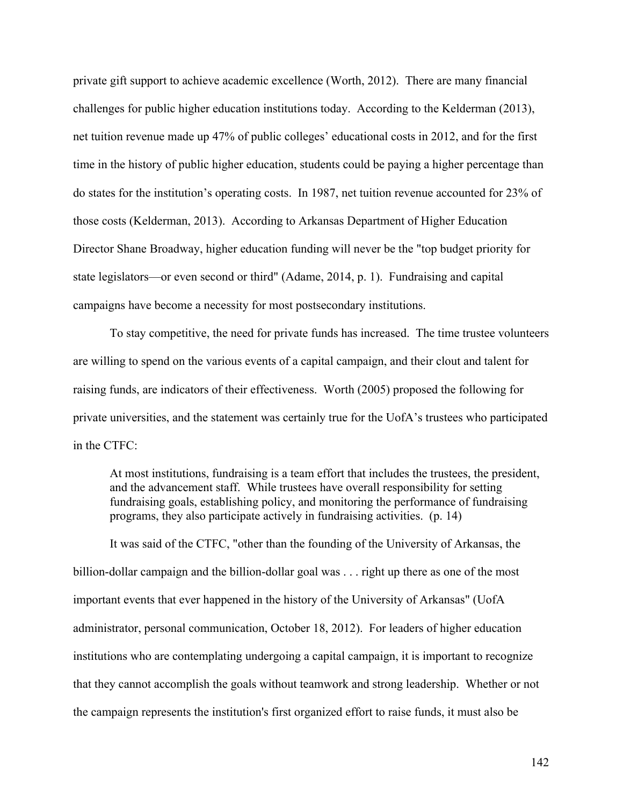private gift support to achieve academic excellence (Worth, 2012). There are many financial challenges for public higher education institutions today. According to the Kelderman (2013), net tuition revenue made up 47% of public colleges' educational costs in 2012, and for the first time in the history of public higher education, students could be paying a higher percentage than do states for the institution's operating costs. In 1987, net tuition revenue accounted for 23% of those costs (Kelderman, 2013). According to Arkansas Department of Higher Education Director Shane Broadway, higher education funding will never be the "top budget priority for state legislators—or even second or third" (Adame, 2014, p. 1). Fundraising and capital campaigns have become a necessity for most postsecondary institutions.

To stay competitive, the need for private funds has increased. The time trustee volunteers are willing to spend on the various events of a capital campaign, and their clout and talent for raising funds, are indicators of their effectiveness. Worth (2005) proposed the following for private universities, and the statement was certainly true for the UofA's trustees who participated in the CTFC:

At most institutions, fundraising is a team effort that includes the trustees, the president, and the advancement staff. While trustees have overall responsibility for setting fundraising goals, establishing policy, and monitoring the performance of fundraising programs, they also participate actively in fundraising activities. (p. 14)

It was said of the CTFC, "other than the founding of the University of Arkansas, the billion-dollar campaign and the billion-dollar goal was . . . right up there as one of the most important events that ever happened in the history of the University of Arkansas" (UofA administrator, personal communication, October 18, 2012). For leaders of higher education institutions who are contemplating undergoing a capital campaign, it is important to recognize that they cannot accomplish the goals without teamwork and strong leadership. Whether or not the campaign represents the institution's first organized effort to raise funds, it must also be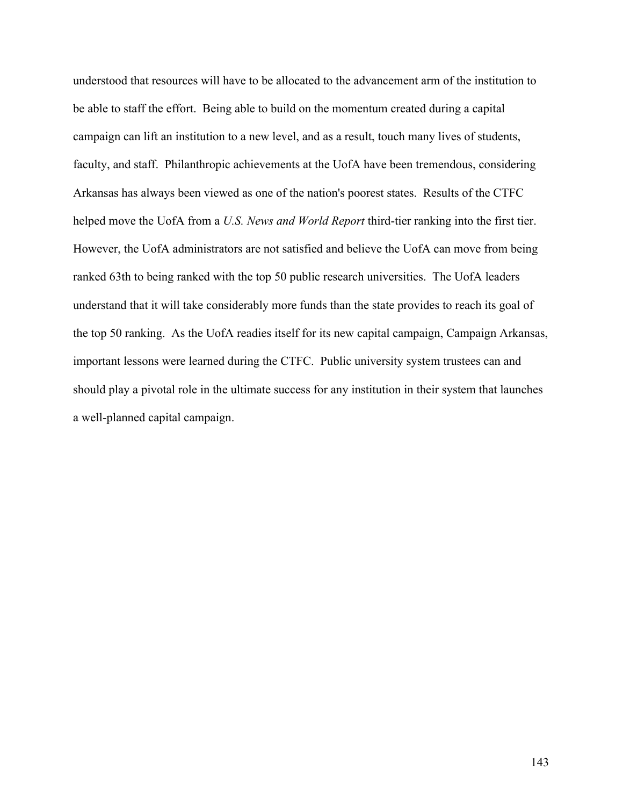understood that resources will have to be allocated to the advancement arm of the institution to be able to staff the effort. Being able to build on the momentum created during a capital campaign can lift an institution to a new level, and as a result, touch many lives of students, faculty, and staff. Philanthropic achievements at the UofA have been tremendous, considering Arkansas has always been viewed as one of the nation's poorest states. Results of the CTFC helped move the UofA from a *U.S. News and World Report* third-tier ranking into the first tier. However, the UofA administrators are not satisfied and believe the UofA can move from being ranked 63th to being ranked with the top 50 public research universities. The UofA leaders understand that it will take considerably more funds than the state provides to reach its goal of the top 50 ranking. As the UofA readies itself for its new capital campaign, Campaign Arkansas, important lessons were learned during the CTFC. Public university system trustees can and should play a pivotal role in the ultimate success for any institution in their system that launches a well-planned capital campaign.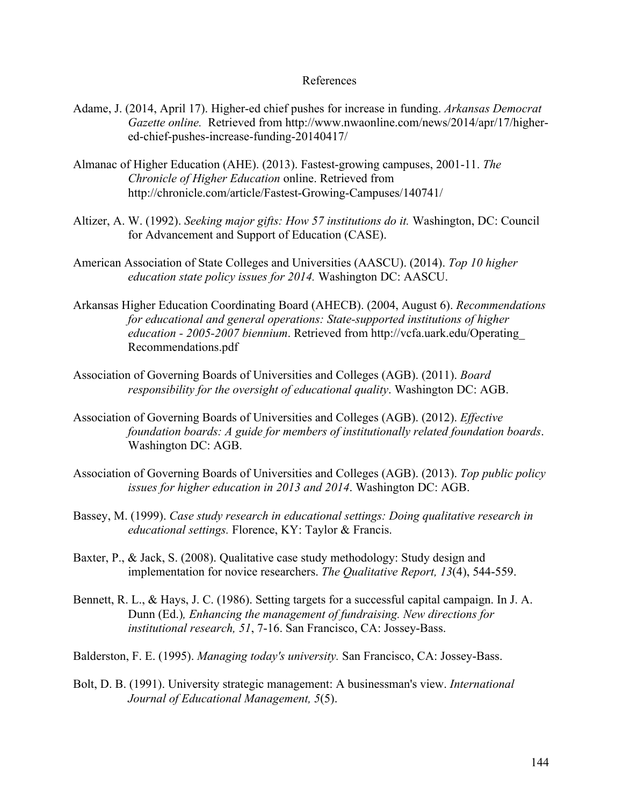#### References

- Adame, J. (2014, April 17). Higher-ed chief pushes for increase in funding. *Arkansas Democrat Gazette online.* Retrieved from http://www.nwaonline.com/news/2014/apr/17/highered-chief-pushes-increase-funding-20140417/
- Almanac of Higher Education (AHE). (2013). Fastest-growing campuses, 2001-11. *The Chronicle of Higher Education* online. Retrieved from http://chronicle.com/article/Fastest-Growing-Campuses/140741/
- Altizer, A. W. (1992). *Seeking major gifts: How 57 institutions do it.* Washington, DC: Council for Advancement and Support of Education (CASE).
- American Association of State Colleges and Universities (AASCU). (2014). *Top 10 higher education state policy issues for 2014.* Washington DC: AASCU.
- Arkansas Higher Education Coordinating Board (AHECB). (2004, August 6). *Recommendations for educational and general operations: State-supported institutions of higher education - 2005-2007 biennium*. Retrieved from http://vcfa.uark.edu/Operating\_ Recommendations.pdf
- Association of Governing Boards of Universities and Colleges (AGB). (2011). *Board responsibility for the oversight of educational quality*. Washington DC: AGB.
- Association of Governing Boards of Universities and Colleges (AGB). (2012). *Effective foundation boards: A guide for members of institutionally related foundation boards*. Washington DC: AGB.
- Association of Governing Boards of Universities and Colleges (AGB). (2013). *Top public policy issues for higher education in 2013 and 2014*. Washington DC: AGB.
- Bassey, M. (1999). *Case study research in educational settings: Doing qualitative research in educational settings.* Florence, KY: Taylor & Francis.
- Baxter, P., & Jack, S. (2008). Qualitative case study methodology: Study design and implementation for novice researchers. *The Qualitative Report, 13*(4), 544-559.
- Bennett, R. L., & Hays, J. C. (1986). Setting targets for a successful capital campaign. In J. A. Dunn (Ed.)*, Enhancing the management of fundraising. New directions for institutional research, 51*, 7-16. San Francisco, CA: Jossey-Bass.
- Balderston, F. E. (1995). *Managing today's university.* San Francisco, CA: Jossey-Bass.
- Bolt, D. B. (1991). University strategic management: A businessman's view. *International Journal of Educational Management, 5*(5).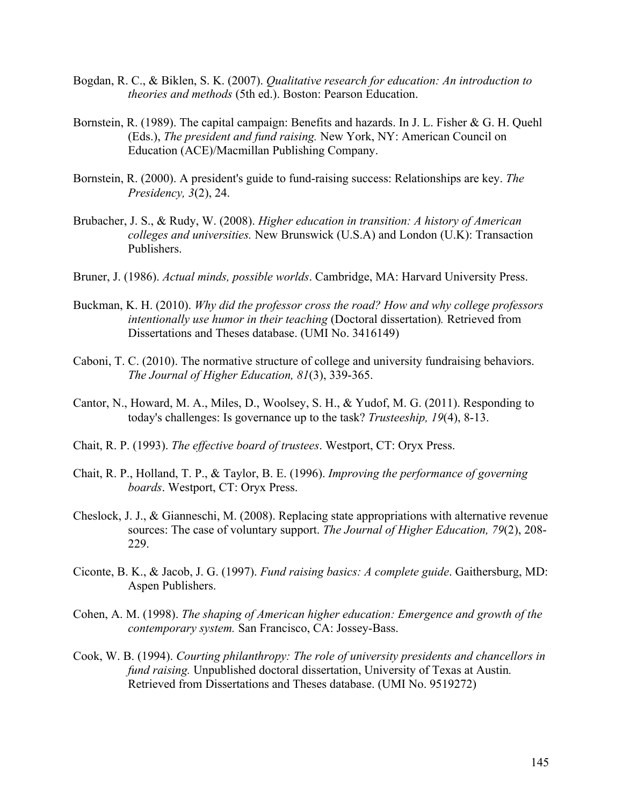- Bogdan, R. C., & Biklen, S. K. (2007). *Qualitative research for education: An introduction to theories and methods* (5th ed.). Boston: Pearson Education.
- Bornstein, R. (1989). The capital campaign: Benefits and hazards. In J. L. Fisher & G. H. Quehl (Eds.), *The president and fund raising.* New York, NY: American Council on Education (ACE)/Macmillan Publishing Company.
- Bornstein, R. (2000). A president's guide to fund-raising success: Relationships are key. *The Presidency, 3*(2), 24.
- Brubacher, J. S., & Rudy, W. (2008). *Higher education in transition: A history of American colleges and universities.* New Brunswick (U.S.A) and London (U.K): Transaction Publishers.
- Bruner, J. (1986). *Actual minds, possible worlds*. Cambridge, MA: Harvard University Press.
- Buckman, K. H. (2010). *Why did the professor cross the road? How and why college professors intentionally use humor in their teaching* (Doctoral dissertation)*.* Retrieved from Dissertations and Theses database. (UMI No. 3416149)
- Caboni, T. C. (2010). The normative structure of college and university fundraising behaviors. *The Journal of Higher Education, 81*(3), 339-365.
- Cantor, N., Howard, M. A., Miles, D., Woolsey, S. H., & Yudof, M. G. (2011). Responding to today's challenges: Is governance up to the task? *Trusteeship, 19*(4), 8-13.
- Chait, R. P. (1993). *The effective board of trustees*. Westport, CT: Oryx Press.
- Chait, R. P., Holland, T. P., & Taylor, B. E. (1996). *Improving the performance of governing boards*. Westport, CT: Oryx Press.
- Cheslock, J. J., & Gianneschi, M. (2008). Replacing state appropriations with alternative revenue sources: The case of voluntary support. *The Journal of Higher Education, 79*(2), 208- 229.
- Ciconte, B. K., & Jacob, J. G. (1997). *Fund raising basics: A complete guide*. Gaithersburg, MD: Aspen Publishers.
- Cohen, A. M. (1998). *The shaping of American higher education: Emergence and growth of the contemporary system.* San Francisco, CA: Jossey-Bass.
- Cook, W. B. (1994). *Courting philanthropy: The role of university presidents and chancellors in fund raising.* Unpublished doctoral dissertation, University of Texas at Austin*.*  Retrieved from Dissertations and Theses database. (UMI No. 9519272)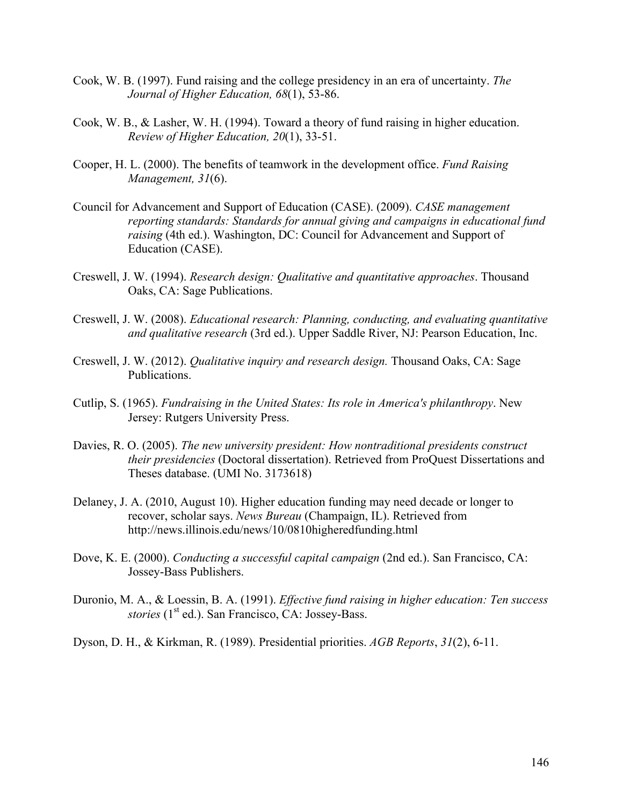- Cook, W. B. (1997). Fund raising and the college presidency in an era of uncertainty. *The Journal of Higher Education, 68*(1), 53-86.
- Cook, W. B., & Lasher, W. H. (1994). Toward a theory of fund raising in higher education. *Review of Higher Education, 20*(1), 33-51.
- Cooper, H. L. (2000). The benefits of teamwork in the development office. *Fund Raising Management, 31*(6).
- Council for Advancement and Support of Education (CASE). (2009). *CASE management reporting standards: Standards for annual giving and campaigns in educational fund raising* (4th ed.). Washington, DC: Council for Advancement and Support of Education (CASE).
- Creswell, J. W. (1994). *Research design: Qualitative and quantitative approaches*. Thousand Oaks, CA: Sage Publications.
- Creswell, J. W. (2008). *Educational research: Planning, conducting, and evaluating quantitative and qualitative research* (3rd ed.). Upper Saddle River, NJ: Pearson Education, Inc.
- Creswell, J. W. (2012). *Qualitative inquiry and research design.* Thousand Oaks, CA: Sage Publications.
- Cutlip, S. (1965). *Fundraising in the United States: Its role in America's philanthropy*. New Jersey: Rutgers University Press.
- Davies, R. O. (2005). *The new university president: How nontraditional presidents construct their presidencies* (Doctoral dissertation). Retrieved from ProQuest Dissertations and Theses database. (UMI No. 3173618)
- Delaney, J. A. (2010, August 10). Higher education funding may need decade or longer to recover, scholar says. *News Bureau* (Champaign, IL). Retrieved from http://news.illinois.edu/news/10/0810higheredfunding.html
- Dove, K. E. (2000). *Conducting a successful capital campaign* (2nd ed.). San Francisco, CA: Jossey-Bass Publishers.
- Duronio, M. A., & Loessin, B. A. (1991). *Effective fund raising in higher education: Ten success stories* (1<sup>st</sup> ed.). San Francisco, CA: Jossey-Bass.
- Dyson, D. H., & Kirkman, R. (1989). Presidential priorities. *AGB Reports*, *31*(2), 6-11.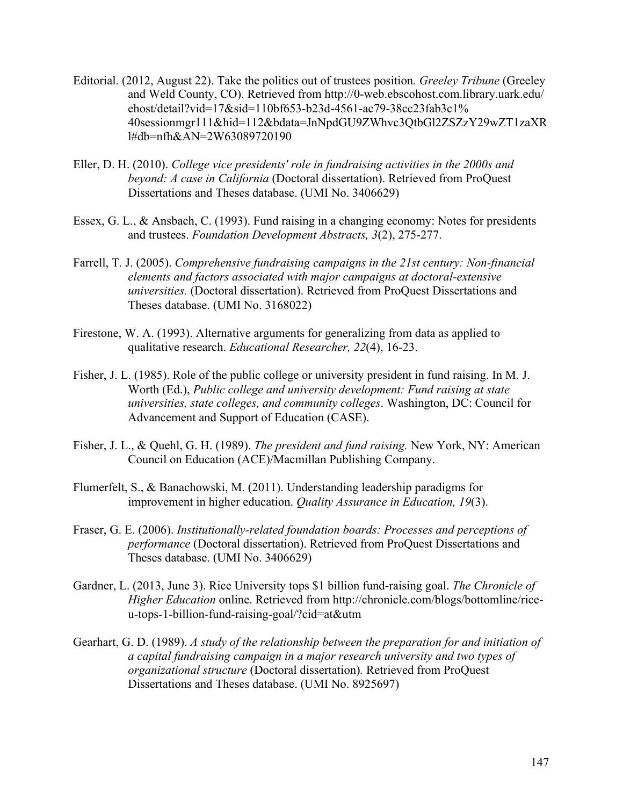- Editorial. (2012, August 22). Take the politics out of trustees position*. Greeley Tribune* (Greeley and Weld County, CO). Retrieved from http://0-web.ebscohost.com.library.uark.edu/ ehost/detail?vid=17&sid=110bf653-b23d-4561-ac79-38cc23fab3c1% 40sessionmgr111&hid=112&bdata=JnNpdGU9ZWhvc3QtbGl2ZSZzY29wZT1zaXR l#db=nfh&AN=2W63089720190
- Eller, D. H. (2010). *College vice presidents' role in fundraising activities in the 2000s and beyond: A case in California* (Doctoral dissertation). Retrieved from ProQuest Dissertations and Theses database. (UMI No. 3406629)
- Essex, G. L., & Ansbach, C. (1993). Fund raising in a changing economy: Notes for presidents and trustees. *Foundation Development Abstracts, 3*(2), 275-277.
- Farrell, T. J. (2005). *Comprehensive fundraising campaigns in the 21st century: Non-financial elements and factors associated with major campaigns at doctoral-extensive universities.* (Doctoral dissertation). Retrieved from ProQuest Dissertations and Theses database. (UMI No. 3168022)
- Firestone, W. A. (1993). Alternative arguments for generalizing from data as applied to qualitative research. *Educational Researcher, 22*(4), 16-23.
- Fisher, J. L. (1985). Role of the public college or university president in fund raising. In M. J. Worth (Ed.), *Public college and university development: Fund raising at state universities, state colleges, and community colleges*. Washington, DC: Council for Advancement and Support of Education (CASE).
- Fisher, J. L., & Quehl, G. H. (1989). *The president and fund raising.* New York, NY: American Council on Education (ACE)/Macmillan Publishing Company.
- Flumerfelt, S., & Banachowski, M. (2011). Understanding leadership paradigms for improvement in higher education. *Quality Assurance in Education, 19*(3).
- Fraser, G. E. (2006). *Institutionally-related foundation boards: Processes and perceptions of performance* (Doctoral dissertation). Retrieved from ProQuest Dissertations and Theses database. (UMI No. 3406629)
- Gardner, L. (2013, June 3). Rice University tops \$1 billion fund-raising goal. *The Chronicle of Higher Education* online. Retrieved from http://chronicle.com/blogs/bottomline/riceu-tops-1-billion-fund-raising-goal/?cid=at&utm
- Gearhart, G. D. (1989). *A study of the relationship between the preparation for and initiation of a capital fundraising campaign in a major research university and two types of organizational structure* (Doctoral dissertation)*.* Retrieved from ProQuest Dissertations and Theses database. (UMI No. 8925697)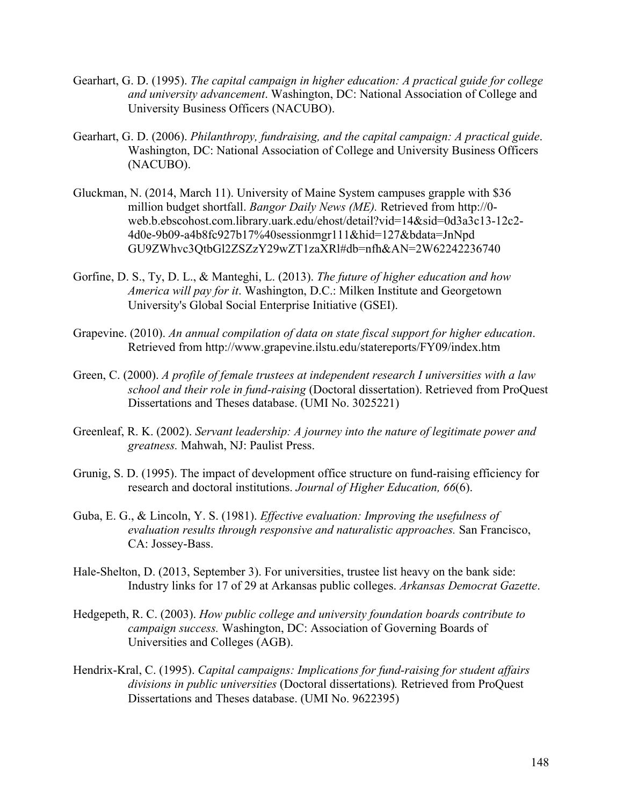- Gearhart, G. D. (1995). *The capital campaign in higher education: A practical guide for college and university advancement*. Washington, DC: National Association of College and University Business Officers (NACUBO).
- Gearhart, G. D. (2006). *Philanthropy, fundraising, and the capital campaign: A practical guide*. Washington, DC: National Association of College and University Business Officers (NACUBO).
- Gluckman, N. (2014, March 11). University of Maine System campuses grapple with \$36 million budget shortfall. *Bangor Daily News (ME).* Retrieved from http://0 web.b.ebscohost.com.library.uark.edu/ehost/detail?vid=14&sid=0d3a3c13-12c2- 4d0e-9b09-a4b8fc927b17%40sessionmgr111&hid=127&bdata=JnNpd GU9ZWhvc3QtbGl2ZSZzY29wZT1zaXRl#db=nfh&AN=2W62242236740
- Gorfine, D. S., Ty, D. L., & Manteghi, L. (2013). *The future of higher education and how America will pay for it*. Washington, D.C.: Milken Institute and Georgetown University's Global Social Enterprise Initiative (GSEI).
- Grapevine. (2010). *An annual compilation of data on state fiscal support for higher education*. Retrieved from http://www.grapevine.ilstu.edu/statereports/FY09/index.htm
- Green, C. (2000). *A profile of female trustees at independent research I universities with a law school and their role in fund-raising* (Doctoral dissertation). Retrieved from ProQuest Dissertations and Theses database. (UMI No. 3025221)
- Greenleaf, R. K. (2002). *Servant leadership: A journey into the nature of legitimate power and greatness.* Mahwah, NJ: Paulist Press.
- Grunig, S. D. (1995). The impact of development office structure on fund-raising efficiency for research and doctoral institutions. *Journal of Higher Education, 66*(6).
- Guba, E. G., & Lincoln, Y. S. (1981). *Effective evaluation: Improving the usefulness of evaluation results through responsive and naturalistic approaches.* San Francisco, CA: Jossey-Bass.
- Hale-Shelton, D. (2013, September 3). For universities, trustee list heavy on the bank side: Industry links for 17 of 29 at Arkansas public colleges. *Arkansas Democrat Gazette*.
- Hedgepeth, R. C. (2003). *How public college and university foundation boards contribute to campaign success.* Washington, DC: Association of Governing Boards of Universities and Colleges (AGB).
- Hendrix-Kral, C. (1995). *Capital campaigns: Implications for fund-raising for student affairs divisions in public universities* (Doctoral dissertations)*.* Retrieved from ProQuest Dissertations and Theses database. (UMI No. 9622395)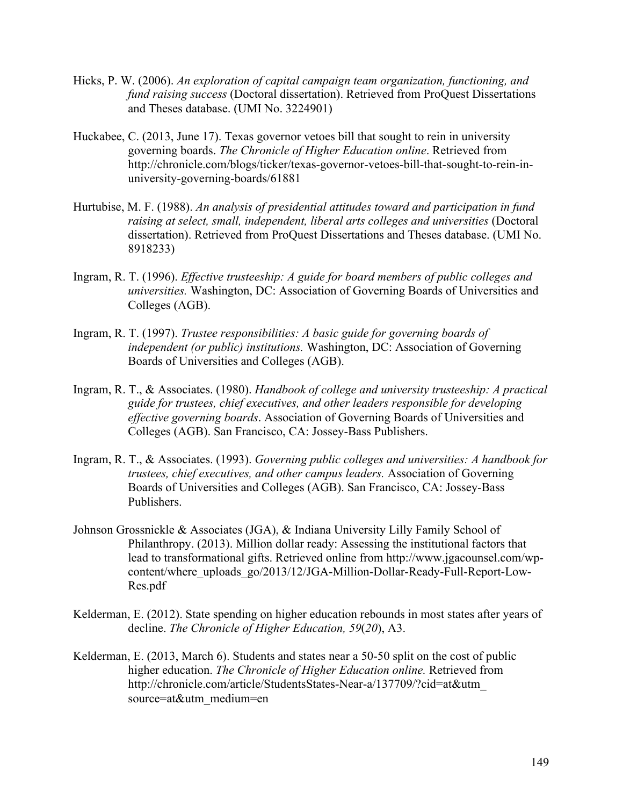- Hicks, P. W. (2006). *An exploration of capital campaign team organization, functioning, and fund raising success* (Doctoral dissertation). Retrieved from ProQuest Dissertations and Theses database. (UMI No. 3224901)
- Huckabee, C. (2013, June 17). Texas governor vetoes bill that sought to rein in university governing boards. *The Chronicle of Higher Education online*. Retrieved from http://chronicle.com/blogs/ticker/texas-governor-vetoes-bill-that-sought-to-rein-inuniversity-governing-boards/61881
- Hurtubise, M. F. (1988). *An analysis of presidential attitudes toward and participation in fund raising at select, small, independent, liberal arts colleges and universities* (Doctoral dissertation). Retrieved from ProQuest Dissertations and Theses database. (UMI No. 8918233)
- Ingram, R. T. (1996). *Effective trusteeship: A guide for board members of public colleges and universities.* Washington, DC: Association of Governing Boards of Universities and Colleges (AGB).
- Ingram, R. T. (1997). *Trustee responsibilities: A basic guide for governing boards of independent (or public) institutions.* Washington, DC: Association of Governing Boards of Universities and Colleges (AGB).
- Ingram, R. T., & Associates. (1980). *Handbook of college and university trusteeship: A practical guide for trustees, chief executives, and other leaders responsible for developing effective governing boards*. Association of Governing Boards of Universities and Colleges (AGB). San Francisco, CA: Jossey-Bass Publishers.
- Ingram, R. T., & Associates. (1993). *Governing public colleges and universities: A handbook for trustees, chief executives, and other campus leaders.* Association of Governing Boards of Universities and Colleges (AGB). San Francisco, CA: Jossey-Bass Publishers.
- Johnson Grossnickle & Associates (JGA), & Indiana University Lilly Family School of Philanthropy. (2013). Million dollar ready: Assessing the institutional factors that lead to transformational gifts. Retrieved online from http://www.jgacounsel.com/wpcontent/where\_uploads\_go/2013/12/JGA-Million-Dollar-Ready-Full-Report-Low-Res.pdf
- Kelderman, E. (2012). State spending on higher education rebounds in most states after years of decline. *The Chronicle of Higher Education, 59*(*20*), A3.
- Kelderman, E. (2013, March 6). Students and states near a 50-50 split on the cost of public higher education. *The Chronicle of Higher Education online.* Retrieved from http://chronicle.com/article/StudentsStates-Near-a/137709/?cid=at&utm\_ source=at&utm\_medium=en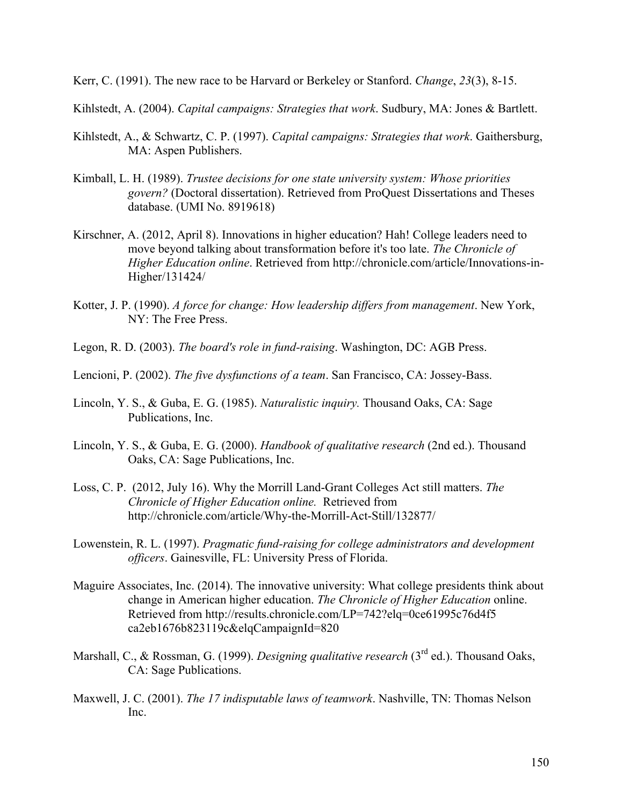Kerr, C. (1991). The new race to be Harvard or Berkeley or Stanford. *Change*, *23*(3), 8-15.

Kihlstedt, A. (2004). *Capital campaigns: Strategies that work*. Sudbury, MA: Jones & Bartlett.

- Kihlstedt, A., & Schwartz, C. P. (1997). *Capital campaigns: Strategies that work*. Gaithersburg, MA: Aspen Publishers.
- Kimball, L. H. (1989). *Trustee decisions for one state university system: Whose priorities govern?* (Doctoral dissertation). Retrieved from ProQuest Dissertations and Theses database. (UMI No. 8919618)
- Kirschner, A. (2012, April 8). Innovations in higher education? Hah! College leaders need to move beyond talking about transformation before it's too late. *The Chronicle of Higher Education online*. Retrieved from http://chronicle.com/article/Innovations-in-Higher/131424/
- Kotter, J. P. (1990). *A force for change: How leadership differs from management*. New York, NY: The Free Press.
- Legon, R. D. (2003). *The board's role in fund-raising*. Washington, DC: AGB Press.
- Lencioni, P. (2002). *The five dysfunctions of a team*. San Francisco, CA: Jossey-Bass.
- Lincoln, Y. S., & Guba, E. G. (1985). *Naturalistic inquiry.* Thousand Oaks, CA: Sage Publications, Inc.
- Lincoln, Y. S., & Guba, E. G. (2000). *Handbook of qualitative research* (2nd ed.). Thousand Oaks, CA: Sage Publications, Inc.
- Loss, C. P. (2012, July 16). Why the Morrill Land-Grant Colleges Act still matters. *The Chronicle of Higher Education online.* Retrieved from http://chronicle.com/article/Why-the-Morrill-Act-Still/132877/
- Lowenstein, R. L. (1997). *Pragmatic fund-raising for college administrators and development officers*. Gainesville, FL: University Press of Florida.
- Maguire Associates, Inc. (2014). The innovative university: What college presidents think about change in American higher education. *The Chronicle of Higher Education* online. Retrieved from http://results.chronicle.com/LP=742?elq=0ce61995c76d4f5 ca2eb1676b823119c&elqCampaignId=820
- Marshall, C., & Rossman, G. (1999). *Designing qualitative research* (3rd ed.). Thousand Oaks, CA: Sage Publications.
- Maxwell, J. C. (2001). *The 17 indisputable laws of teamwork*. Nashville, TN: Thomas Nelson Inc.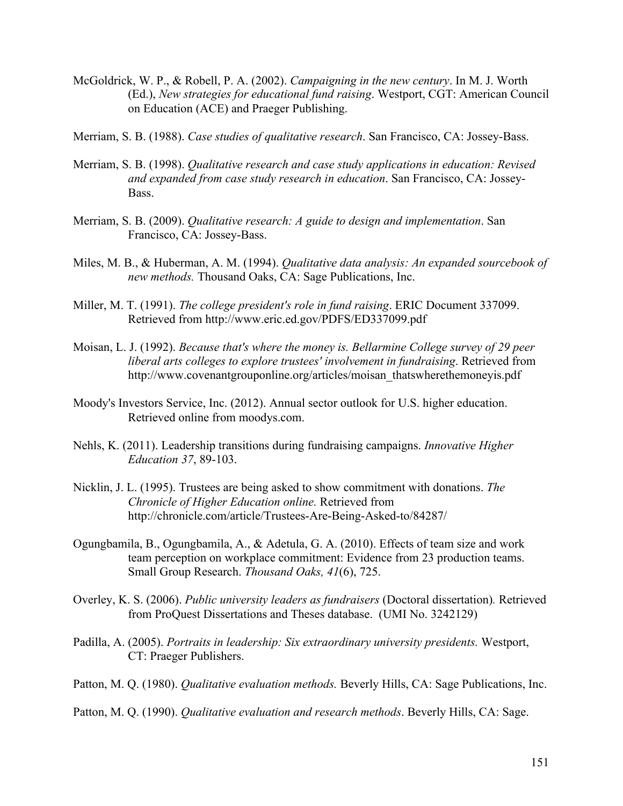- McGoldrick, W. P., & Robell, P. A. (2002). *Campaigning in the new century*. In M. J. Worth (Ed.), *New strategies for educational fund raising*. Westport, CGT: American Council on Education (ACE) and Praeger Publishing.
- Merriam, S. B. (1988). *Case studies of qualitative research*. San Francisco, CA: Jossey-Bass.
- Merriam, S. B. (1998). *Qualitative research and case study applications in education: Revised and expanded from case study research in education*. San Francisco, CA: Jossey-Bass.
- Merriam, S. B. (2009). *Qualitative research: A guide to design and implementation*. San Francisco, CA: Jossey-Bass.
- Miles, M. B., & Huberman, A. M. (1994). *Qualitative data analysis: An expanded sourcebook of new methods.* Thousand Oaks, CA: Sage Publications, Inc.
- Miller, M. T. (1991). *The college president's role in fund raising*. ERIC Document 337099. Retrieved from http://www.eric.ed.gov/PDFS/ED337099.pdf
- Moisan, L. J. (1992). *Because that's where the money is. Bellarmine College survey of 29 peer liberal arts colleges to explore trustees' involvement in fundraising*. Retrieved from http://www.covenantgrouponline.org/articles/moisan\_thatswherethemoneyis.pdf
- Moody's Investors Service, Inc. (2012). Annual sector outlook for U.S. higher education. Retrieved online from moodys.com.
- Nehls, K. (2011). Leadership transitions during fundraising campaigns. *Innovative Higher Education 37*, 89-103.
- Nicklin, J. L. (1995). Trustees are being asked to show commitment with donations. *The Chronicle of Higher Education online.* Retrieved from http://chronicle.com/article/Trustees-Are-Being-Asked-to/84287/
- Ogungbamila, B., Ogungbamila, A., & Adetula, G. A. (2010). Effects of team size and work team perception on workplace commitment: Evidence from 23 production teams. Small Group Research. *Thousand Oaks, 41*(6), 725.
- Overley, K. S. (2006). *Public university leaders as fundraisers* (Doctoral dissertation)*.* Retrieved from ProQuest Dissertations and Theses database. (UMI No. 3242129)
- Padilla, A. (2005). *Portraits in leadership: Six extraordinary university presidents.* Westport, CT: Praeger Publishers.
- Patton, M. Q. (1980). *Qualitative evaluation methods.* Beverly Hills, CA: Sage Publications, Inc.
- Patton, M. Q. (1990). *Qualitative evaluation and research methods*. Beverly Hills, CA: Sage.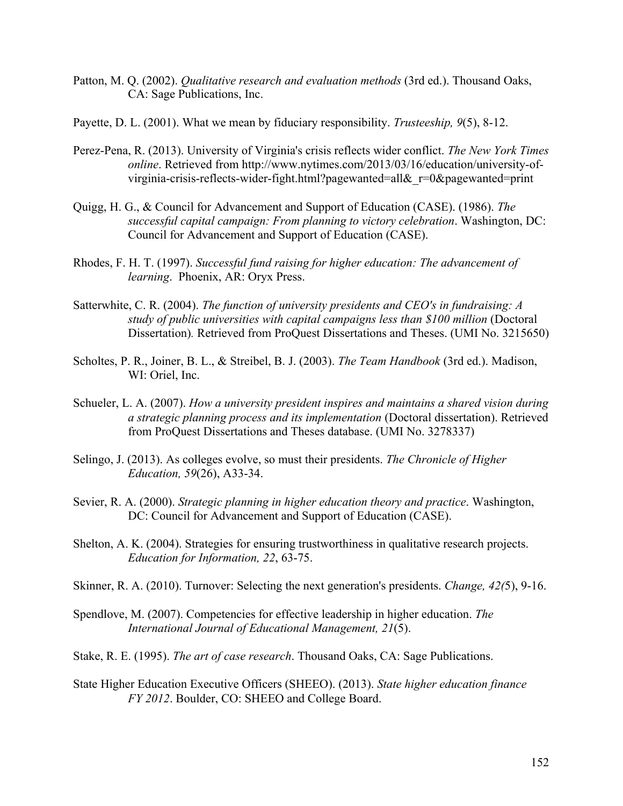- Patton, M. Q. (2002). *Qualitative research and evaluation methods* (3rd ed.). Thousand Oaks, CA: Sage Publications, Inc.
- Payette, D. L. (2001). What we mean by fiduciary responsibility. *Trusteeship, 9*(5), 8-12.
- Perez-Pena, R. (2013). University of Virginia's crisis reflects wider conflict. *The New York Times online*. Retrieved from http://www.nytimes.com/2013/03/16/education/university-ofvirginia-crisis-reflects-wider-fight.html?pagewanted=all&\_r=0&pagewanted=print
- Quigg, H. G., & Council for Advancement and Support of Education (CASE). (1986). *The successful capital campaign: From planning to victory celebration*. Washington, DC: Council for Advancement and Support of Education (CASE).
- Rhodes, F. H. T. (1997). *Successful fund raising for higher education: The advancement of learning*. Phoenix, AR: Oryx Press.
- Satterwhite, C. R. (2004). *The function of university presidents and CEO's in fundraising: A study of public universities with capital campaigns less than \$100 million* (Doctoral Dissertation)*.* Retrieved from ProQuest Dissertations and Theses. (UMI No. 3215650)
- Scholtes, P. R., Joiner, B. L., & Streibel, B. J. (2003). *The Team Handbook* (3rd ed.). Madison, WI: Oriel, Inc.
- Schueler, L. A. (2007). *How a university president inspires and maintains a shared vision during a strategic planning process and its implementation* (Doctoral dissertation). Retrieved from ProQuest Dissertations and Theses database. (UMI No. 3278337)
- Selingo, J. (2013). As colleges evolve, so must their presidents. *The Chronicle of Higher Education, 59*(26), A33-34.
- Sevier, R. A. (2000). *Strategic planning in higher education theory and practice*. Washington, DC: Council for Advancement and Support of Education (CASE).
- Shelton, A. K. (2004). Strategies for ensuring trustworthiness in qualitative research projects. *Education for Information, 22*, 63-75.
- Skinner, R. A. (2010). Turnover: Selecting the next generation's presidents. *Change, 42(*5), 9-16.
- Spendlove, M. (2007). Competencies for effective leadership in higher education. *The International Journal of Educational Management, 21*(5).
- Stake, R. E. (1995). *The art of case research*. Thousand Oaks, CA: Sage Publications.
- State Higher Education Executive Officers (SHEEO). (2013). *State higher education finance FY 2012*. Boulder, CO: SHEEO and College Board.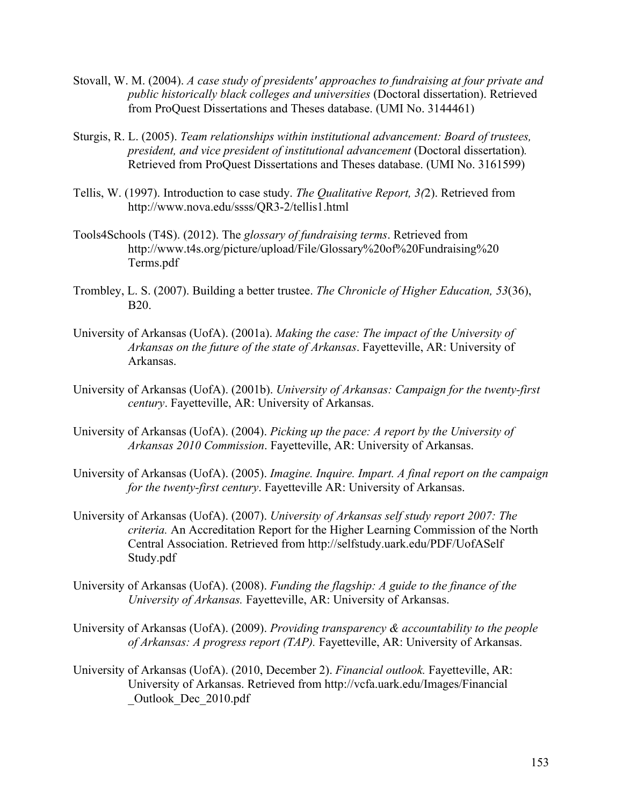- Stovall, W. M. (2004). *A case study of presidents' approaches to fundraising at four private and public historically black colleges and universities* (Doctoral dissertation). Retrieved from ProQuest Dissertations and Theses database. (UMI No. 3144461)
- Sturgis, R. L. (2005). *Team relationships within institutional advancement: Board of trustees, president, and vice president of institutional advancement (Doctoral dissertation).* Retrieved from ProQuest Dissertations and Theses database. (UMI No. 3161599)
- Tellis, W. (1997). Introduction to case study. *The Qualitative Report, 3(*2). Retrieved from http://www.nova.edu/ssss/QR3-2/tellis1.html
- Tools4Schools (T4S). (2012). The *glossary of fundraising terms*. Retrieved from http://www.t4s.org/picture/upload/File/Glossary%20of%20Fundraising%20 Terms.pdf
- Trombley, L. S. (2007). Building a better trustee. *The Chronicle of Higher Education, 53*(36), B20.
- University of Arkansas (UofA). (2001a). *Making the case: The impact of the University of Arkansas on the future of the state of Arkansas*. Fayetteville, AR: University of Arkansas.
- University of Arkansas (UofA). (2001b). *University of Arkansas: Campaign for the twenty-first century*. Fayetteville, AR: University of Arkansas.
- University of Arkansas (UofA). (2004). *Picking up the pace: A report by the University of Arkansas 2010 Commission*. Fayetteville, AR: University of Arkansas.
- University of Arkansas (UofA). (2005). *Imagine. Inquire. Impart. A final report on the campaign for the twenty-first century*. Fayetteville AR: University of Arkansas.
- University of Arkansas (UofA). (2007). *University of Arkansas self study report 2007: The criteria.* An Accreditation Report for the Higher Learning Commission of the North Central Association. Retrieved from http://selfstudy.uark.edu/PDF/UofASelf Study.pdf
- University of Arkansas (UofA). (2008). *Funding the flagship: A guide to the finance of the University of Arkansas.* Fayetteville, AR: University of Arkansas.
- University of Arkansas (UofA). (2009). *Providing transparency & accountability to the people of Arkansas: A progress report (TAP).* Fayetteville, AR: University of Arkansas.
- University of Arkansas (UofA). (2010, December 2). *Financial outlook.* Fayetteville, AR: University of Arkansas. Retrieved from http://vcfa.uark.edu/Images/Financial \_Outlook\_Dec\_2010.pdf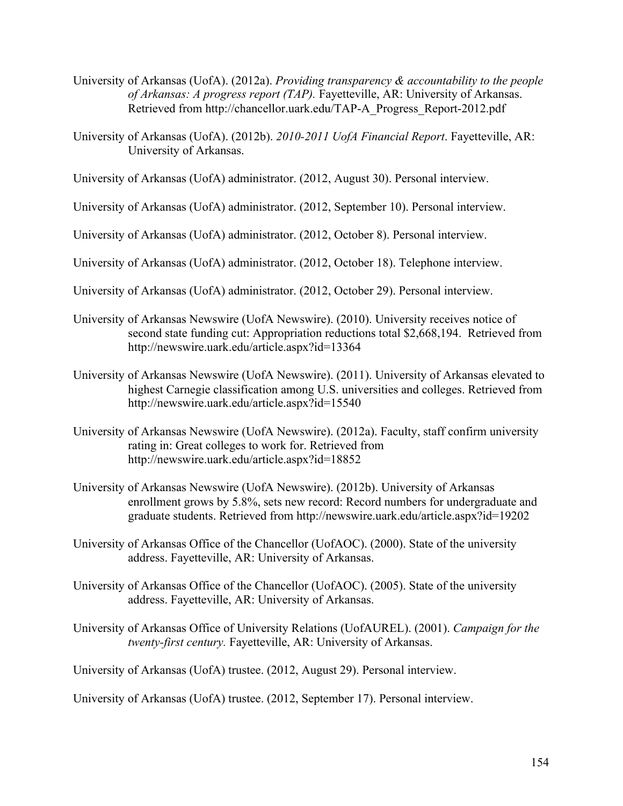- University of Arkansas (UofA). (2012a). *Providing transparency & accountability to the people of Arkansas: A progress report (TAP).* Fayetteville, AR: University of Arkansas. Retrieved from http://chancellor.uark.edu/TAP-A\_Progress\_Report-2012.pdf
- University of Arkansas (UofA). (2012b). *2010-2011 UofA Financial Report*. Fayetteville, AR: University of Arkansas.
- University of Arkansas (UofA) administrator. (2012, August 30). Personal interview.
- University of Arkansas (UofA) administrator. (2012, September 10). Personal interview.
- University of Arkansas (UofA) administrator. (2012, October 8). Personal interview.
- University of Arkansas (UofA) administrator. (2012, October 18). Telephone interview.
- University of Arkansas (UofA) administrator. (2012, October 29). Personal interview.
- University of Arkansas Newswire (UofA Newswire). (2010). University receives notice of second state funding cut: Appropriation reductions total \$2,668,194. Retrieved from http://newswire.uark.edu/article.aspx?id=13364
- University of Arkansas Newswire (UofA Newswire). (2011). University of Arkansas elevated to highest Carnegie classification among U.S. universities and colleges. Retrieved from http://newswire.uark.edu/article.aspx?id=15540
- University of Arkansas Newswire (UofA Newswire). (2012a). Faculty, staff confirm university rating in: Great colleges to work for. Retrieved from http://newswire.uark.edu/article.aspx?id=18852
- University of Arkansas Newswire (UofA Newswire). (2012b). University of Arkansas enrollment grows by 5.8%, sets new record: Record numbers for undergraduate and graduate students. Retrieved from http://newswire.uark.edu/article.aspx?id=19202
- University of Arkansas Office of the Chancellor (UofAOC). (2000). State of the university address. Fayetteville, AR: University of Arkansas.
- University of Arkansas Office of the Chancellor (UofAOC). (2005). State of the university address. Fayetteville, AR: University of Arkansas.
- University of Arkansas Office of University Relations (UofAUREL). (2001). *Campaign for the twenty-first century.* Fayetteville, AR: University of Arkansas.

University of Arkansas (UofA) trustee. (2012, August 29). Personal interview.

University of Arkansas (UofA) trustee. (2012, September 17). Personal interview.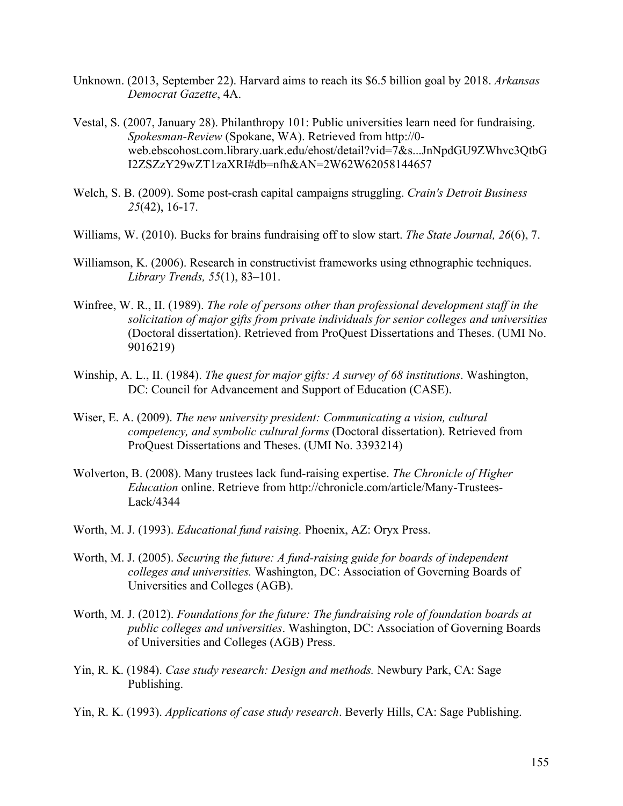- Unknown. (2013, September 22). Harvard aims to reach its \$6.5 billion goal by 2018. *Arkansas Democrat Gazette*, 4A.
- Vestal, S. (2007, January 28). Philanthropy 101: Public universities learn need for fundraising. *Spokesman-Review* (Spokane, WA). Retrieved from http://0 web.ebscohost.com.library.uark.edu/ehost/detail?vid=7&s...JnNpdGU9ZWhvc3QtbG I2ZSZzY29wZT1zaXRI#db=nfh&AN=2W62W62058144657
- Welch, S. B. (2009). Some post-crash capital campaigns struggling. *Crain's Detroit Business 25*(42), 16-17.
- Williams, W. (2010). Bucks for brains fundraising off to slow start. *The State Journal, 26*(6), 7.
- Williamson, K. (2006). Research in constructivist frameworks using ethnographic techniques. *Library Trends, 55*(1), 83–101.
- Winfree, W. R., II. (1989). *The role of persons other than professional development staff in the solicitation of major gifts from private individuals for senior colleges and universities*  (Doctoral dissertation). Retrieved from ProQuest Dissertations and Theses. (UMI No. 9016219)
- Winship, A. L., II. (1984). *The quest for major gifts: A survey of 68 institutions*. Washington, DC: Council for Advancement and Support of Education (CASE).
- Wiser, E. A. (2009). *The new university president: Communicating a vision, cultural competency, and symbolic cultural forms* (Doctoral dissertation). Retrieved from ProQuest Dissertations and Theses. (UMI No. 3393214)
- Wolverton, B. (2008). Many trustees lack fund-raising expertise. *The Chronicle of Higher Education* online. Retrieve from http://chronicle.com/article/Many-Trustees-Lack/4344
- Worth, M. J. (1993). *Educational fund raising.* Phoenix, AZ: Oryx Press.
- Worth, M. J. (2005). *Securing the future: A fund-raising guide for boards of independent colleges and universities.* Washington, DC: Association of Governing Boards of Universities and Colleges (AGB).
- Worth, M. J. (2012). *Foundations for the future: The fundraising role of foundation boards at public colleges and universities*. Washington, DC: Association of Governing Boards of Universities and Colleges (AGB) Press.
- Yin, R. K. (1984). *Case study research: Design and methods.* Newbury Park, CA: Sage Publishing.
- Yin, R. K. (1993). *Applications of case study research*. Beverly Hills, CA: Sage Publishing.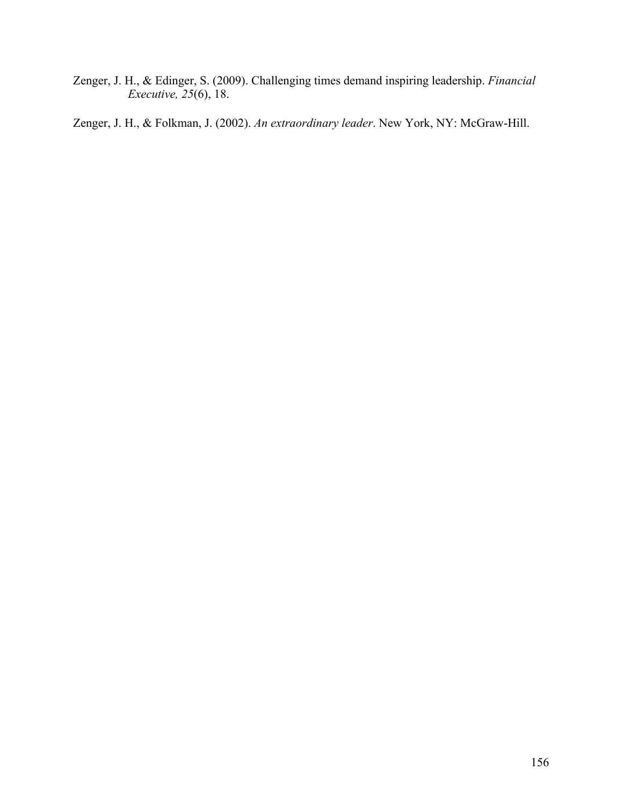Zenger, J. H., & Edinger, S. (2009). Challenging times demand inspiring leadership. *Financial Executive, 25*(6), 18.

Zenger, J. H., & Folkman, J. (2002). *An extraordinary leader*. New York, NY: McGraw-Hill.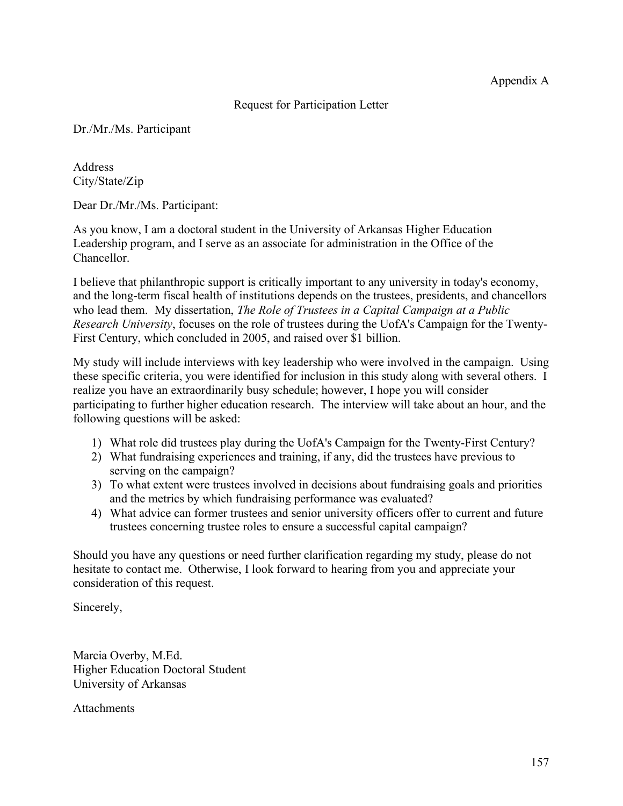## Request for Participation Letter

Dr./Mr./Ms. Participant

Address City/State/Zip

Dear Dr./Mr./Ms. Participant:

As you know, I am a doctoral student in the University of Arkansas Higher Education Leadership program, and I serve as an associate for administration in the Office of the Chancellor.

I believe that philanthropic support is critically important to any university in today's economy, and the long-term fiscal health of institutions depends on the trustees, presidents, and chancellors who lead them. My dissertation, *The Role of Trustees in a Capital Campaign at a Public Research University*, focuses on the role of trustees during the UofA's Campaign for the Twenty-First Century, which concluded in 2005, and raised over \$1 billion.

My study will include interviews with key leadership who were involved in the campaign. Using these specific criteria, you were identified for inclusion in this study along with several others. I realize you have an extraordinarily busy schedule; however, I hope you will consider participating to further higher education research. The interview will take about an hour, and the following questions will be asked:

- 1) What role did trustees play during the UofA's Campaign for the Twenty-First Century?
- 2) What fundraising experiences and training, if any, did the trustees have previous to serving on the campaign?
- 3) To what extent were trustees involved in decisions about fundraising goals and priorities and the metrics by which fundraising performance was evaluated?
- 4) What advice can former trustees and senior university officers offer to current and future trustees concerning trustee roles to ensure a successful capital campaign?

Should you have any questions or need further clarification regarding my study, please do not hesitate to contact me. Otherwise, I look forward to hearing from you and appreciate your consideration of this request.

Sincerely,

Marcia Overby, M.Ed. Higher Education Doctoral Student University of Arkansas

**Attachments**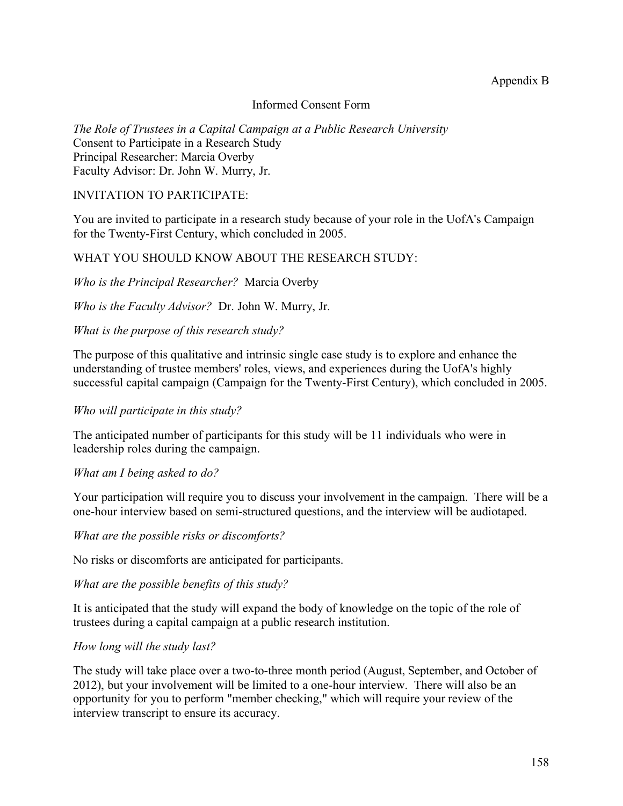## Appendix B

### Informed Consent Form

*The Role of Trustees in a Capital Campaign at a Public Research University* Consent to Participate in a Research Study Principal Researcher: Marcia Overby Faculty Advisor: Dr. John W. Murry, Jr.

#### INVITATION TO PARTICIPATE:

You are invited to participate in a research study because of your role in the UofA's Campaign for the Twenty-First Century, which concluded in 2005.

#### WHAT YOU SHOULD KNOW ABOUT THE RESEARCH STUDY:

*Who is the Principal Researcher?* Marcia Overby

*Who is the Faculty Advisor?* Dr. John W. Murry, Jr.

#### *What is the purpose of this research study?*

The purpose of this qualitative and intrinsic single case study is to explore and enhance the understanding of trustee members' roles, views, and experiences during the UofA's highly successful capital campaign (Campaign for the Twenty-First Century), which concluded in 2005.

#### *Who will participate in this study?*

The anticipated number of participants for this study will be 11 individuals who were in leadership roles during the campaign.

#### *What am I being asked to do?*

Your participation will require you to discuss your involvement in the campaign. There will be a one-hour interview based on semi-structured questions, and the interview will be audiotaped.

*What are the possible risks or discomforts?*

No risks or discomforts are anticipated for participants.

*What are the possible benefits of this study?*

It is anticipated that the study will expand the body of knowledge on the topic of the role of trustees during a capital campaign at a public research institution.

#### *How long will the study last?*

The study will take place over a two-to-three month period (August, September, and October of 2012), but your involvement will be limited to a one-hour interview. There will also be an opportunity for you to perform "member checking," which will require your review of the interview transcript to ensure its accuracy.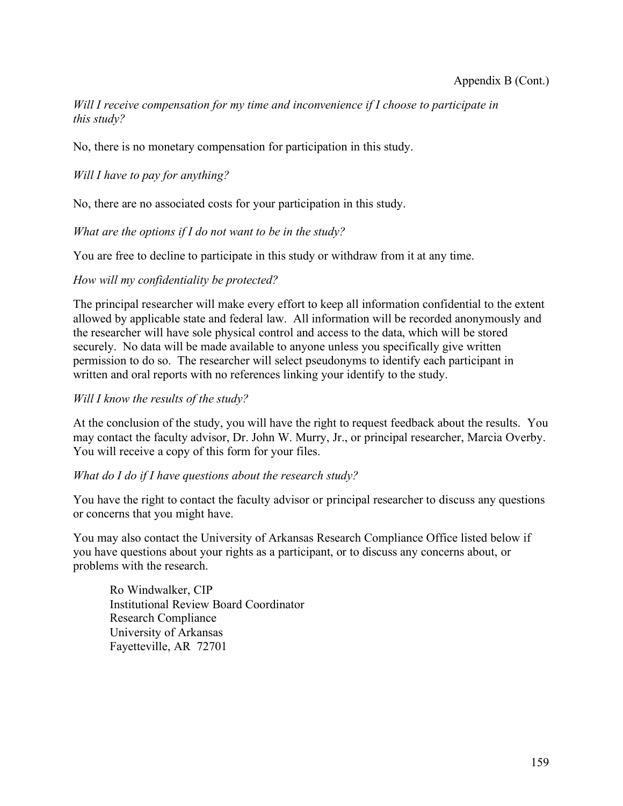*Will I receive compensation for my time and inconvenience if I choose to participate in this study?*

No, there is no monetary compensation for participation in this study.

*Will I have to pay for anything?*

No, there are no associated costs for your participation in this study.

*What are the options if I do not want to be in the study?*

You are free to decline to participate in this study or withdraw from it at any time.

### *How will my confidentiality be protected?*

The principal researcher will make every effort to keep all information confidential to the extent allowed by applicable state and federal law. All information will be recorded anonymously and the researcher will have sole physical control and access to the data, which will be stored securely. No data will be made available to anyone unless you specifically give written permission to do so. The researcher will select pseudonyms to identify each participant in written and oral reports with no references linking your identify to the study.

### *Will I know the results of the study?*

At the conclusion of the study, you will have the right to request feedback about the results. You may contact the faculty advisor, Dr. John W. Murry, Jr., or principal researcher, Marcia Overby. You will receive a copy of this form for your files.

### *What do I do if I have questions about the research study?*

You have the right to contact the faculty advisor or principal researcher to discuss any questions or concerns that you might have.

You may also contact the University of Arkansas Research Compliance Office listed below if you have questions about your rights as a participant, or to discuss any concerns about, or problems with the research.

Ro Windwalker, CIP Institutional Review Board Coordinator Research Compliance University of Arkansas Fayetteville, AR 72701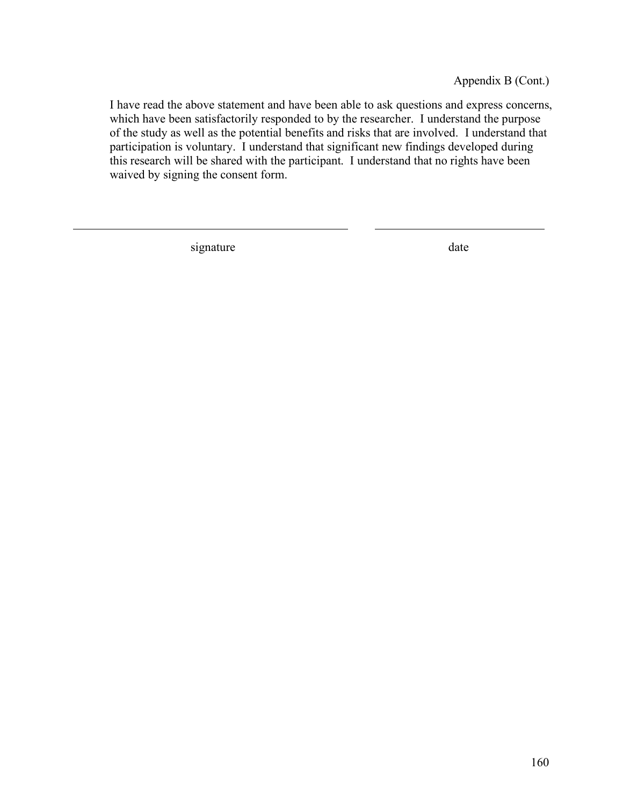Appendix B (Cont.)

I have read the above statement and have been able to ask questions and express concerns, which have been satisfactorily responded to by the researcher. I understand the purpose of the study as well as the potential benefits and risks that are involved. I understand that participation is voluntary. I understand that significant new findings developed during this research will be shared with the participant. I understand that no rights have been waived by signing the consent form.

signature date date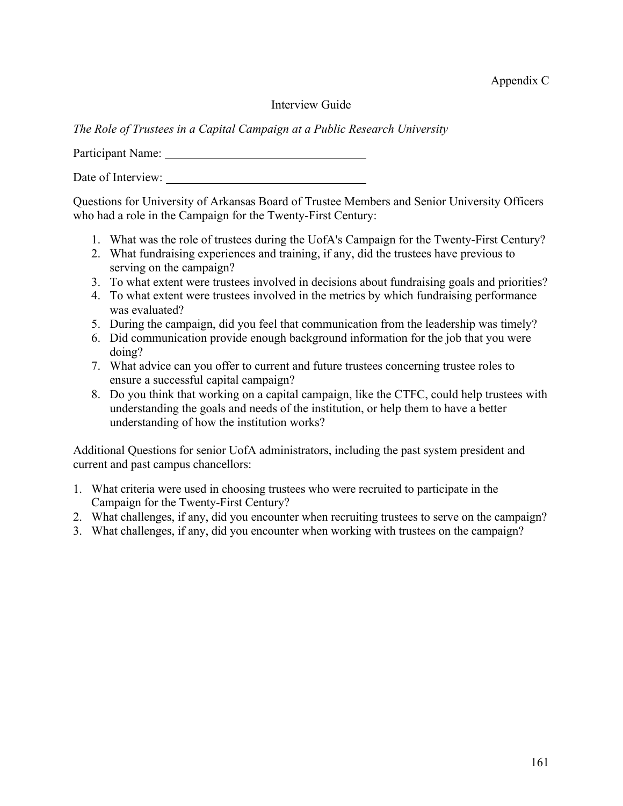Appendix C

### Interview Guide

*The Role of Trustees in a Capital Campaign at a Public Research University*

Participant Name: University of the Contract of the Contract of the Contract of the Contract of the Contract of the Contract of the Contract of the Contract of the Contract of the Contract of the Contract of the Contract o

Date of Interview:

Questions for University of Arkansas Board of Trustee Members and Senior University Officers who had a role in the Campaign for the Twenty-First Century:

- 1. What was the role of trustees during the UofA's Campaign for the Twenty-First Century?
- 2. What fundraising experiences and training, if any, did the trustees have previous to serving on the campaign?
- 3. To what extent were trustees involved in decisions about fundraising goals and priorities?
- 4. To what extent were trustees involved in the metrics by which fundraising performance was evaluated?
- 5. During the campaign, did you feel that communication from the leadership was timely?
- 6. Did communication provide enough background information for the job that you were doing?
- 7. What advice can you offer to current and future trustees concerning trustee roles to ensure a successful capital campaign?
- 8. Do you think that working on a capital campaign, like the CTFC, could help trustees with understanding the goals and needs of the institution, or help them to have a better understanding of how the institution works?

Additional Questions for senior UofA administrators, including the past system president and current and past campus chancellors:

- 1. What criteria were used in choosing trustees who were recruited to participate in the Campaign for the Twenty-First Century?
- 2. What challenges, if any, did you encounter when recruiting trustees to serve on the campaign?
- 3. What challenges, if any, did you encounter when working with trustees on the campaign?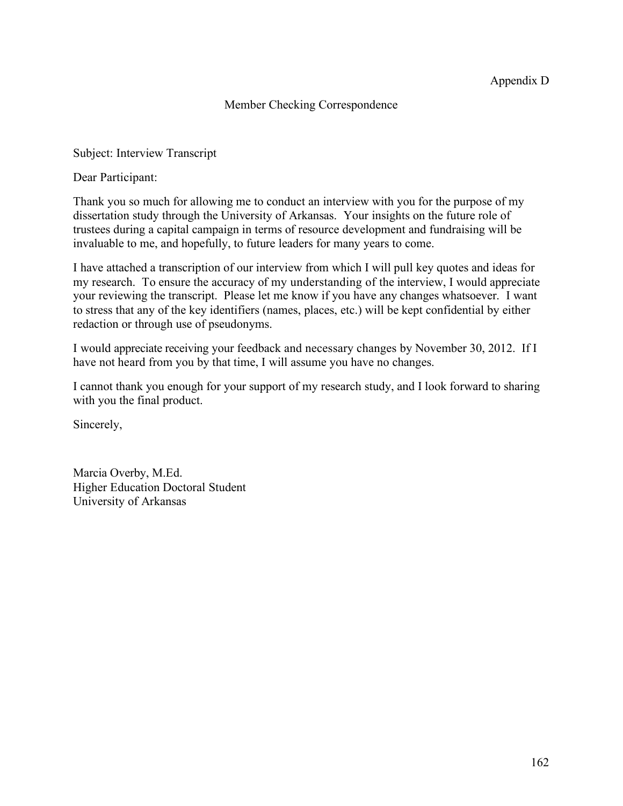## Member Checking Correspondence

Subject: Interview Transcript

Dear Participant:

Thank you so much for allowing me to conduct an interview with you for the purpose of my dissertation study through the University of Arkansas. Your insights on the future role of trustees during a capital campaign in terms of resource development and fundraising will be invaluable to me, and hopefully, to future leaders for many years to come.

I have attached a transcription of our interview from which I will pull key quotes and ideas for my research. To ensure the accuracy of my understanding of the interview, I would appreciate your reviewing the transcript. Please let me know if you have any changes whatsoever. I want to stress that any of the key identifiers (names, places, etc.) will be kept confidential by either redaction or through use of pseudonyms.

I would appreciate receiving your feedback and necessary changes by November 30, 2012. If I have not heard from you by that time, I will assume you have no changes.

I cannot thank you enough for your support of my research study, and I look forward to sharing with you the final product.

Sincerely,

Marcia Overby, M.Ed. Higher Education Doctoral Student University of Arkansas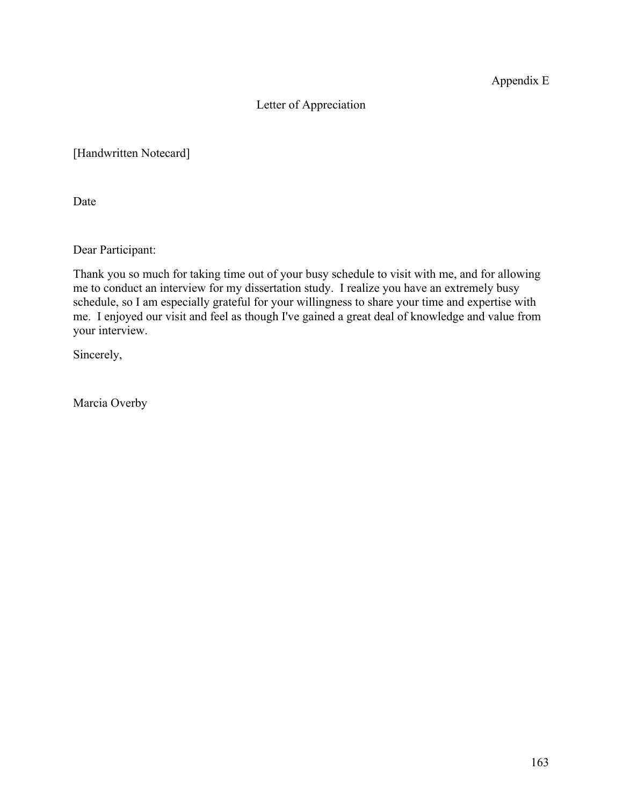Appendix E

# Letter of Appreciation

[Handwritten Notecard]

Date

Dear Participant:

Thank you so much for taking time out of your busy schedule to visit with me, and for allowing me to conduct an interview for my dissertation study. I realize you have an extremely busy schedule, so I am especially grateful for your willingness to share your time and expertise with me. I enjoyed our visit and feel as though I've gained a great deal of knowledge and value from your interview.

Sincerely,

Marcia Overby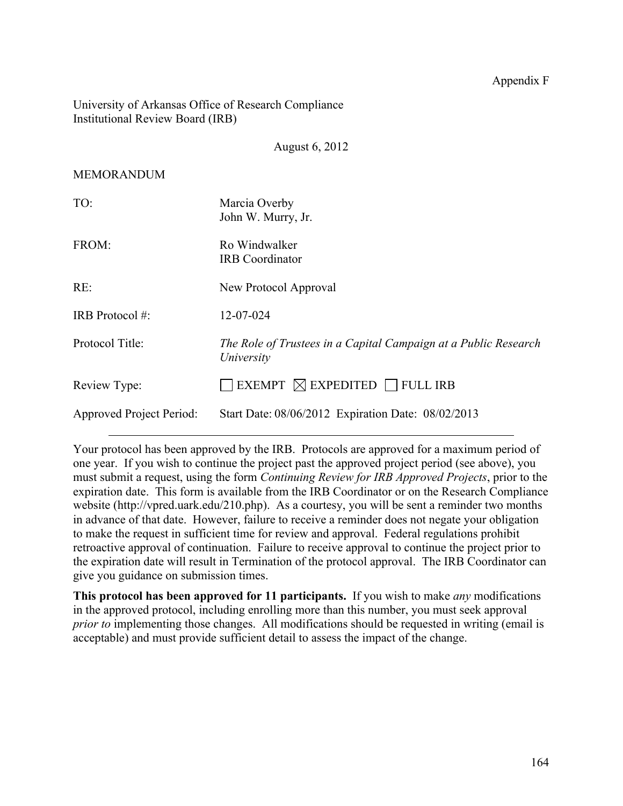University of Arkansas Office of Research Compliance Institutional Review Board (IRB)

August 6, 2012

MEMORANDUM

| TO:                      | Marcia Overby<br>John W. Murry, Jr.                                           |
|--------------------------|-------------------------------------------------------------------------------|
| FROM:                    | Ro Windwalker<br><b>IRB</b> Coordinator                                       |
| RE:                      | New Protocol Approval                                                         |
| IRB Protocol #:          | 12-07-024                                                                     |
| Protocol Title:          | The Role of Trustees in a Capital Campaign at a Public Research<br>University |
| Review Type:             | EXEMPT $\boxtimes$ EXPEDITED $\Box$ FULL IRB                                  |
| Approved Project Period: | Start Date: 08/06/2012 Expiration Date: 08/02/2013                            |

Your protocol has been approved by the IRB. Protocols are approved for a maximum period of one year. If you wish to continue the project past the approved project period (see above), you must submit a request, using the form *Continuing Review for IRB Approved Projects*, prior to the expiration date. This form is available from the IRB Coordinator or on the Research Compliance website (http://vpred.uark.edu/210.php). As a courtesy, you will be sent a reminder two months in advance of that date. However, failure to receive a reminder does not negate your obligation to make the request in sufficient time for review and approval. Federal regulations prohibit retroactive approval of continuation. Failure to receive approval to continue the project prior to the expiration date will result in Termination of the protocol approval. The IRB Coordinator can give you guidance on submission times.

**This protocol has been approved for 11 participants.** If you wish to make *any* modifications in the approved protocol, including enrolling more than this number, you must seek approval *prior to* implementing those changes. All modifications should be requested in writing (email is acceptable) and must provide sufficient detail to assess the impact of the change.